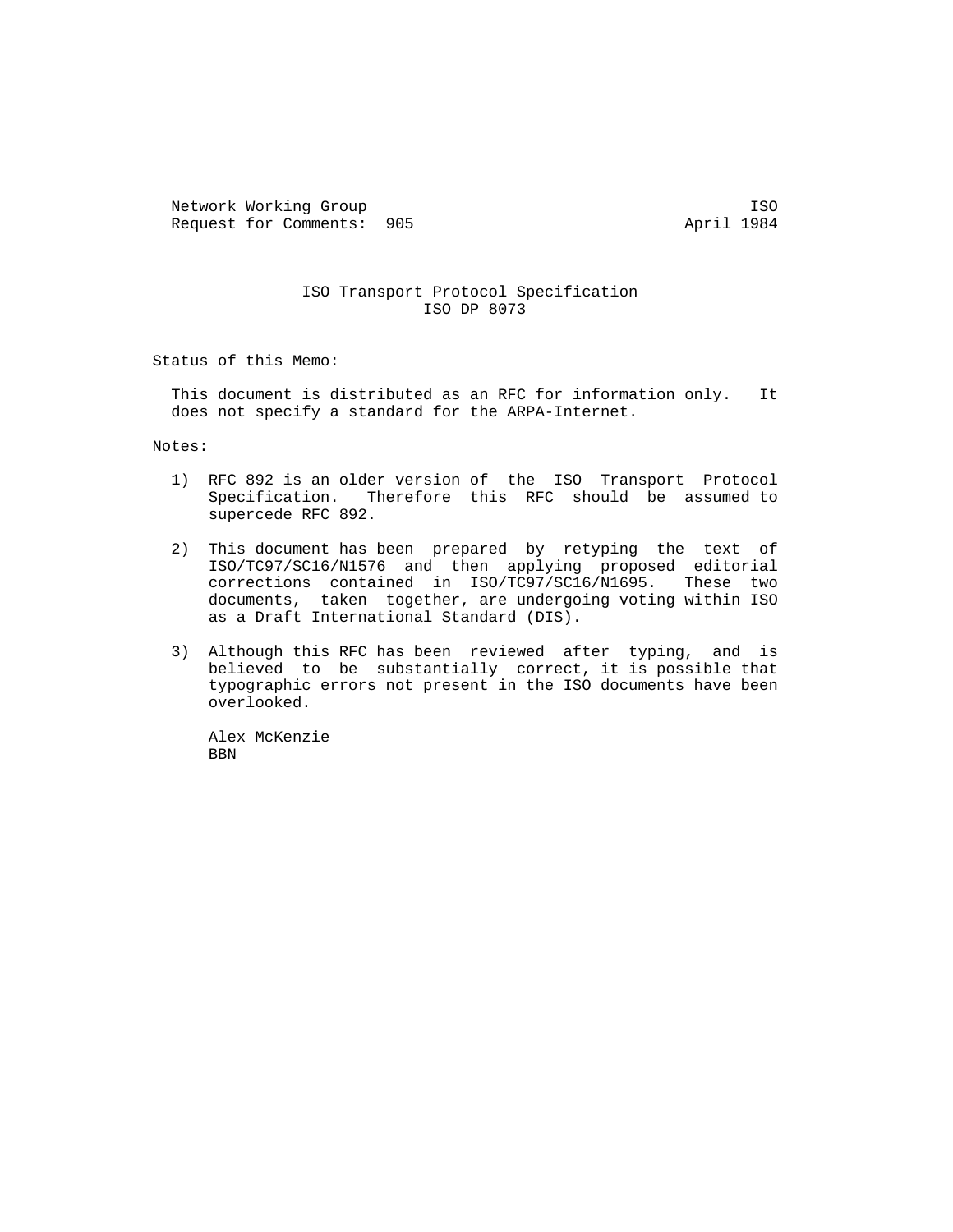Network Working Group ISO<br>Request for Comments: 905 1984 Request for Comments: 905

## ISO Transport Protocol Specification ISO DP 8073

Status of this Memo:

 This document is distributed as an RFC for information only. It does not specify a standard for the ARPA-Internet.

Notes:

- 1) RFC 892 is an older version of the ISO Transport Protocol Specification. Therefore this RFC should be assumed to supercede RFC 892.
- 2) This document has been prepared by retyping the text of ISO/TC97/SC16/N1576 and then applying proposed editorial corrections contained in ISO/TC97/SC16/N1695. These two documents, taken together, are undergoing voting within ISO as a Draft International Standard (DIS).
- 3) Although this RFC has been reviewed after typing, and is believed to be substantially correct, it is possible that typographic errors not present in the ISO documents have been overlooked.

 Alex McKenzie BBN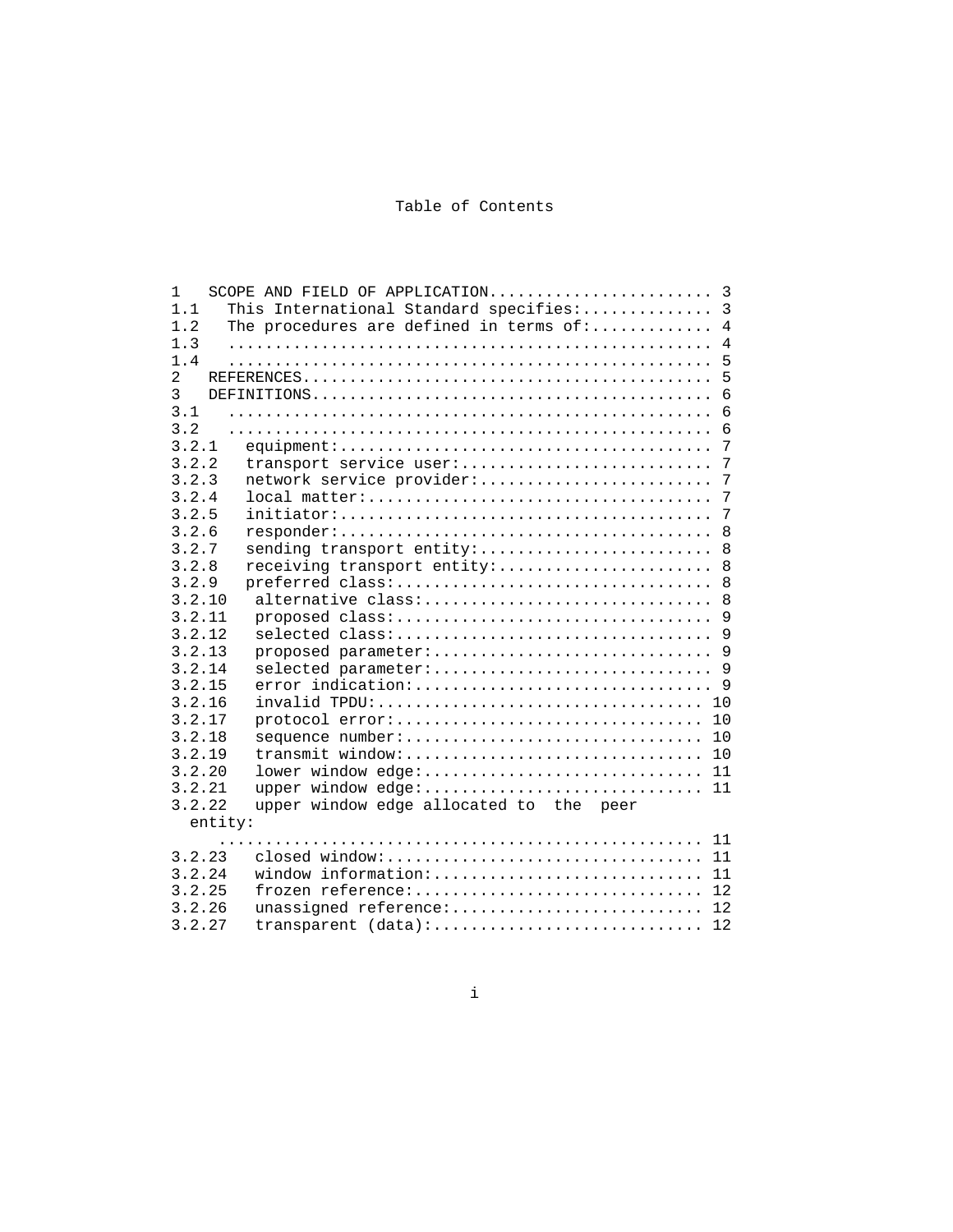# Table of Contents

| 1              |                                                           |
|----------------|-----------------------------------------------------------|
| 1.1            | This International Standard specifies: 3                  |
| 1.2            | $\overline{4}$<br>The procedures are defined in terms of: |
| 1.3            | $\overline{4}$                                            |
| 1.4            | 5                                                         |
| $\overline{a}$ | 5                                                         |
| 3              | 6                                                         |
| 3.1            | $6\phantom{1}$                                            |
| 3.2            | 6                                                         |
| 3.2.1          | 7                                                         |
| 3.2.2          | transport service user:<br>7                              |
| 3.2.3          | network service provider:<br>7                            |
| 3.2.4          | 7                                                         |
| 3.2.5          | 7                                                         |
| 3.2.6          | 8                                                         |
| 3.2.7          | sending transport entity:<br>8                            |
| 3.2.8          | receiving transport entity:<br>8                          |
| 3.2.9          | 8                                                         |
| 3.2.10         | alternative class:<br>8                                   |
| 3.2.11         | proposed class:<br>9                                      |
| 3.2.12         | 9<br>selected class:                                      |
| 3.2.13         |                                                           |
| 3.2.14         |                                                           |
| 3.2.15         | error indication:<br>9                                    |
| 3.2.16         | 10                                                        |
| 3.2.17         | protocol error:<br>10                                     |
| 3.2.18         | sequence number:<br>10                                    |
| 3.2.19         | transmit window:<br>10                                    |
| 3.2.20         | lower window edge: 11                                     |
| 3.2.21         | upper window edge: 11                                     |
| 3.2.22         | upper window edge allocated to the peer                   |
|                | entity:                                                   |
|                | 11                                                        |
| 3.2.23         | closed window:<br>11                                      |
| 3.2.24         | window information:<br>11                                 |
| 3.2.25         | frozen reference:<br>12                                   |
| 3.2.26         | unassigned reference:<br>12                               |
| 3.2.27         | transparent (data):<br>12                                 |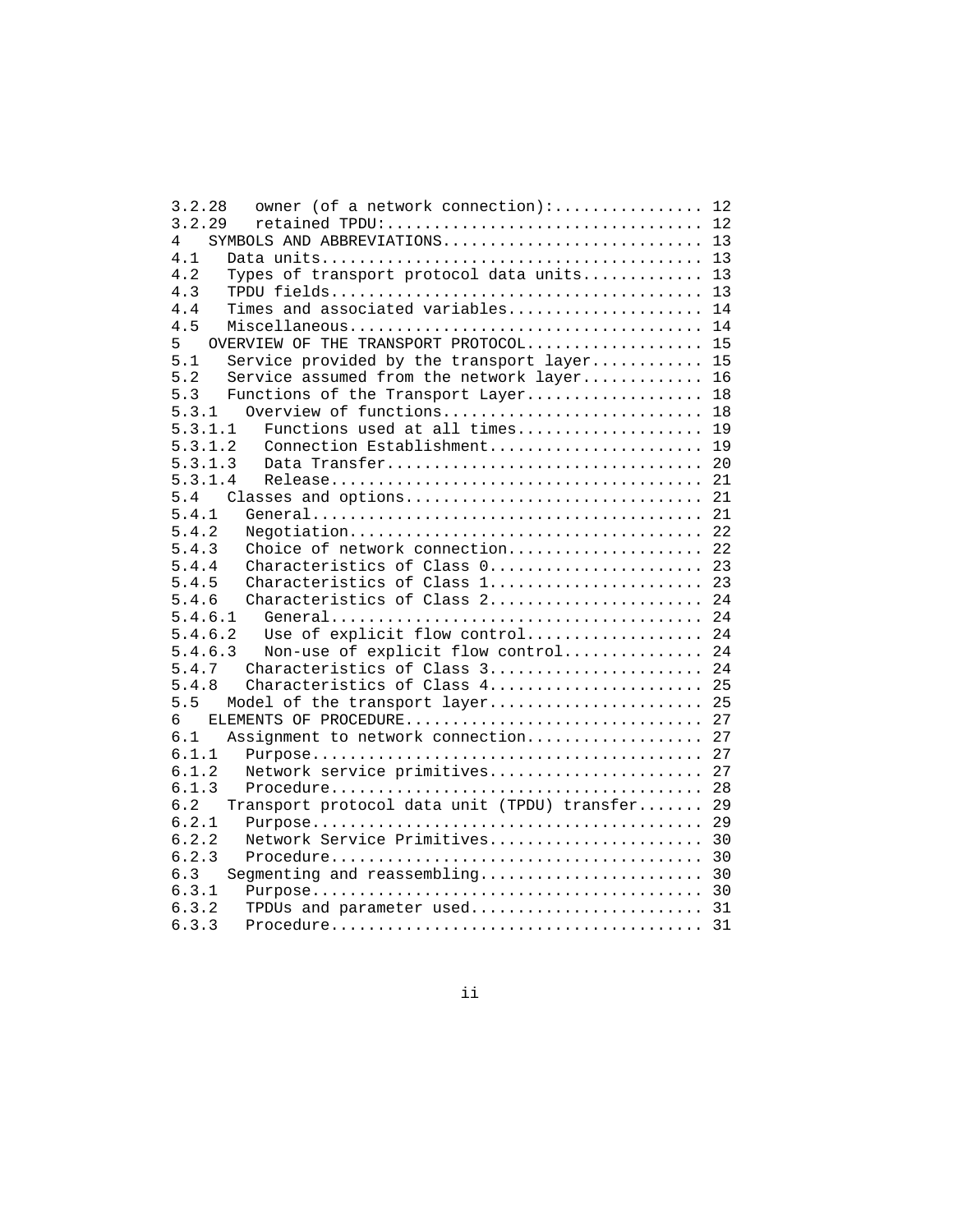| owner (of a network connection): 12<br>3.2.28          |  |
|--------------------------------------------------------|--|
| 3.2.29                                                 |  |
| SYMBOLS AND ABBREVIATIONS 13<br>4                      |  |
| 4.1                                                    |  |
| Types of transport protocol data units 13<br>4.2       |  |
| 4.3                                                    |  |
| Times and associated variables 14<br>4.4               |  |
| 4.5                                                    |  |
|                                                        |  |
| OVERVIEW OF THE TRANSPORT PROTOCOL 15<br>5             |  |
| Service provided by the transport layer 15<br>5.1      |  |
| 5.2<br>Service assumed from the network layer 16       |  |
| 5.3<br>Functions of the Transport Layer 18             |  |
| Overview of functions 18<br>5.3.1                      |  |
| Functions used at all times 19<br>5.3.1.1              |  |
| 5.3.1.2<br>Connection Establishment 19                 |  |
| Data Transfer 20<br>5.3.1.3                            |  |
| 5.3.1.4                                                |  |
| 5.4                                                    |  |
| 5.4.1                                                  |  |
| 5.4.2                                                  |  |
| Choice of network connection 22<br>5.4.3               |  |
| Characteristics of Class 0 23<br>5.4.4                 |  |
| 5.4.5<br>Characteristics of Class 1 23                 |  |
| Characteristics of Class 2 24<br>5.4.6                 |  |
| 5.4.6.1                                                |  |
| Use of explicit flow control 24<br>5.4.6.2             |  |
| 5.4.6.3<br>Non-use of explicit flow control 24         |  |
| Characteristics of Class 3 24<br>5.4.7                 |  |
| Characteristics of Class 4 25<br>5.4.8                 |  |
| 5.5<br>Model of the transport layer 25                 |  |
| ELEMENTS OF PROCEDURE 27<br>6                          |  |
| Assignment to network connection 27<br>6.1             |  |
| 6.1.1                                                  |  |
| Network service primitives 27<br>6.1.2                 |  |
| 6.1.3                                                  |  |
| 6.2<br>Transport protocol data unit (TPDU) transfer 29 |  |
| 6.2.1                                                  |  |
|                                                        |  |
| Network Service Primitives 30<br>6.2.2                 |  |
| 6.2.3                                                  |  |
| 6.3                                                    |  |
| 6.3.1                                                  |  |
| 6.3.2<br>TPDUs and parameter used 31                   |  |
| 6.3.3                                                  |  |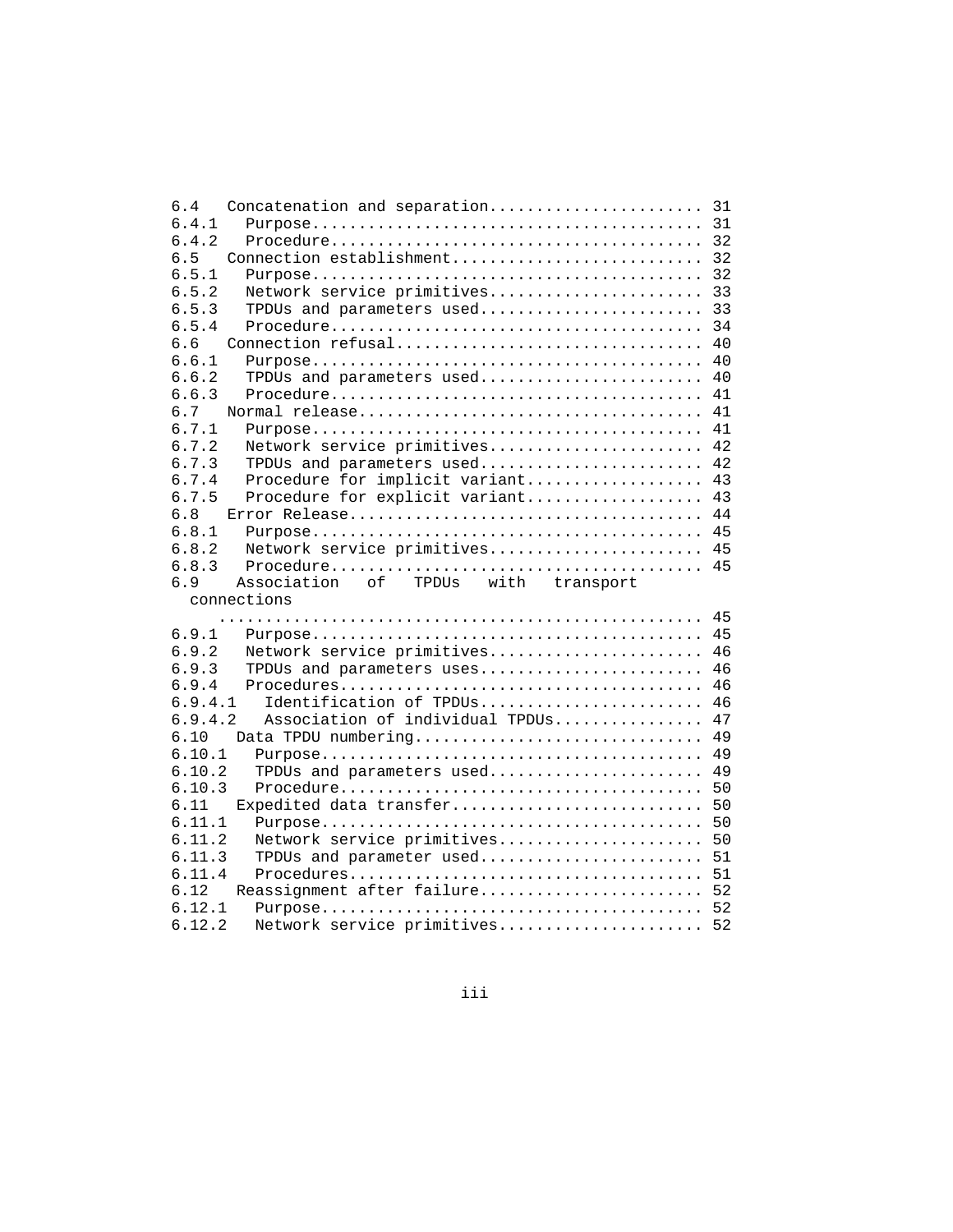| Concatenation and separation 31<br>6.4        |    |
|-----------------------------------------------|----|
| 6.4.1                                         | 31 |
| 6.4.2                                         |    |
| 6.5<br>Connection establishment               | 32 |
| 6.5.1                                         | 32 |
| 6.5.2<br>Network service primitives           | 33 |
| 6.5.3<br>TPDUs and parameters used            | 33 |
| 6.5.4                                         | 34 |
| 6.6<br>Connection refusal                     | 40 |
| 6.6.1                                         | 40 |
| 6.6.2<br>TPDUs and parameters used            | 40 |
| 6.6.3                                         | 41 |
| 6.7                                           | 41 |
| 6.7.1                                         | 41 |
| 6.7.2<br>Network service primitives           | 42 |
| 6.7.3<br>TPDUs and parameters used            | 42 |
| 6.7.4<br>Procedure for implicit variant       | 43 |
| 6.7.5<br>Procedure for explicit variant       | 43 |
| 6.8                                           | 44 |
| 6.8.1                                         | 45 |
| 6.8.2<br>Network service primitives 45        |    |
| 6.8.3                                         | 45 |
| Association<br>of TPDUs with transport<br>6.9 |    |
| connections                                   |    |
|                                               | 45 |
| 6.9.1                                         | 45 |
| 6.9.2<br>Network service primitives           | 46 |
| 6.9.3<br>TPDUs and parameters uses            | 46 |
| 6.9.4                                         | 46 |
| 6.9.4.1<br>Identification of TPDUs            | 46 |
| 6.9.4.2<br>Association of individual TPDUs    | 47 |
| Data TPDU numbering<br>6.10                   | 49 |
| 6.10.1                                        | 49 |
| 6.10.2<br>TPDUs and parameters used           | 49 |
| 6.10.3                                        | 50 |
| 6.11<br>Expedited data transfer               | 50 |
| 6.11.1                                        | 50 |
| 6.11.2<br>Network service primitives          | 50 |
| 6.11.3<br>TPDUs and parameter used 51         |    |
| 6.11.4                                        |    |
|                                               |    |
| 6.12                                          |    |
| Reassignment after failure 52<br>6.12.1       |    |
| Network service primitives 52<br>6.12.2       |    |

iii in die koning van die koning van die koning van die koning van die koning van die koning van die koning va<br>Gebeure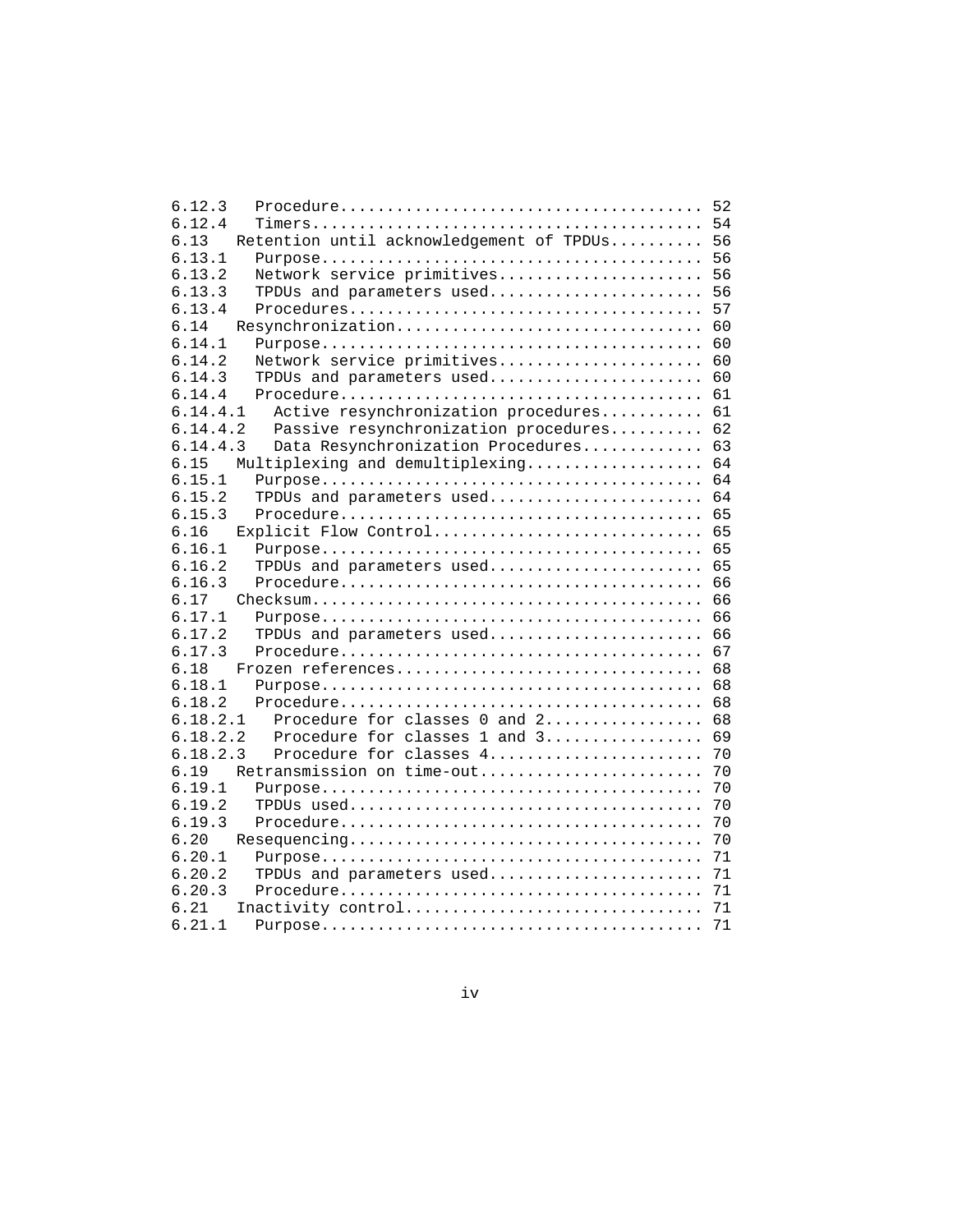| 6.12.3                                                                                                        | 52  |
|---------------------------------------------------------------------------------------------------------------|-----|
| 6.12.4                                                                                                        | 54  |
| Retention until acknowledgement of TPDUs<br>6.13                                                              | 56  |
|                                                                                                               |     |
| 6.13.1                                                                                                        | 56  |
| Network service primitives<br>6.13.2                                                                          | -56 |
| 6.13.3<br>TPDUs and parameters used                                                                           | 56  |
| 6.13.4                                                                                                        | 57  |
| 6.14<br>Resynchronization                                                                                     | 60  |
| 6.14.1                                                                                                        | 60  |
| 6.14.2<br>Network service primitives                                                                          | 60  |
| 6.14.3<br>TPDUs and parameters used                                                                           | 60  |
| 6.14.4                                                                                                        | 61  |
| Active resynchronization procedures<br>6.14.4.1                                                               | 61  |
| Passive resynchronization procedures<br>6.14.4.2                                                              | 62  |
| 6.14.4.3<br>Data Resynchronization Procedures                                                                 | 63  |
| Multiplexing and demultiplexing<br>6.15                                                                       | 64  |
| 6.15.1                                                                                                        | 64  |
| TPDUs and parameters used<br>6.15.2                                                                           | 64  |
| 6.15.3                                                                                                        | 65  |
| 6.16<br>Explicit Flow Control                                                                                 | 65  |
| 6.16.1                                                                                                        | 65  |
| TPDUs and parameters used<br>6.16.2                                                                           | 65  |
| 6.16.3                                                                                                        | 66  |
| 6.17<br>$\text{Checksum} \dots \dots \dots \dots \dots \dots \dots \dots \dots \dots \dots \dots \dots \dots$ | 66  |
| 6.17.1                                                                                                        | 66  |
| 6.17.2<br>TPDUs and parameters used                                                                           | 66  |
| 6.17.3                                                                                                        | 67  |
| 6.18<br>Frozen references                                                                                     | 68  |
| 6.18.1                                                                                                        | 68  |
| 6.18.2                                                                                                        | 68  |
| Procedure for classes 0 and 2<br>6.18.2.1                                                                     | 68  |
| 6.18.2.2<br>Procedure for classes 1 and 3                                                                     | 69  |
| 6.18.2.3<br>Procedure for classes 4                                                                           | 70  |
| 6.19<br>Retransmission on time-out                                                                            | 70  |
| 6.19.1                                                                                                        | 70  |
| 6.19.2                                                                                                        | 70  |
| 6.19.3                                                                                                        | 70  |
| 6.20                                                                                                          | 70  |
| 6.20.1                                                                                                        | 71  |
|                                                                                                               |     |
| 6.20.2<br>TPDUs and parameters used                                                                           | 71  |
| 6.20.3                                                                                                        | 71  |
| 6.21<br>Inactivity control                                                                                    | 71  |
| 6.21.1                                                                                                        | 71  |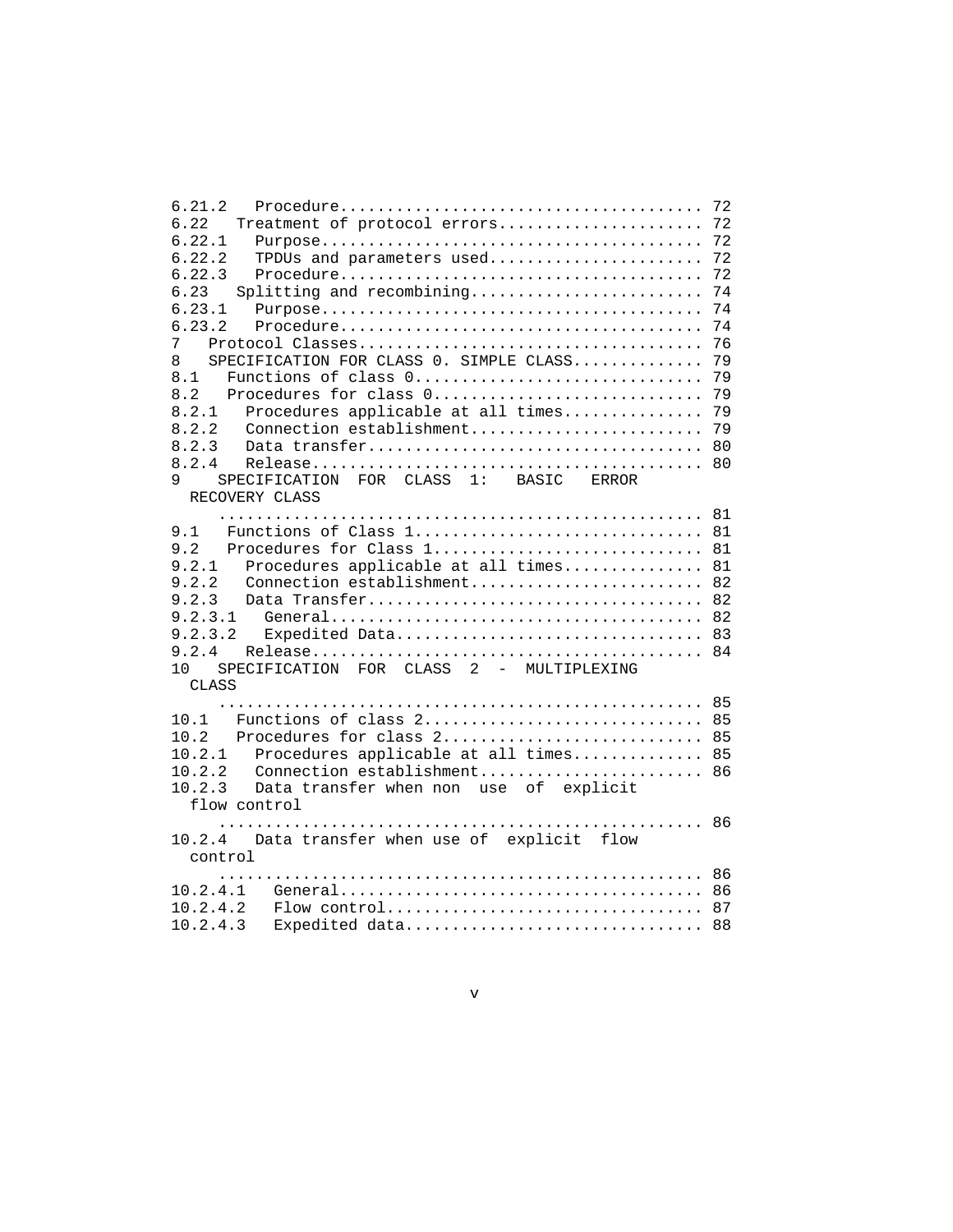| 6.21.2                                                                                    |    |
|-------------------------------------------------------------------------------------------|----|
| 6.22<br>Treatment of protocol errors 72                                                   |    |
| 6.22.1                                                                                    |    |
| 6.22.2<br>TPDUs and parameters used 72                                                    |    |
| 6.22.3                                                                                    | 72 |
| 6.23<br>Splitting and recombining                                                         | 74 |
| 6.23.1                                                                                    | 74 |
| 6.23.2                                                                                    | 74 |
| 7                                                                                         | 76 |
| SPECIFICATION FOR CLASS 0. SIMPLE CLASS<br>8                                              | 79 |
| 8.1<br>Functions of class 0                                                               | 79 |
| 8.2                                                                                       |    |
| Procedures applicable at all times 79<br>8.2.1                                            |    |
| 8.2.2                                                                                     |    |
| 8.2.3                                                                                     |    |
| 8.2.4                                                                                     |    |
| SPECIFICATION FOR CLASS 1: BASIC ERROR<br>9                                               |    |
| RECOVERY CLASS                                                                            |    |
|                                                                                           |    |
| 9.1<br>Functions of Class $1, \ldots, \ldots, \ldots, \ldots, \ldots, \ldots, \ldots, 81$ |    |
| 9.2<br>Procedures for Class 1 81                                                          |    |
| 9.2.1<br>Procedures applicable at all times 81                                            |    |
| 9.2.2<br>Connection establishment 82                                                      |    |
| 9.2.3                                                                                     |    |
| 9.2.3.1                                                                                   |    |
| Expedited Data 83<br>9.2.3.2                                                              |    |
| 9.2.4                                                                                     |    |
| SPECIFICATION FOR CLASS 2 - MULTIPLEXING<br>10                                            |    |
| CLASS                                                                                     |    |
|                                                                                           |    |
| Functions of class 2 85<br>10.1                                                           |    |
| 10.2<br>Procedures for class 2 85                                                         |    |
| Procedures applicable at all times 85<br>10.2.1                                           |    |
| Connection establishment 86<br>10.2.2                                                     |    |
| 10.2.3<br>Data transfer when non use of explicit                                          |    |
| flow control                                                                              |    |
|                                                                                           |    |
| 10.2.4 Data transfer when use of explicit flow                                            |    |
| control                                                                                   |    |
|                                                                                           |    |
|                                                                                           |    |
|                                                                                           |    |
| 10.2.4.3<br>Expedited data 88                                                             |    |
|                                                                                           |    |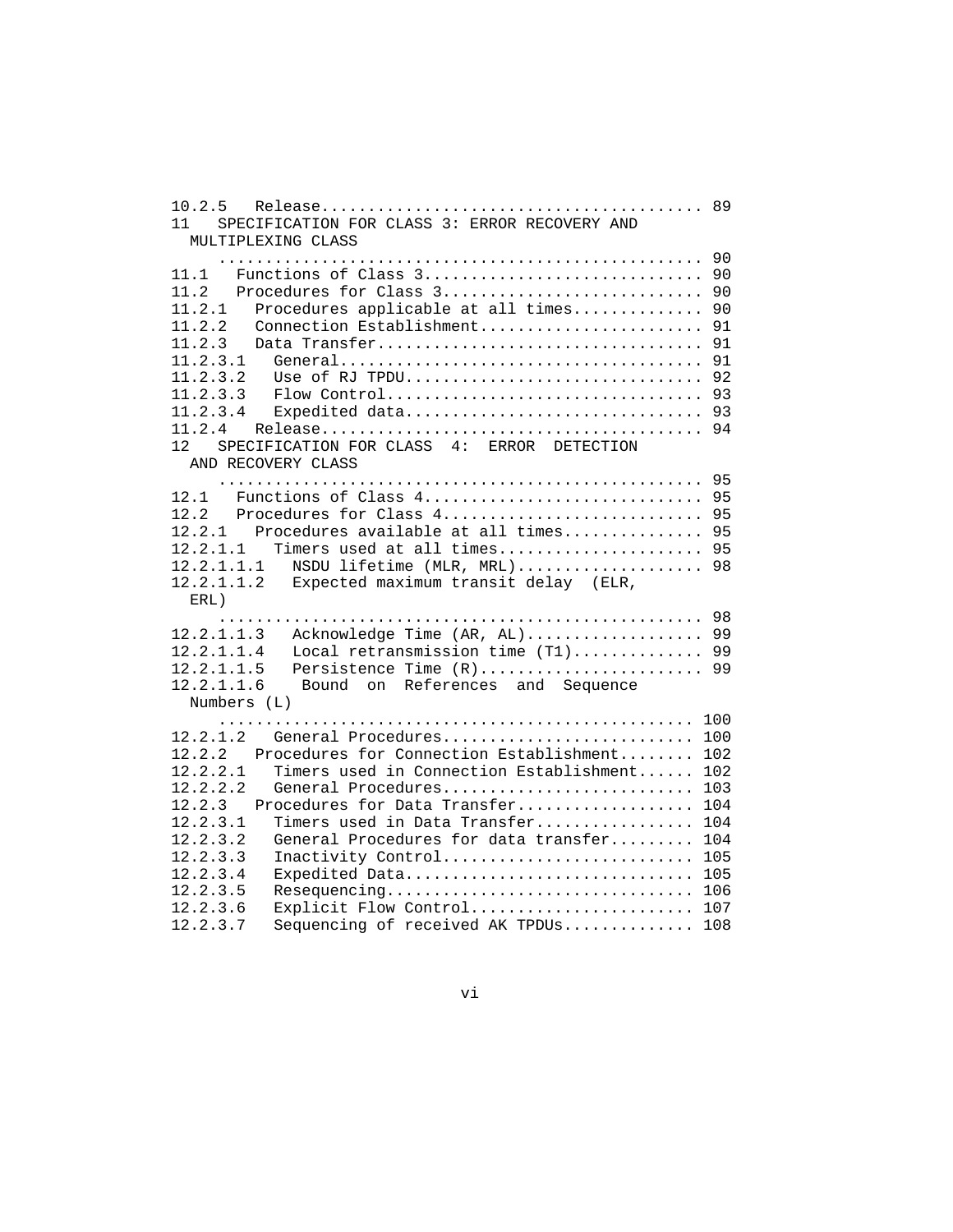```
 10.2.5 Release......................................... 89
 11 SPECIFICATION FOR CLASS 3: ERROR RECOVERY AND
   MULTIPLEXING CLASS
      .................................................... 90
 11.1 Functions of Class 3.............................. 90
 11.2 Procedures for Class 3............................ 90
 11.2.1 Procedures applicable at all times.............. 90
 11.2.2 Connection Establishment........................ 91
 11.2.3 Data Transfer................................... 91
 11.2.3.1 General....................................... 91
 11.2.3.2 Use of RJ TPDU................................ 92
 11.2.3.3 Flow Control.................................. 93
 11.2.3.4 Expedited data................................ 93
 11.2.4 Release......................................... 94
 12 SPECIFICATION FOR CLASS 4: ERROR DETECTION
   AND RECOVERY CLASS
      .................................................... 95
 12.1 Functions of Class 4.............................. 95
 12.2 Procedures for Class 4............................ 95
 12.2.1 Procedures available at all times............... 95
 12.2.1.1 Timers used at all times...................... 95
 12.2.1.1.1 NSDU lifetime (MLR, MRL).................... 98
 12.2.1.1.2 Expected maximum transit delay (ELR,
   ERL)
      .................................................... 98
 12.2.1.1.3 Acknowledge Time (AR, AL)................... 99
 12.2.1.1.4 Local retransmission time (T1).............. 99
 12.2.1.1.5 Persistence Time (R)........................ 99
 12.2.1.1.6 Bound on References and Sequence
   Numbers (L)
      ................................................... 100
 12.2.1.2 General Procedures........................... 100
 12.2.2 Procedures for Connection Establishment........ 102
 12.2.2.1 Timers used in Connection Establishment...... 102
 12.2.2.2 General Procedures........................... 103
 12.2.3 Procedures for Data Transfer................... 104
 12.2.3.1 Timers used in Data Transfer................. 104
 12.2.3.2 General Procedures for data transfer......... 104
 12.2.3.3 Inactivity Control........................... 105
 12.2.3.4 Expedited Data............................... 105
 12.2.3.5 Resequencing................................. 106
 12.2.3.6 Explicit Flow Control........................ 107
 12.2.3.7 Sequencing of received AK TPDUs.............. 108
```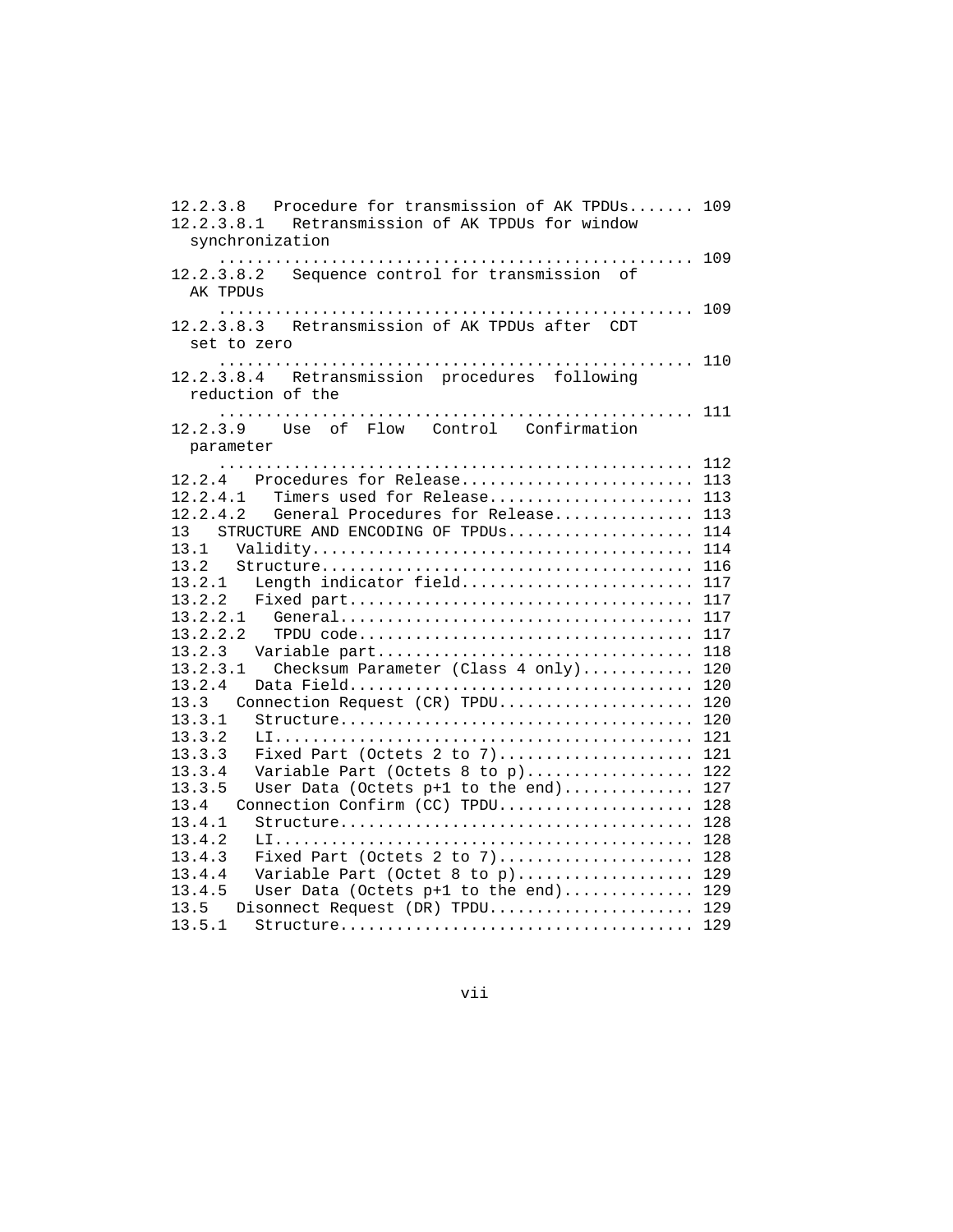```
 12.2.3.8 Procedure for transmission of AK TPDUs....... 109
 12.2.3.8.1 Retransmission of AK TPDUs for window
   synchronization
      ................................................... 109
 12.2.3.8.2 Sequence control for transmission of
   AK TPDUs
      ................................................... 109
 12.2.3.8.3 Retransmission of AK TPDUs after CDT
   set to zero
      ................................................... 110
 12.2.3.8.4 Retransmission procedures following
   reduction of the
      ................................................... 111
 12.2.3.9 Use of Flow Control Confirmation
   parameter
      ................................................... 112
 12.2.4 Procedures for Release......................... 113
 12.2.4.1 Timers used for Release...................... 113
 12.2.4.2 General Procedures for Release............... 113
13 STRUCTURE AND ENCODING OF TPDUS..................... 114
 13.1 Validity......................................... 114
 13.2 Structure........................................ 116
 13.2.1 Length indicator field......................... 117
 13.2.2 Fixed part..................................... 117
 13.2.2.1 General...................................... 117
 13.2.2.2 TPDU code.................................... 117
 13.2.3 Variable part.................................. 118
 13.2.3.1 Checksum Parameter (Class 4 only)............ 120
 13.2.4 Data Field..................................... 120
 13.3 Connection Request (CR) TPDU..................... 120
 13.3.1 Structure...................................... 120
 13.3.2 LI............................................. 121
 13.3.3 Fixed Part (Octets 2 to 7)..................... 121
 13.3.4 Variable Part (Octets 8 to p).................. 122
 13.3.5 User Data (Octets p+1 to the end).............. 127
 13.4 Connection Confirm (CC) TPDU..................... 128
 13.4.1 Structure...................................... 128
 13.4.2 LI............................................. 128
 13.4.3 Fixed Part (Octets 2 to 7)..................... 128
 13.4.4 Variable Part (Octet 8 to p)................... 129
 13.4.5 User Data (Octets p+1 to the end).............. 129
 13.5 Disonnect Request (DR) TPDU...................... 129
          13.5.1 Structure...................................... 129
```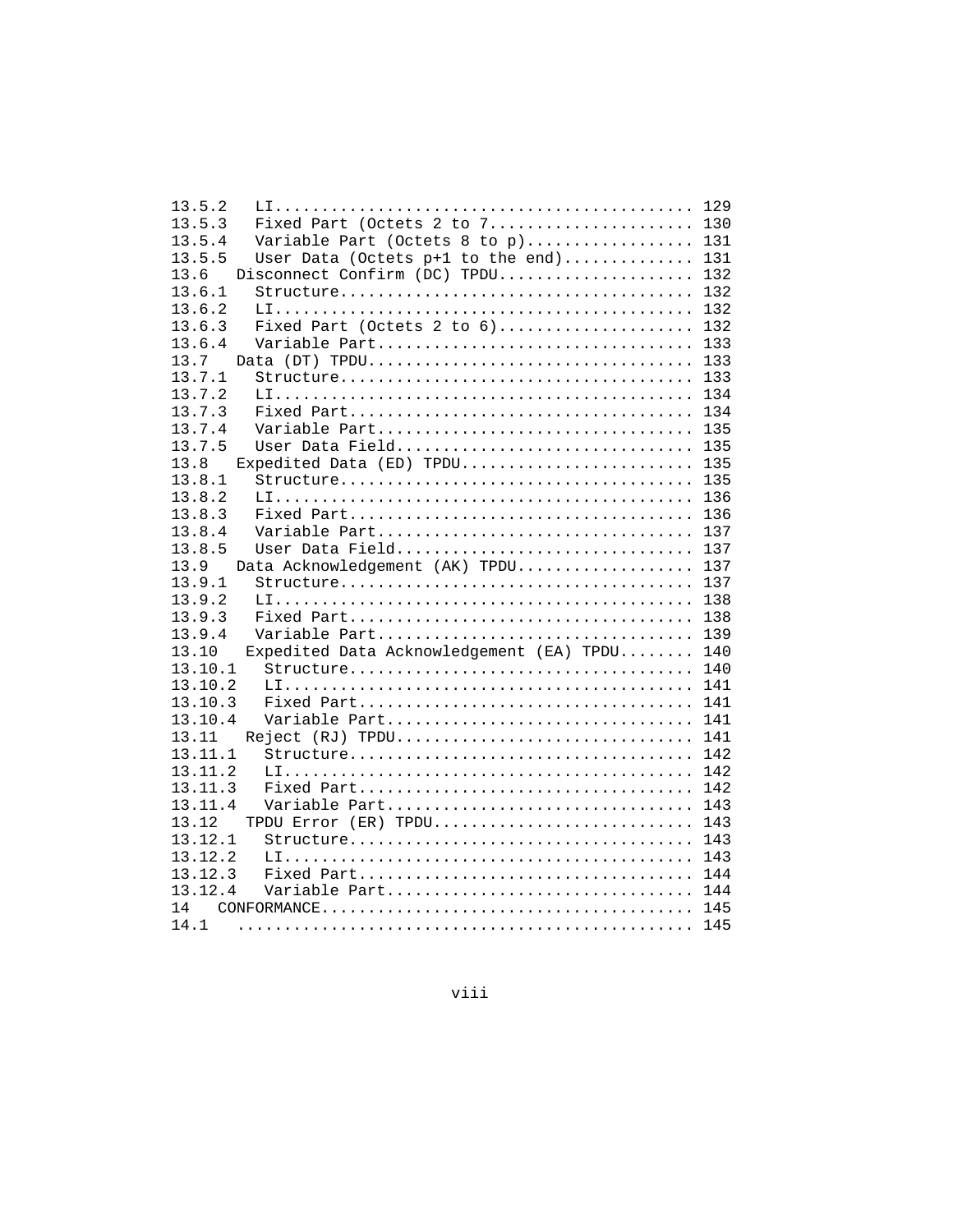| 13.5.2  |                                          |     |
|---------|------------------------------------------|-----|
| 13.5.3  | Fixed Part (Octets 2 to $7.$ 130         |     |
| 13.5.4  | Variable Part (Octets 8 to p) 131        |     |
| 13.5.5  | User Data (Octets p+1 to the end) 131    |     |
| 13.6    | Disconnect Confirm (DC) TPDU 132         |     |
| 13.6.1  |                                          |     |
| 13.6.2  |                                          | 132 |
| 13.6.3  | Fixed Part (Octets 2 to $6)$ 132         |     |
| 13.6.4  | Variable Part                            | 133 |
| 13.7    | Data (DT) TPDU                           | 133 |
| 13.7.1  |                                          | 133 |
| 13.7.2  |                                          | 134 |
| 13.7.3  |                                          | 134 |
| 13.7.4  | Variable Part                            | 135 |
| 13.7.5  | User Data Field 135                      |     |
| 13.8    | Expedited Data (ED) TPDU 135             |     |
| 13.8.1  |                                          |     |
| 13.8.2  |                                          |     |
| 13.8.3  |                                          |     |
| 13.8.4  | Variable Part 137                        |     |
| 13.8.5  | User Data Field                          | 137 |
| 13.9    | Data Acknowledgement (AK) TPDU           | 137 |
| 13.9.1  |                                          |     |
| 13.9.2  |                                          |     |
| 13.9.3  |                                          | 138 |
| 13.9.4  | Variable Part                            | 139 |
| 13.10   | Expedited Data Acknowledgement (EA) TPDU | 140 |
| 13.10.1 |                                          | 140 |
| 13.10.2 |                                          | 141 |
| 13.10.3 |                                          |     |
| 13.10.4 | Variable Part 141                        |     |
| 13.11   | Reject (RJ) TPDU                         | 141 |
| 13.11.1 |                                          | 142 |
| 13.11.2 |                                          | 142 |
| 13.11.3 |                                          | 142 |
| 13.11.4 | Variable Part                            | 143 |
| 13.12   | TPDU Error (ER) TPDU                     | 143 |
| 13.12.1 |                                          |     |
| 13.12.2 |                                          |     |
| 13.12.3 |                                          |     |
| 13.12.4 | Variable Part 144                        |     |
| 14      |                                          |     |
| 14.1    |                                          | 145 |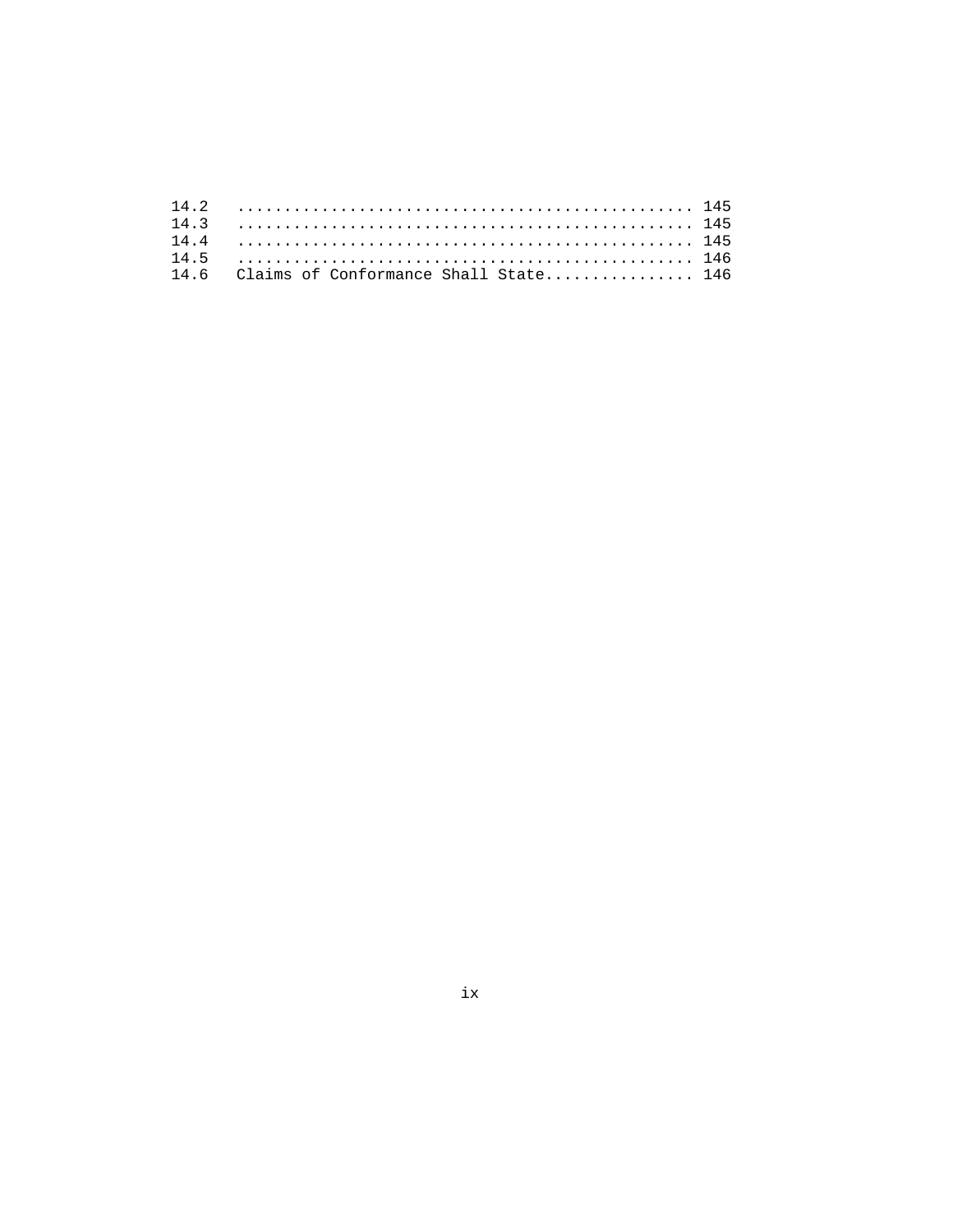| 14.6 Claims of Conformance Shall State 146 |  |
|--------------------------------------------|--|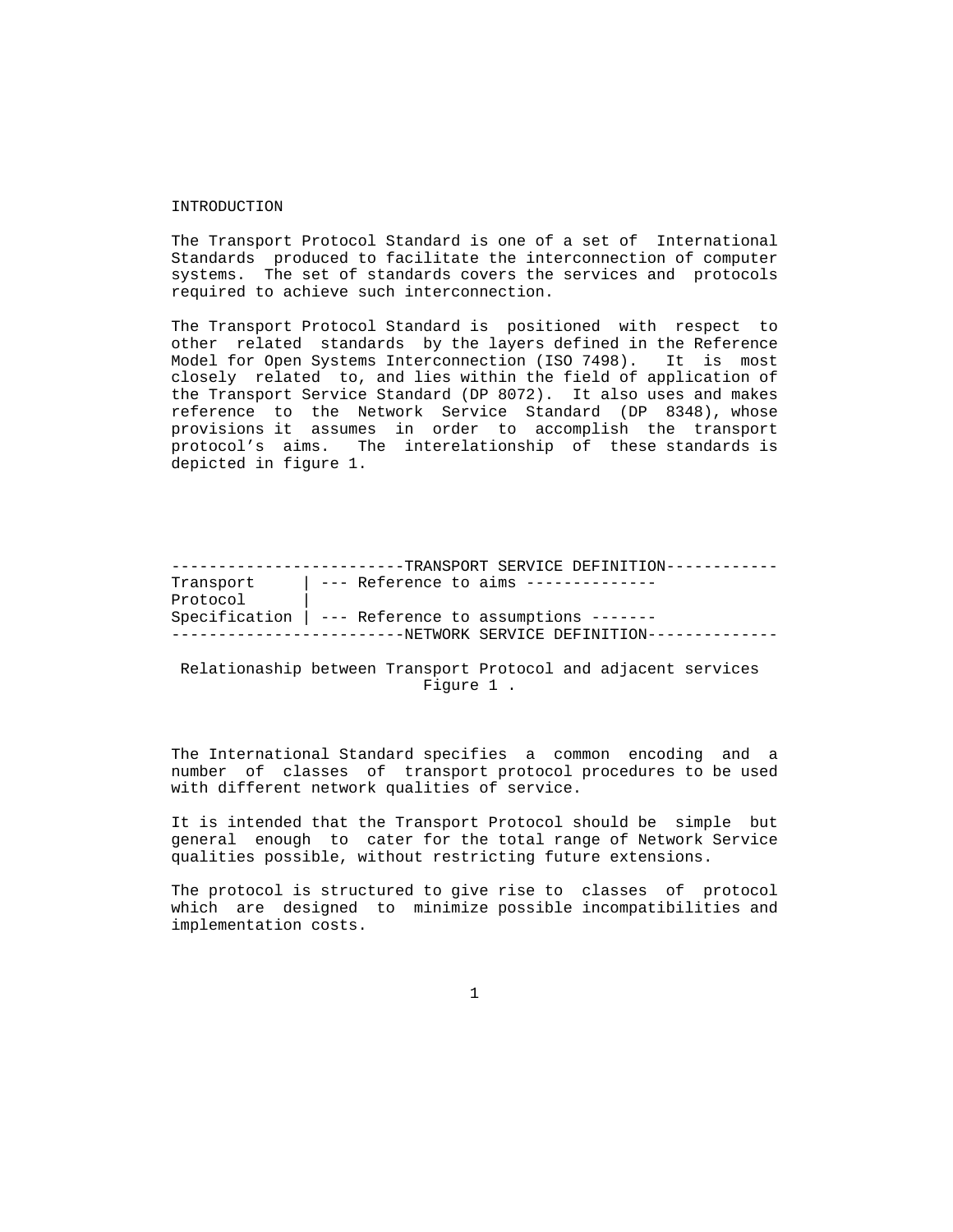#### INTRODUCTION

 The Transport Protocol Standard is one of a set of International Standards produced to facilitate the interconnection of computer systems. The set of standards covers the services and protocols required to achieve such interconnection.

 The Transport Protocol Standard is positioned with respect to other related standards by the layers defined in the Reference Model for Open Systems Interconnection (ISO 7498). It is most closely related to, and lies within the field of application of the Transport Service Standard (DP 8072). It also uses and makes reference to the Network Service Standard (DP 8348), whose provisions it assumes in order to accomplish the transport protocol's aims. The interelationship of these standards is depicted in figure 1.

 -------------------------TRANSPORT SERVICE DEFINITION------------ Transport | --- Reference to aims -------------- Protocol | Specification | --- Reference to assumptions ------- -------------------------NETWORK SERVICE DEFINITION--------------

## Relationaship between Transport Protocol and adjacent services Figure 1 .

 The International Standard specifies a common encoding and a number of classes of transport protocol procedures to be used with different network qualities of service.

 It is intended that the Transport Protocol should be simple but general enough to cater for the total range of Network Service qualities possible, without restricting future extensions.

 The protocol is structured to give rise to classes of protocol which are designed to minimize possible incompatibilities and implementation costs.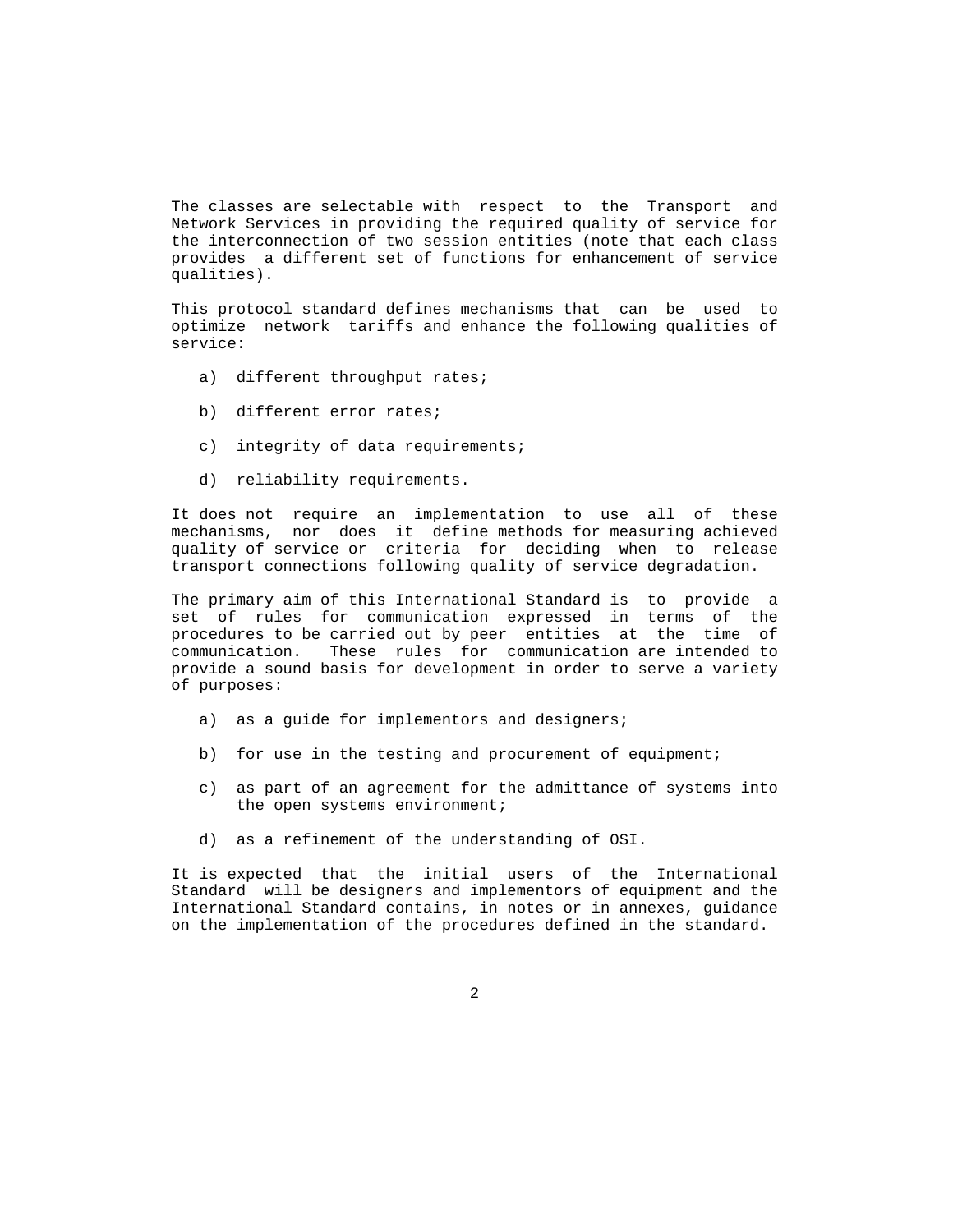The classes are selectable with respect to the Transport and Network Services in providing the required quality of service for the interconnection of two session entities (note that each class provides a different set of functions for enhancement of service qualities).

 This protocol standard defines mechanisms that can be used to optimize network tariffs and enhance the following qualities of service:

- a) different throughput rates;
- b) different error rates;
- c) integrity of data requirements;
- d) reliability requirements.

 It does not require an implementation to use all of these mechanisms, nor does it define methods for measuring achieved quality of service or criteria for deciding when to release transport connections following quality of service degradation.

 The primary aim of this International Standard is to provide a set of rules for communication expressed in terms of the procedures to be carried out by peer entities at the time of communication. These rules for communication are intended to provide a sound basis for development in order to serve a variety of purposes:

- a) as a guide for implementors and designers;
- b) for use in the testing and procurement of equipment;
- c) as part of an agreement for the admittance of systems into the open systems environment;
- d) as a refinement of the understanding of OSI.

 It is expected that the initial users of the International Standard will be designers and implementors of equipment and the International Standard contains, in notes or in annexes, guidance on the implementation of the procedures defined in the standard.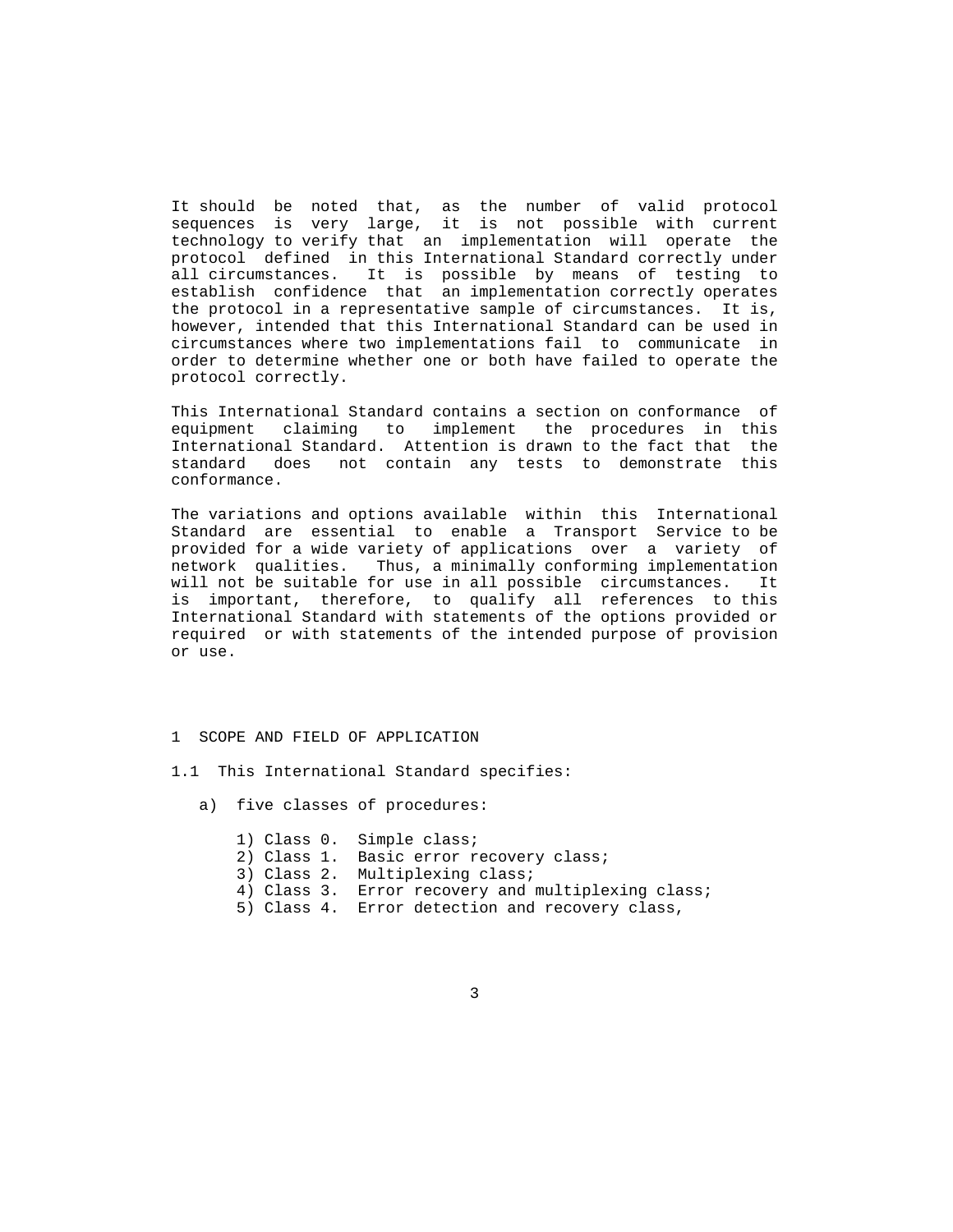It should be noted that, as the number of valid protocol sequences is very large, it is not possible with current technology to verify that an implementation will operate the protocol defined in this International Standard correctly under all circumstances. It is possible by means of testing to establish confidence that an implementation correctly operates the protocol in a representative sample of circumstances. It is, however, intended that this International Standard can be used in circumstances where two implementations fail to communicate in order to determine whether one or both have failed to operate the protocol correctly.

 This International Standard contains a section on conformance of equipment claiming to implement the procedures in this International Standard. Attention is drawn to the fact that the standard does not contain any tests to demonstrate this conformance.

 The variations and options available within this International Standard are essential to enable a Transport Service to be provided for a wide variety of applications over a variety of network qualities. Thus, a minimally conforming implementation will not be suitable for use in all possible circumstances. It is important, therefore, to qualify all references to this International Standard with statements of the options provided or required or with statements of the intended purpose of provision or use.

- 1 SCOPE AND FIELD OF APPLICATION
- 1.1 This International Standard specifies:
	- a) five classes of procedures:
		- 1) Class 0. Simple class;
		- 2) Class 1. Basic error recovery class;
		- 3) Class 2. Multiplexing class;
		- 4) Class 3. Error recovery and multiplexing class;
		- 5) Class 4. Error detection and recovery class,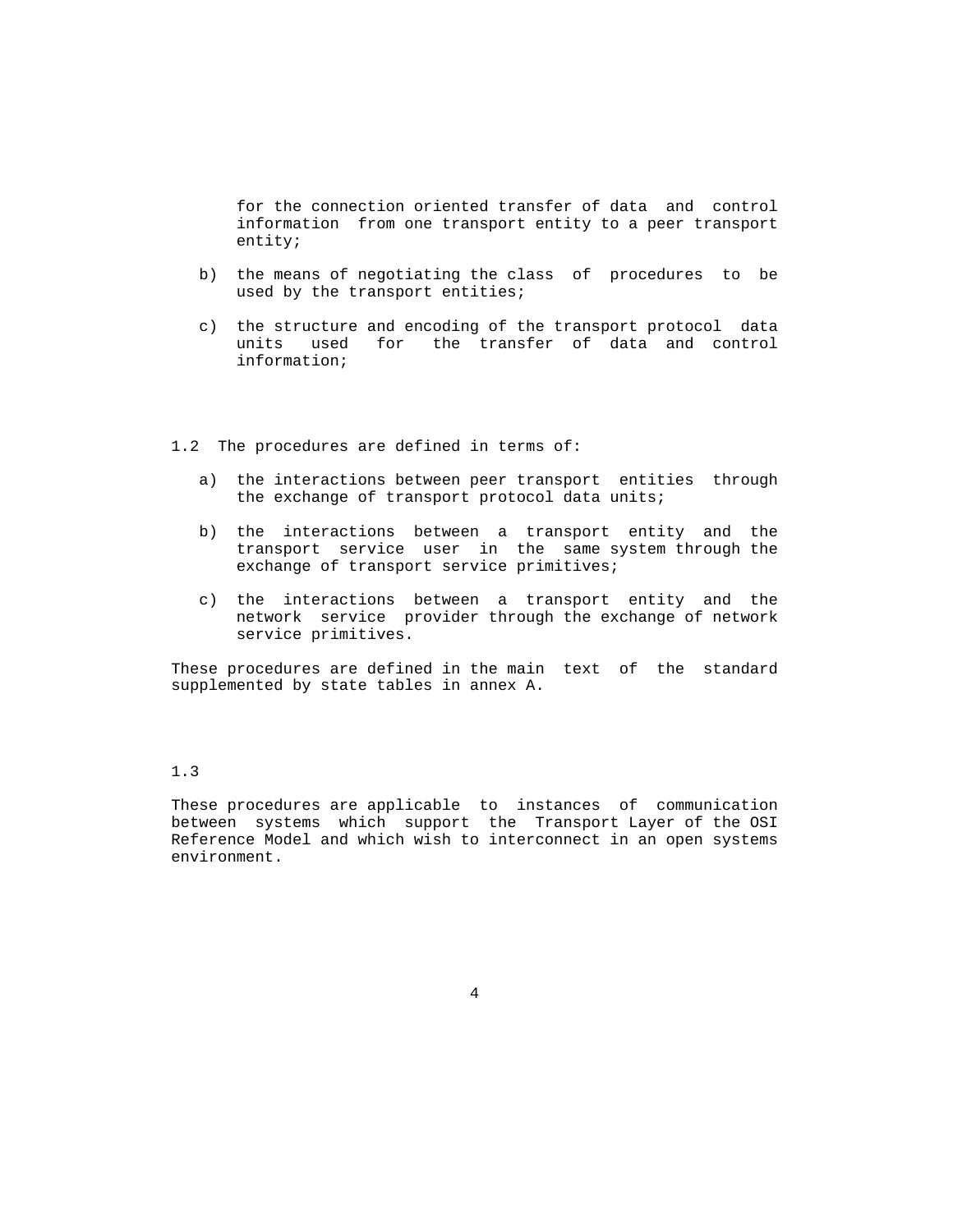for the connection oriented transfer of data and control information from one transport entity to a peer transport entity;

- b) the means of negotiating the class of procedures to be used by the transport entities;
- c) the structure and encoding of the transport protocol data units used for the transfer of data and control information;
- 1.2 The procedures are defined in terms of:
	- a) the interactions between peer transport entities through the exchange of transport protocol data units;
	- b) the interactions between a transport entity and the transport service user in the same system through the exchange of transport service primitives;
	- c) the interactions between a transport entity and the network service provider through the exchange of network service primitives.

 These procedures are defined in the main text of the standard supplemented by state tables in annex A.

# 1.3

 These procedures are applicable to instances of communication between systems which support the Transport Layer of the OSI Reference Model and which wish to interconnect in an open systems environment.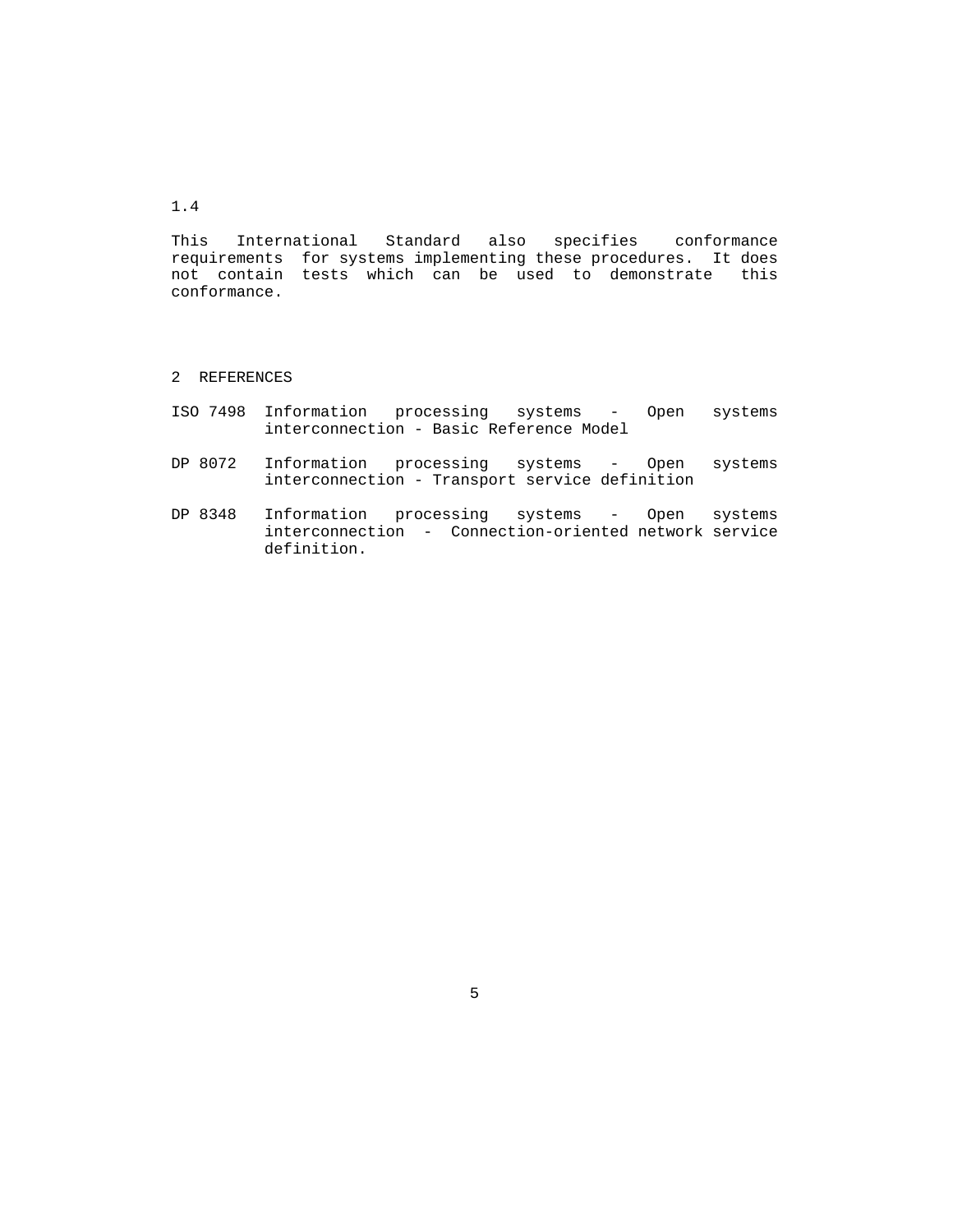1.4

 This International Standard also specifies conformance requirements for systems implementing these procedures. It does not contain tests which can be used to demonstrate this conformance.

- 2 REFERENCES
- ISO 7498 Information processing systems Open systems interconnection - Basic Reference Model
- DP 8072 Information processing systems Open systems interconnection - Transport service definition
- DP 8348 Information processing systems Open systems interconnection - Connection-oriented network service definition.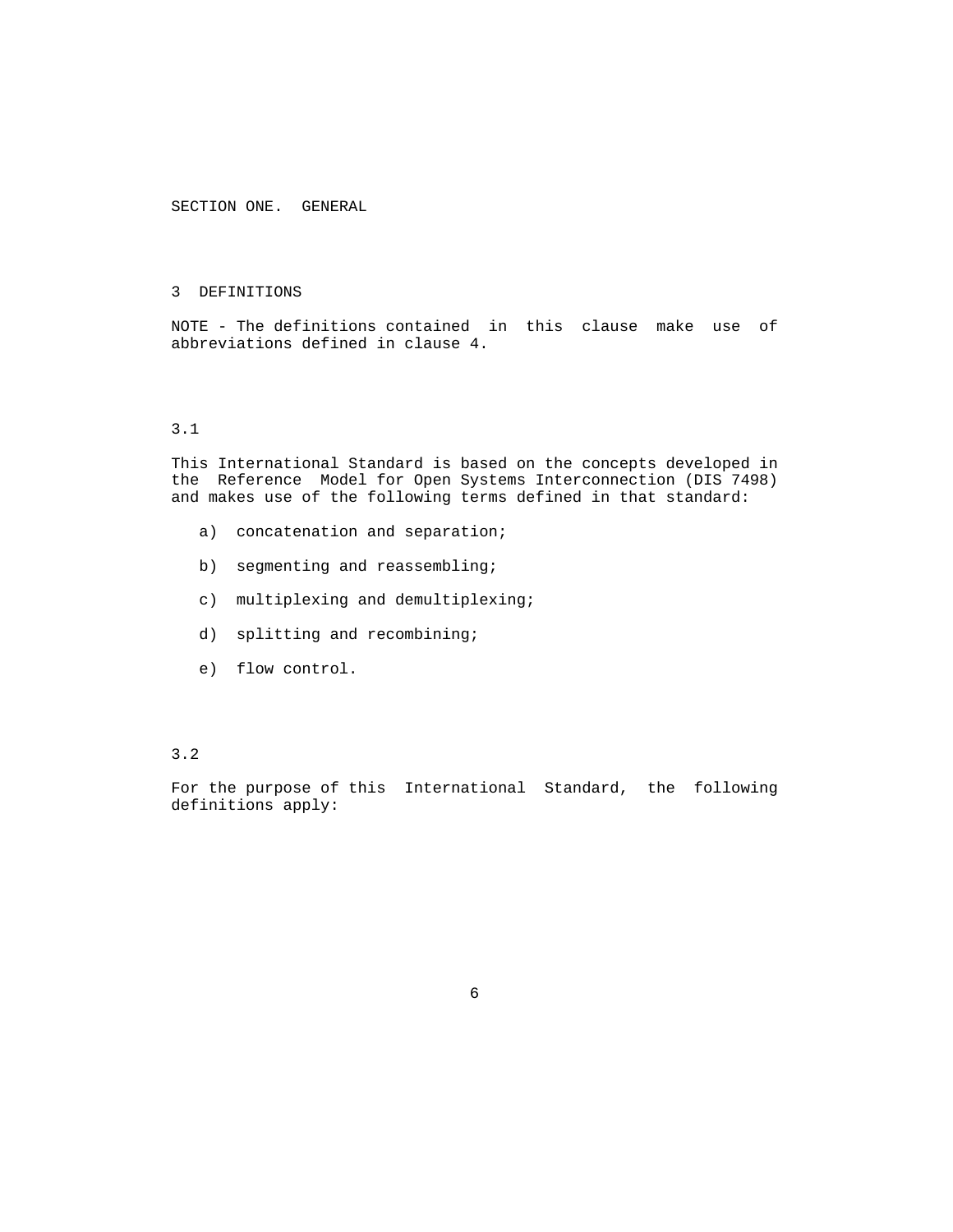SECTION ONE. GENERAL

## 3 DEFINITIONS

 NOTE - The definitions contained in this clause make use of abbreviations defined in clause 4.

## 3.1

 This International Standard is based on the concepts developed in the Reference Model for Open Systems Interconnection (DIS 7498) and makes use of the following terms defined in that standard:

- a) concatenation and separation;
- b) segmenting and reassembling;
- c) multiplexing and demultiplexing;
- d) splitting and recombining;
- e) flow control.

## 3.2

 For the purpose of this International Standard, the following definitions apply: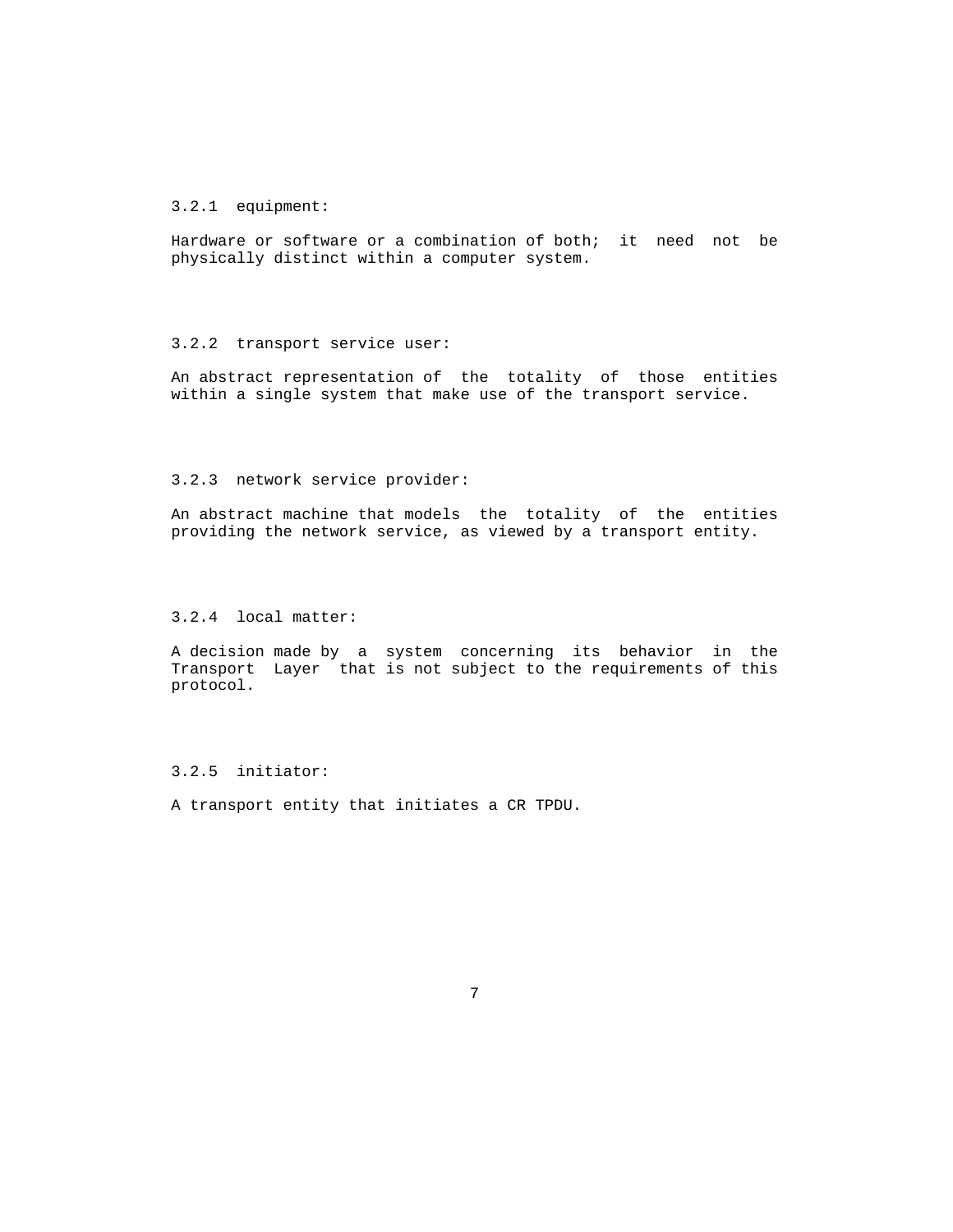# 3.2.1 equipment:

 Hardware or software or a combination of both; it need not be physically distinct within a computer system.

#### 3.2.2 transport service user:

 An abstract representation of the totality of those entities within a single system that make use of the transport service.

#### 3.2.3 network service provider:

 An abstract machine that models the totality of the entities providing the network service, as viewed by a transport entity.

# 3.2.4 local matter:

 A decision made by a system concerning its behavior in the Transport Layer that is not subject to the requirements of this protocol.

# 3.2.5 initiator:

A transport entity that initiates a CR TPDU.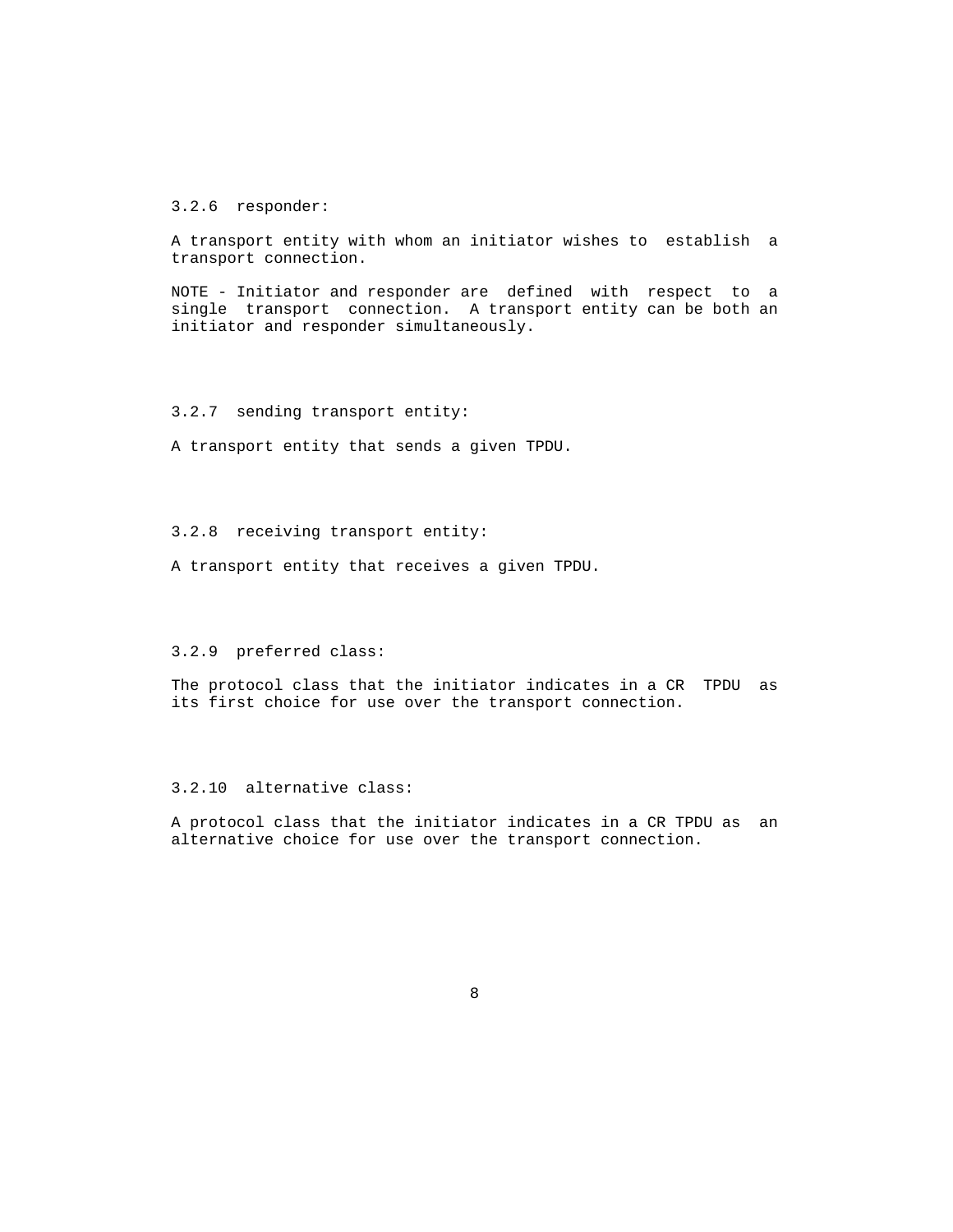3.2.6 responder:

 A transport entity with whom an initiator wishes to establish a transport connection.

 NOTE - Initiator and responder are defined with respect to a single transport connection. A transport entity can be both an initiator and responder simultaneously.

3.2.7 sending transport entity:

A transport entity that sends a given TPDU.

3.2.8 receiving transport entity:

A transport entity that receives a given TPDU.

#### 3.2.9 preferred class:

 The protocol class that the initiator indicates in a CR TPDU as its first choice for use over the transport connection.

# 3.2.10 alternative class:

 A protocol class that the initiator indicates in a CR TPDU as an alternative choice for use over the transport connection.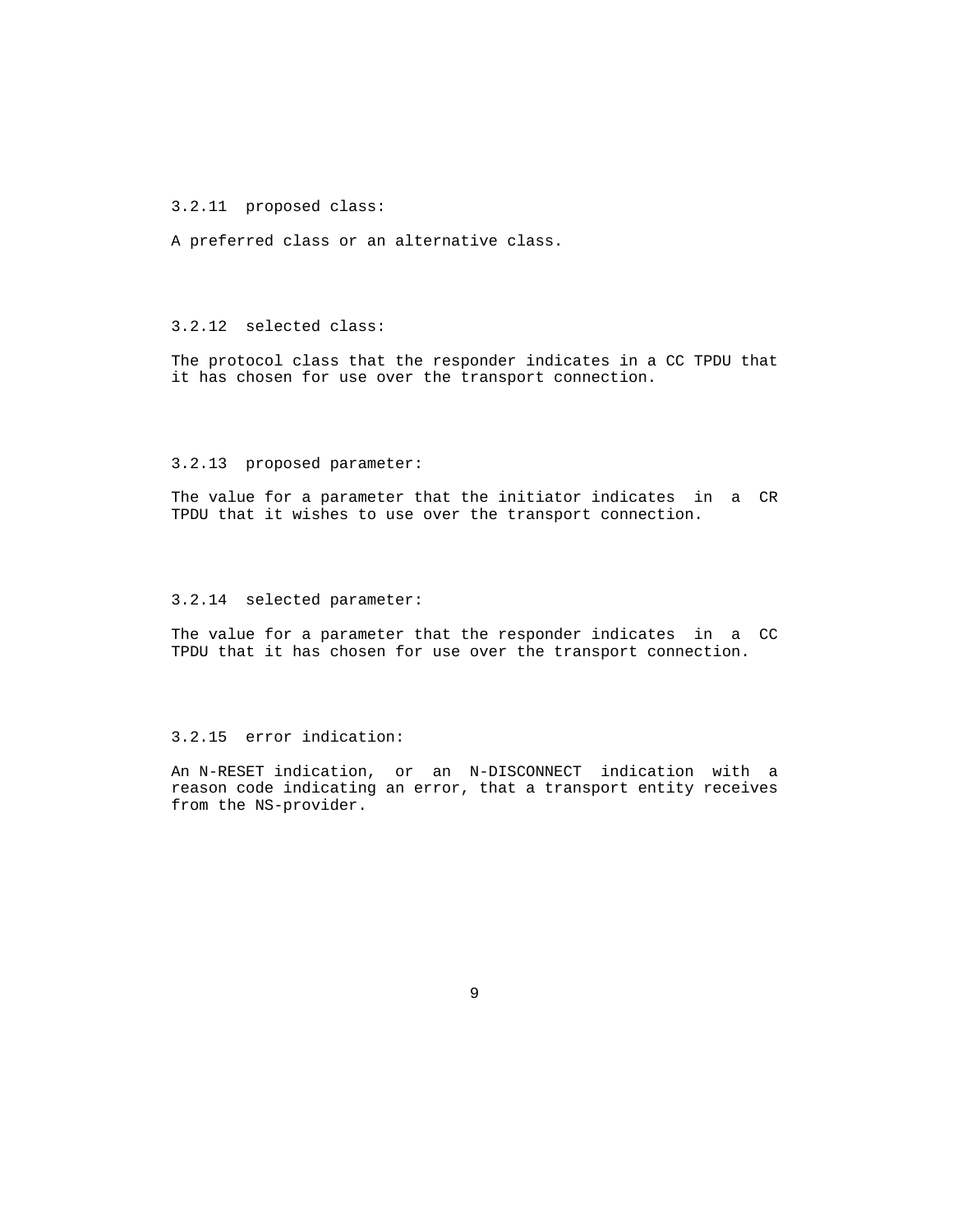3.2.11 proposed class:

A preferred class or an alternative class.

## 3.2.12 selected class:

 The protocol class that the responder indicates in a CC TPDU that it has chosen for use over the transport connection.

#### 3.2.13 proposed parameter:

 The value for a parameter that the initiator indicates in a CR TPDU that it wishes to use over the transport connection.

## 3.2.14 selected parameter:

 The value for a parameter that the responder indicates in a CC TPDU that it has chosen for use over the transport connection.

## 3.2.15 error indication:

 An N-RESET indication, or an N-DISCONNECT indication with a reason code indicating an error, that a transport entity receives from the NS-provider.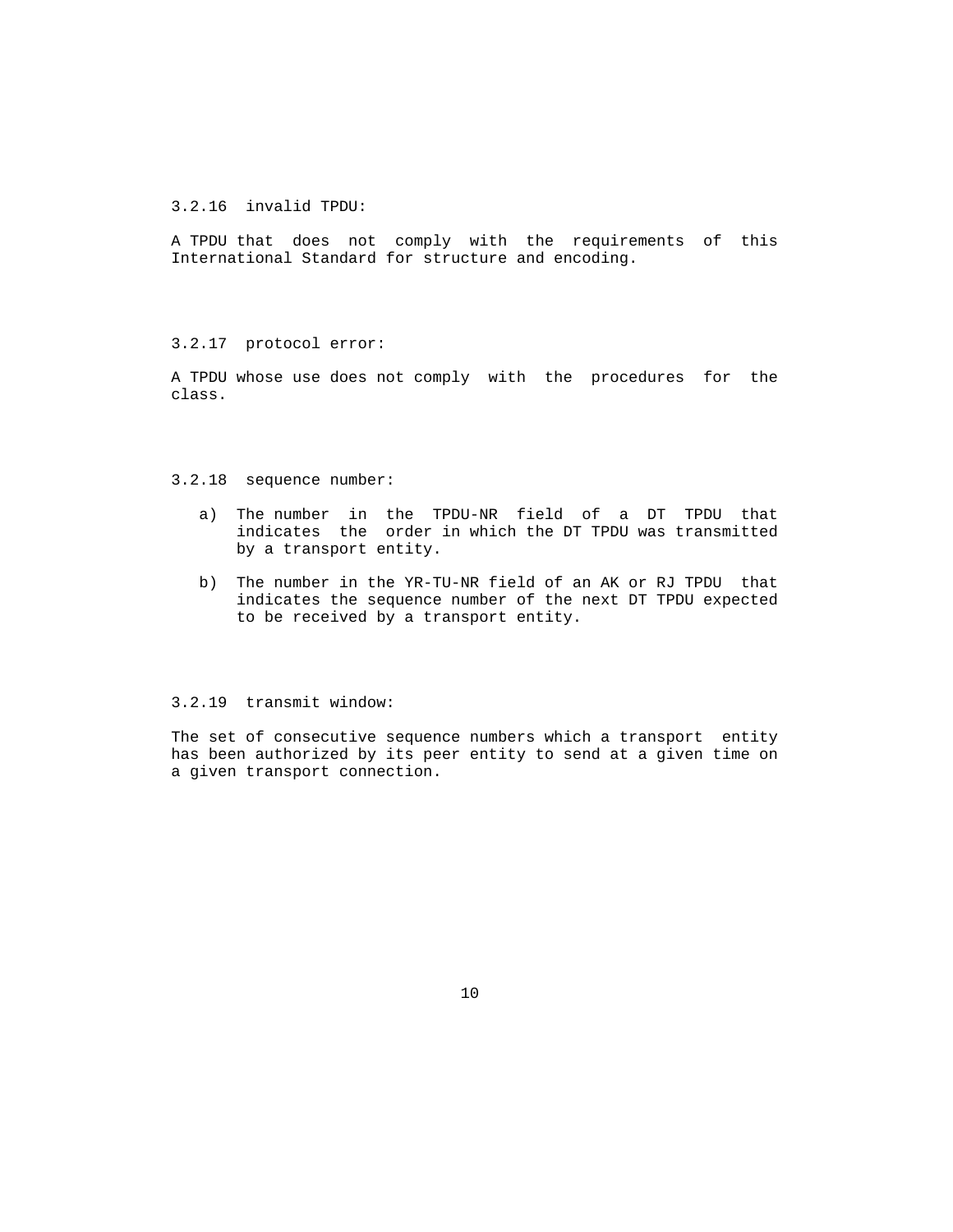3.2.16 invalid TPDU:

 A TPDU that does not comply with the requirements of this International Standard for structure and encoding.

3.2.17 protocol error:

 A TPDU whose use does not comply with the procedures for the class.

#### 3.2.18 sequence number:

- a) The number in the TPDU-NR field of a DT TPDU that indicates the order in which the DT TPDU was transmitted by a transport entity.
- b) The number in the YR-TU-NR field of an AK or RJ TPDU that indicates the sequence number of the next DT TPDU expected to be received by a transport entity.

## 3.2.19 transmit window:

 The set of consecutive sequence numbers which a transport entity has been authorized by its peer entity to send at a given time on a given transport connection.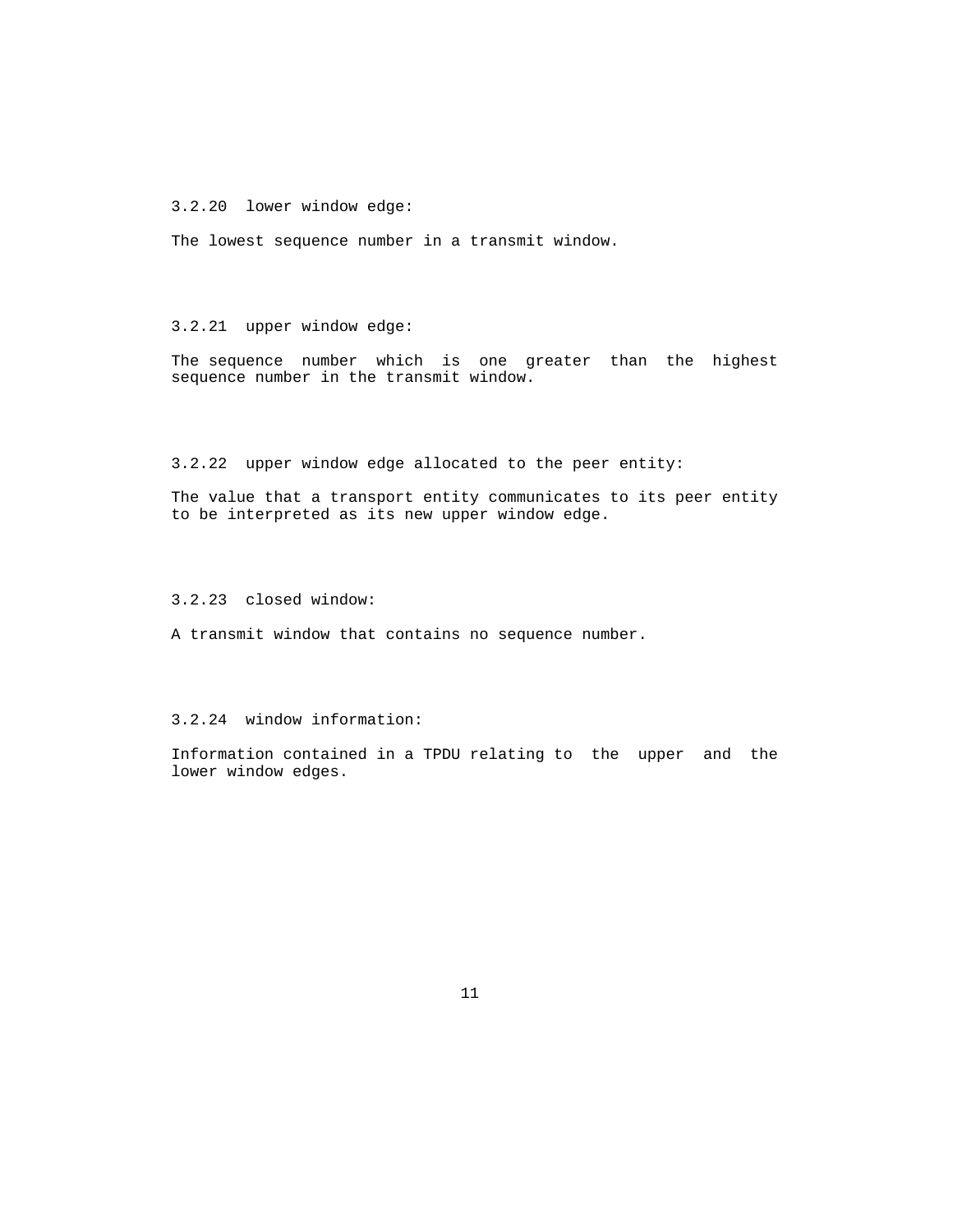3.2.20 lower window edge:

The lowest sequence number in a transmit window.

## 3.2.21 upper window edge:

 The sequence number which is one greater than the highest sequence number in the transmit window.

3.2.22 upper window edge allocated to the peer entity:

 The value that a transport entity communicates to its peer entity to be interpreted as its new upper window edge.

3.2.23 closed window:

A transmit window that contains no sequence number.

3.2.24 window information:

 Information contained in a TPDU relating to the upper and the lower window edges.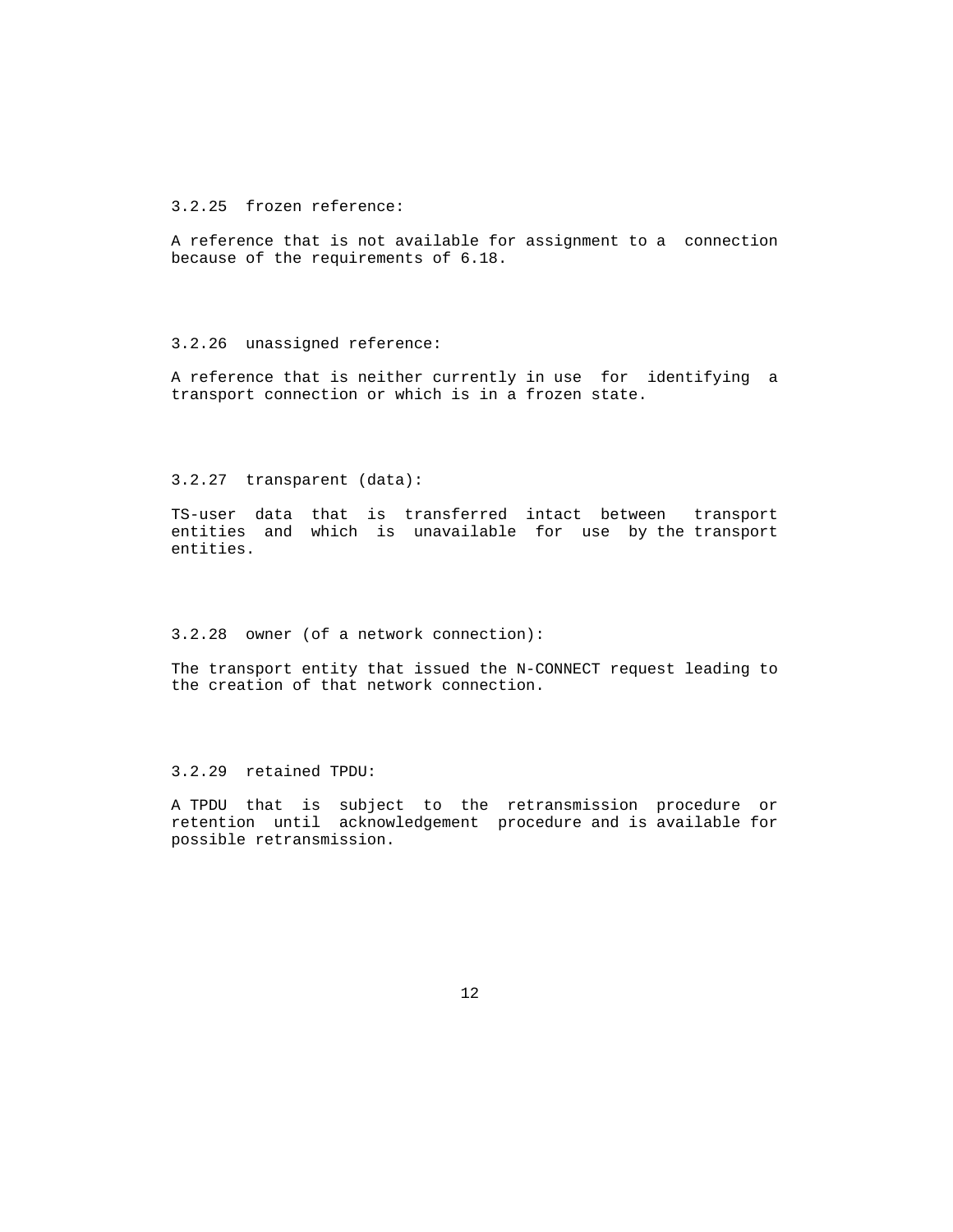3.2.25 frozen reference:

 A reference that is not available for assignment to a connection because of the requirements of 6.18.

#### 3.2.26 unassigned reference:

 A reference that is neither currently in use for identifying a transport connection or which is in a frozen state.

#### 3.2.27 transparent (data):

 TS-user data that is transferred intact between transport entities and which is unavailable for use by the transport entities.

### 3.2.28 owner (of a network connection):

 The transport entity that issued the N-CONNECT request leading to the creation of that network connection.

3.2.29 retained TPDU:

 A TPDU that is subject to the retransmission procedure or retention until acknowledgement procedure and is available for possible retransmission.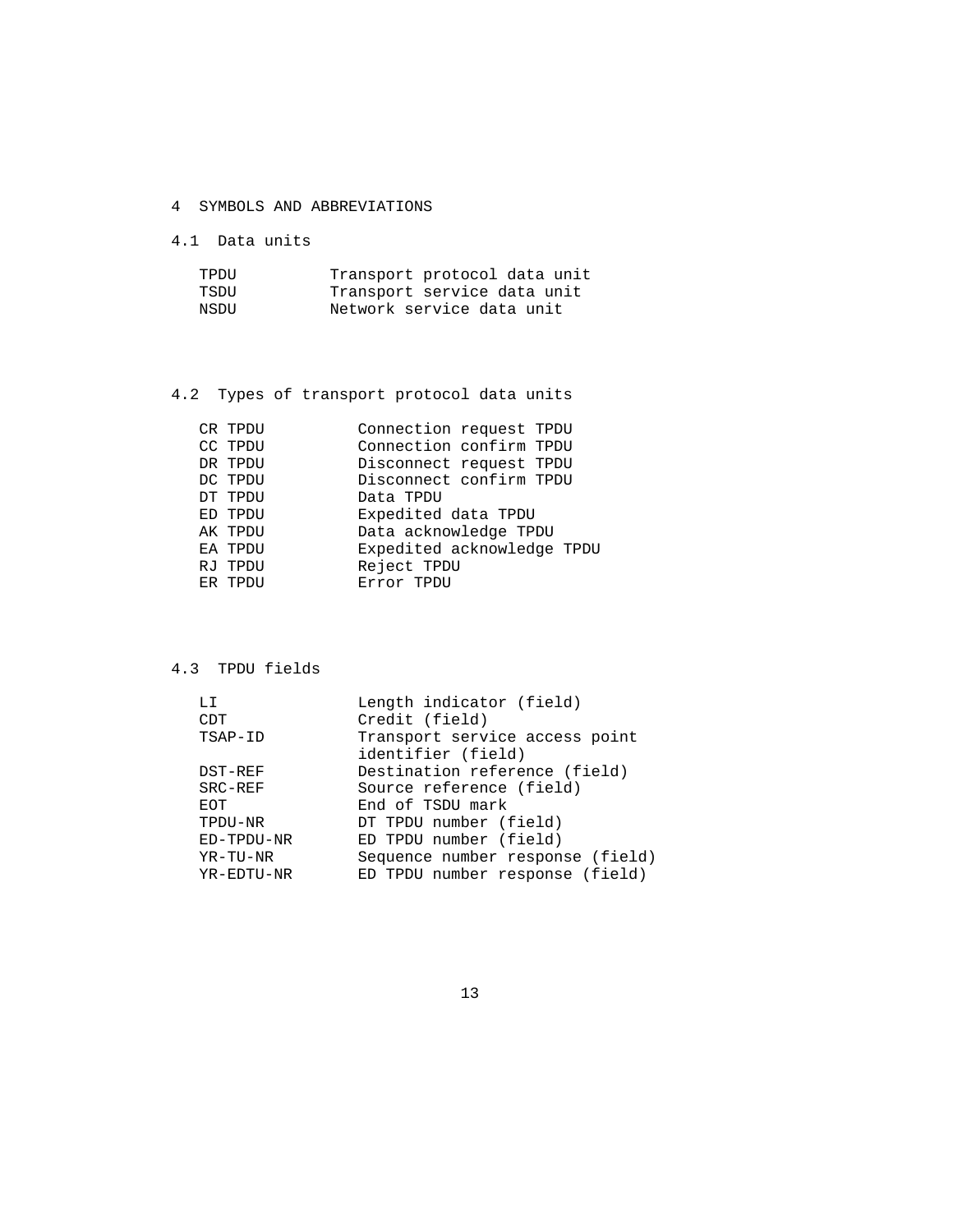- 4 SYMBOLS AND ABBREVIATIONS
- 4.1 Data units

| TPDU | Transport protocol data unit |
|------|------------------------------|
| TSDU | Transport service data unit  |
| NSDU | Network service data unit    |

# 4.2 Types of transport protocol data units

| CR TPDU | Connection request TPDU    |
|---------|----------------------------|
| CC TPDU | Connection confirm TPDU    |
| DR TPDU | Disconnect request TPDU    |
| DC TPDU | Disconnect confirm TPDU    |
| DT TPDU | Data TPDU                  |
| ED TPDU | Expedited data TPDU        |
| AK TPDU | Data acknowledge TPDU      |
| EA TPDU | Expedited acknowledge TPDU |
| RJ TPDU | Reject TPDU                |
| ER TPDU | Error TPDU                 |
|         |                            |

# 4.3 TPDU fields

| LI         | Length indicator (field)                             |
|------------|------------------------------------------------------|
| CDT        | Credit (field)                                       |
| TSAP-ID    | Transport service access point<br>identifier (field) |
| DST-REF    | Destination reference (field)                        |
| SRC-REF    | Source reference (field)                             |
| EOT        | End of TSDU mark                                     |
| TPDU-NR    | DT TPDU number (field)                               |
| ED-TPDU-NR | ED TPDU number (field)                               |
| YR-TU-NR   | Sequence number response (field)                     |
| YR-EDTU-NR | ED TPDU number response (field)                      |
|            |                                                      |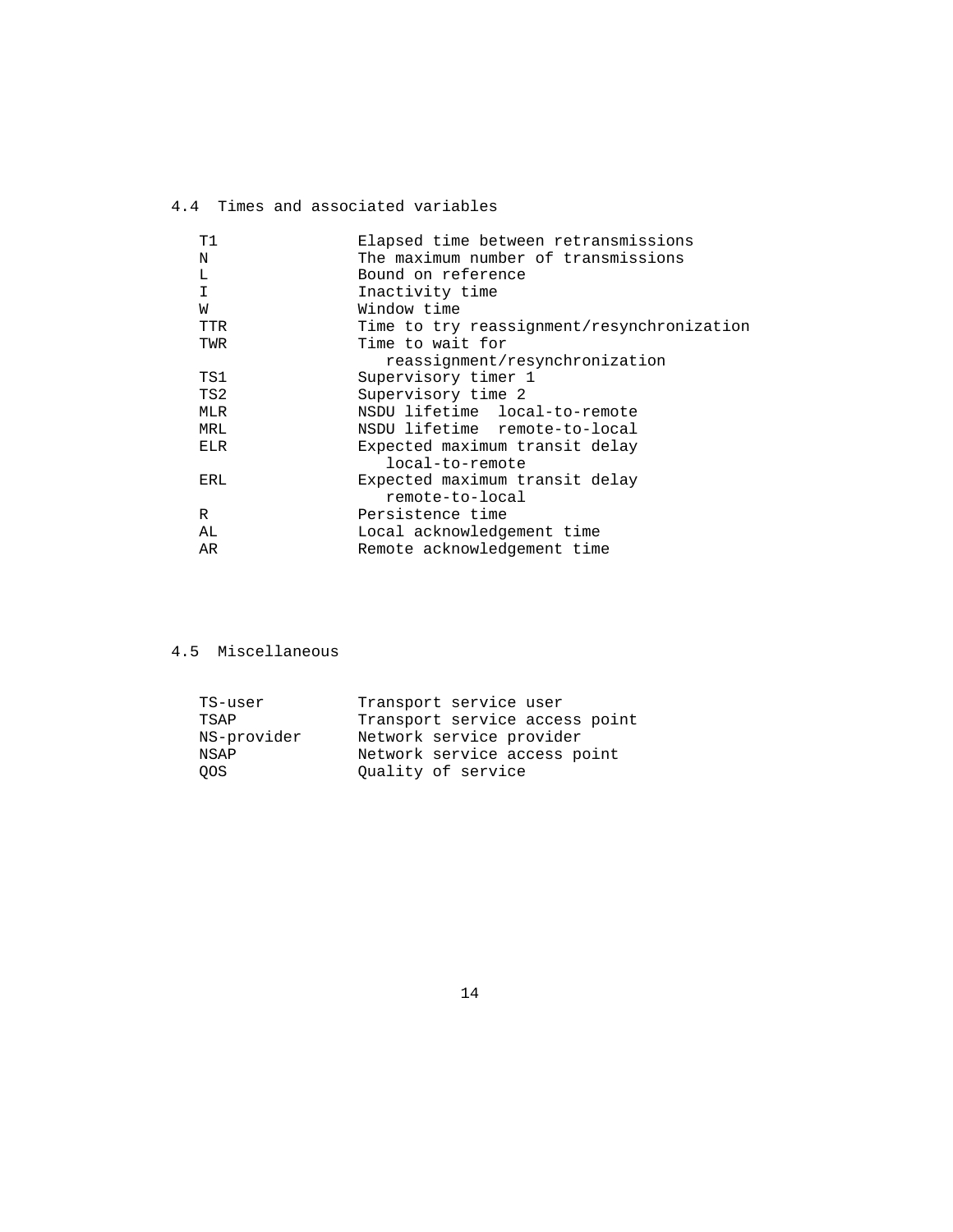# 4.4 Times and associated variables

| Τ1  | Elapsed time between retransmissions       |
|-----|--------------------------------------------|
| N   | The maximum number of transmissions        |
| L   | Bound on reference                         |
| I   | Inactivity time                            |
| W   | Window time                                |
| TTR | Time to try reassignment/resynchronization |
| TWR | Time to wait for                           |
|     | reassignment/resynchronization             |
| TS1 | Supervisory timer 1                        |
| TS2 | Supervisory time 2                         |
| MLR | NSDU lifetime local-to-remote              |
| MRL | NSDU lifetime remote-to-local              |
| ELR | Expected maximum transit delay             |
|     | local-to-remote                            |
| ERL | Expected maximum transit delay             |
|     | remote-to-local                            |
| R   | Persistence time                           |
| AL  | Local acknowledgement time                 |
| AR  | Remote acknowledgement time                |
|     |                                            |

# 4.5 Miscellaneous

| TS-user     | Transport service user         |
|-------------|--------------------------------|
| TSAP        | Transport service access point |
| NS-provider | Network service provider       |
| NSAP        | Network service access point   |
| OOS.        | Ouality of service             |
|             |                                |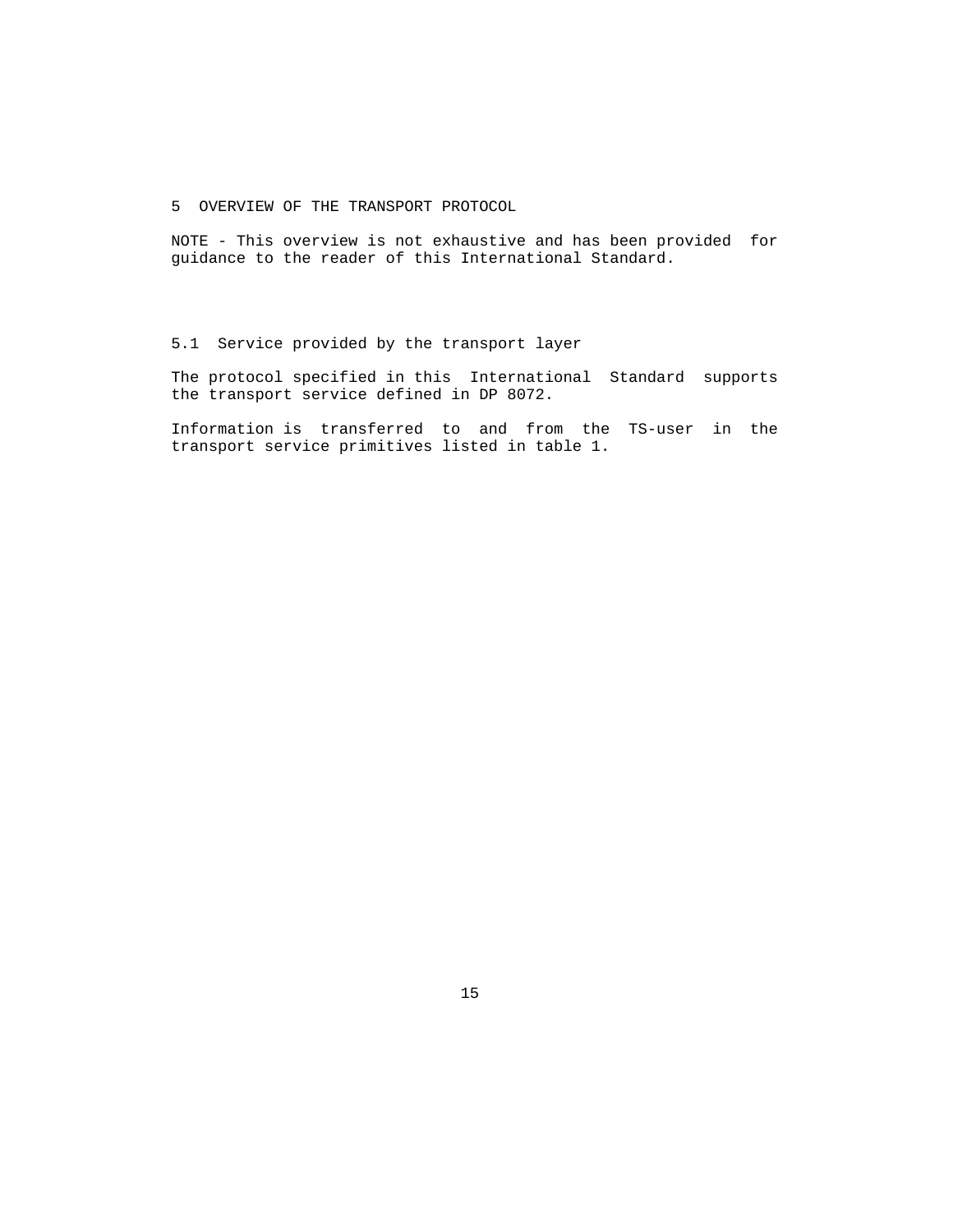5 OVERVIEW OF THE TRANSPORT PROTOCOL

 NOTE - This overview is not exhaustive and has been provided for guidance to the reader of this International Standard.

5.1 Service provided by the transport layer

 The protocol specified in this International Standard supports the transport service defined in DP 8072.

 Information is transferred to and from the TS-user in the transport service primitives listed in table 1.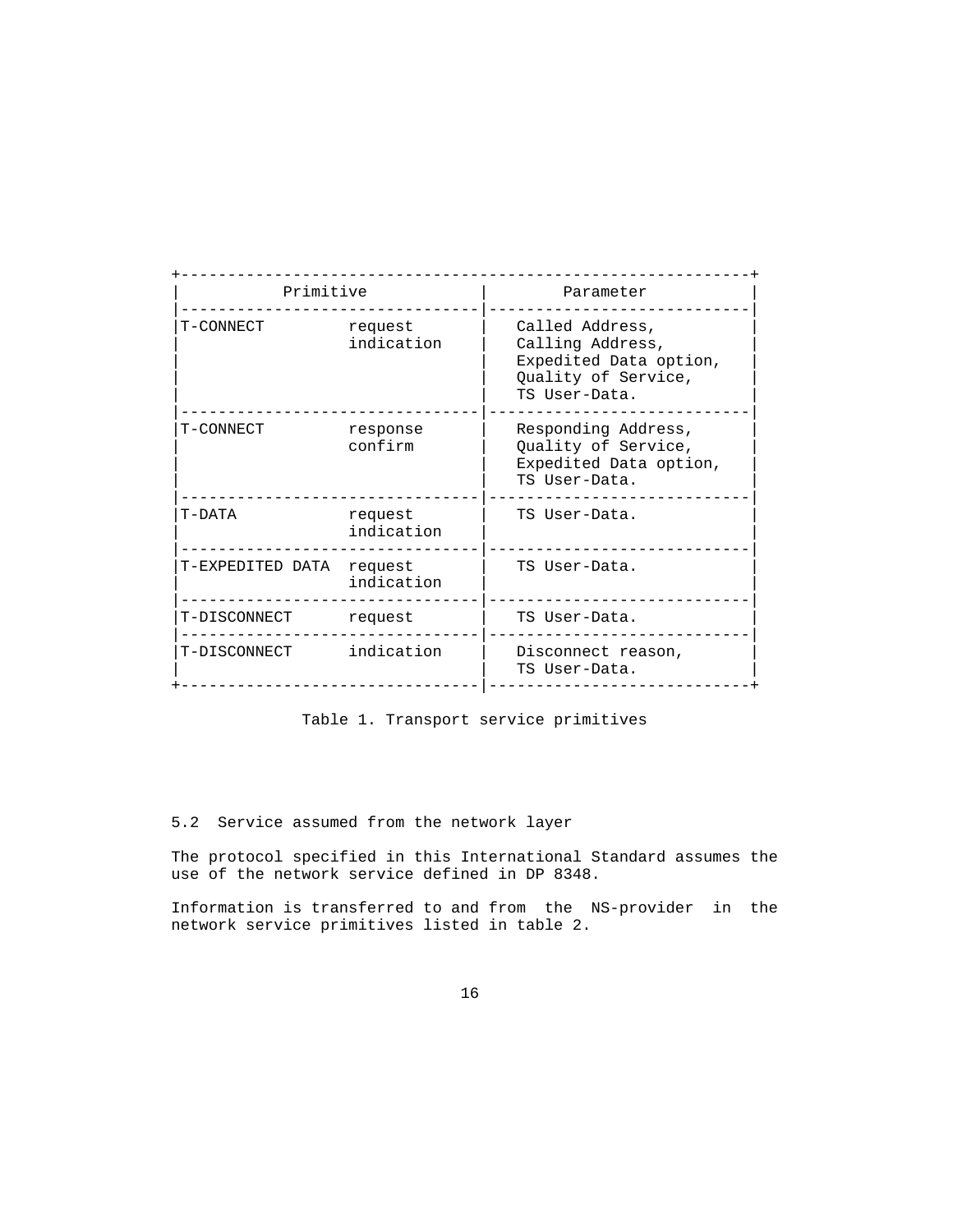| Primitive        |                       | Parameter                                                                                             |  |
|------------------|-----------------------|-------------------------------------------------------------------------------------------------------|--|
| T-CONNECT        | request<br>indication | Called Address,<br>Calling Address,<br>Expedited Data option,<br>Quality of Service,<br>TS User-Data. |  |
| T-CONNECT        | response<br>confirm   | Responding Address,<br>Quality of Service,<br>Expedited Data option,<br>TS User-Data.                 |  |
| T-DATA           | request<br>indication | TS User-Data.                                                                                         |  |
| T-EXPEDITED DATA | request<br>indication | TS User-Data.                                                                                         |  |
| T-DISCONNECT     | request               | TS User-Data.                                                                                         |  |
| T-DISCONNECT     | indication            | Disconnect reason,<br>TS User-Data.                                                                   |  |

Table 1. Transport service primitives

5.2 Service assumed from the network layer

 The protocol specified in this International Standard assumes the use of the network service defined in DP 8348.

 Information is transferred to and from the NS-provider in the network service primitives listed in table 2.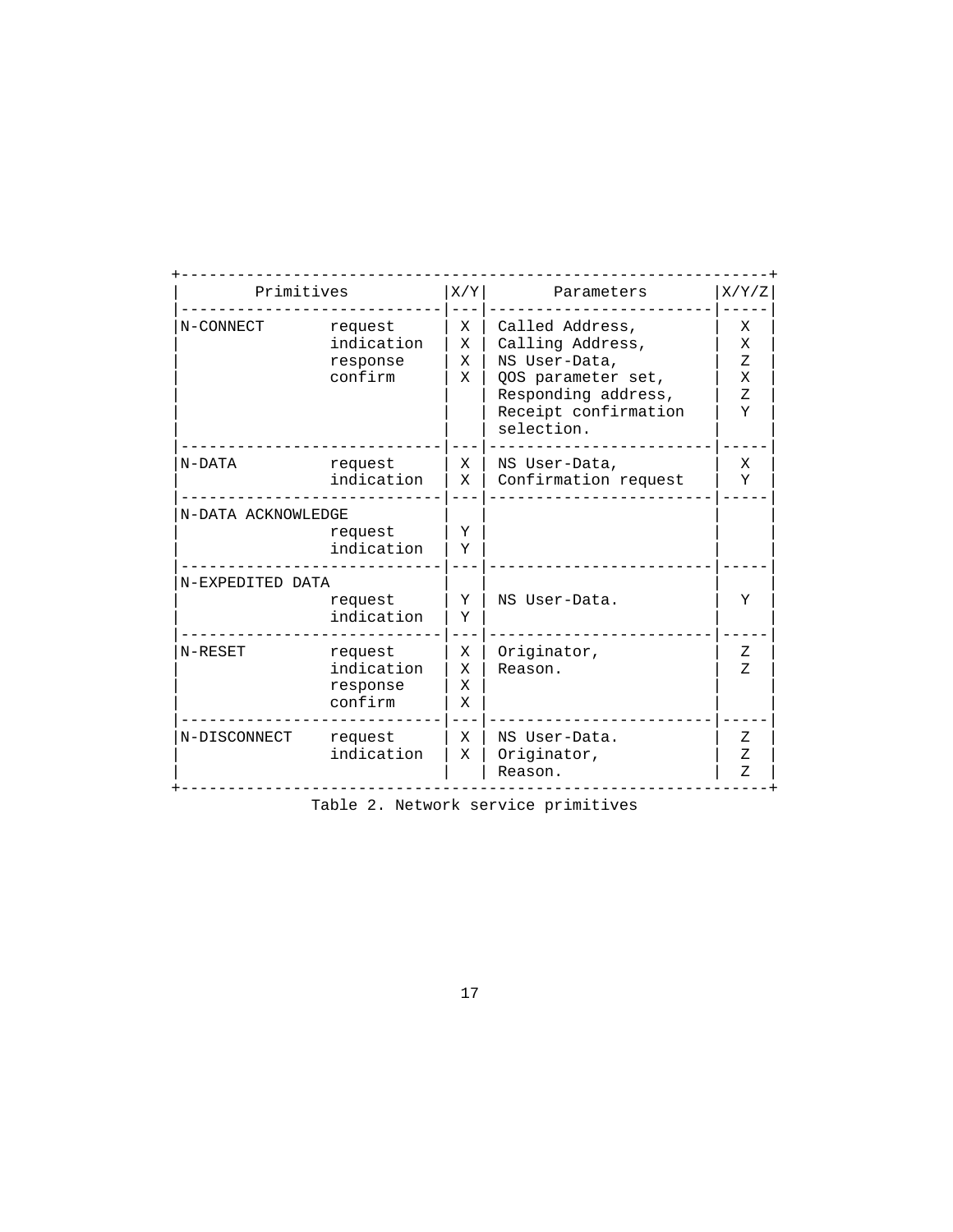| Primitives         |                                              | X/Y              | Parameters                                                                                                                              | X/Y/Z                              |
|--------------------|----------------------------------------------|------------------|-----------------------------------------------------------------------------------------------------------------------------------------|------------------------------------|
| N-CONNECT          | request<br>indication<br>response<br>confirm | X<br>х<br>X<br>X | Called Address,<br>Calling Address,<br>NS User-Data,<br>00S parameter set,<br>Responding address,<br>Receipt confirmation<br>selection. | X<br>X<br>Z<br>X<br>$Z_{\rm}$<br>Y |
| N-DATA             | request<br>indication                        | X<br>X           | NS User-Data,<br>Confirmation request                                                                                                   | X<br>Υ                             |
| N-DATA ACKNOWLEDGE | request<br>indication                        | Υ<br>Y           |                                                                                                                                         |                                    |
| N-EXPEDITED DATA   | request<br>indication                        | Y<br>Υ           | NS User-Data.                                                                                                                           | Υ                                  |
| N-RESET            | request<br>indication<br>response<br>confirm | X<br>X<br>X<br>X | Originator,<br>Reason.                                                                                                                  | Ζ<br>Z.                            |
| N-DISCONNECT       | request<br>indication                        | X<br>X           | NS User-Data.<br>Originator,<br>Reason.                                                                                                 | Z<br>Ζ<br>Ζ                        |

Table 2. Network service primitives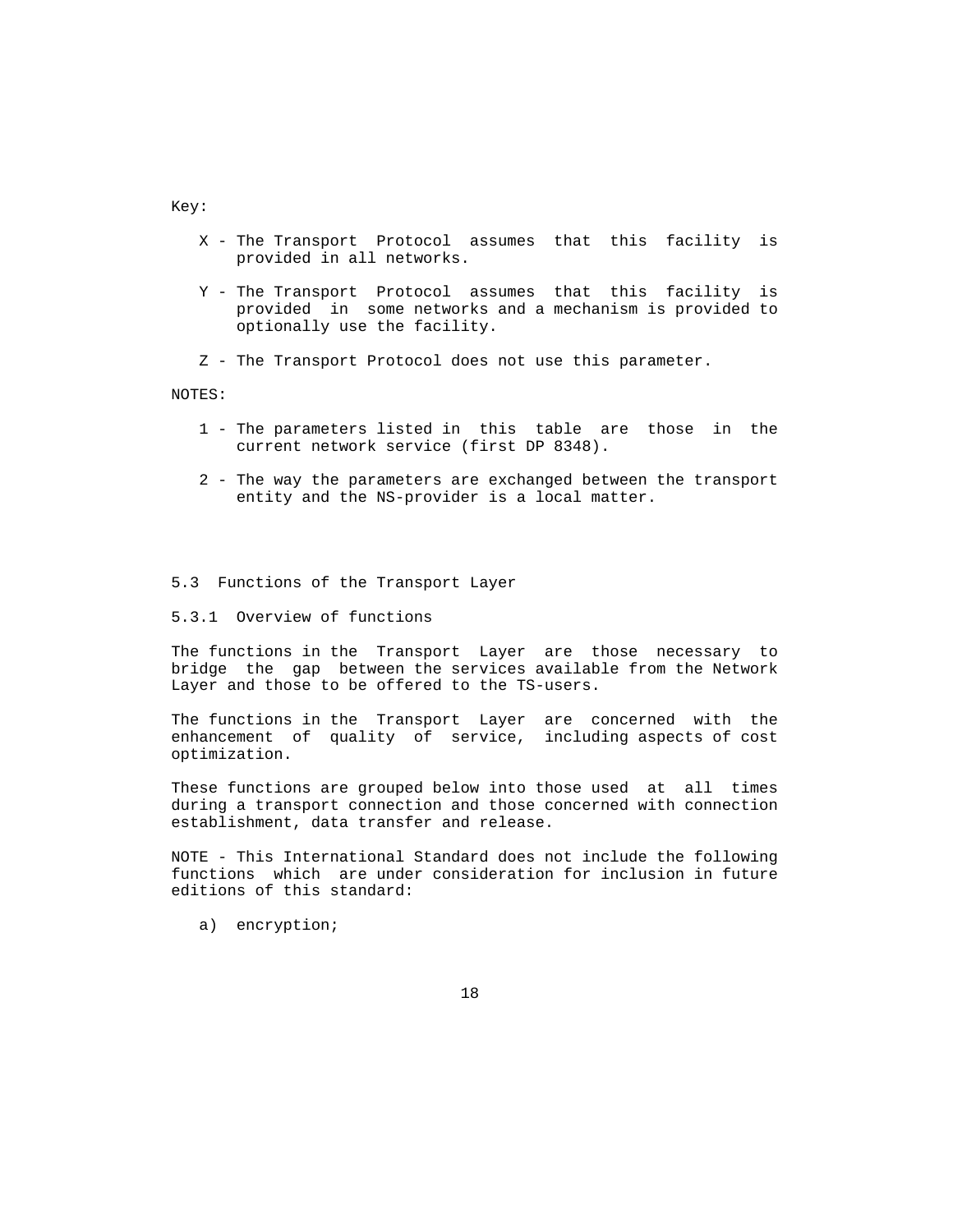Key:

- X The Transport Protocol assumes that this facility is provided in all networks.
- Y The Transport Protocol assumes that this facility is provided in some networks and a mechanism is provided to optionally use the facility.
- Z The Transport Protocol does not use this parameter.

NOTES:

- 1 The parameters listed in this table are those in the current network service (first DP 8348).
- 2 The way the parameters are exchanged between the transport entity and the NS-provider is a local matter.

#### 5.3 Functions of the Transport Layer

5.3.1 Overview of functions

 The functions in the Transport Layer are those necessary to bridge the gap between the services available from the Network Layer and those to be offered to the TS-users.

 The functions in the Transport Layer are concerned with the enhancement of quality of service, including aspects of cost optimization.

 These functions are grouped below into those used at all times during a transport connection and those concerned with connection establishment, data transfer and release.

 NOTE - This International Standard does not include the following functions which are under consideration for inclusion in future editions of this standard:

a) encryption;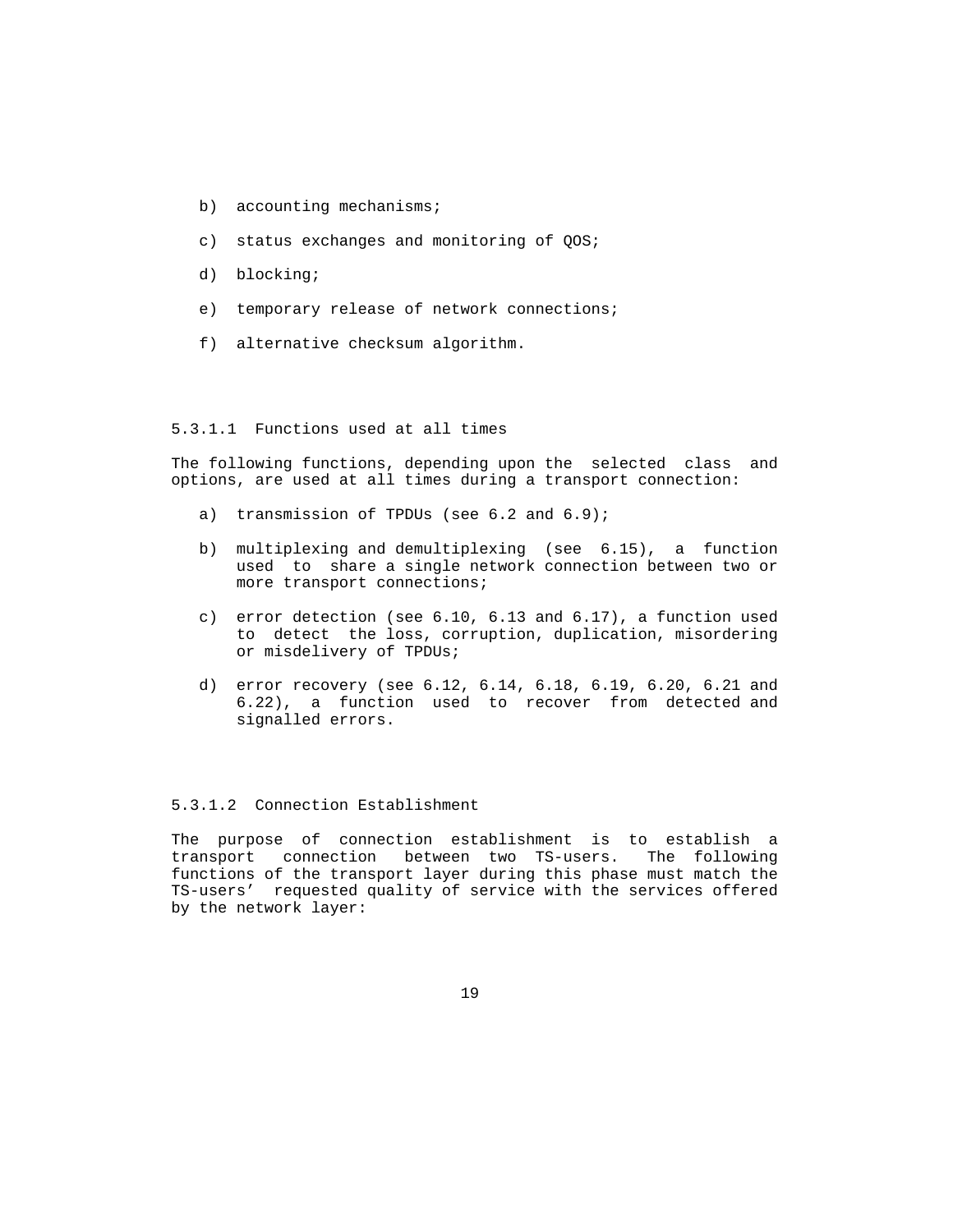- b) accounting mechanisms;
- c) status exchanges and monitoring of QOS;
- d) blocking;
- e) temporary release of network connections;
- f) alternative checksum algorithm.

#### 5.3.1.1 Functions used at all times

 The following functions, depending upon the selected class and options, are used at all times during a transport connection:

- a) transmission of TPDUs (see 6.2 and 6.9);
- b) multiplexing and demultiplexing (see 6.15), a function used to share a single network connection between two or more transport connections;
- c) error detection (see 6.10, 6.13 and 6.17), a function used to detect the loss, corruption, duplication, misordering or misdelivery of TPDUs;
- d) error recovery (see 6.12, 6.14, 6.18, 6.19, 6.20, 6.21 and 6.22), a function used to recover from detected and signalled errors.

#### 5.3.1.2 Connection Establishment

 The purpose of connection establishment is to establish a transport connection between two TS-users. The following functions of the transport layer during this phase must match the TS-users' requested quality of service with the services offered by the network layer: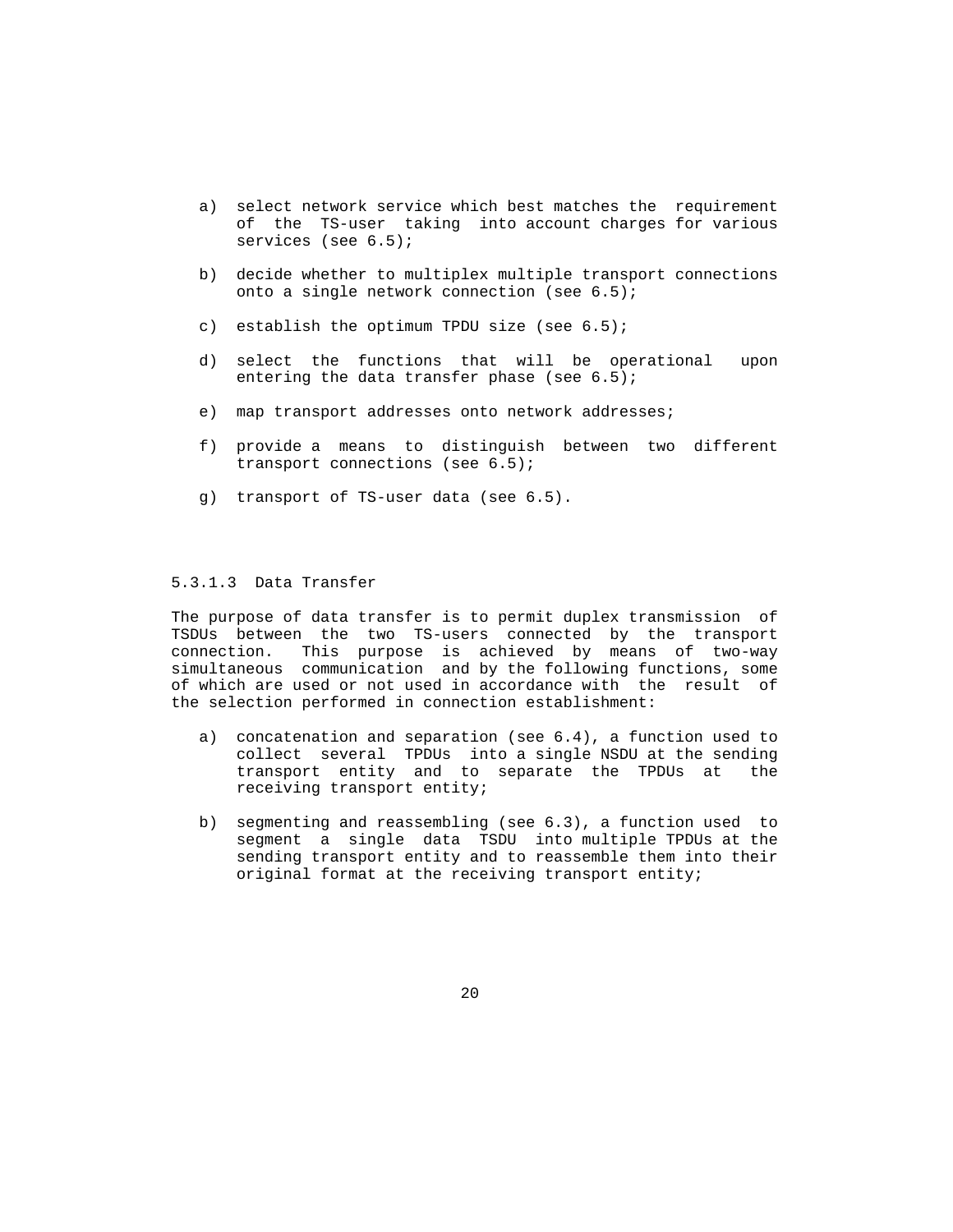- a) select network service which best matches the requirement of the TS-user taking into account charges for various services (see 6.5);
- b) decide whether to multiplex multiple transport connections onto a single network connection (see 6.5);
- c) establish the optimum TPDU size (see  $6.5$ );
- d) select the functions that will be operational upon entering the data transfer phase (see 6.5);
- e) map transport addresses onto network addresses;
- f) provide a means to distinguish between two different transport connections (see 6.5);
- g) transport of TS-user data (see 6.5).

## 5.3.1.3 Data Transfer

 The purpose of data transfer is to permit duplex transmission of TSDUs between the two TS-users connected by the transport connection. This purpose is achieved by means of two-way simultaneous communication and by the following functions, some of which are used or not used in accordance with the result of the selection performed in connection establishment:

- a) concatenation and separation (see 6.4), a function used to collect several TPDUs into a single NSDU at the sending transport entity and to separate the TPDUs at the receiving transport entity;
- b) segmenting and reassembling (see 6.3), a function used to segment a single data TSDU into multiple TPDUs at the sending transport entity and to reassemble them into their original format at the receiving transport entity;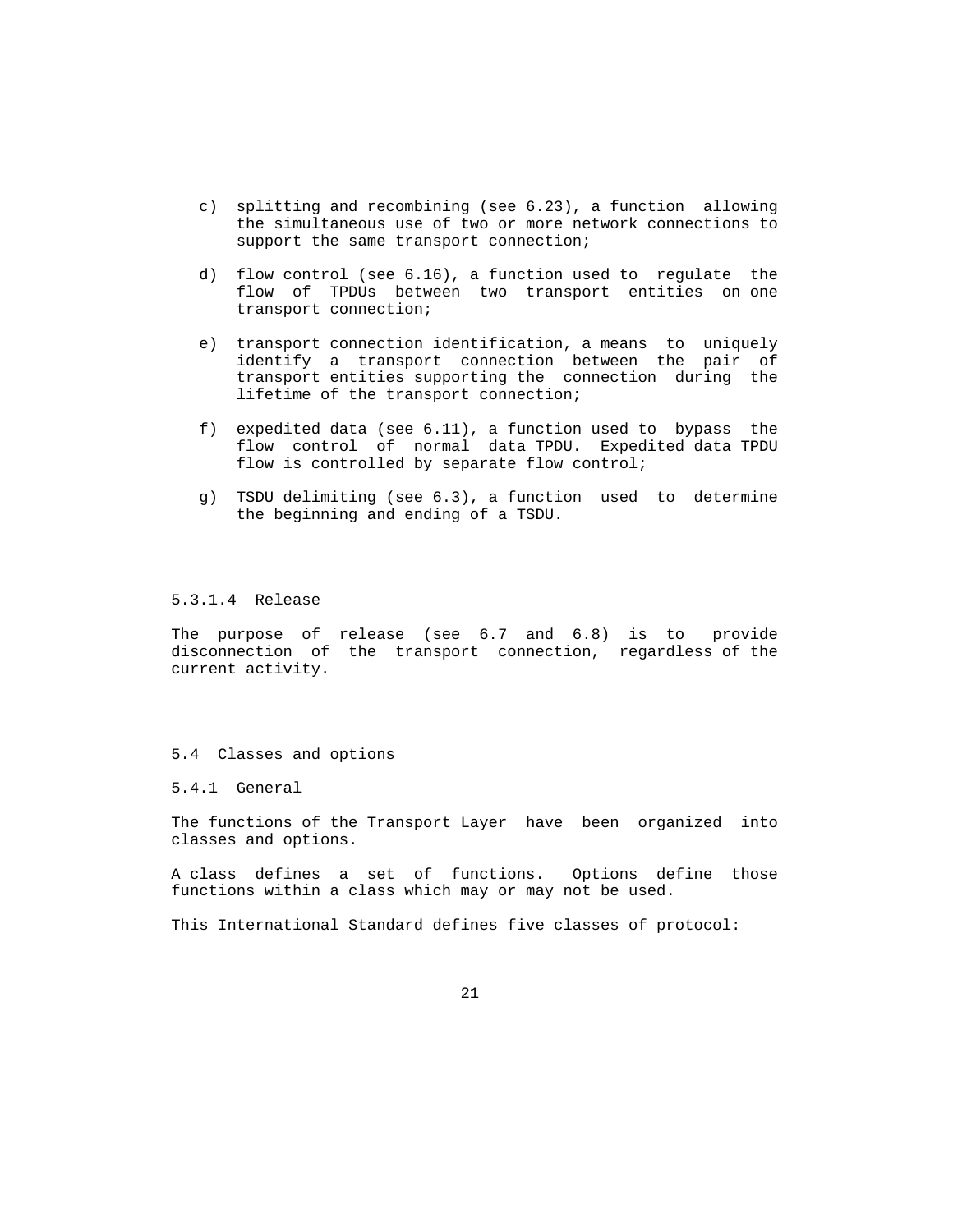- c) splitting and recombining (see 6.23), a function allowing the simultaneous use of two or more network connections to support the same transport connection;
- d) flow control (see 6.16), a function used to regulate the flow of TPDUs between two transport entities on one transport connection;
- e) transport connection identification, a means to uniquely identify a transport connection between the pair of transport entities supporting the connection during the lifetime of the transport connection;
- f) expedited data (see 6.11), a function used to bypass the flow control of normal data TPDU. Expedited data TPDU flow is controlled by separate flow control;
- g) TSDU delimiting (see 6.3), a function used to determine the beginning and ending of a TSDU.

## 5.3.1.4 Release

 The purpose of release (see 6.7 and 6.8) is to provide disconnection of the transport connection, regardless of the current activity.

#### 5.4 Classes and options

5.4.1 General

 The functions of the Transport Layer have been organized into classes and options.

 A class defines a set of functions. Options define those functions within a class which may or may not be used.

This International Standard defines five classes of protocol: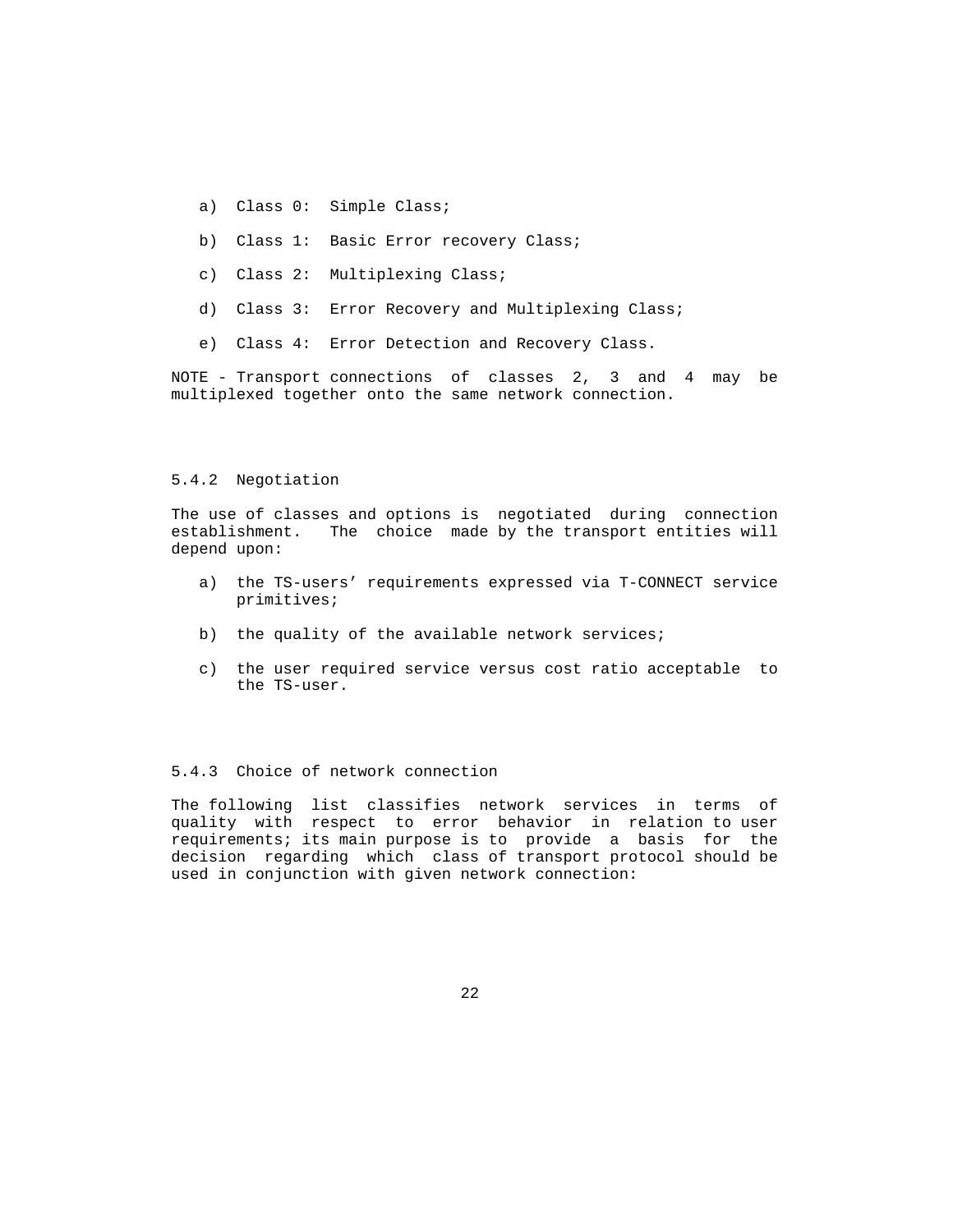- a) Class 0: Simple Class;
- b) Class 1: Basic Error recovery Class;
- c) Class 2: Multiplexing Class;
- d) Class 3: Error Recovery and Multiplexing Class;
- e) Class 4: Error Detection and Recovery Class.

 NOTE - Transport connections of classes 2, 3 and 4 may be multiplexed together onto the same network connection.

#### 5.4.2 Negotiation

 The use of classes and options is negotiated during connection establishment. The choice made by the transport entities will depend upon:

- a) the TS-users' requirements expressed via T-CONNECT service primitives;
- b) the quality of the available network services;
- c) the user required service versus cost ratio acceptable to the TS-user.

# 5.4.3 Choice of network connection

 The following list classifies network services in terms of quality with respect to error behavior in relation to user requirements; its main purpose is to provide a basis for the decision regarding which class of transport protocol should be used in conjunction with given network connection: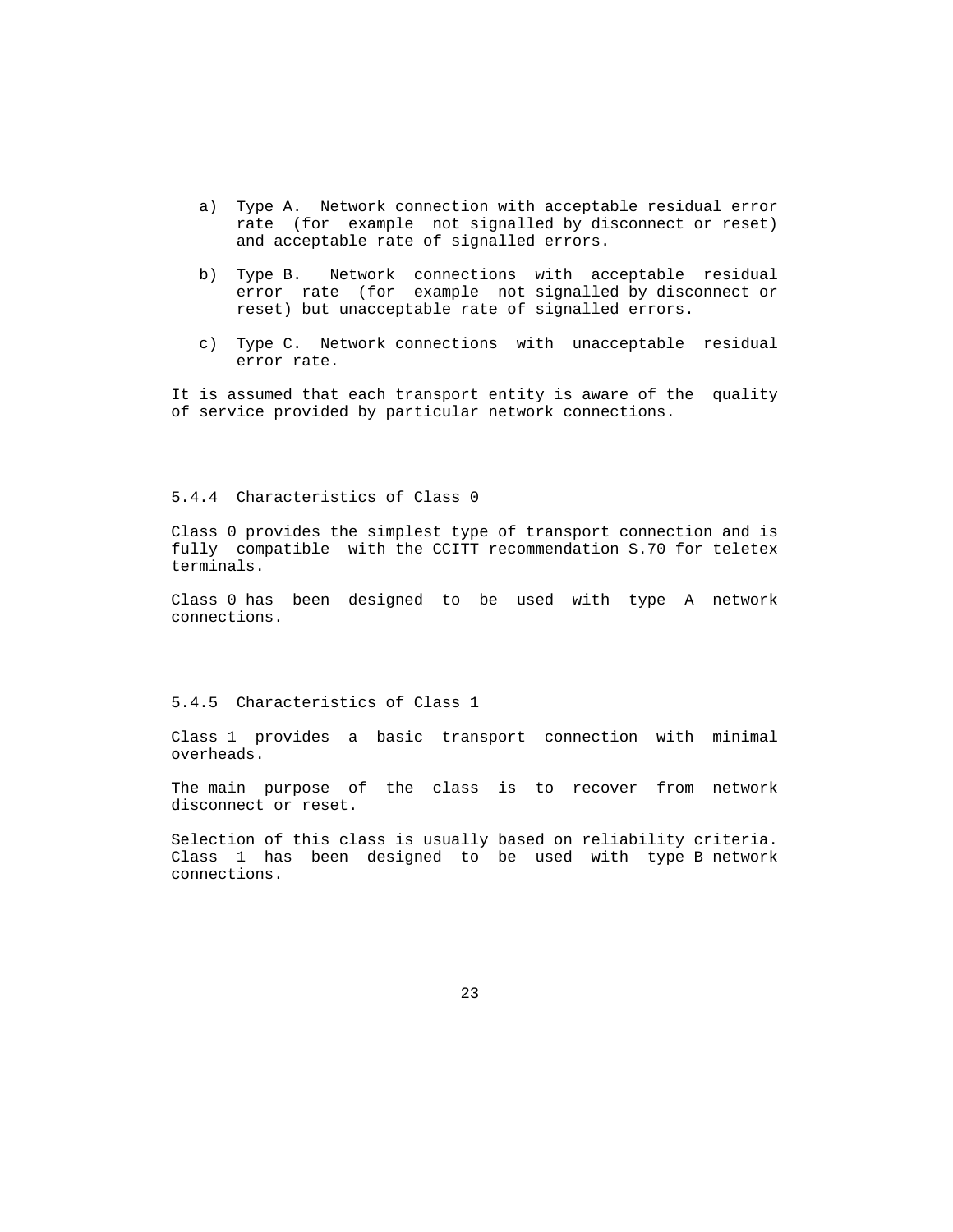- a) Type A. Network connection with acceptable residual error rate (for example not signalled by disconnect or reset) and acceptable rate of signalled errors.
- b) Type B. Network connections with acceptable residual error rate (for example not signalled by disconnect or reset) but unacceptable rate of signalled errors.
- c) Type C. Network connections with unacceptable residual error rate.

 It is assumed that each transport entity is aware of the quality of service provided by particular network connections.

5.4.4 Characteristics of Class 0

 Class 0 provides the simplest type of transport connection and is fully compatible with the CCITT recommendation S.70 for teletex terminals.

 Class 0 has been designed to be used with type A network connections.

5.4.5 Characteristics of Class 1

 Class 1 provides a basic transport connection with minimal overheads.

 The main purpose of the class is to recover from network disconnect or reset.

 Selection of this class is usually based on reliability criteria. Class 1 has been designed to be used with type B network connections.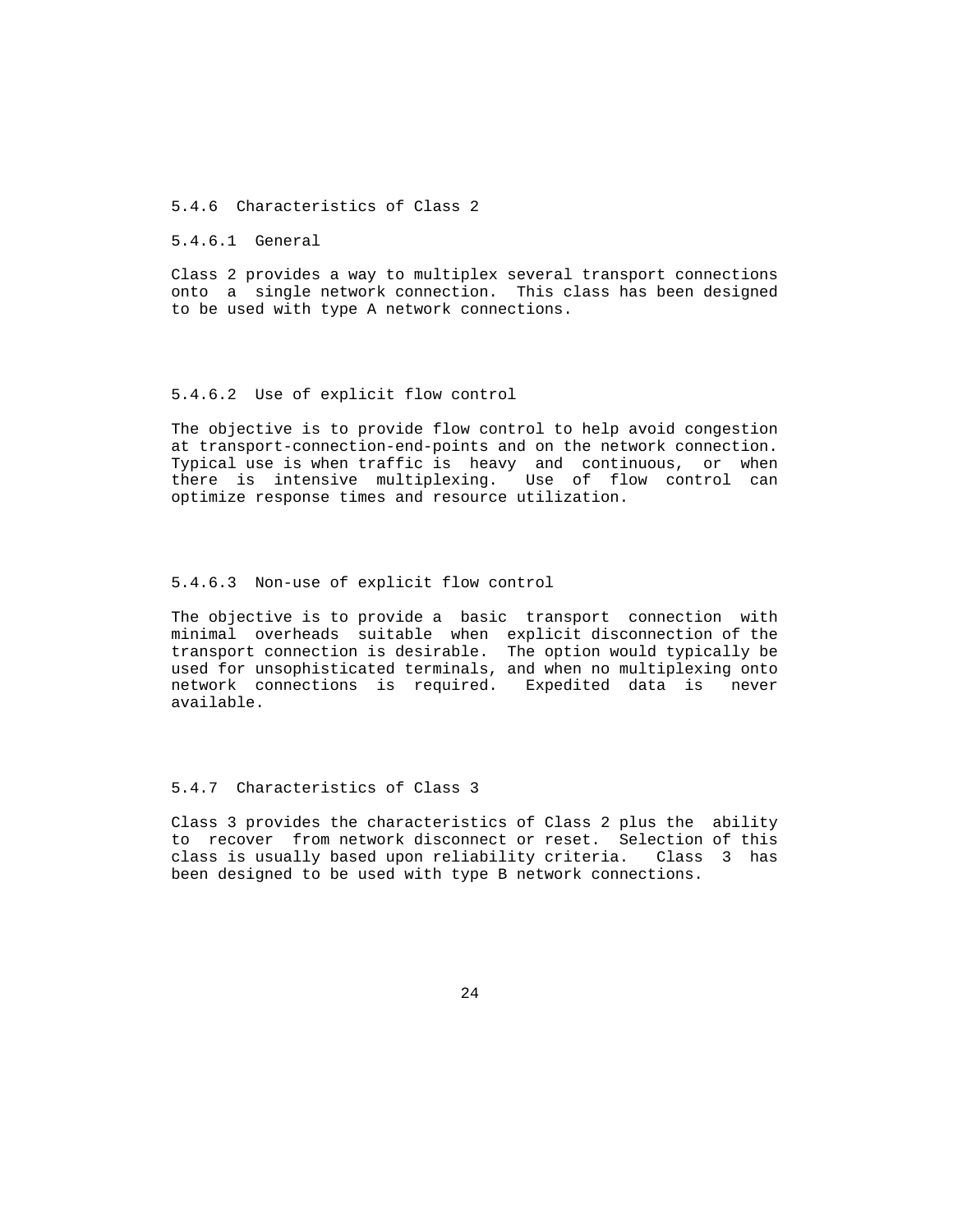5.4.6 Characteristics of Class 2

5.4.6.1 General

 Class 2 provides a way to multiplex several transport connections onto a single network connection. This class has been designed to be used with type A network connections.

#### 5.4.6.2 Use of explicit flow control

 The objective is to provide flow control to help avoid congestion at transport-connection-end-points and on the network connection. Typical use is when traffic is heavy and continuous, or when there is intensive multiplexing. Use of flow control can optimize response times and resource utilization.

### 5.4.6.3 Non-use of explicit flow control

 The objective is to provide a basic transport connection with minimal overheads suitable when explicit disconnection of the transport connection is desirable. The option would typically be used for unsophisticated terminals, and when no multiplexing onto network connections is required. Expedited data is never available.

#### 5.4.7 Characteristics of Class 3

 Class 3 provides the characteristics of Class 2 plus the ability to recover from network disconnect or reset. Selection of this class is usually based upon reliability criteria. Class 3 has been designed to be used with type B network connections.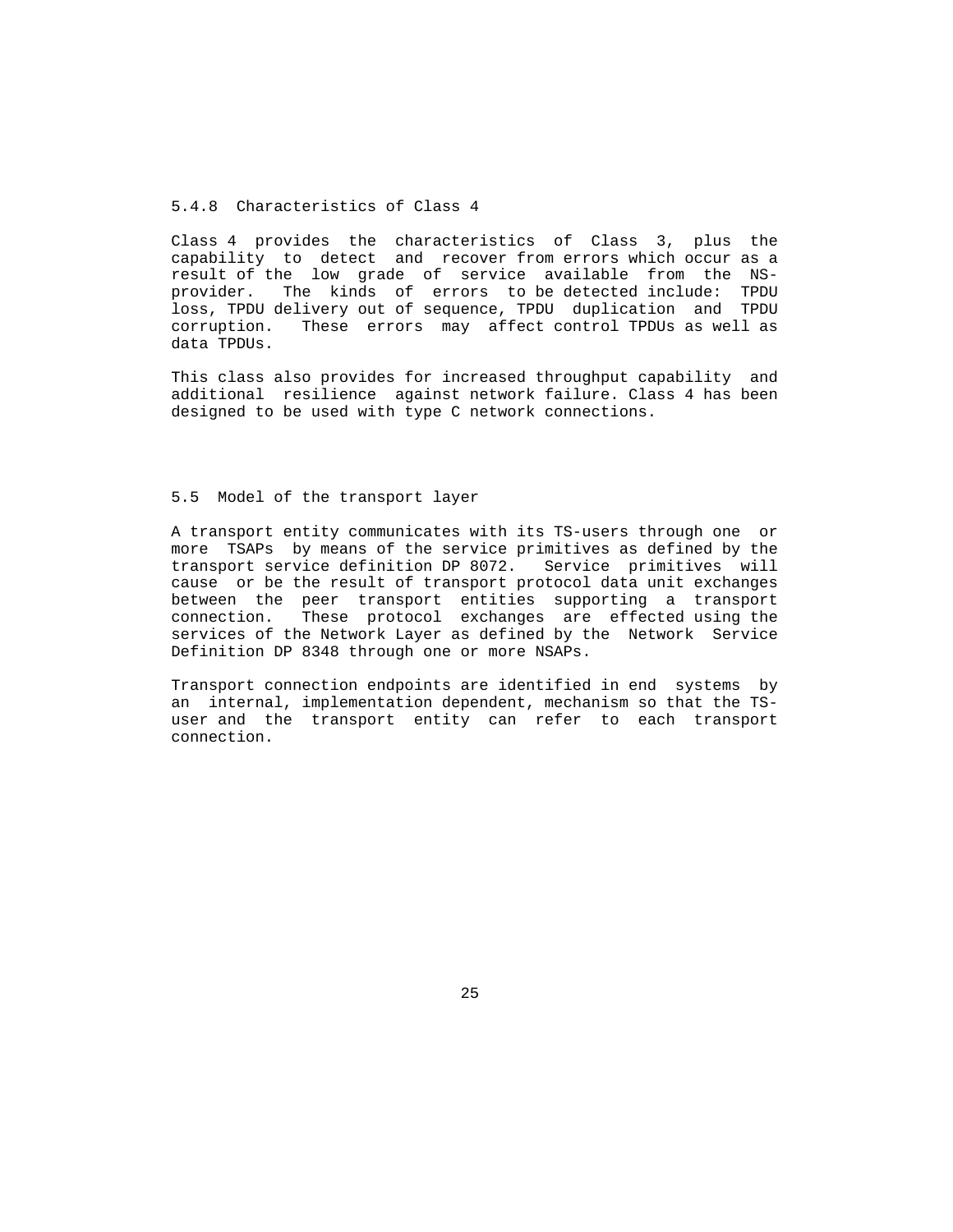# 5.4.8 Characteristics of Class 4

 Class 4 provides the characteristics of Class 3, plus the capability to detect and recover from errors which occur as a result of the low grade of service available from the NS provider. The kinds of errors to be detected include: TPDU loss, TPDU delivery out of sequence, TPDU duplication and TPDU corruption. These errors may affect control TPDUs as well as data TPDUs.

 This class also provides for increased throughput capability and additional resilience against network failure. Class 4 has been designed to be used with type C network connections.

### 5.5 Model of the transport layer

 A transport entity communicates with its TS-users through one or more TSAPs by means of the service primitives as defined by the transport service definition DP 8072. Service primitives will cause or be the result of transport protocol data unit exchanges between the peer transport entities supporting a transport connection. These protocol exchanges are effected using the services of the Network Layer as defined by the Network Service Definition DP 8348 through one or more NSAPs.

 Transport connection endpoints are identified in end systems by an internal, implementation dependent, mechanism so that the TS user and the transport entity can refer to each transport connection.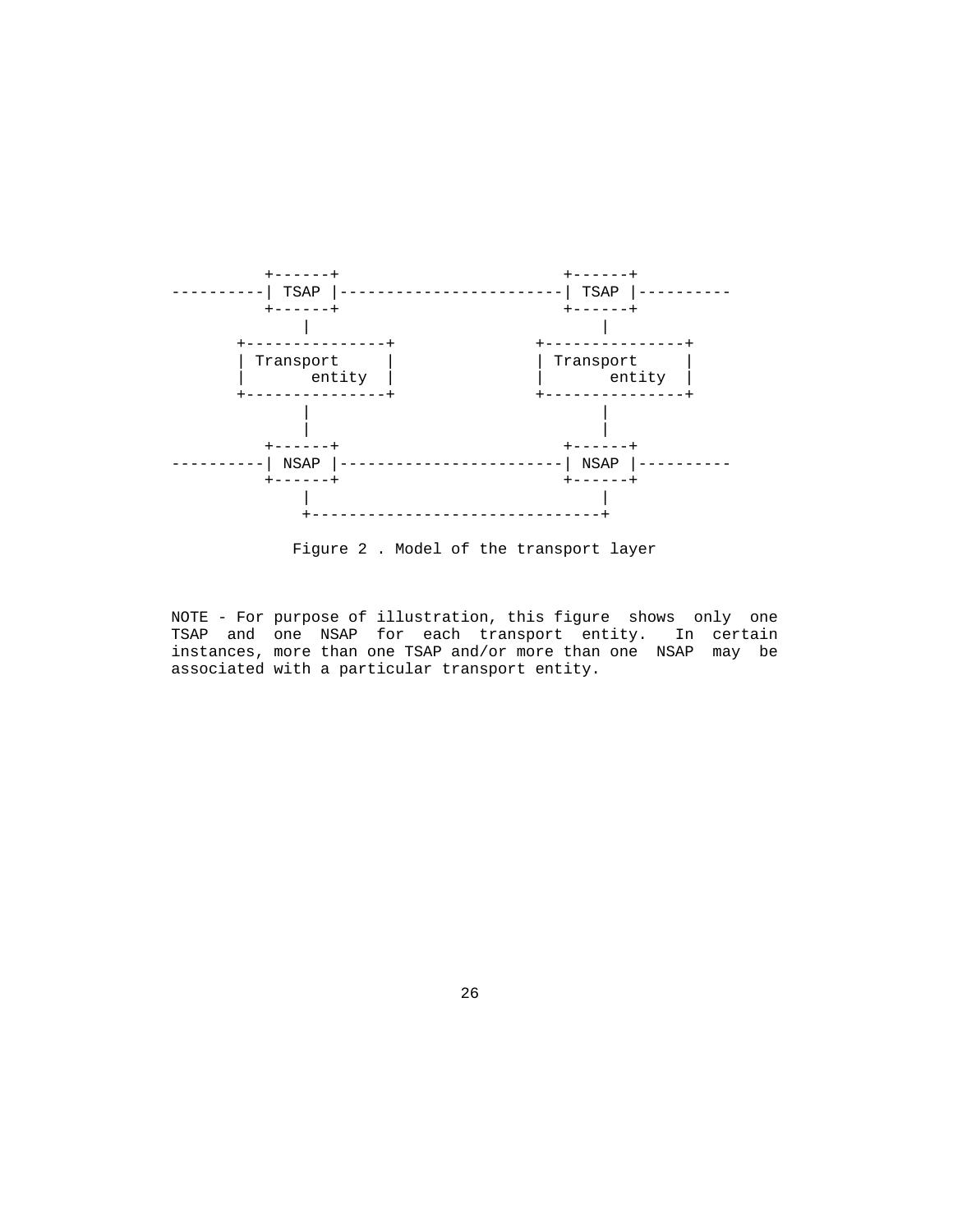

Figure 2 . Model of the transport layer

 NOTE - For purpose of illustration, this figure shows only one TSAP and one NSAP for each transport entity. In certain instances, more than one TSAP and/or more than one NSAP may be associated with a particular transport entity.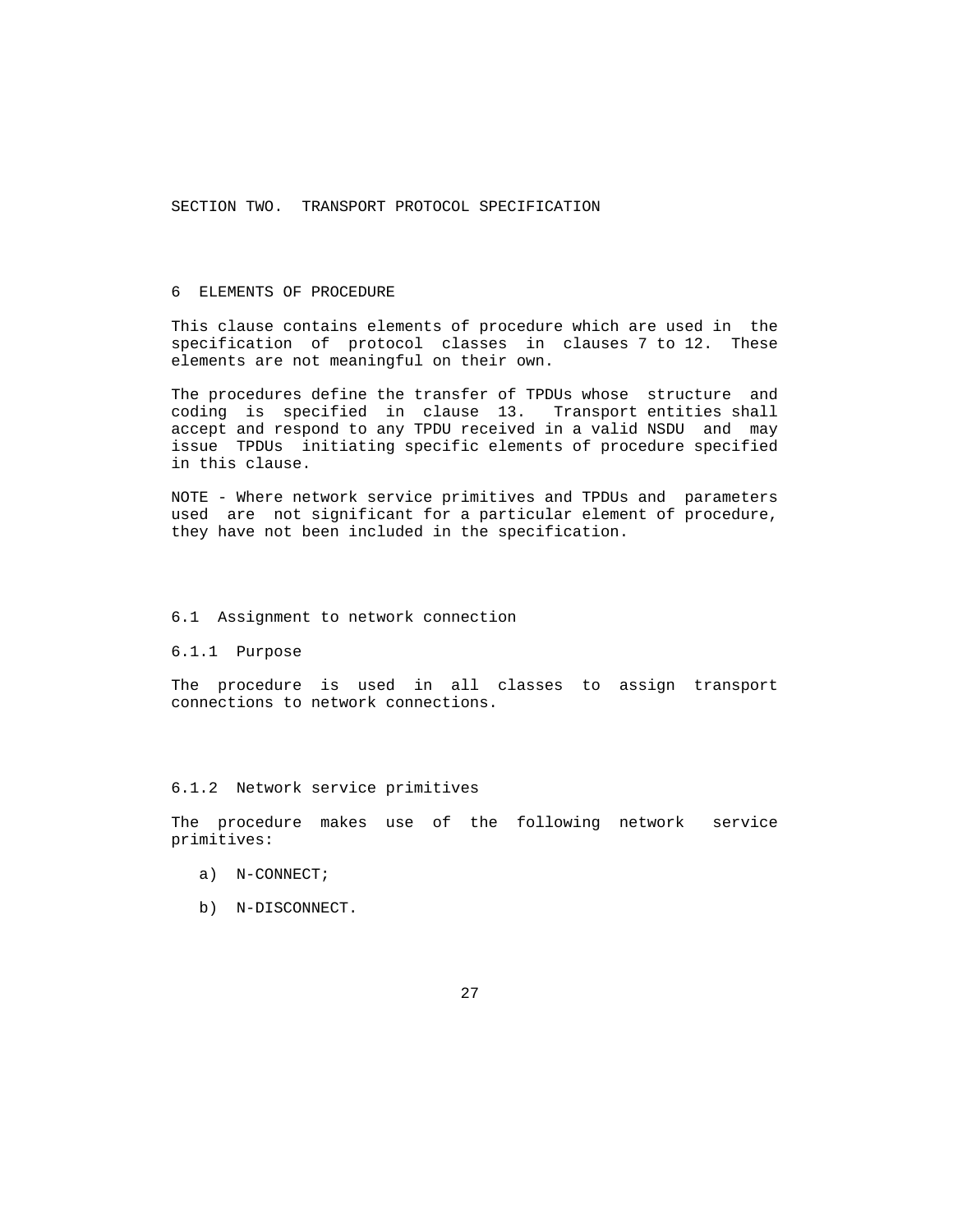SECTION TWO. TRANSPORT PROTOCOL SPECIFICATION

# 6 ELEMENTS OF PROCEDURE

 This clause contains elements of procedure which are used in the specification of protocol classes in clauses 7 to 12. These elements are not meaningful on their own.

 The procedures define the transfer of TPDUs whose structure and coding is specified in clause 13. Transport entities shall accept and respond to any TPDU received in a valid NSDU and may issue TPDUs initiating specific elements of procedure specified in this clause.

 NOTE - Where network service primitives and TPDUs and parameters used are not significant for a particular element of procedure, they have not been included in the specification.

#### 6.1 Assignment to network connection

#### 6.1.1 Purpose

 The procedure is used in all classes to assign transport connections to network connections.

## 6.1.2 Network service primitives

 The procedure makes use of the following network service primitives:

- a) N-CONNECT;
- b) N-DISCONNECT.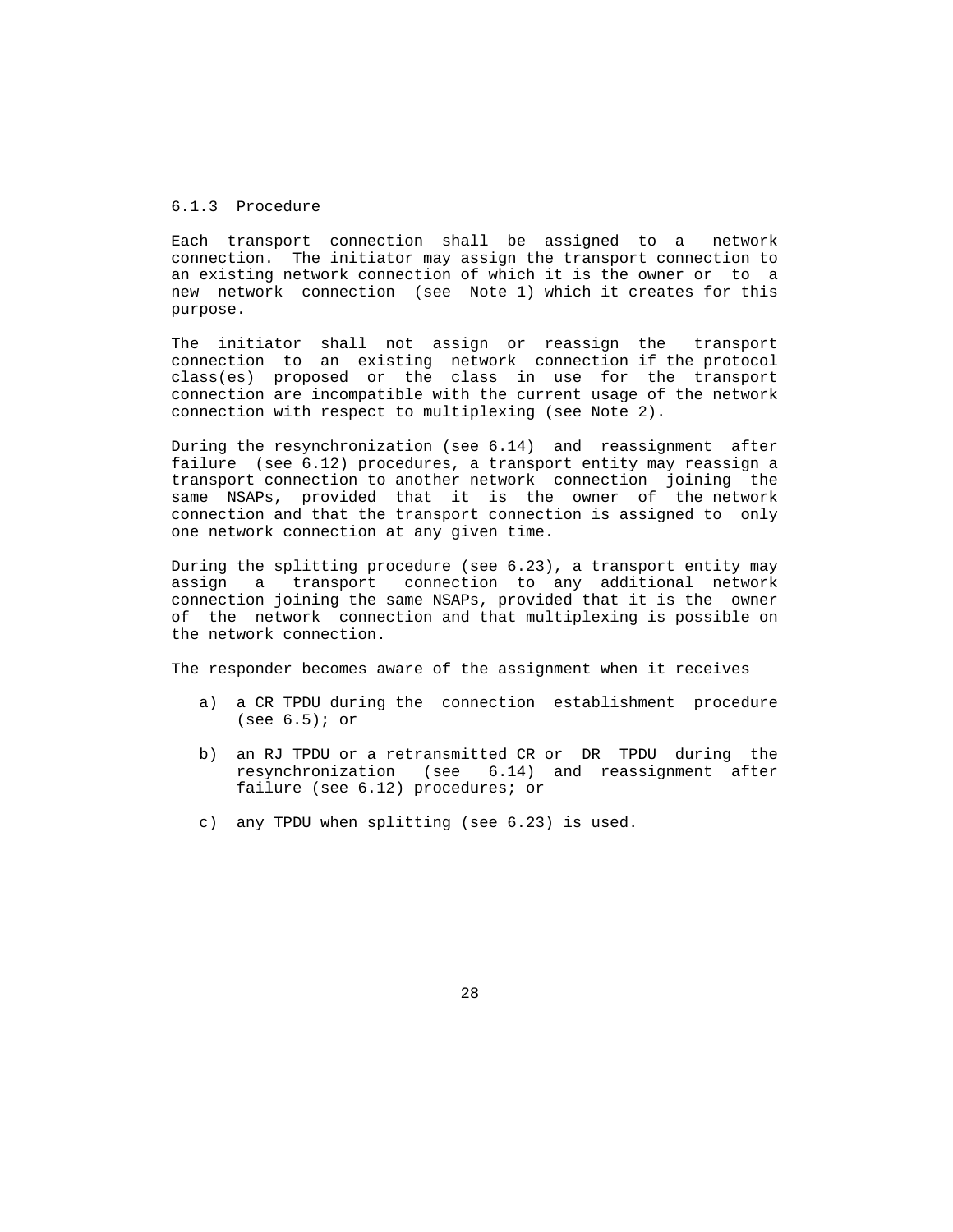## 6.1.3 Procedure

 Each transport connection shall be assigned to a network connection. The initiator may assign the transport connection to an existing network connection of which it is the owner or to a new network connection (see Note 1) which it creates for this purpose.

 The initiator shall not assign or reassign the transport connection to an existing network connection if the protocol class(es) proposed or the class in use for the transport connection are incompatible with the current usage of the network connection with respect to multiplexing (see Note 2).

 During the resynchronization (see 6.14) and reassignment after failure (see 6.12) procedures, a transport entity may reassign a transport connection to another network connection joining the same NSAPs, provided that it is the owner of the network connection and that the transport connection is assigned to only one network connection at any given time.

 During the splitting procedure (see 6.23), a transport entity may assign a transport connection to any additional network connection joining the same NSAPs, provided that it is the owner of the network connection and that multiplexing is possible on the network connection.

The responder becomes aware of the assignment when it receives

- a) a CR TPDU during the connection establishment procedure (see  $6.5$ ); or
- b) an RJ TPDU or a retransmitted CR or DR TPDU during the resynchronization (see 6.14) and reassignment after failure (see 6.12) procedures; or
- c) any TPDU when splitting (see 6.23) is used.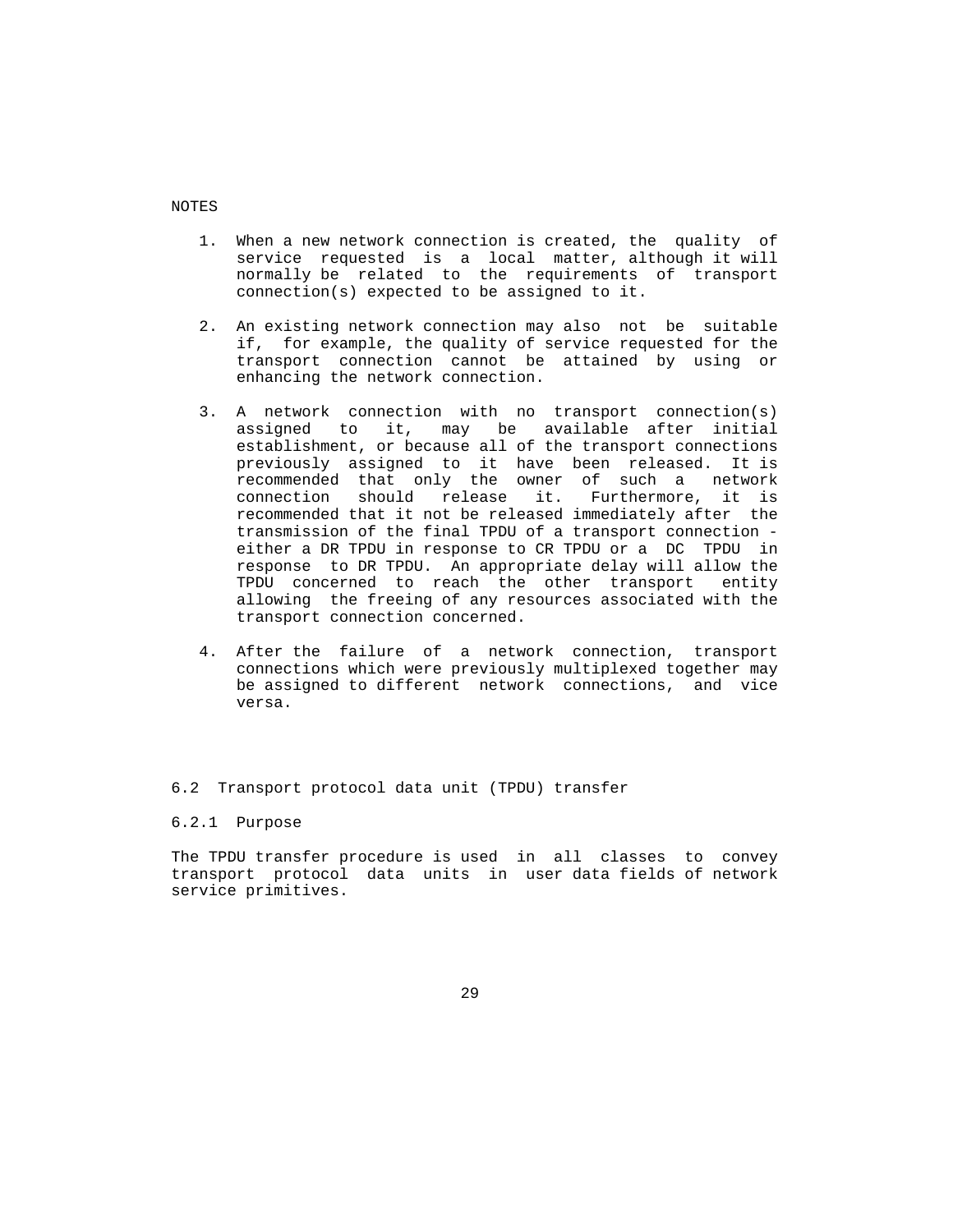NOTES

- 1. When a new network connection is created, the quality of service requested is a local matter, although it will normally be related to the requirements of transport connection(s) expected to be assigned to it.
- 2. An existing network connection may also not be suitable if, for example, the quality of service requested for the transport connection cannot be attained by using or enhancing the network connection.
- 3. A network connection with no transport connection(s) assigned to it, may be available after initial establishment, or because all of the transport connections previously assigned to it have been released. It is recommended that only the owner of such a network<br>connection should release it. Furthermore, it is Furthermore, it is recommended that it not be released immediately after the transmission of the final TPDU of a transport connection either a DR TPDU in response to CR TPDU or a DC TPDU in response to DR TPDU. An appropriate delay will allow the TPDU concerned to reach the other transport entity allowing the freeing of any resources associated with the transport connection concerned.
- 4. After the failure of a network connection, transport connections which were previously multiplexed together may be assigned to different network connections, and vice versa.

## 6.2 Transport protocol data unit (TPDU) transfer

## 6.2.1 Purpose

 The TPDU transfer procedure is used in all classes to convey transport protocol data units in user data fields of network service primitives.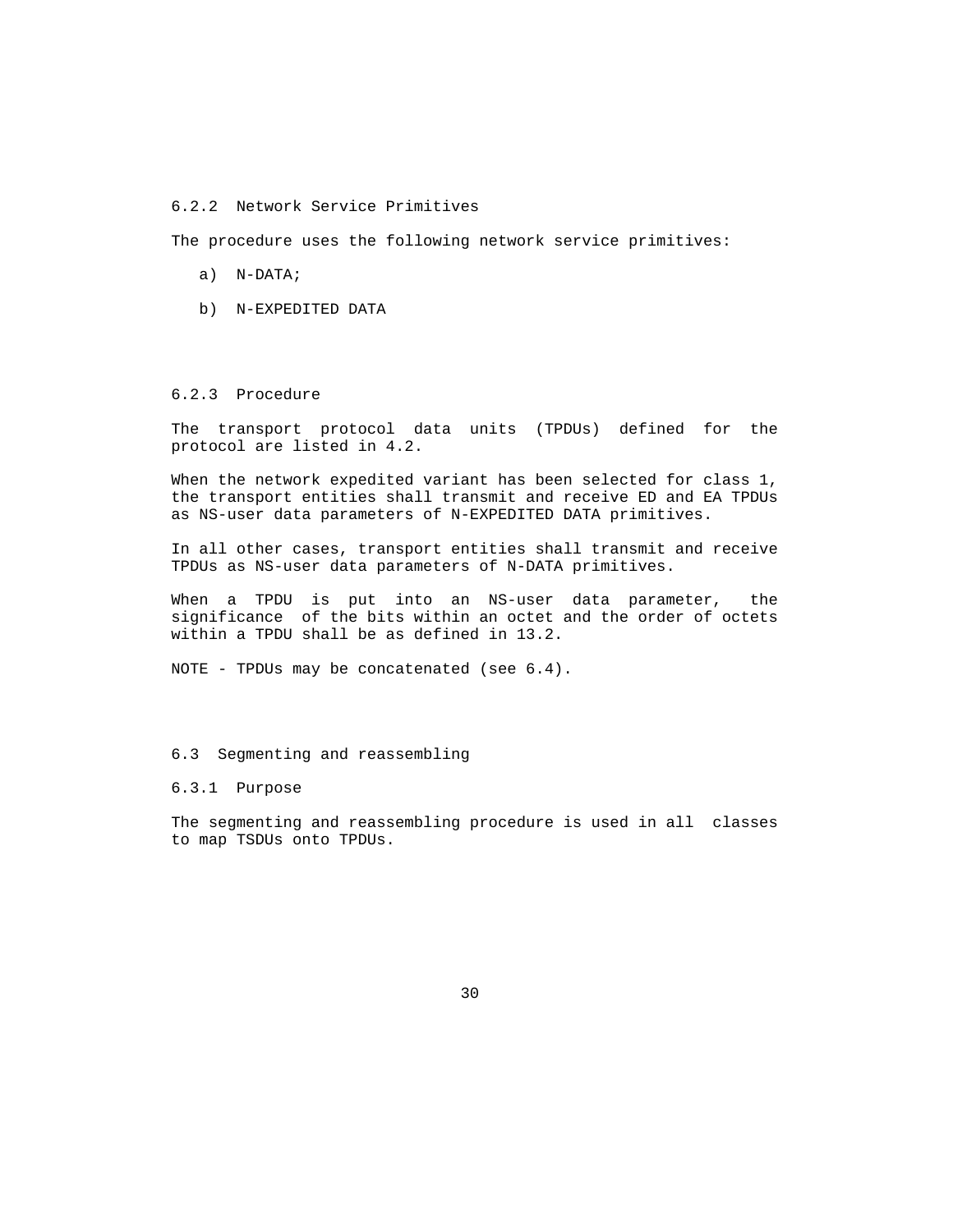## 6.2.2 Network Service Primitives

The procedure uses the following network service primitives:

- a) N-DATA;
- b) N-EXPEDITED DATA

# 6.2.3 Procedure

 The transport protocol data units (TPDUs) defined for the protocol are listed in 4.2.

 When the network expedited variant has been selected for class 1, the transport entities shall transmit and receive ED and EA TPDUs as NS-user data parameters of N-EXPEDITED DATA primitives.

 In all other cases, transport entities shall transmit and receive TPDUs as NS-user data parameters of N-DATA primitives.

 When a TPDU is put into an NS-user data parameter, the significance of the bits within an octet and the order of octets within a TPDU shall be as defined in 13.2.

NOTE - TPDUs may be concatenated (see 6.4).

## 6.3 Segmenting and reassembling

#### 6.3.1 Purpose

 The segmenting and reassembling procedure is used in all classes to map TSDUs onto TPDUs.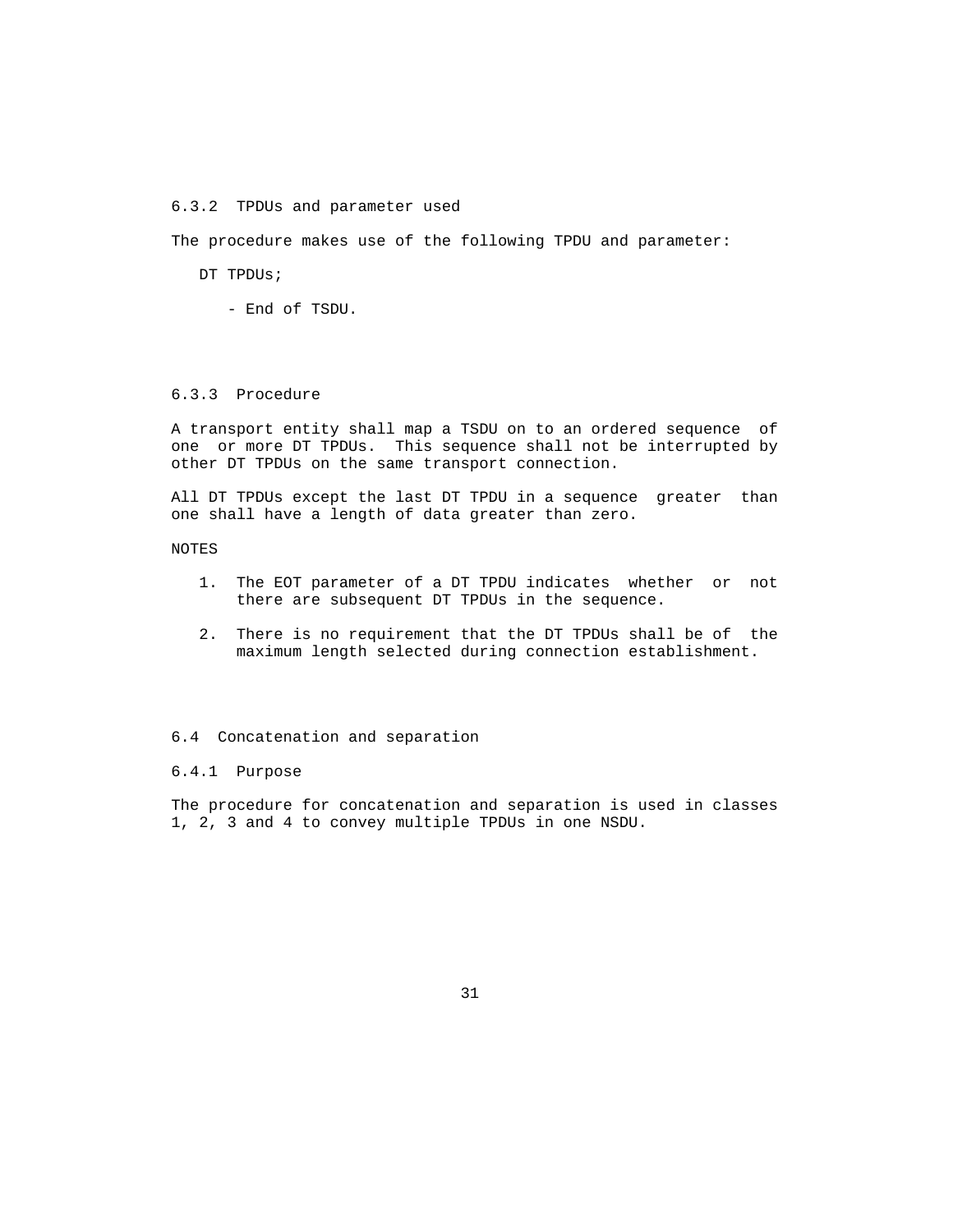## 6.3.2 TPDUs and parameter used

The procedure makes use of the following TPDU and parameter:

DT TPDUs;

- End of TSDU.

# 6.3.3 Procedure

 A transport entity shall map a TSDU on to an ordered sequence of one or more DT TPDUs. This sequence shall not be interrupted by other DT TPDUs on the same transport connection.

 All DT TPDUs except the last DT TPDU in a sequence greater than one shall have a length of data greater than zero.

NOTES

- 1. The EOT parameter of a DT TPDU indicates whether or not there are subsequent DT TPDUs in the sequence.
- 2. There is no requirement that the DT TPDUs shall be of the maximum length selected during connection establishment.

## 6.4 Concatenation and separation

#### 6.4.1 Purpose

 The procedure for concatenation and separation is used in classes 1, 2, 3 and 4 to convey multiple TPDUs in one NSDU.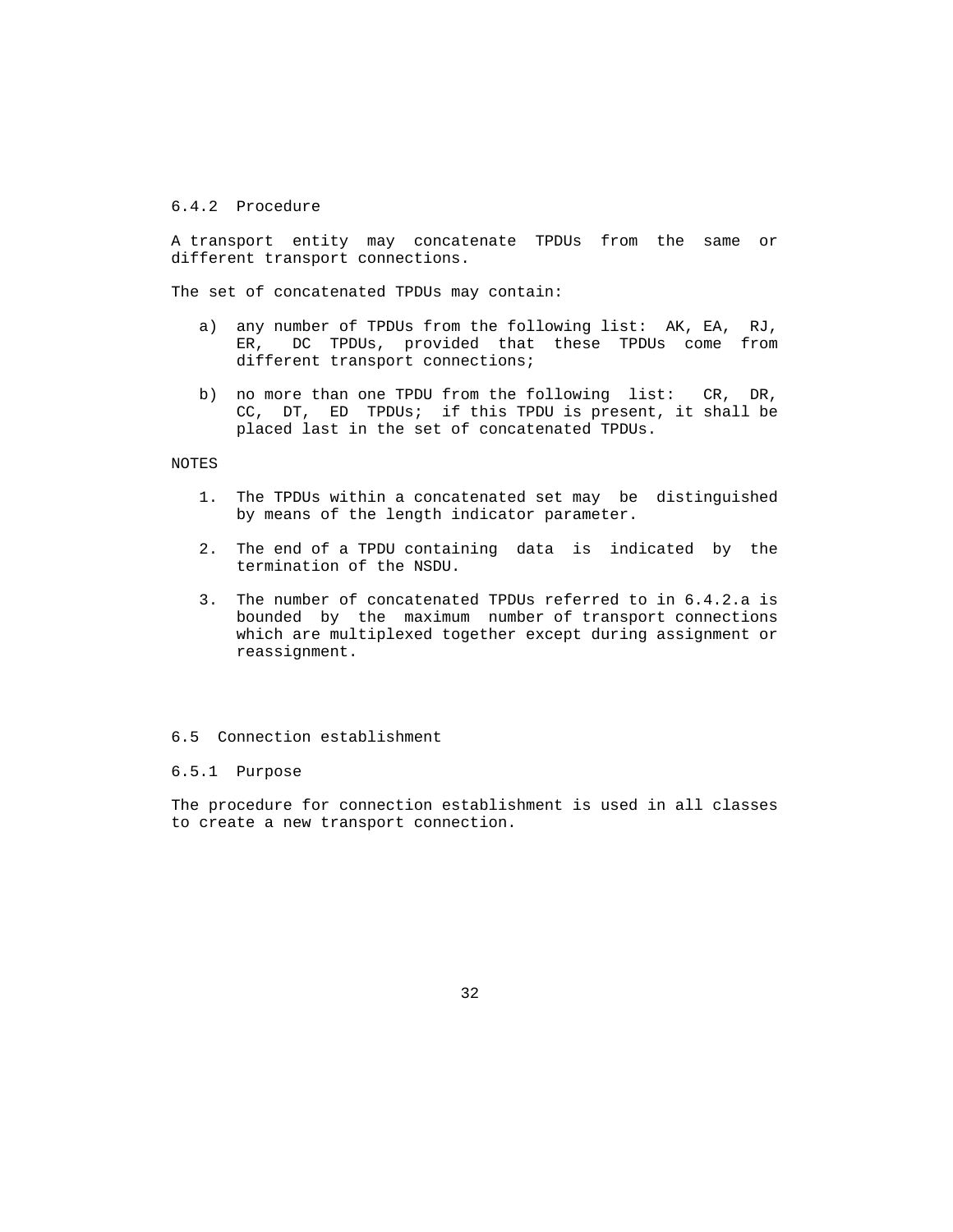# 6.4.2 Procedure

 A transport entity may concatenate TPDUs from the same or different transport connections.

The set of concatenated TPDUs may contain:

- a) any number of TPDUs from the following list: AK, EA, RJ, ER, DC TPDUs, provided that these TPDUs come from different transport connections;
- b) no more than one TPDU from the following list: CR, DR, CC, DT, ED TPDUs; if this TPDU is present, it shall be placed last in the set of concatenated TPDUs.

## NOTES

- 1. The TPDUs within a concatenated set may be distinguished by means of the length indicator parameter.
- 2. The end of a TPDU containing data is indicated by the termination of the NSDU.
- 3. The number of concatenated TPDUs referred to in 6.4.2.a is bounded by the maximum number of transport connections which are multiplexed together except during assignment or reassignment.

# 6.5 Connection establishment

#### 6.5.1 Purpose

 The procedure for connection establishment is used in all classes to create a new transport connection.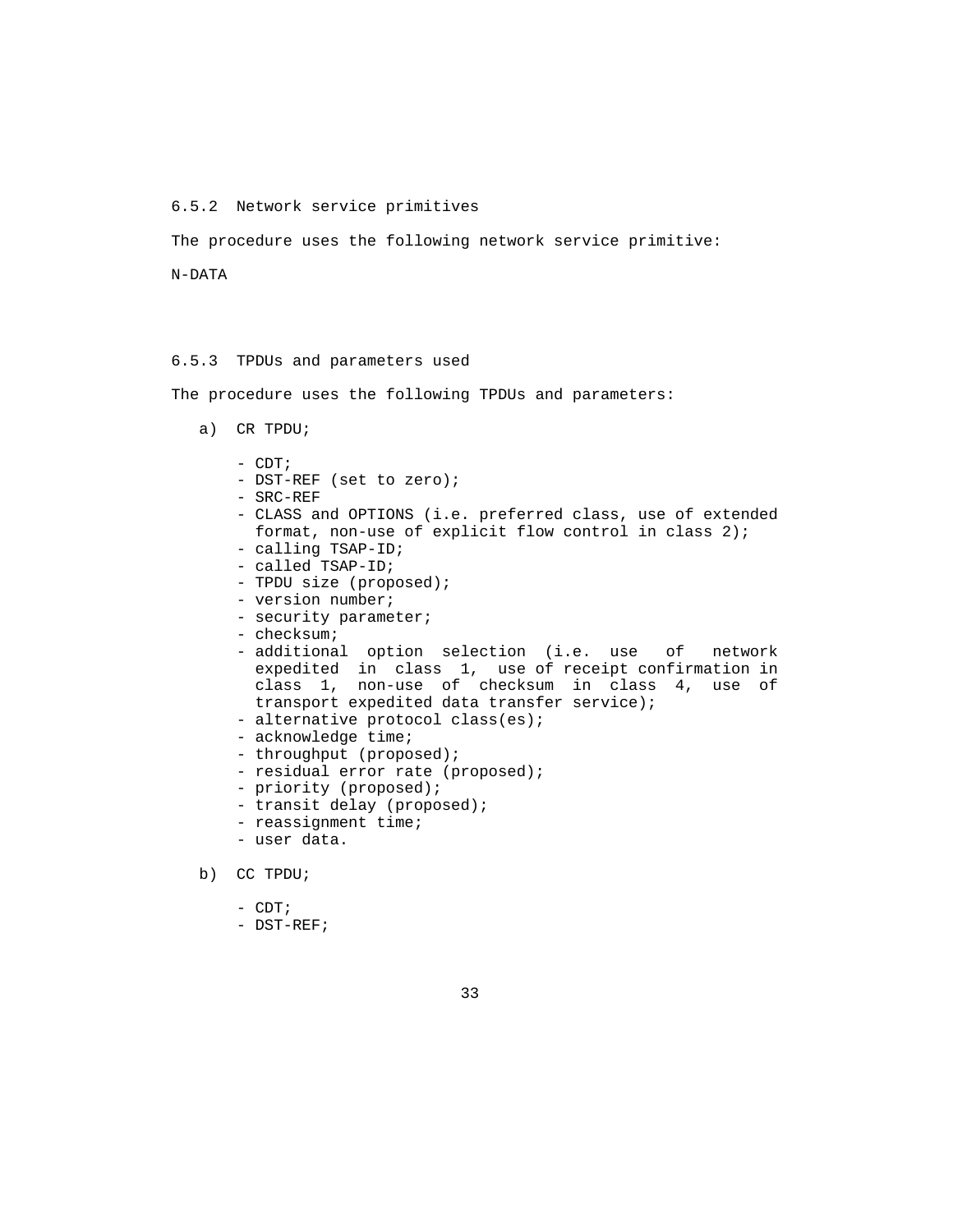#### 6.5.2 Network service primitives

The procedure uses the following network service primitive:

N-DATA

### 6.5.3 TPDUs and parameters used

The procedure uses the following TPDUs and parameters:

- a) CR TPDU;
	- CDT;
	- DST-REF (set to zero);
	- SRC-REF
	- CLASS and OPTIONS (i.e. preferred class, use of extended format, non-use of explicit flow control in class 2);
	- calling TSAP-ID;
	- called TSAP-ID;
	- TPDU size (proposed);
	- version number;
	- security parameter;
	- checksum;
	- additional option selection (i.e. use of network expedited in class 1, use of receipt confirmation in class 1, non-use of checksum in class 4, use of transport expedited data transfer service);
	- alternative protocol class(es);
	- acknowledge time;
	- throughput (proposed);
	- residual error rate (proposed);
	- priority (proposed);
	- transit delay (proposed);
	- reassignment time;
	- user data.
- b) CC TPDU;
	- CDT;
	- DST-REF;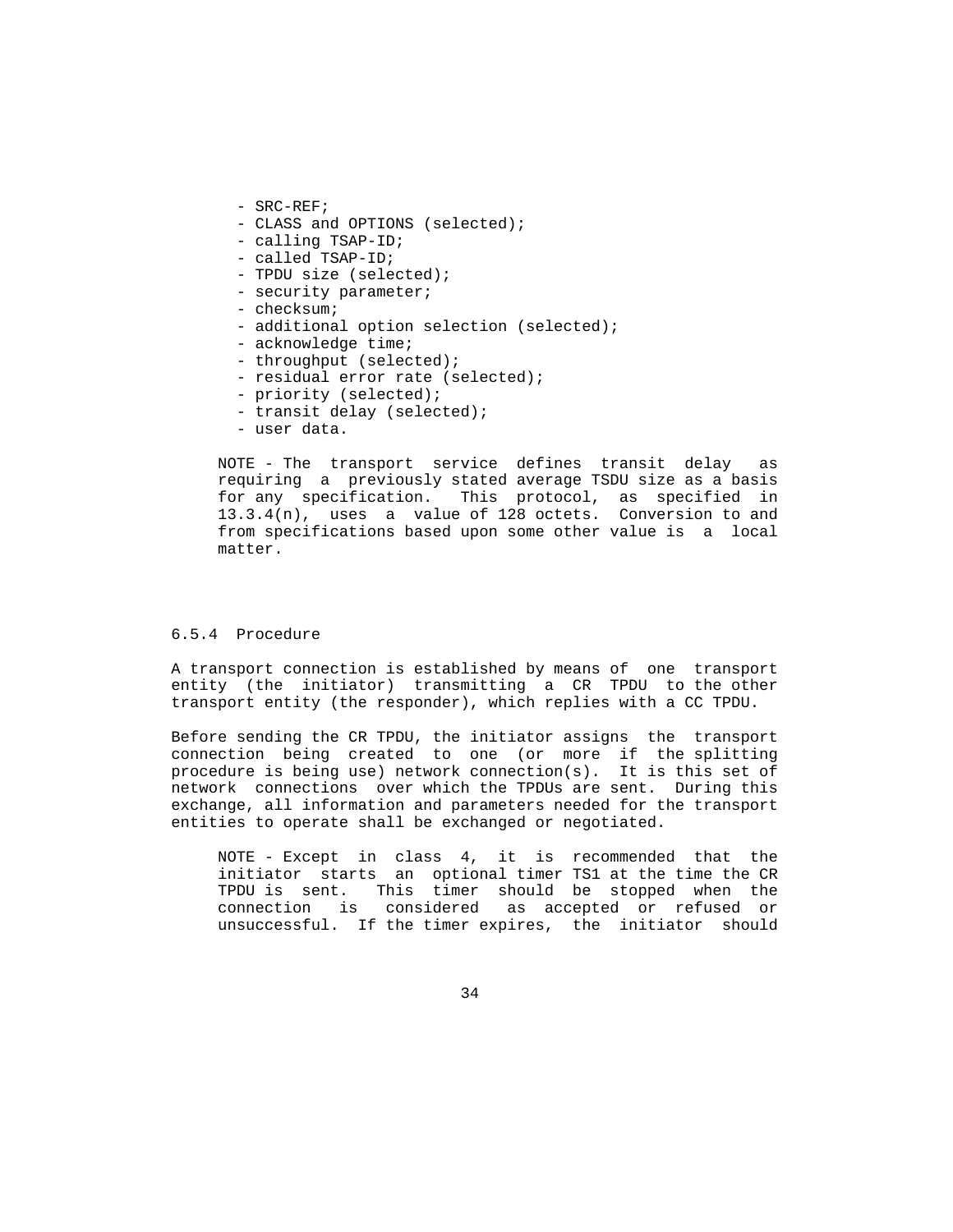- SRC-REF;
- CLASS and OPTIONS (selected);
- calling TSAP-ID;
- called TSAP-ID;
- TPDU size (selected);
- security parameter;
- checksum;
- additional option selection (selected);
- acknowledge time;
- throughput (selected);
- residual error rate (selected);
- priority (selected);
- transit delay (selected);
- user data.

 NOTE - The transport service defines transit delay as requiring a previously stated average TSDU size as a basis for any specification. This protocol, as specified in 13.3.4(n), uses a value of 128 octets. Conversion to and from specifications based upon some other value is a local matter.

# 6.5.4 Procedure

 A transport connection is established by means of one transport entity (the initiator) transmitting a CR TPDU to the other transport entity (the responder), which replies with a CC TPDU.

 Before sending the CR TPDU, the initiator assigns the transport connection being created to one (or more if the splitting procedure is being use) network connection(s). It is this set of network connections over which the TPDUs are sent. During this exchange, all information and parameters needed for the transport entities to operate shall be exchanged or negotiated.

 NOTE - Except in class 4, it is recommended that the initiator starts an optional timer TS1 at the time the CR TPDU is sent. This timer should be stopped when the connection is considered as accepted or refused or unsuccessful. If the timer expires, the initiator should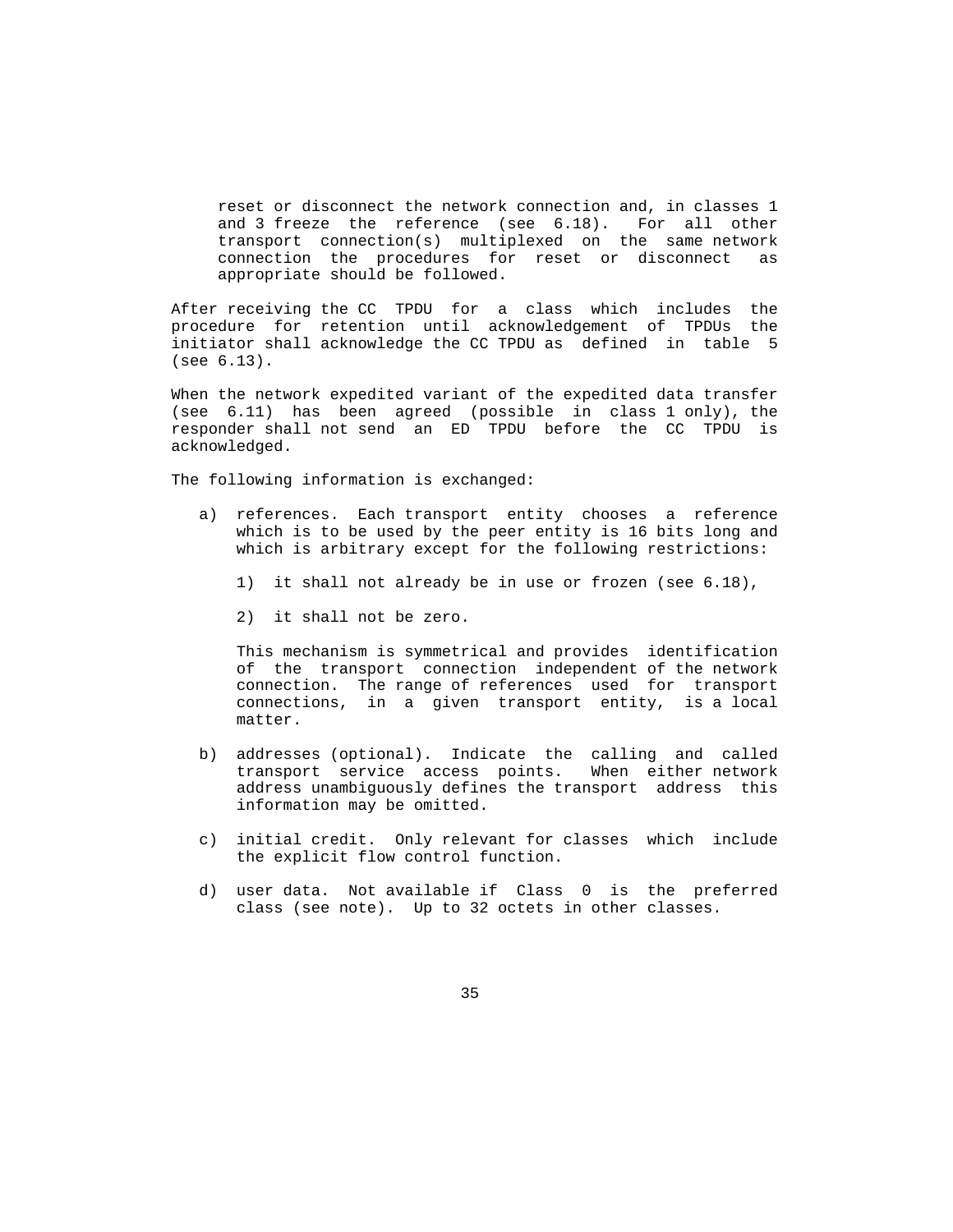reset or disconnect the network connection and, in classes 1 and 3 freeze the reference (see 6.18). For all other transport connection(s) multiplexed on the same network connection the procedures for reset or disconnect as appropriate should be followed.

 After receiving the CC TPDU for a class which includes the procedure for retention until acknowledgement of TPDUs the initiator shall acknowledge the CC TPDU as defined in table 5 (see 6.13).

 When the network expedited variant of the expedited data transfer (see 6.11) has been agreed (possible in class 1 only), the responder shall not send an ED TPDU before the CC TPDU is acknowledged.

The following information is exchanged:

- a) references. Each transport entity chooses a reference which is to be used by the peer entity is 16 bits long and which is arbitrary except for the following restrictions:
	- 1) it shall not already be in use or frozen (see 6.18),
	- 2) it shall not be zero.

 This mechanism is symmetrical and provides identification of the transport connection independent of the network connection. The range of references used for transport connections, in a given transport entity, is a local matter.

- b) addresses (optional). Indicate the calling and called transport service access points. When either network address unambiguously defines the transport address this information may be omitted.
- c) initial credit. Only relevant for classes which include the explicit flow control function.
- d) user data. Not available if Class 0 is the preferred class (see note). Up to 32 octets in other classes.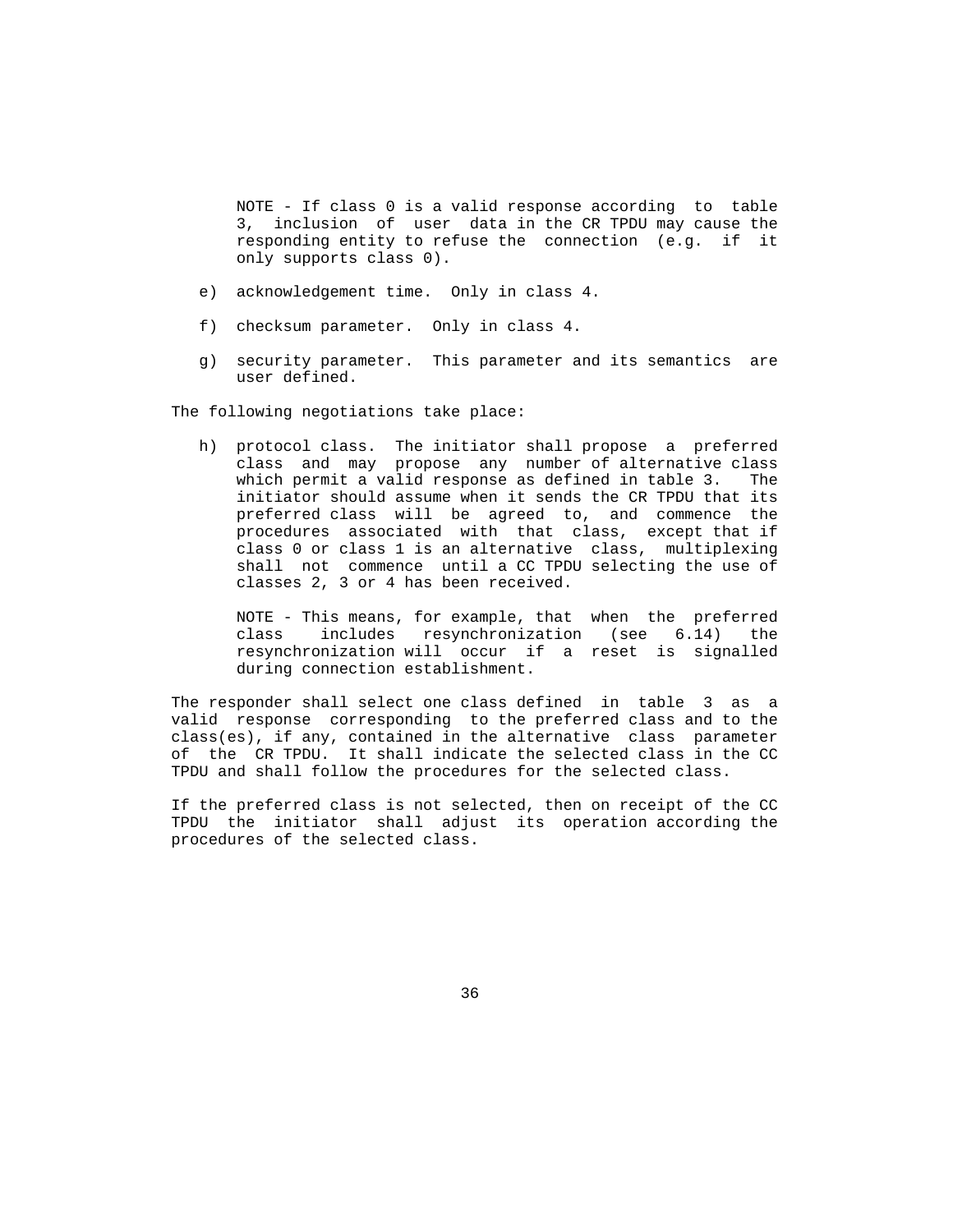NOTE - If class 0 is a valid response according to table 3, inclusion of user data in the CR TPDU may cause the responding entity to refuse the connection (e.g. if it only supports class 0).

- e) acknowledgement time. Only in class 4.
- f) checksum parameter. Only in class 4.
- g) security parameter. This parameter and its semantics are user defined.

The following negotiations take place:

 h) protocol class. The initiator shall propose a preferred class and may propose any number of alternative class which permit a valid response as defined in table 3. The initiator should assume when it sends the CR TPDU that its preferred class will be agreed to, and commence the procedures associated with that class, except that if class 0 or class 1 is an alternative class, multiplexing shall not commence until a CC TPDU selecting the use of classes 2, 3 or 4 has been received.

 NOTE - This means, for example, that when the preferred class includes resynchronization (see 6.14) the resynchronization will occur if a reset is signalled during connection establishment.

 The responder shall select one class defined in table 3 as a valid response corresponding to the preferred class and to the class(es), if any, contained in the alternative class parameter of the CR TPDU. It shall indicate the selected class in the CC TPDU and shall follow the procedures for the selected class.

 If the preferred class is not selected, then on receipt of the CC TPDU the initiator shall adjust its operation according the procedures of the selected class.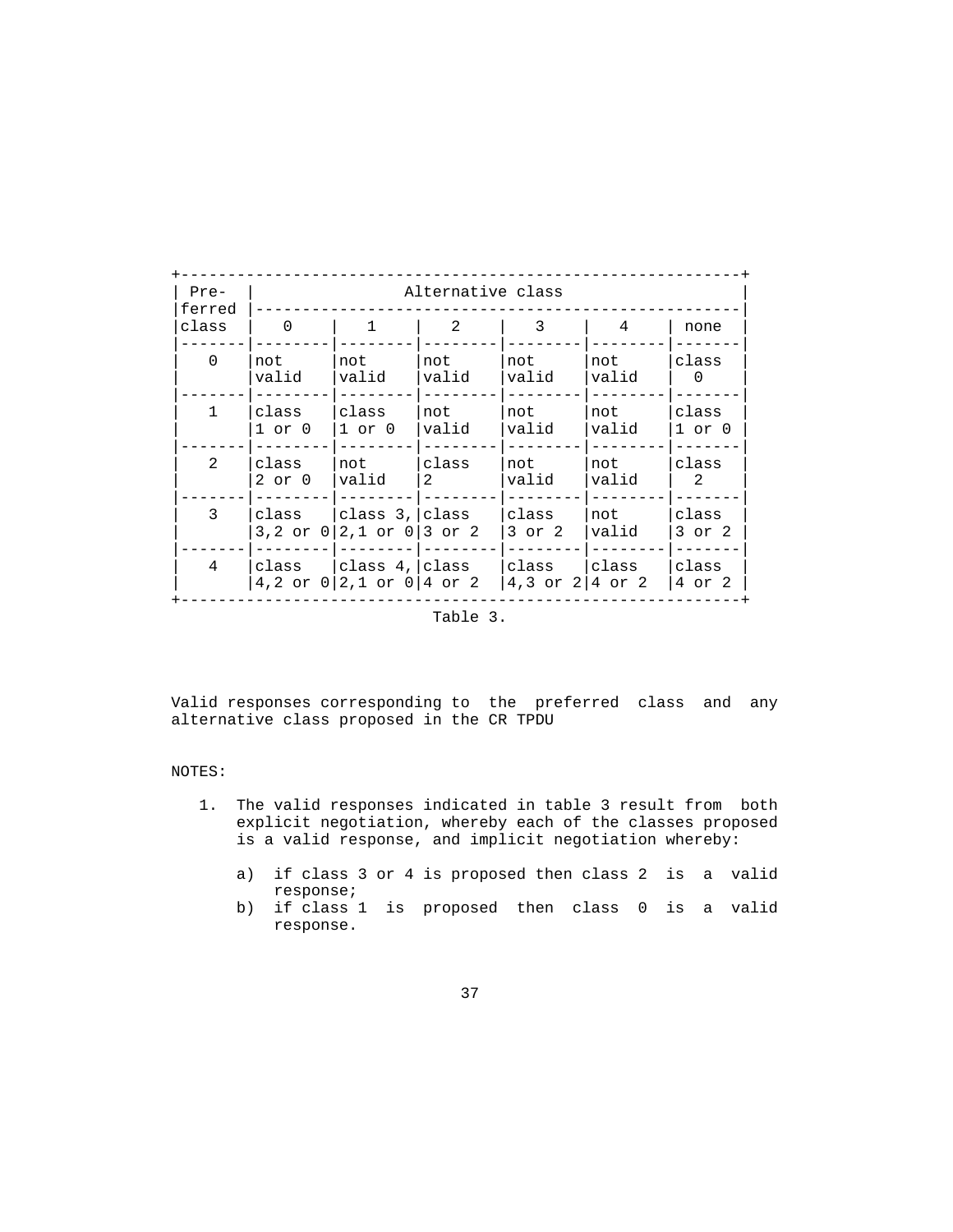| $Pre-$<br>ferred<br>class | Alternative class     |                                                |                |                                               |              |                        |  |
|---------------------------|-----------------------|------------------------------------------------|----------------|-----------------------------------------------|--------------|------------------------|--|
|                           | $\Omega$              | 1                                              | $\mathfrak{D}$ | 3                                             | 4            | none                   |  |
| 0                         | not<br>valid          | not<br>valid                                   | not<br>valid   | not<br>valid                                  | not<br>valid | class<br>$\Omega$      |  |
| $\mathbf{1}$              | class<br>$1$ or $0$   | class<br>$1$ or $0$                            | not<br>valid   | not<br>valid                                  | not<br>valid | class<br>$1$ or $0$    |  |
| $\mathfrak{D}$            | class<br>$2$ or $0$   | not<br>valid                                   | class<br>2     | not<br>valid                                  | not<br>valid | class<br>$\mathcal{L}$ |  |
| 3                         | class<br>$3,2$ or $0$ | class 3, class<br>$2,1$ or $0 3$ or $2$        |                | class<br>$3$ or $2$                           | not<br>valid | class<br>$3$ or $2$    |  |
| 4                         | class                 | class 4, class<br>4,2 or $0 2,1$ or $0 4$ or 2 |                | class Iclass<br>4,3 or $2 \mid 4$ or $2 \mid$ |              | class<br>4 or 2        |  |

Table 3.

 Valid responses corresponding to the preferred class and any alternative class proposed in the CR TPDU

# NOTES:

- 1. The valid responses indicated in table 3 result from both explicit negotiation, whereby each of the classes proposed is a valid response, and implicit negotiation whereby:
	- a) if class 3 or 4 is proposed then class 2 is a valid response;
	- b) if class 1 is proposed then class 0 is a valid response.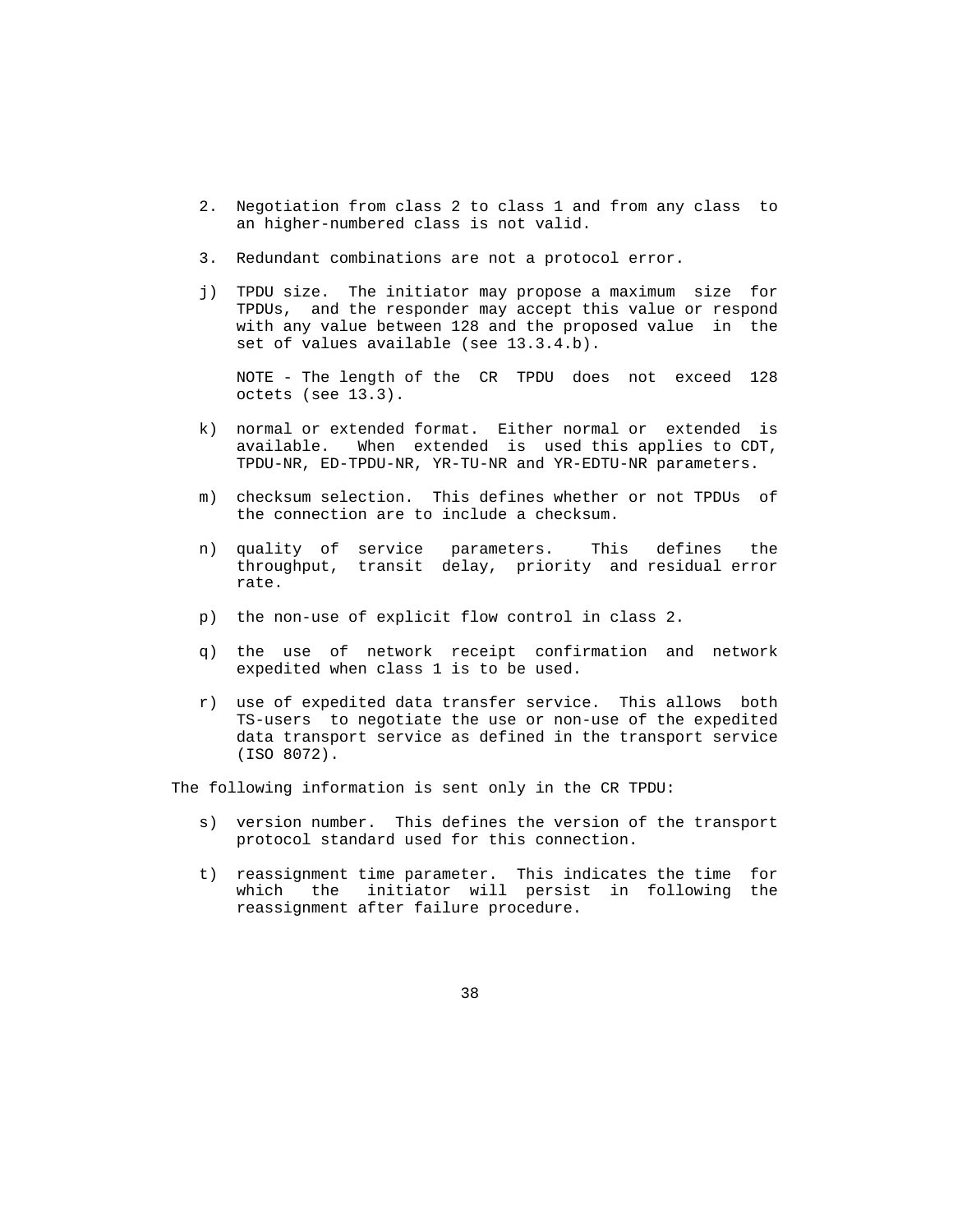- 2. Negotiation from class 2 to class 1 and from any class to an higher-numbered class is not valid.
- 3. Redundant combinations are not a protocol error.
- j) TPDU size. The initiator may propose a maximum size for TPDUs, and the responder may accept this value or respond with any value between 128 and the proposed value in the set of values available (see 13.3.4.b).

 NOTE - The length of the CR TPDU does not exceed 128 octets (see 13.3).

- k) normal or extended format. Either normal or extended is available. When extended is used this applies to CDT, TPDU-NR, ED-TPDU-NR, YR-TU-NR and YR-EDTU-NR parameters.
- m) checksum selection. This defines whether or not TPDUs of the connection are to include a checksum.
- n) quality of service parameters. This defines the throughput, transit delay, priority and residual error rate.
	- p) the non-use of explicit flow control in class 2.
	- q) the use of network receipt confirmation and network expedited when class 1 is to be used.
	- r) use of expedited data transfer service. This allows both TS-users to negotiate the use or non-use of the expedited data transport service as defined in the transport service (ISO 8072).

The following information is sent only in the CR TPDU:

- s) version number. This defines the version of the transport protocol standard used for this connection.
- t) reassignment time parameter. This indicates the time for which the initiator will persist in following the reassignment after failure procedure.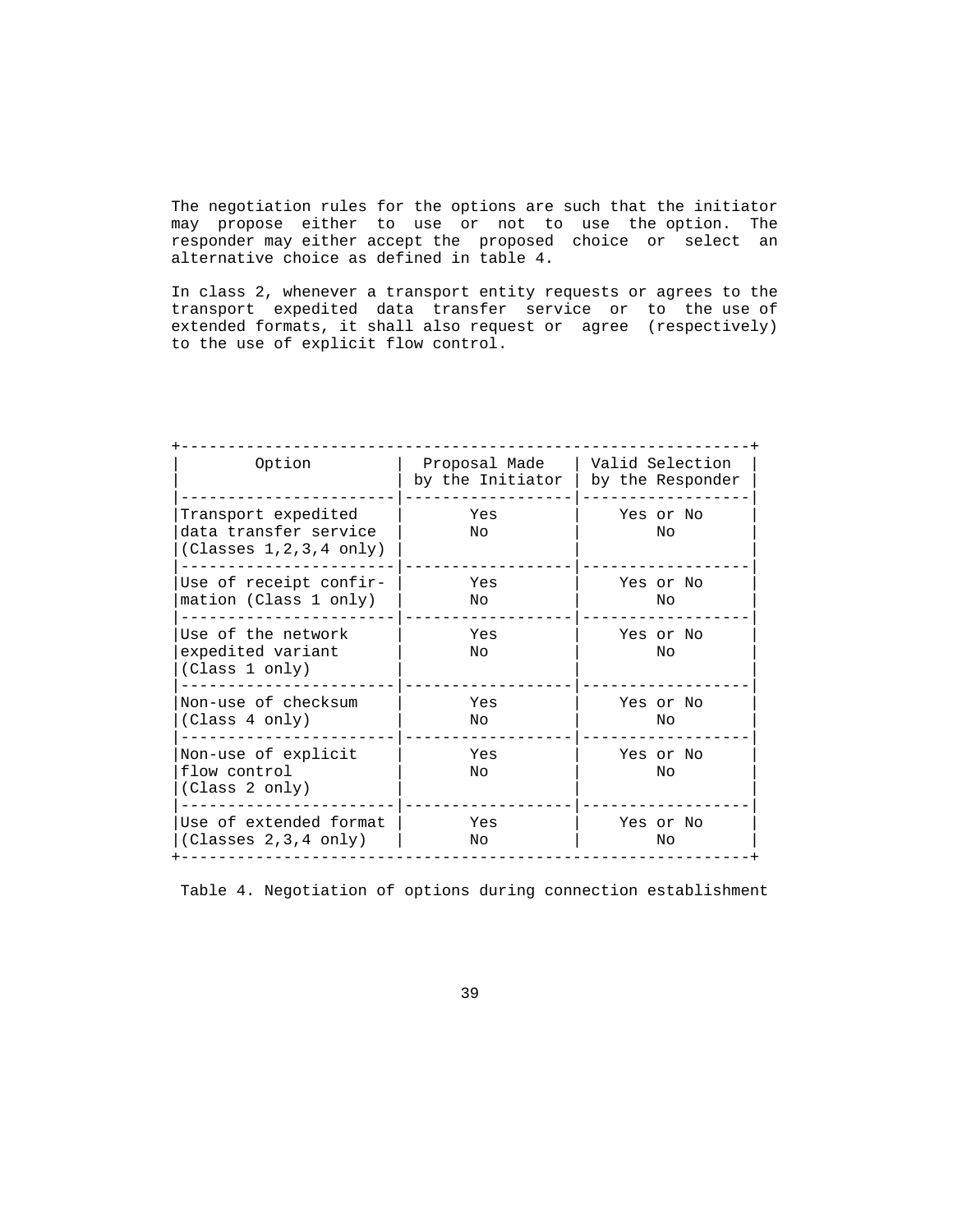The negotiation rules for the options are such that the initiator may propose either to use or not to use the option. The responder may either accept the proposed choice or select an alternative choice as defined in table 4.

 In class 2, whenever a transport entity requests or agrees to the transport expedited data transfer service or to the use of extended formats, it shall also request or agree (respectively) to the use of explicit flow control.

| Option                                                                    | Proposal Made<br>by the Initiator | Valid Selection<br>by the Responder |
|---------------------------------------------------------------------------|-----------------------------------|-------------------------------------|
| Transport expedited<br>data transfer service<br>(Classes 1, 2, 3, 4 only) | Yes<br>No.                        | Yes or No<br>Nο                     |
| Use of receipt confir-<br>mation (Class 1 only)                           | Yes<br>No.                        | Yes or No<br>Nο                     |
| Use of the network<br>expedited variant<br>(Class 1 only)                 | Yes<br>Nο                         | Yes or No<br>Nο                     |
| Non-use of checksum<br>(Class 4 only)                                     | Yes<br>No                         | Yes or No<br>No                     |
| Non-use of explicit<br>flow control<br>(Class 2 only)                     | Yes<br>Nο                         | Yes or No<br>Nο                     |
| Use of extended format<br>(Classes 2, 3, 4 only)                          | Yes<br>No                         | Yes or No<br>No                     |

Table 4. Negotiation of options during connection establishment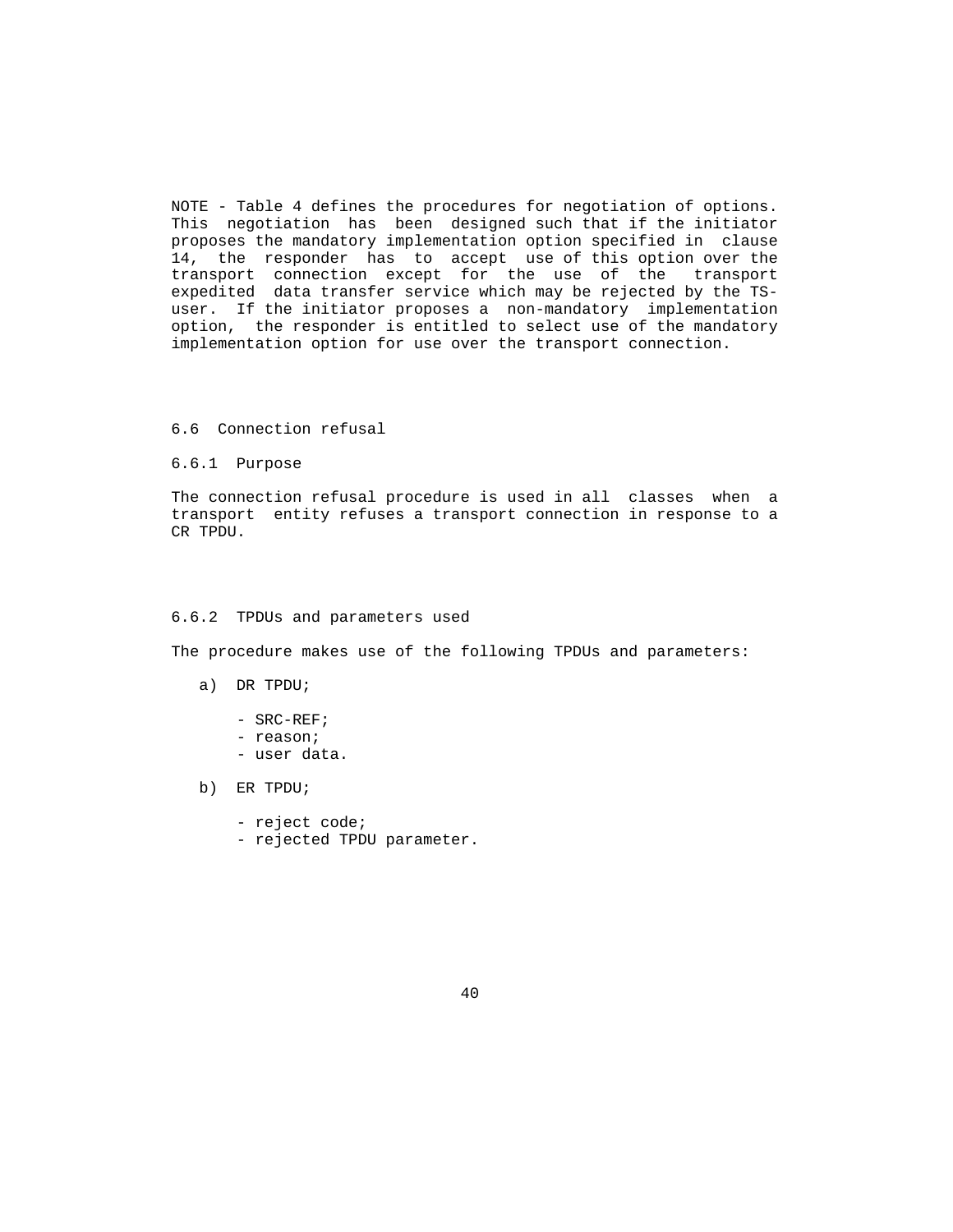NOTE - Table 4 defines the procedures for negotiation of options. This negotiation has been designed such that if the initiator proposes the mandatory implementation option specified in clause 14, the responder has to accept use of this option over the transport connection except for the use of the transport expedited data transfer service which may be rejected by the TS user. If the initiator proposes a non-mandatory implementation option, the responder is entitled to select use of the mandatory implementation option for use over the transport connection.

# 6.6 Connection refusal

6.6.1 Purpose

 The connection refusal procedure is used in all classes when a transport entity refuses a transport connection in response to a CR TPDU.

#### 6.6.2 TPDUs and parameters used

The procedure makes use of the following TPDUs and parameters:

- a) DR TPDU;
	- SRC-REF;
	- reason;
	- user data.
- b) ER TPDU;
	- reject code;
	- rejected TPDU parameter.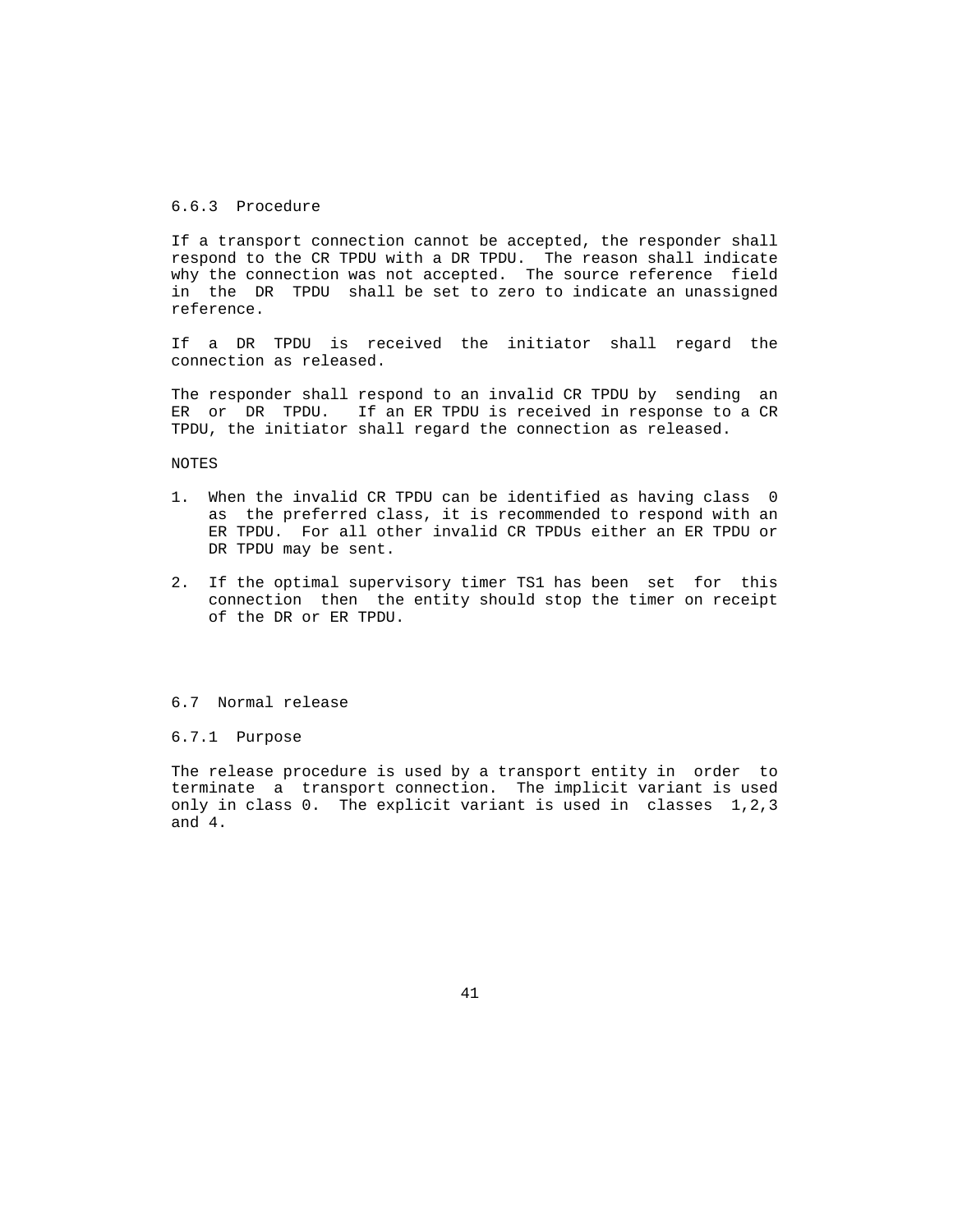# 6.6.3 Procedure

 If a transport connection cannot be accepted, the responder shall respond to the CR TPDU with a DR TPDU. The reason shall indicate why the connection was not accepted. The source reference field in the DR TPDU shall be set to zero to indicate an unassigned reference.

 If a DR TPDU is received the initiator shall regard the connection as released.

 The responder shall respond to an invalid CR TPDU by sending an ER or DR TPDU. If an ER TPDU is received in response to a CR TPDU, the initiator shall regard the connection as released.

NOTES

- 1. When the invalid CR TPDU can be identified as having class 0 as the preferred class, it is recommended to respond with an ER TPDU. For all other invalid CR TPDUs either an ER TPDU or DR TPDU may be sent.
- 2. If the optimal supervisory timer TS1 has been set for this connection then the entity should stop the timer on receipt of the DR or ER TPDU.

#### 6.7 Normal release

# 6.7.1 Purpose

 The release procedure is used by a transport entity in order to terminate a transport connection. The implicit variant is used only in class 0. The explicit variant is used in classes 1,2,3 and 4.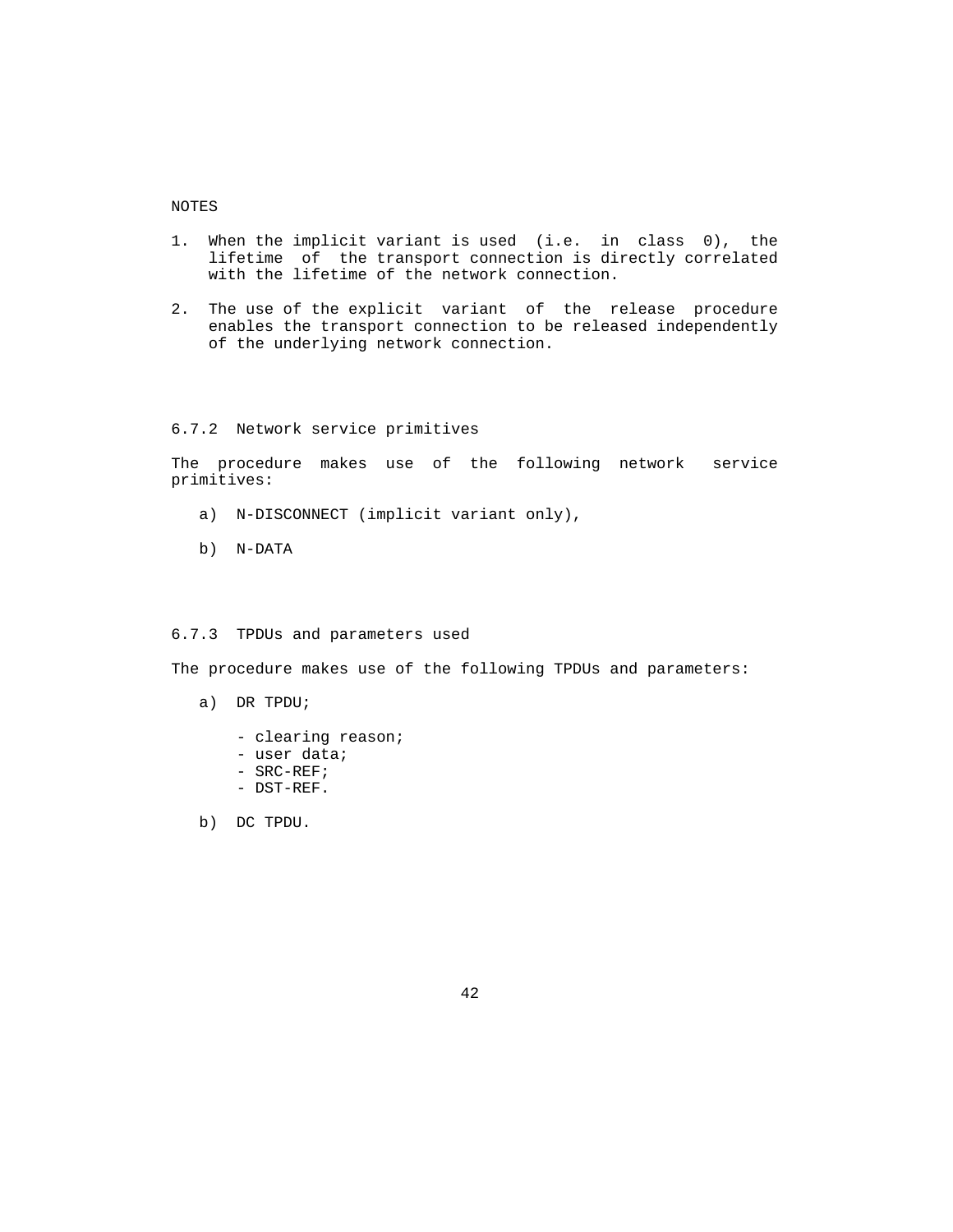## NOTES

- 1. When the implicit variant is used (i.e. in class 0), the lifetime of the transport connection is directly correlated with the lifetime of the network connection.
- 2. The use of the explicit variant of the release procedure enables the transport connection to be released independently of the underlying network connection.

### 6.7.2 Network service primitives

 The procedure makes use of the following network service primitives:

- a) N-DISCONNECT (implicit variant only),
- b) N-DATA

# 6.7.3 TPDUs and parameters used

The procedure makes use of the following TPDUs and parameters:

- a) DR TPDU;
	- clearing reason;
	- user data;
	- SRC-REF;
	- DST-REF.

b) DC TPDU.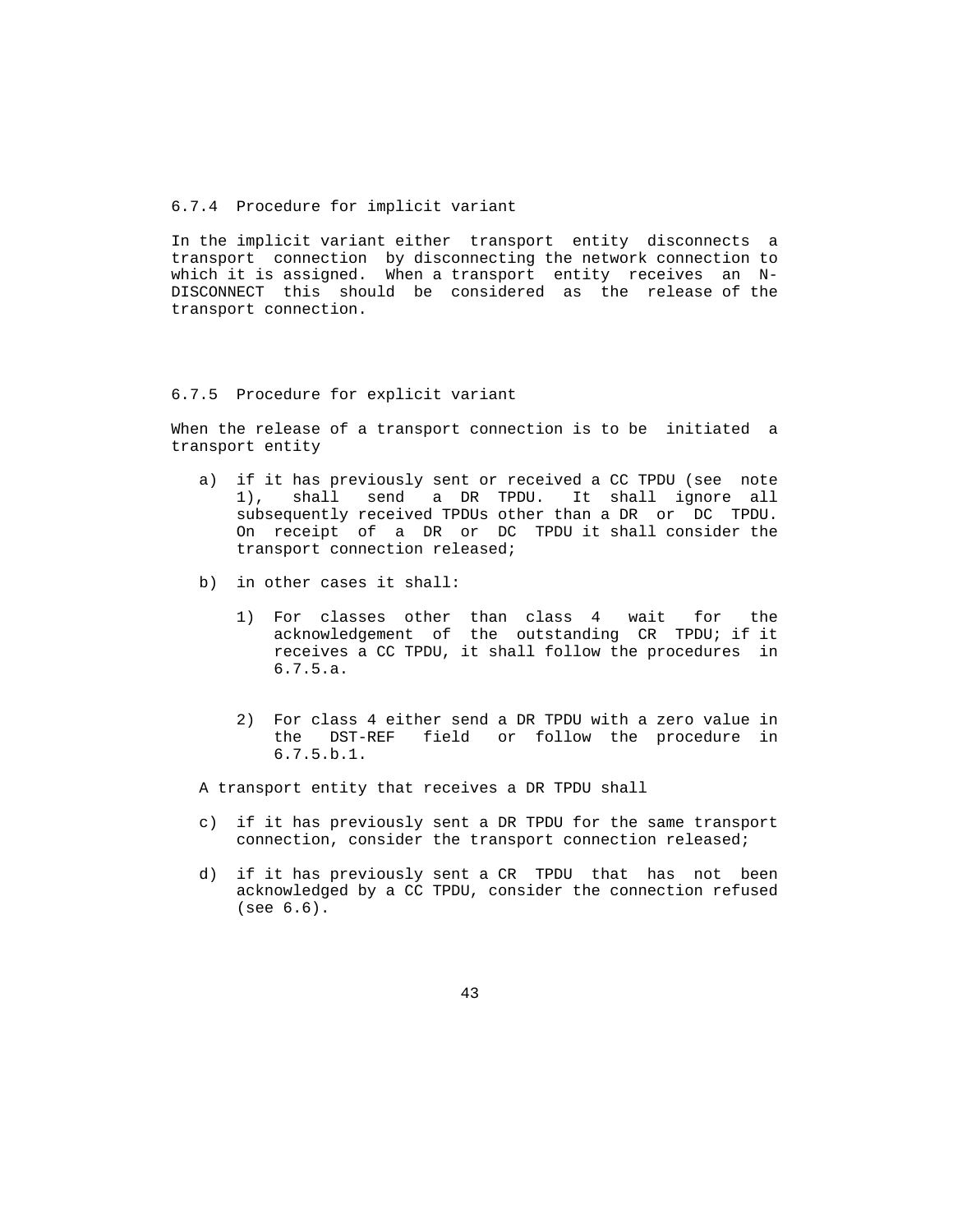#### 6.7.4 Procedure for implicit variant

 In the implicit variant either transport entity disconnects a transport connection by disconnecting the network connection to which it is assigned. When a transport entity receives an N- DISCONNECT this should be considered as the release of the transport connection.

#### 6.7.5 Procedure for explicit variant

 When the release of a transport connection is to be initiated a transport entity

- a) if it has previously sent or received a CC TPDU (see note 1), shall send a DR TPDU. It shall ignore all subsequently received TPDUs other than a DR or DC TPDU. On receipt of a DR or DC TPDU it shall consider the transport connection released;
- b) in other cases it shall:
	- 1) For classes other than class 4 wait for the acknowledgement of the outstanding CR TPDU; if it receives a CC TPDU, it shall follow the procedures in 6.7.5.a.
	- 2) For class 4 either send a DR TPDU with a zero value in the DST-REF field or follow the procedure in 6.7.5.b.1.

A transport entity that receives a DR TPDU shall

- c) if it has previously sent a DR TPDU for the same transport connection, consider the transport connection released;
- d) if it has previously sent a CR TPDU that has not been acknowledged by a CC TPDU, consider the connection refused (see 6.6).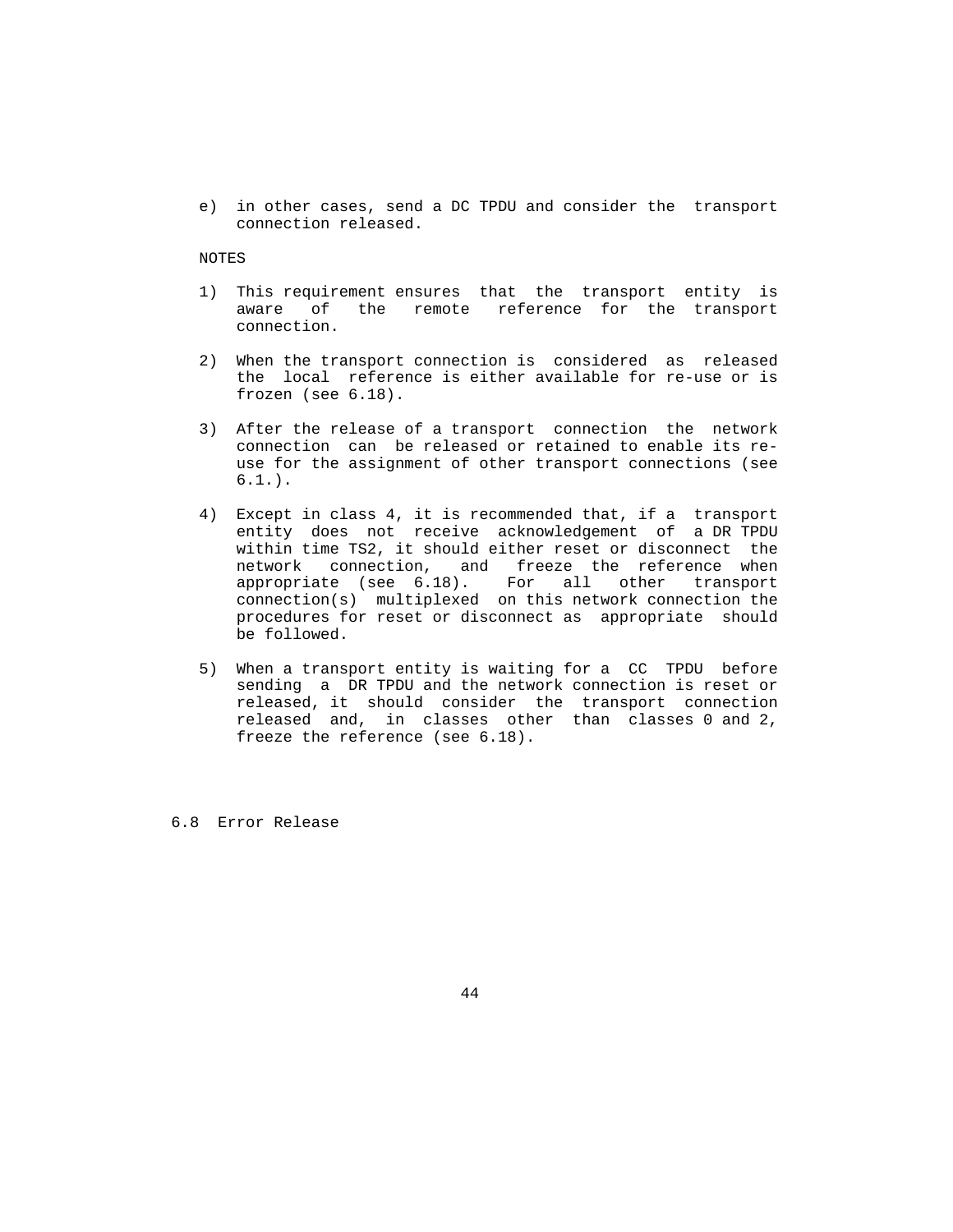e) in other cases, send a DC TPDU and consider the transport connection released.

# NOTES

- 1) This requirement ensures that the transport entity is aware of the remote reference for the transport connection.
- 2) When the transport connection is considered as released the local reference is either available for re-use or is frozen (see 6.18).
- 3) After the release of a transport connection the network connection can be released or retained to enable its re use for the assignment of other transport connections (see  $6.1.$ ).
- 4) Except in class 4, it is recommended that, if a transport entity does not receive acknowledgement of a DR TPDU within time TS2, it should either reset or disconnect the network connection, and freeze the reference when appropriate (see 6.18). For all other transport connection(s) multiplexed on this network connection the procedures for reset or disconnect as appropriate should be followed.
- 5) When a transport entity is waiting for a CC TPDU before sending a DR TPDU and the network connection is reset or released, it should consider the transport connection released and, in classes other than classes 0 and 2, freeze the reference (see 6.18).

6.8 Error Release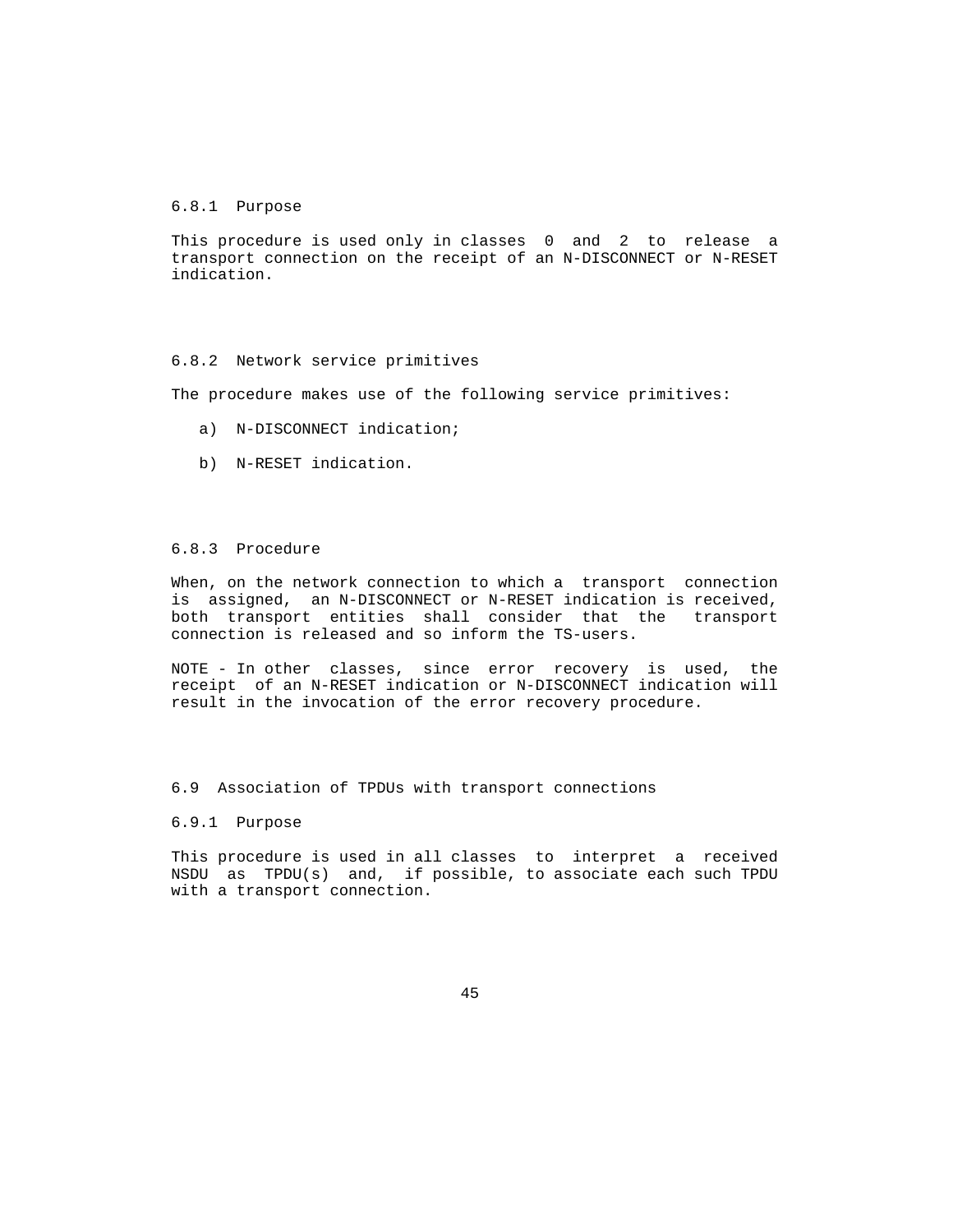### 6.8.1 Purpose

 This procedure is used only in classes 0 and 2 to release a transport connection on the receipt of an N-DISCONNECT or N-RESET indication.

### 6.8.2 Network service primitives

The procedure makes use of the following service primitives:

- a) N-DISCONNECT indication;
- b) N-RESET indication.

## 6.8.3 Procedure

 When, on the network connection to which a transport connection is assigned, an N-DISCONNECT or N-RESET indication is received, both transport entities shall consider that the transport connection is released and so inform the TS-users.

 NOTE - In other classes, since error recovery is used, the receipt of an N-RESET indication or N-DISCONNECT indication will result in the invocation of the error recovery procedure.

## 6.9 Association of TPDUs with transport connections

#### 6.9.1 Purpose

 This procedure is used in all classes to interpret a received NSDU as TPDU(s) and, if possible, to associate each such TPDU with a transport connection.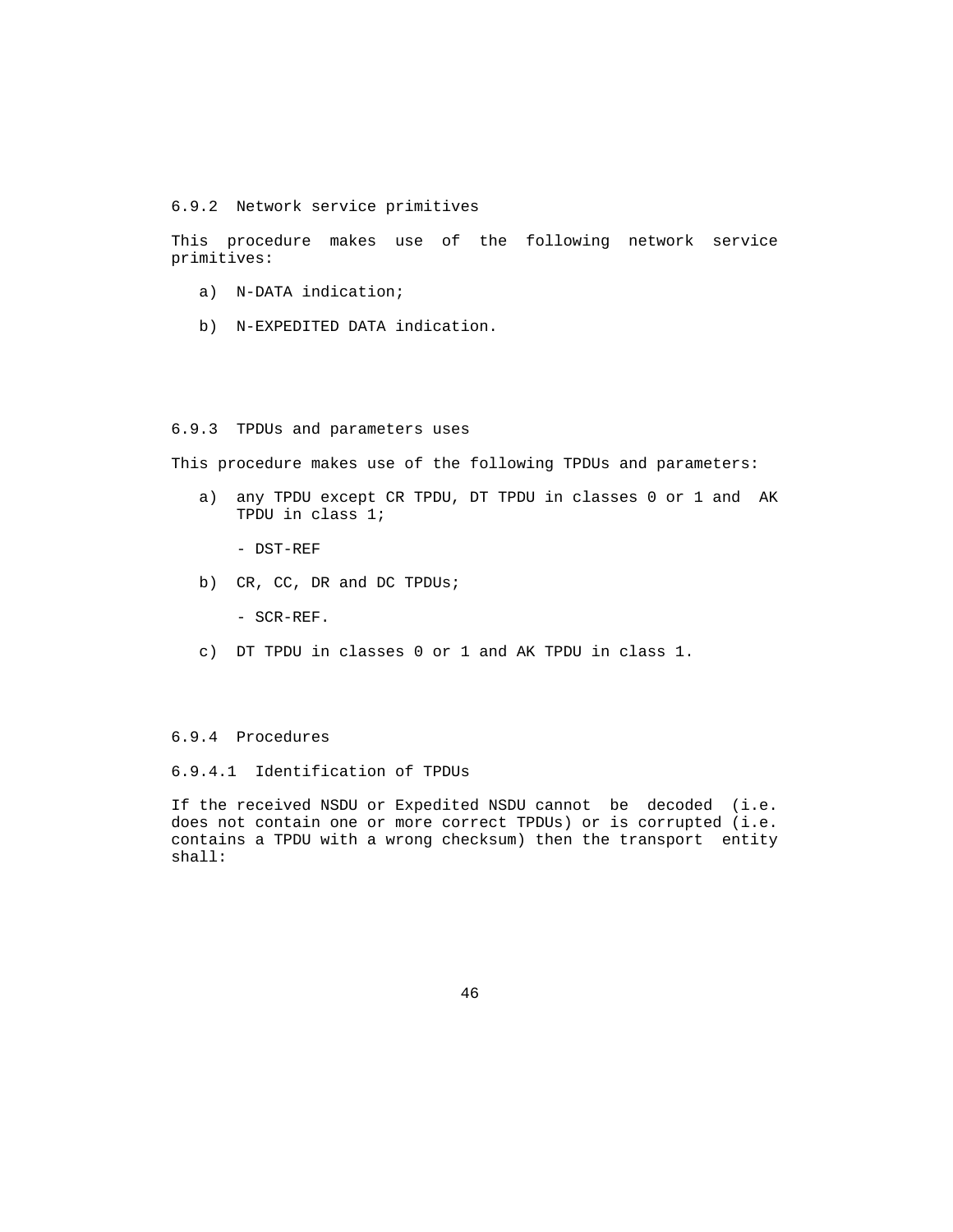6.9.2 Network service primitives

 This procedure makes use of the following network service primitives:

- a) N-DATA indication;
- b) N-EXPEDITED DATA indication.

# 6.9.3 TPDUs and parameters uses

This procedure makes use of the following TPDUs and parameters:

 a) any TPDU except CR TPDU, DT TPDU in classes 0 or 1 and AK TPDU in class 1;

- DST-REF

- b) CR, CC, DR and DC TPDUs;
	- SCR-REF.
- c) DT TPDU in classes 0 or 1 and AK TPDU in class 1.

# 6.9.4 Procedures

# 6.9.4.1 Identification of TPDUs

 If the received NSDU or Expedited NSDU cannot be decoded (i.e. does not contain one or more correct TPDUs) or is corrupted (i.e. contains a TPDU with a wrong checksum) then the transport entity shall: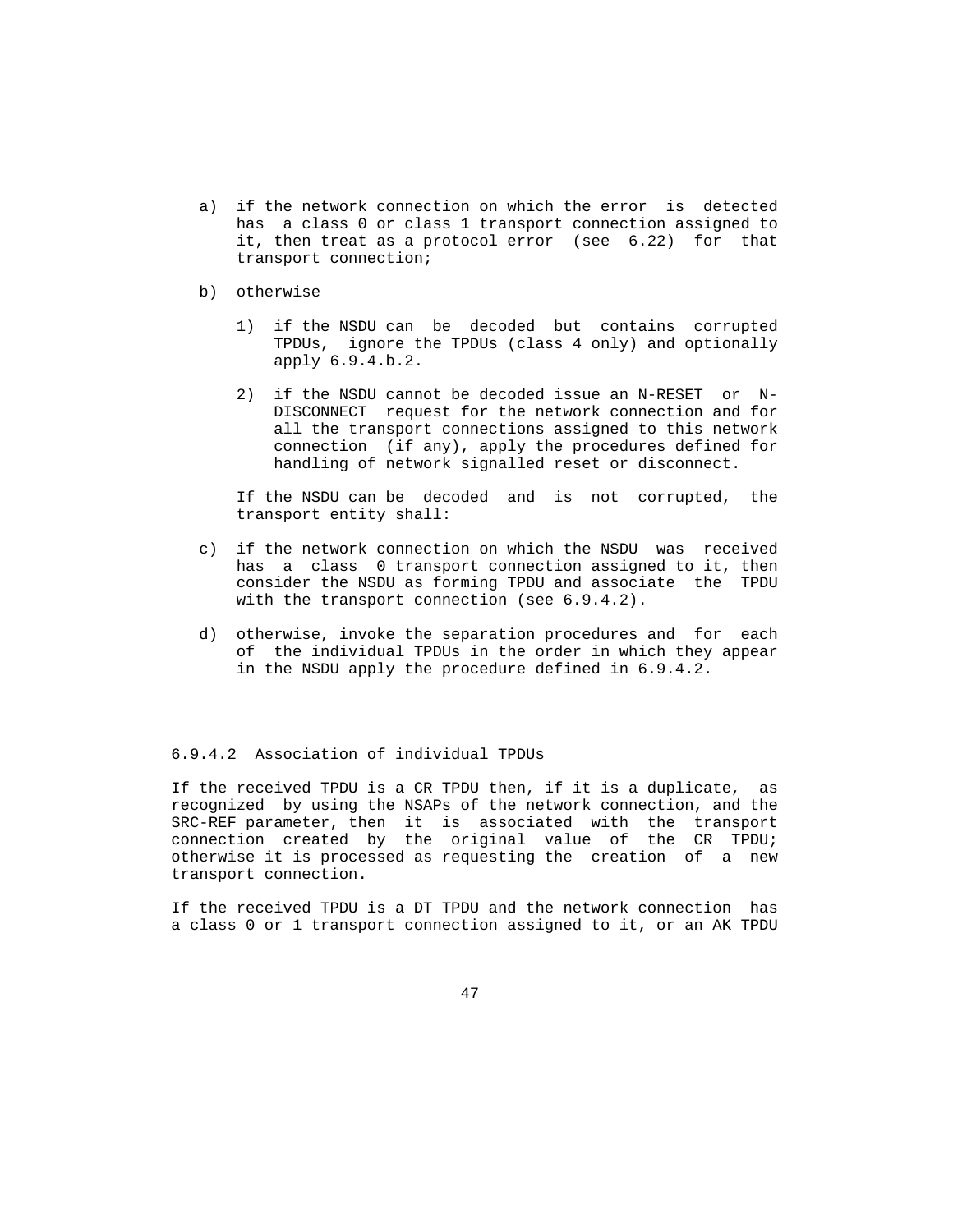- a) if the network connection on which the error is detected has a class 0 or class 1 transport connection assigned to it, then treat as a protocol error (see 6.22) for that transport connection;
- b) otherwise
	- 1) if the NSDU can be decoded but contains corrupted TPDUs, ignore the TPDUs (class 4 only) and optionally apply 6.9.4.b.2.
	- 2) if the NSDU cannot be decoded issue an N-RESET or N- DISCONNECT request for the network connection and for all the transport connections assigned to this network connection (if any), apply the procedures defined for handling of network signalled reset or disconnect.

 If the NSDU can be decoded and is not corrupted, the transport entity shall:

- c) if the network connection on which the NSDU was received has a class 0 transport connection assigned to it, then consider the NSDU as forming TPDU and associate the TPDU with the transport connection (see 6.9.4.2).
- d) otherwise, invoke the separation procedures and for each of the individual TPDUs in the order in which they appear in the NSDU apply the procedure defined in 6.9.4.2.

#### 6.9.4.2 Association of individual TPDUs

 If the received TPDU is a CR TPDU then, if it is a duplicate, as recognized by using the NSAPs of the network connection, and the SRC-REF parameter, then it is associated with the transport connection created by the original value of the CR TPDU; otherwise it is processed as requesting the creation of a new transport connection.

 If the received TPDU is a DT TPDU and the network connection has a class 0 or 1 transport connection assigned to it, or an AK TPDU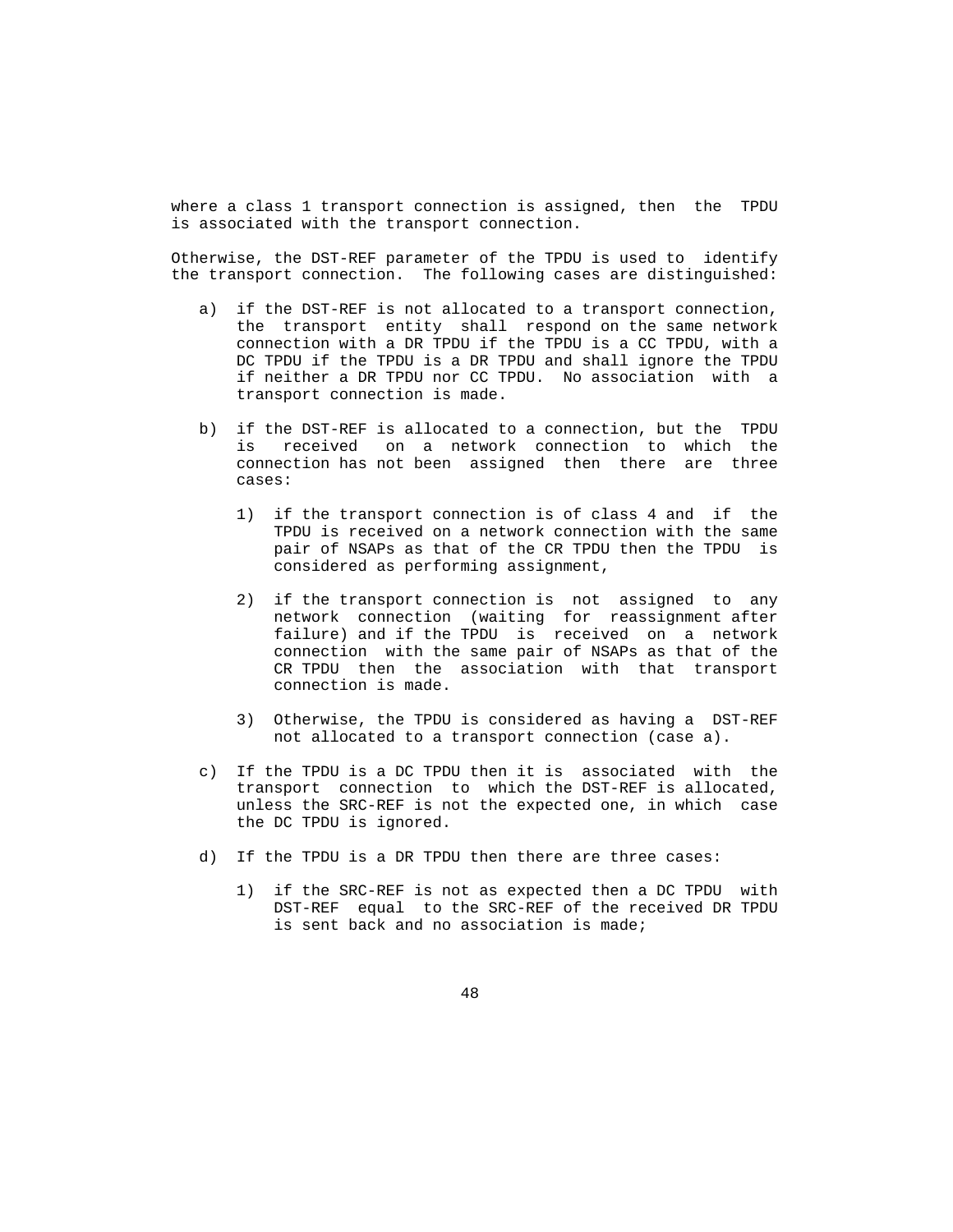where a class 1 transport connection is assigned, then the TPDU is associated with the transport connection.

 Otherwise, the DST-REF parameter of the TPDU is used to identify the transport connection. The following cases are distinguished:

- a) if the DST-REF is not allocated to a transport connection, the transport entity shall respond on the same network connection with a DR TPDU if the TPDU is a CC TPDU, with a DC TPDU if the TPDU is a DR TPDU and shall ignore the TPDU if neither a DR TPDU nor CC TPDU. No association with a transport connection is made.
- b) if the DST-REF is allocated to a connection, but the TPDU is received on a network connection to which the connection has not been assigned then there are three cases:
	- 1) if the transport connection is of class 4 and if the TPDU is received on a network connection with the same pair of NSAPs as that of the CR TPDU then the TPDU is considered as performing assignment,
	- 2) if the transport connection is not assigned to any network connection (waiting for reassignment after failure) and if the TPDU is received on a network connection with the same pair of NSAPs as that of the CR TPDU then the association with that transport connection is made.
	- 3) Otherwise, the TPDU is considered as having a DST-REF not allocated to a transport connection (case a).
- c) If the TPDU is a DC TPDU then it is associated with the transport connection to which the DST-REF is allocated, unless the SRC-REF is not the expected one, in which case the DC TPDU is ignored.
- d) If the TPDU is a DR TPDU then there are three cases:
	- 1) if the SRC-REF is not as expected then a DC TPDU with DST-REF equal to the SRC-REF of the received DR TPDU is sent back and no association is made;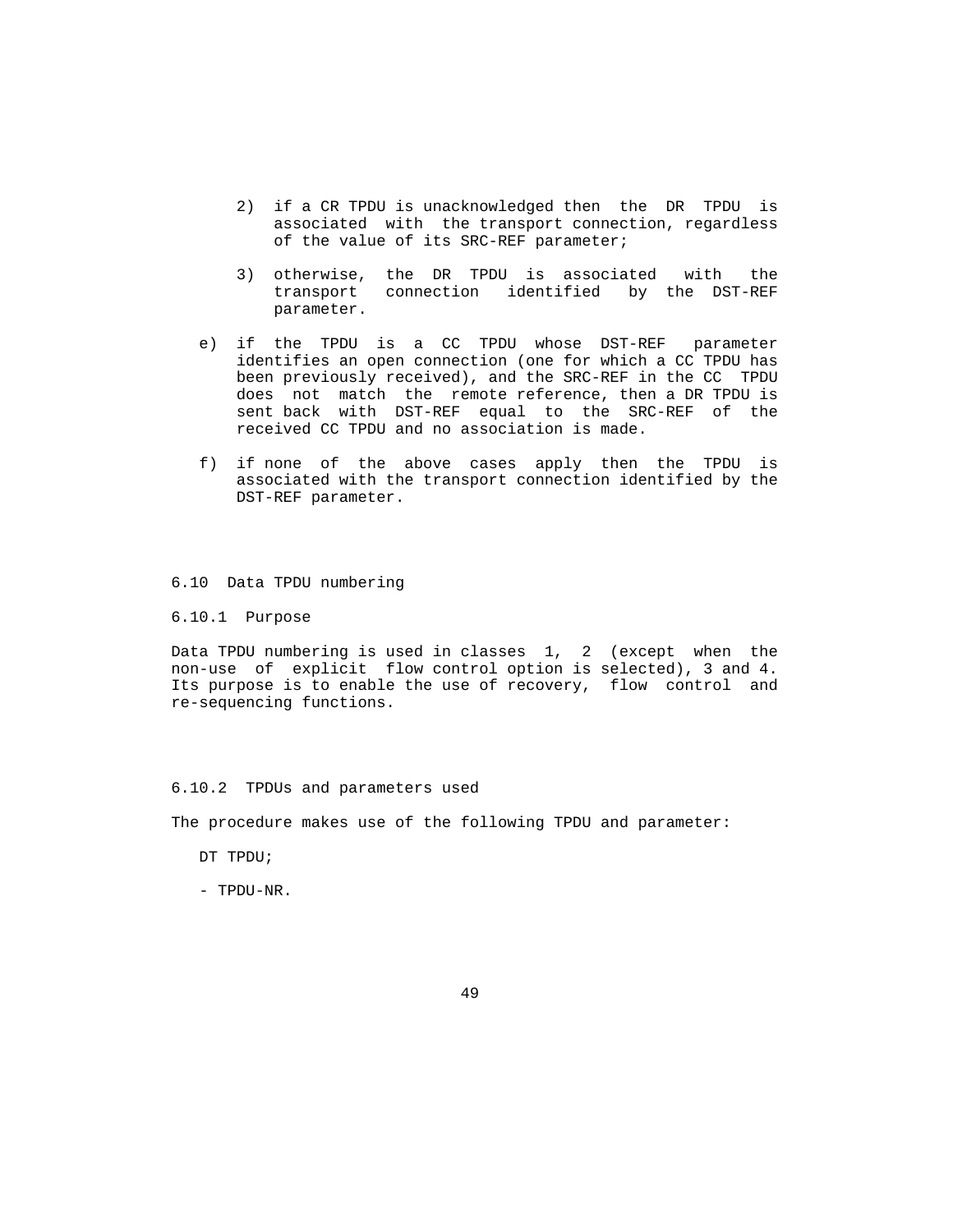- 2) if a CR TPDU is unacknowledged then the DR TPDU is associated with the transport connection, regardless of the value of its SRC-REF parameter;
- 3) otherwise, the DR TPDU is associated with the transport connection identified by the DST-REF parameter.
- e) if the TPDU is a CC TPDU whose DST-REF parameter identifies an open connection (one for which a CC TPDU has been previously received), and the SRC-REF in the CC TPDU does not match the remote reference, then a DR TPDU is sent back with DST-REF equal to the SRC-REF of the received CC TPDU and no association is made.
- f) if none of the above cases apply then the TPDU is associated with the transport connection identified by the DST-REF parameter.

## 6.10 Data TPDU numbering

#### 6.10.1 Purpose

 Data TPDU numbering is used in classes 1, 2 (except when the non-use of explicit flow control option is selected), 3 and 4. Its purpose is to enable the use of recovery, flow control and re-sequencing functions.

#### 6.10.2 TPDUs and parameters used

The procedure makes use of the following TPDU and parameter:

- DT TPDU;
- TPDU-NR.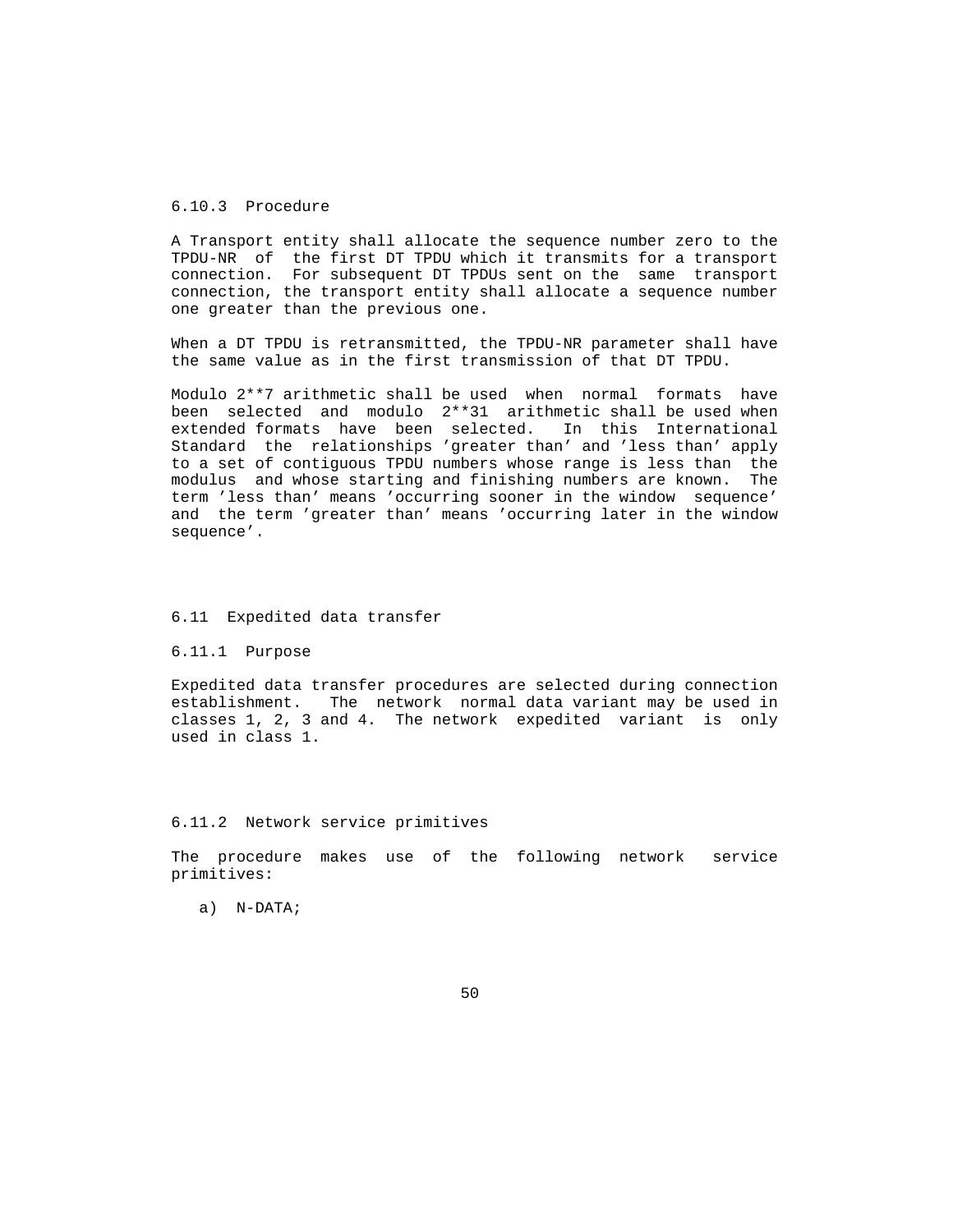# 6.10.3 Procedure

 A Transport entity shall allocate the sequence number zero to the TPDU-NR of the first DT TPDU which it transmits for a transport connection. For subsequent DT TPDUs sent on the same transport connection, the transport entity shall allocate a sequence number one greater than the previous one.

 When a DT TPDU is retransmitted, the TPDU-NR parameter shall have the same value as in the first transmission of that DT TPDU.

 Modulo 2\*\*7 arithmetic shall be used when normal formats have been selected and modulo 2\*\*31 arithmetic shall be used when extended formats have been selected. In this International Standard the relationships 'greater than' and 'less than' apply to a set of contiguous TPDU numbers whose range is less than the modulus and whose starting and finishing numbers are known. The term 'less than' means 'occurring sooner in the window sequence' and the term 'greater than' means 'occurring later in the window sequence'.

#### 6.11 Expedited data transfer

6.11.1 Purpose

 Expedited data transfer procedures are selected during connection establishment. The network normal data variant may be used in classes 1, 2, 3 and 4. The network expedited variant is only used in class 1.

#### 6.11.2 Network service primitives

 The procedure makes use of the following network service primitives:

a) N-DATA;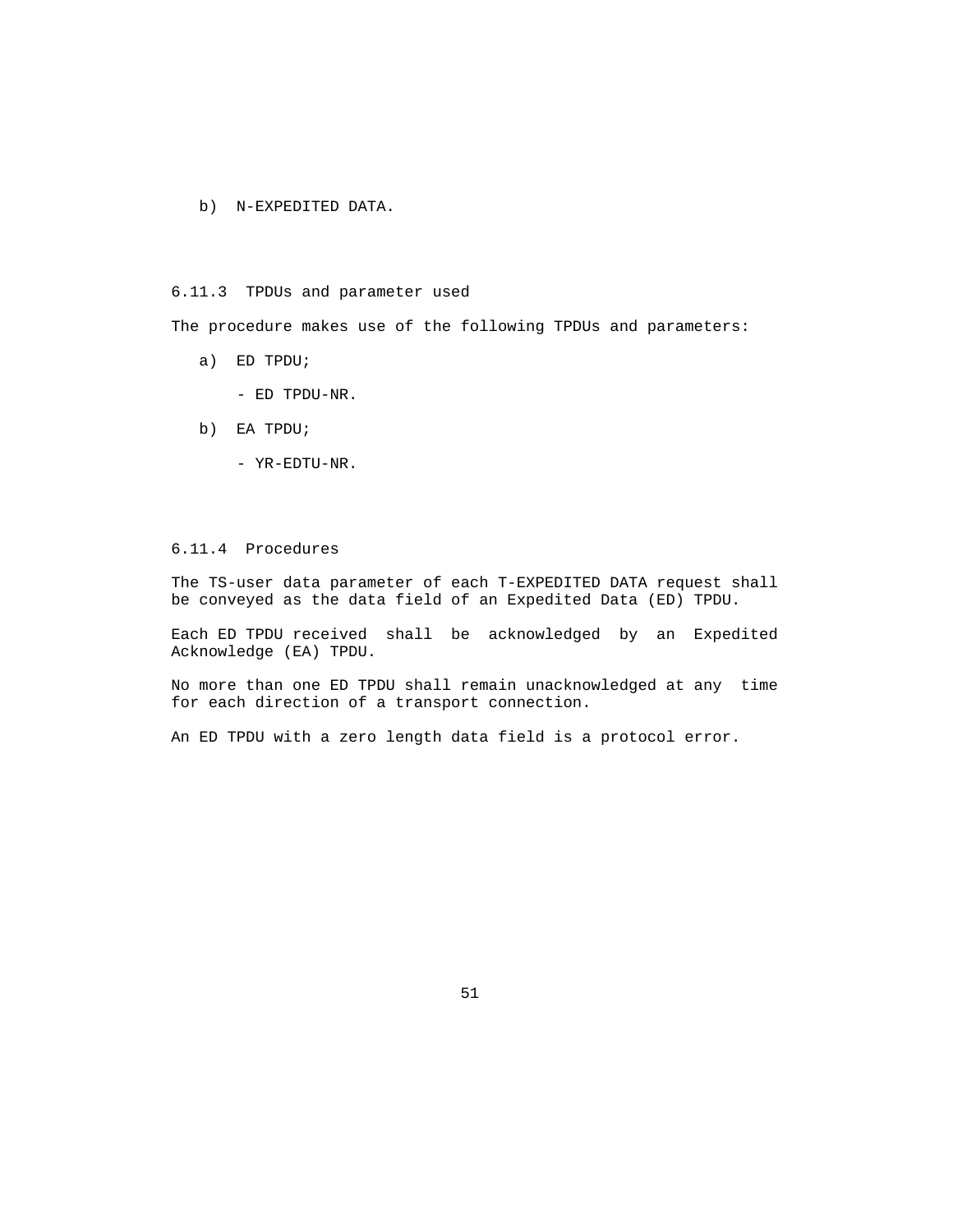b) N-EXPEDITED DATA.

# 6.11.3 TPDUs and parameter used

The procedure makes use of the following TPDUs and parameters:

- a) ED TPDU;
	- ED TPDU-NR.
- b) EA TPDU;
	- YR-EDTU-NR.

# 6.11.4 Procedures

 The TS-user data parameter of each T-EXPEDITED DATA request shall be conveyed as the data field of an Expedited Data (ED) TPDU.

 Each ED TPDU received shall be acknowledged by an Expedited Acknowledge (EA) TPDU.

 No more than one ED TPDU shall remain unacknowledged at any time for each direction of a transport connection.

An ED TPDU with a zero length data field is a protocol error.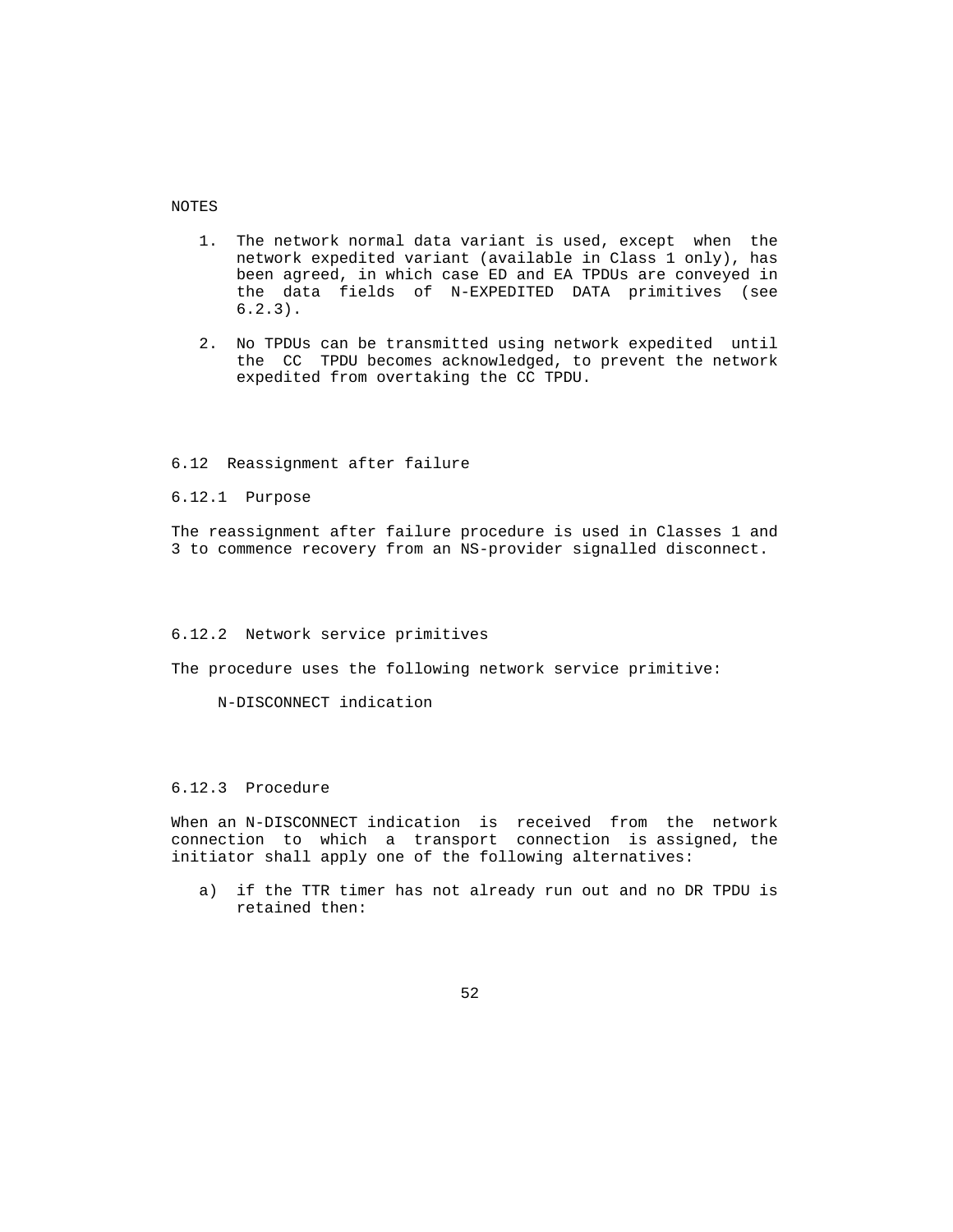NOTES

- 1. The network normal data variant is used, except when the network expedited variant (available in Class 1 only), has been agreed, in which case ED and EA TPDUs are conveyed in the data fields of N-EXPEDITED DATA primitives (see  $6.2.3$ .
- 2. No TPDUs can be transmitted using network expedited until the CC TPDU becomes acknowledged, to prevent the network expedited from overtaking the CC TPDU.

## 6.12 Reassignment after failure

6.12.1 Purpose

 The reassignment after failure procedure is used in Classes 1 and 3 to commence recovery from an NS-provider signalled disconnect.

#### 6.12.2 Network service primitives

The procedure uses the following network service primitive:

N-DISCONNECT indication

#### 6.12.3 Procedure

 When an N-DISCONNECT indication is received from the network connection to which a transport connection is assigned, the initiator shall apply one of the following alternatives:

 a) if the TTR timer has not already run out and no DR TPDU is retained then: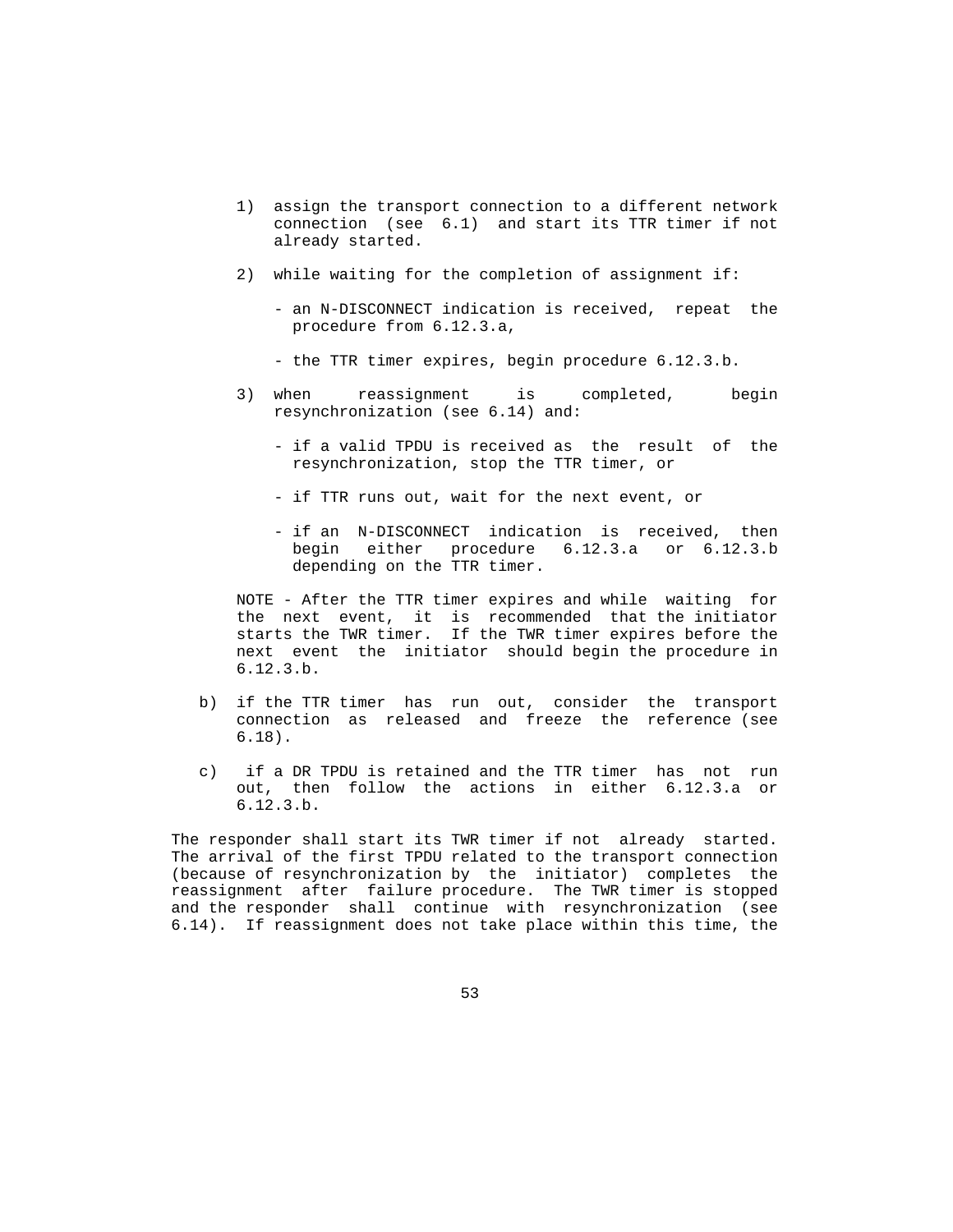- 1) assign the transport connection to a different network connection (see 6.1) and start its TTR timer if not already started.
- 2) while waiting for the completion of assignment if:
	- an N-DISCONNECT indication is received, repeat the procedure from 6.12.3.a,
	- the TTR timer expires, begin procedure 6.12.3.b.
- 3) when reassignment is completed, begin resynchronization (see 6.14) and:
	- if a valid TPDU is received as the result of the resynchronization, stop the TTR timer, or
	- if TTR runs out, wait for the next event, or
	- if an N-DISCONNECT indication is received, then begin either procedure 6.12.3.a or 6.12.3.b depending on the TTR timer.

 NOTE - After the TTR timer expires and while waiting for the next event, it is recommended that the initiator starts the TWR timer. If the TWR timer expires before the next event the initiator should begin the procedure in 6.12.3.b.

- b) if the TTR timer has run out, consider the transport connection as released and freeze the reference (see 6.18).
- c) if a DR TPDU is retained and the TTR timer has not run out, then follow the actions in either 6.12.3.a or 6.12.3.b.

 The responder shall start its TWR timer if not already started. The arrival of the first TPDU related to the transport connection (because of resynchronization by the initiator) completes the reassignment after failure procedure. The TWR timer is stopped and the responder shall continue with resynchronization (see 6.14). If reassignment does not take place within this time, the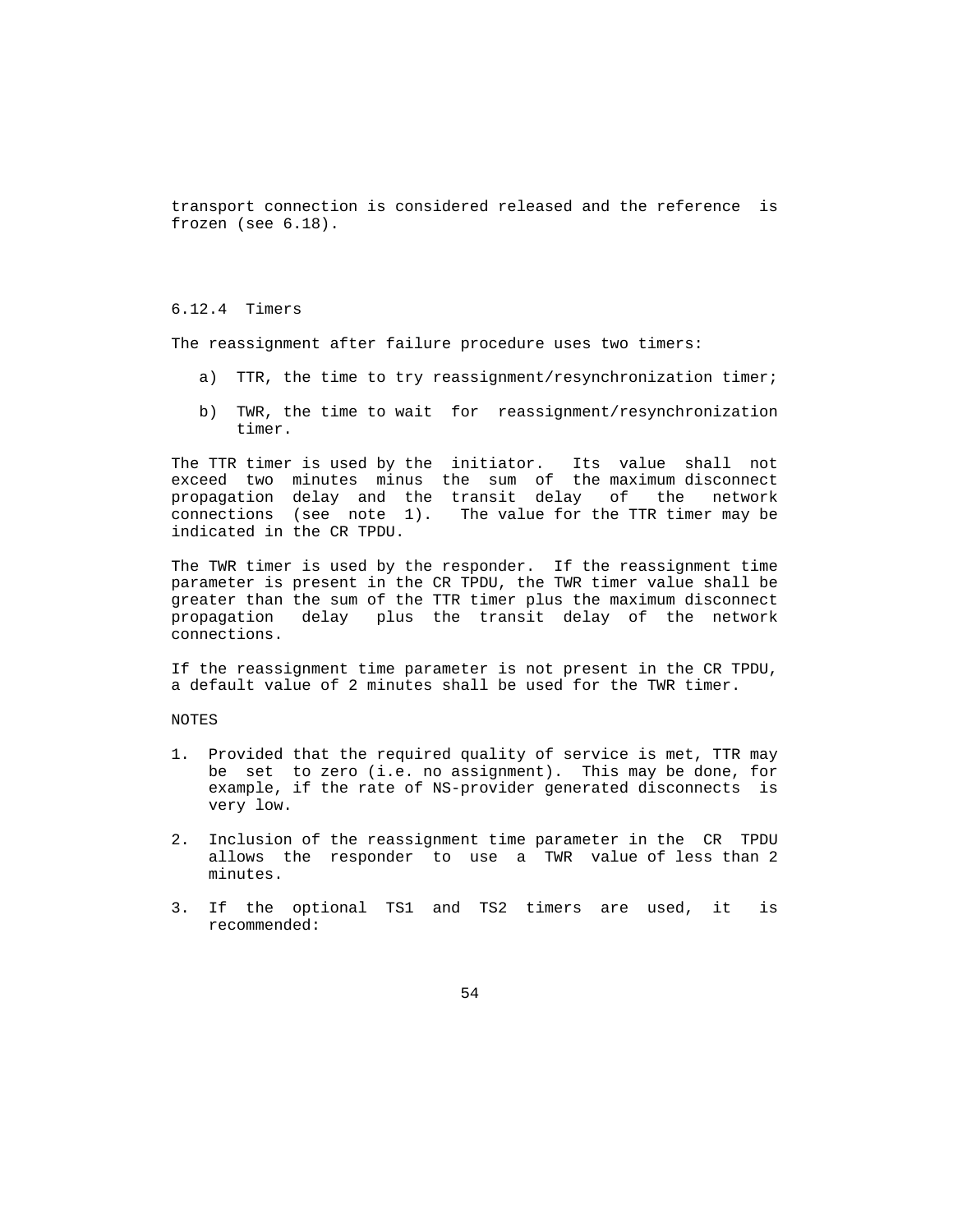transport connection is considered released and the reference is frozen (see 6.18).

# 6.12.4 Timers

The reassignment after failure procedure uses two timers:

- a) TTR, the time to try reassignment/resynchronization timer;
- b) TWR, the time to wait for reassignment/resynchronization timer.

 The TTR timer is used by the initiator. Its value shall not exceed two minutes minus the sum of the maximum disconnect propagation delay and the transit delay of the network connections (see note 1). The value for the TTR timer may be indicated in the CR TPDU.

 The TWR timer is used by the responder. If the reassignment time parameter is present in the CR TPDU, the TWR timer value shall be greater than the sum of the TTR timer plus the maximum disconnect propagation delay plus the transit delay of the network connections.

 If the reassignment time parameter is not present in the CR TPDU, a default value of 2 minutes shall be used for the TWR timer.

NOTES

- 1. Provided that the required quality of service is met, TTR may be set to zero (i.e. no assignment). This may be done, for example, if the rate of NS-provider generated disconnects is very low.
- 2. Inclusion of the reassignment time parameter in the CR TPDU allows the responder to use a TWR value of less than 2 minutes.
- 3. If the optional TS1 and TS2 timers are used, it is recommended: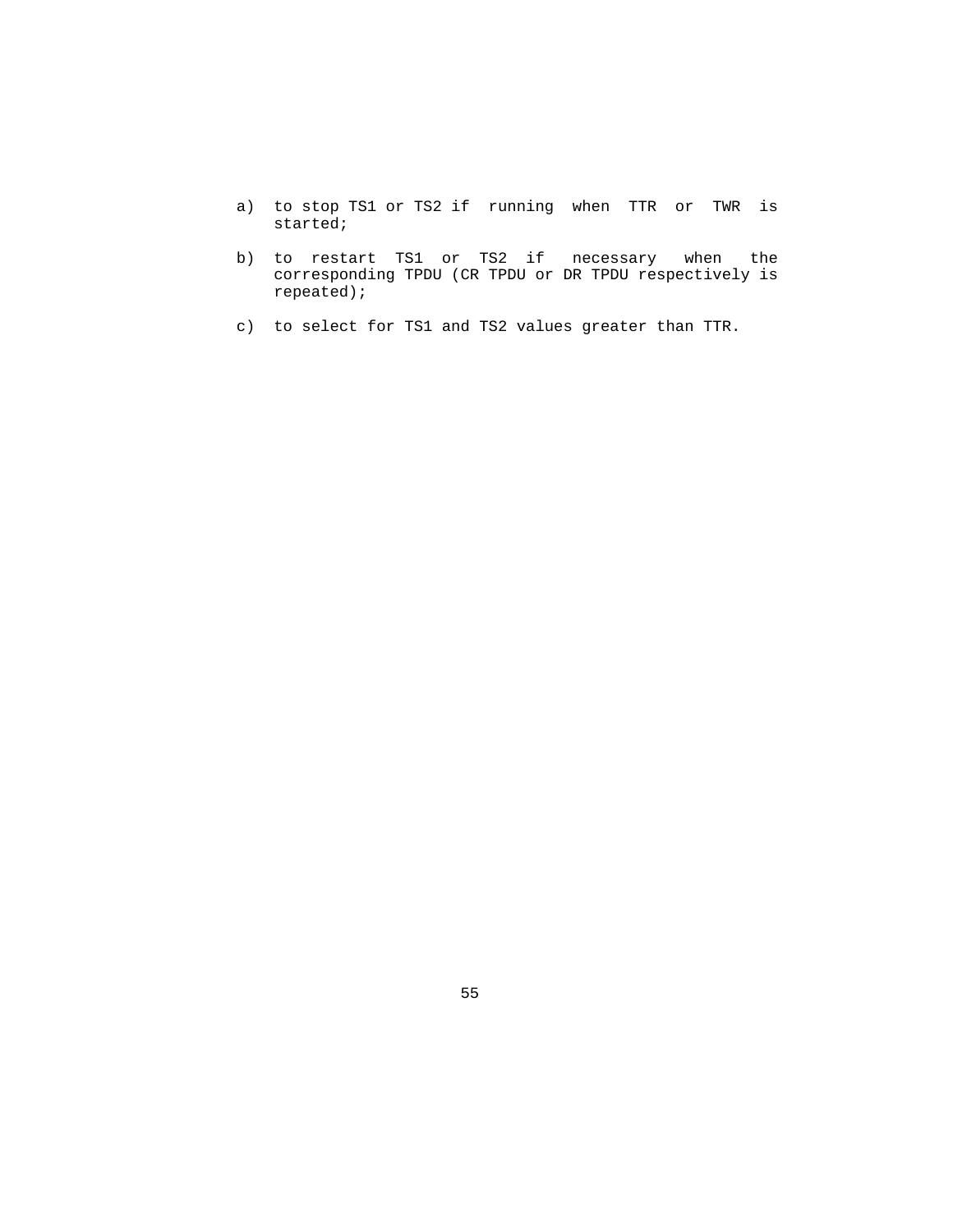- a) to stop TS1 or TS2 if running when TTR or TWR is started;
- b) to restart TS1 or TS2 if necessary when the corresponding TPDU (CR TPDU or DR TPDU respectively is repeated);
- c) to select for TS1 and TS2 values greater than TTR.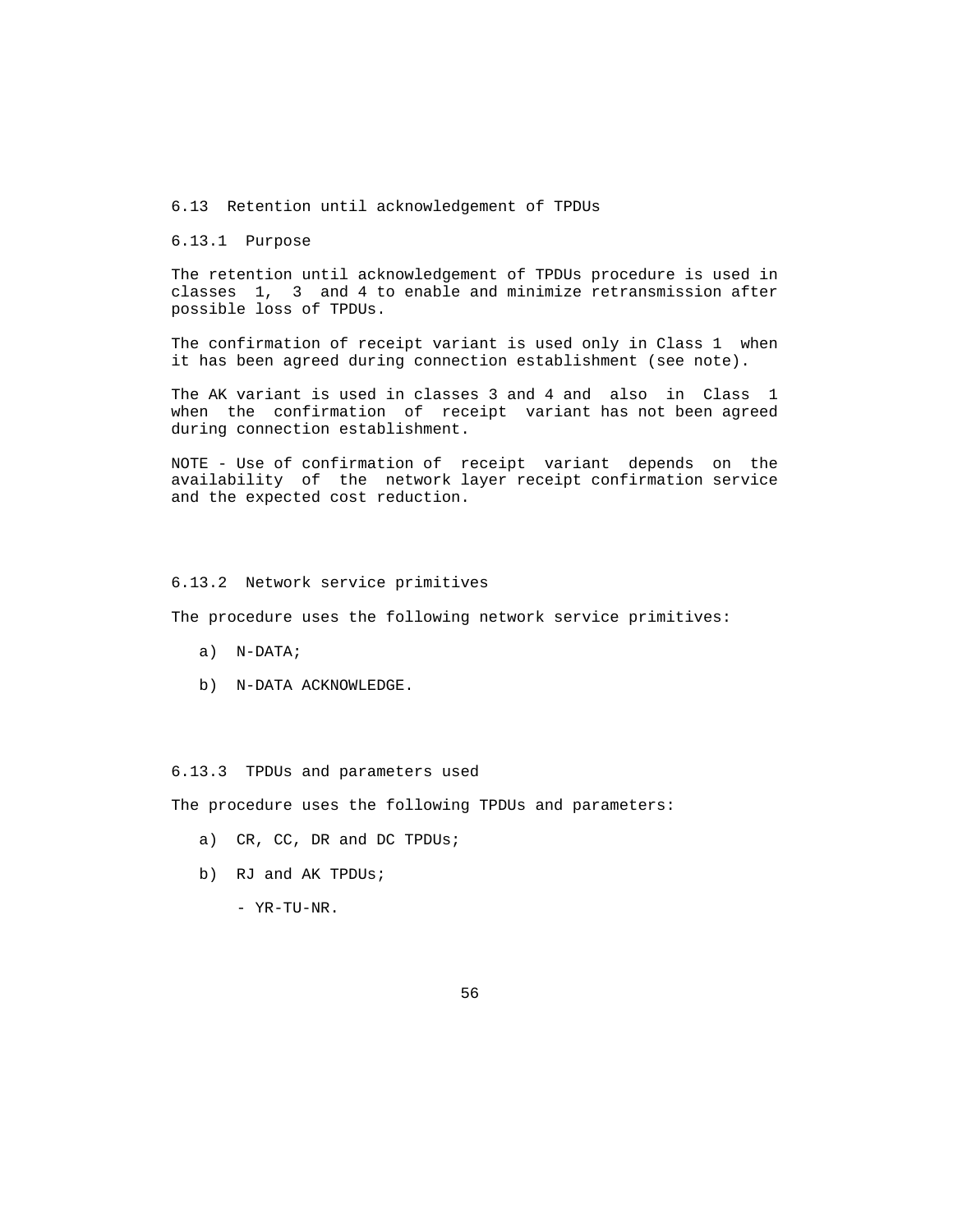6.13 Retention until acknowledgement of TPDUs

6.13.1 Purpose

 The retention until acknowledgement of TPDUs procedure is used in classes 1, 3 and 4 to enable and minimize retransmission after possible loss of TPDUs.

 The confirmation of receipt variant is used only in Class 1 when it has been agreed during connection establishment (see note).

 The AK variant is used in classes 3 and 4 and also in Class 1 when the confirmation of receipt variant has not been agreed during connection establishment.

 NOTE - Use of confirmation of receipt variant depends on the availability of the network layer receipt confirmation service and the expected cost reduction.

### 6.13.2 Network service primitives

The procedure uses the following network service primitives:

- a) N-DATA;
- b) N-DATA ACKNOWLEDGE.

#### 6.13.3 TPDUs and parameters used

The procedure uses the following TPDUs and parameters:

- a) CR, CC, DR and DC TPDUs;
- b) RJ and AK TPDUs;
	- YR-TU-NR.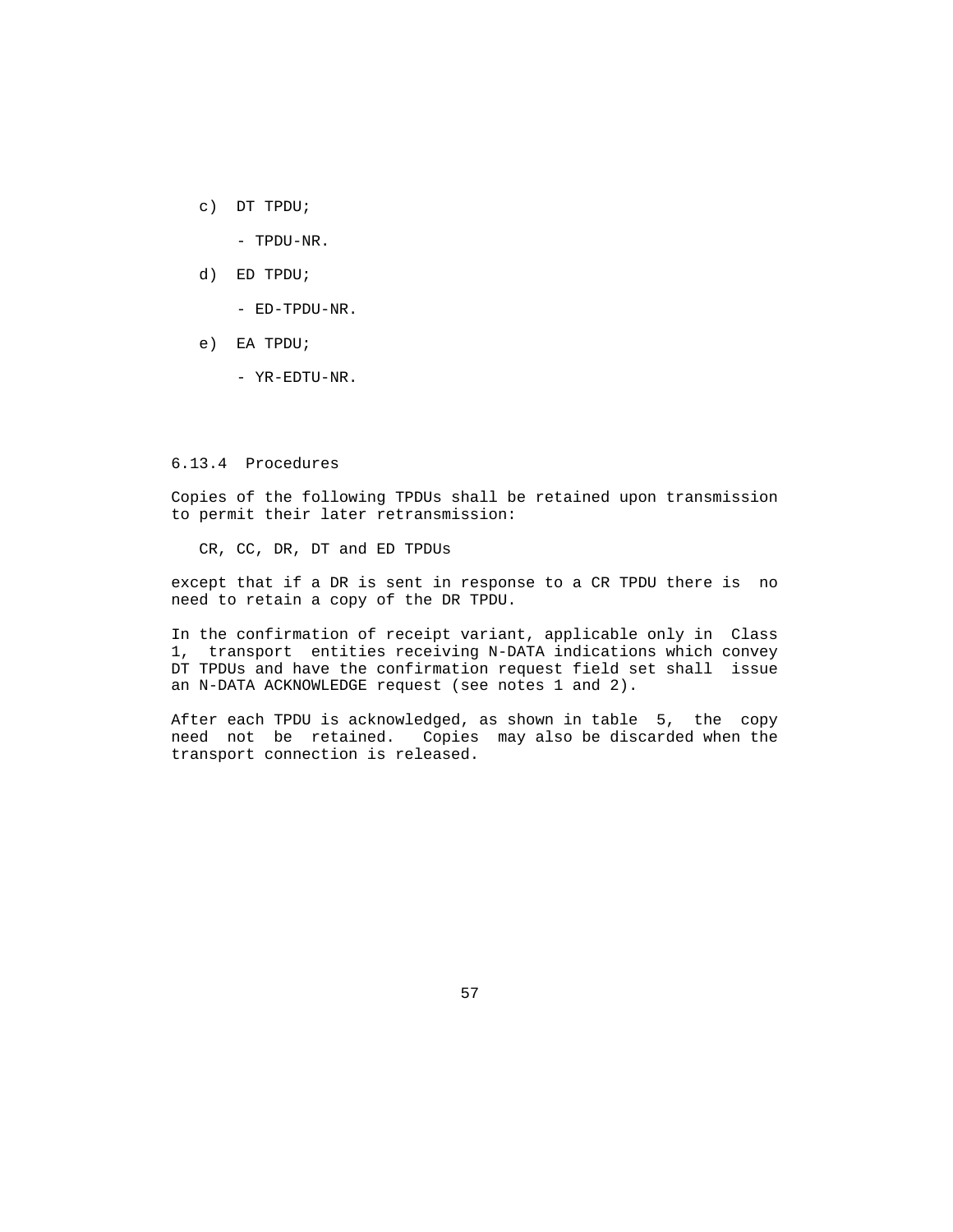c) DT TPDU;

- TPDU-NR.

d) ED TPDU;

- ED-TPDU-NR.

- e) EA TPDU;
	- YR-EDTU-NR.

## 6.13.4 Procedures

 Copies of the following TPDUs shall be retained upon transmission to permit their later retransmission:

CR, CC, DR, DT and ED TPDUs

 except that if a DR is sent in response to a CR TPDU there is no need to retain a copy of the DR TPDU.

 In the confirmation of receipt variant, applicable only in Class 1, transport entities receiving N-DATA indications which convey DT TPDUs and have the confirmation request field set shall issue an N-DATA ACKNOWLEDGE request (see notes 1 and 2).

 After each TPDU is acknowledged, as shown in table 5, the copy need not be retained. Copies may also be discarded when the transport connection is released.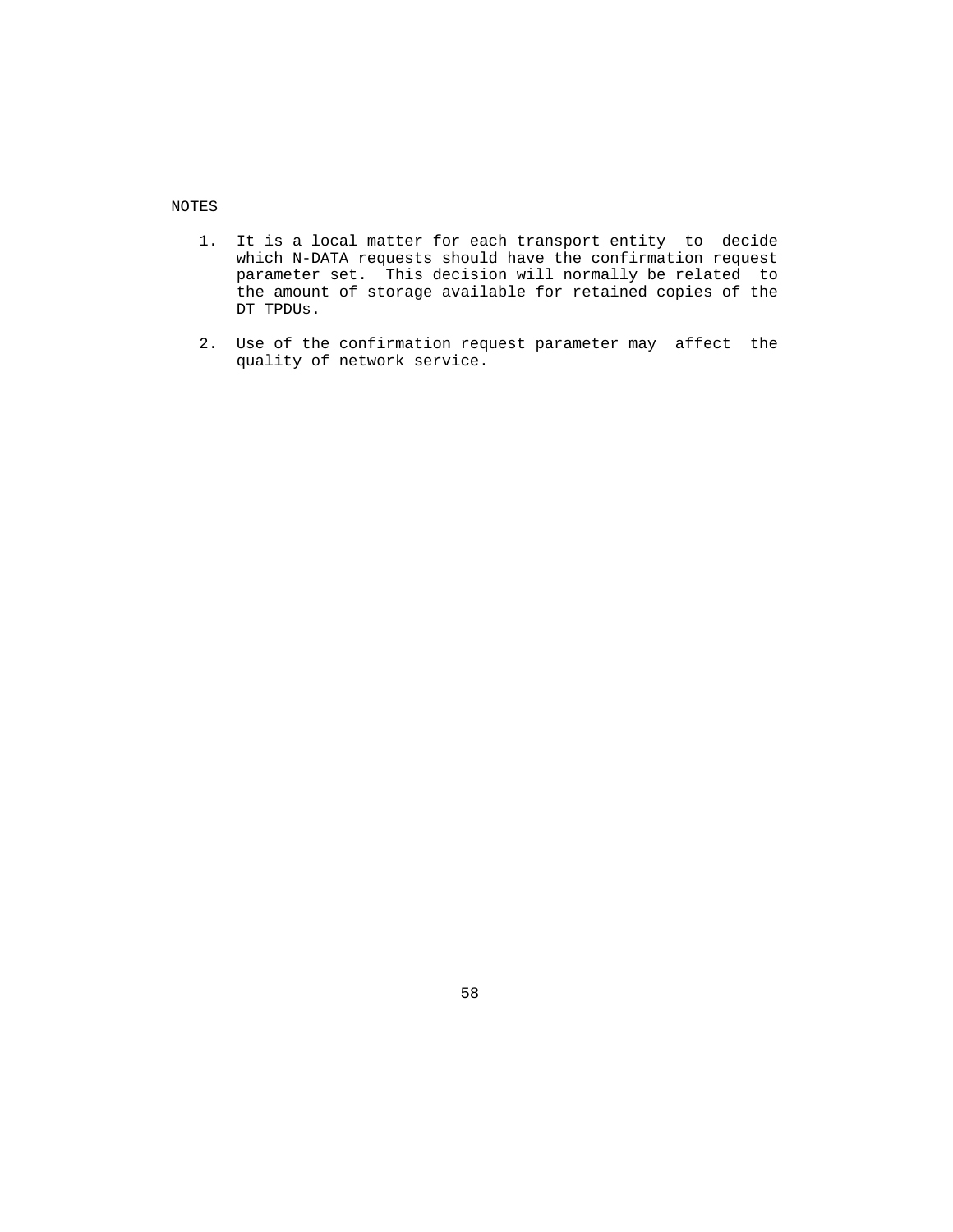NOTES

- 1. It is a local matter for each transport entity to decide which N-DATA requests should have the confirmation request parameter set. This decision will normally be related to the amount of storage available for retained copies of the DT TPDUs.
- 2. Use of the confirmation request parameter may affect the quality of network service.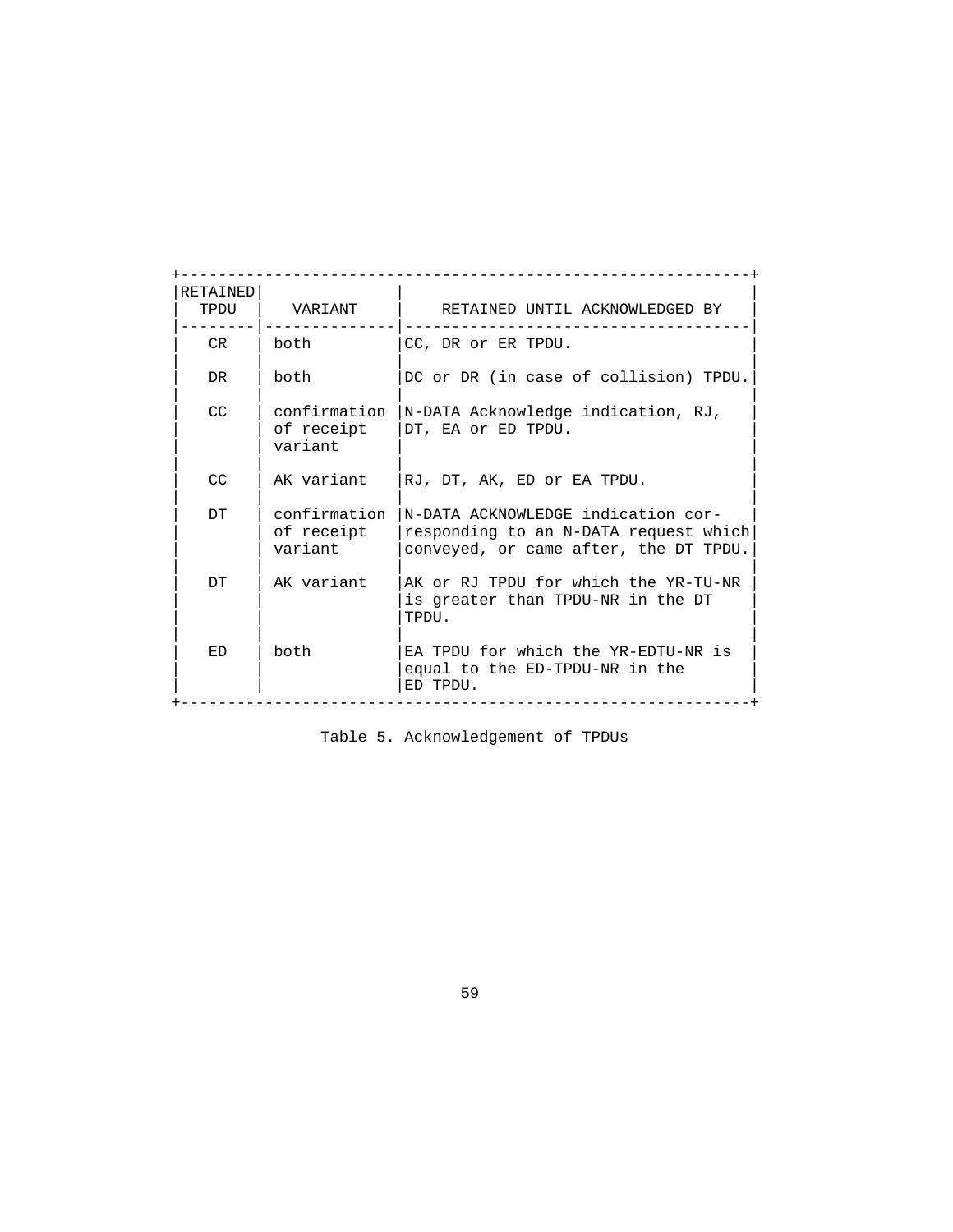| RETAINED<br>TPDU | <b>VARTANT</b>                        | RETAINED UNTIL ACKNOWLEDGED BY                                                                                       |
|------------------|---------------------------------------|----------------------------------------------------------------------------------------------------------------------|
| CR               | both                                  | CC, DR or ER TPDU.                                                                                                   |
| DR.              | both                                  | DC or DR (in case of collision) TPDU.                                                                                |
| <b>CC</b>        | confirmation<br>of receipt<br>variant | N-DATA Acknowledge indication, RJ,<br>DT, EA or ED TPDU.                                                             |
| CC               | AK variant                            | RJ, DT, AK, ED or EA TPDU.                                                                                           |
| <b>DT</b>        | confirmation<br>of receipt<br>variant | N-DATA ACKNOWLEDGE indication cor-<br>responding to an N-DATA request which<br>conveyed, or came after, the DT TPDU. |
| DT               | AK variant                            | AK or RJ TPDU for which the YR-TU-NR<br>is greater than TPDU-NR in the DT<br>TPDU.                                   |
| ED               | both                                  | EA TPDU for which the YR-EDTU-NR is<br>equal to the ED-TPDU-NR in the<br>ED TPDU.                                    |

Table 5. Acknowledgement of TPDUs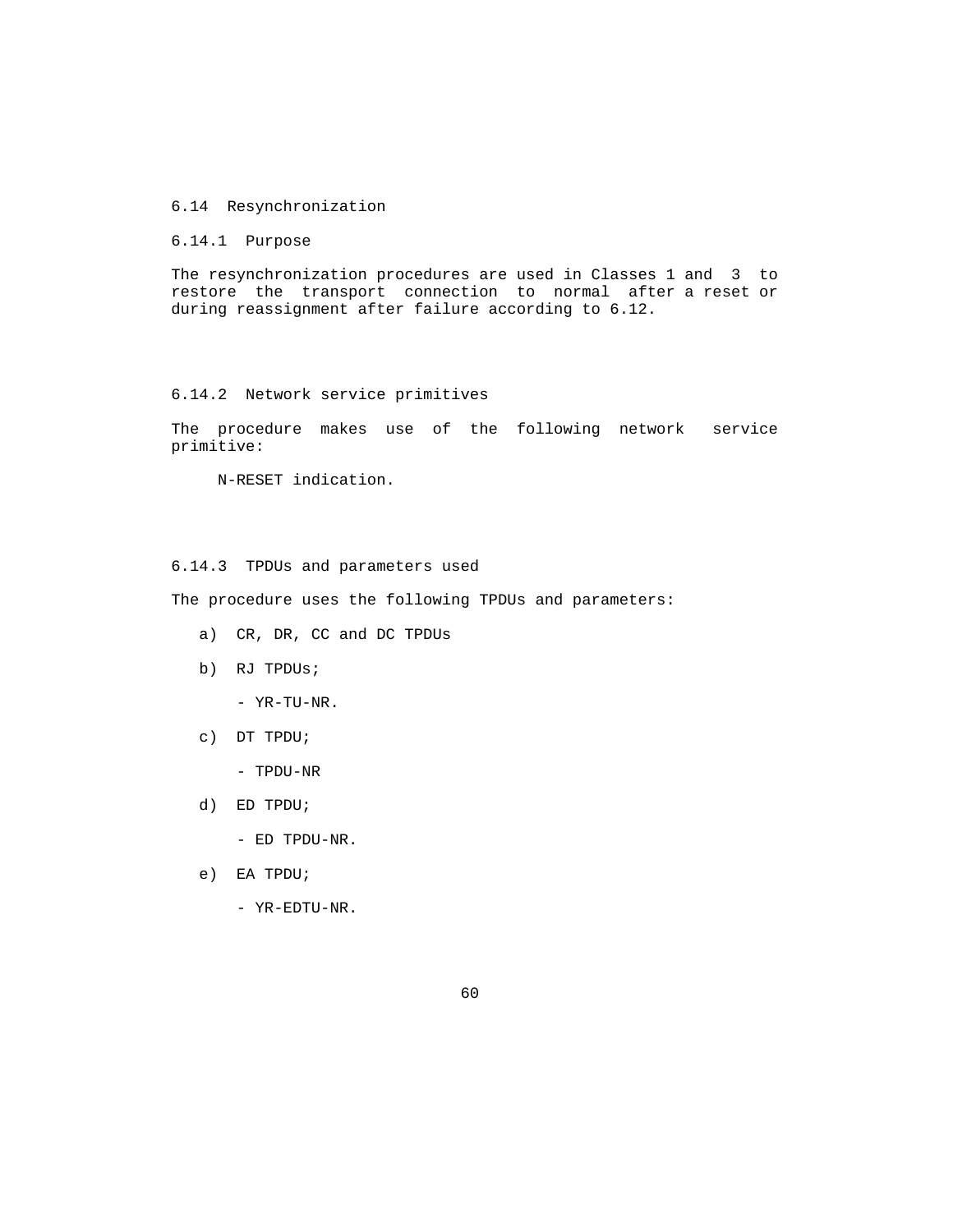## 6.14 Resynchronization

6.14.1 Purpose

 The resynchronization procedures are used in Classes 1 and 3 to restore the transport connection to normal after a reset or during reassignment after failure according to 6.12.

# 6.14.2 Network service primitives

 The procedure makes use of the following network service primitive:

N-RESET indication.

# 6.14.3 TPDUs and parameters used

The procedure uses the following TPDUs and parameters:

- a) CR, DR, CC and DC TPDUs
- b) RJ TPDUs;

- YR-TU-NR.

c) DT TPDU;

- TPDU-NR

- d) ED TPDU;
	- ED TPDU-NR.
- e) EA TPDU;
	- YR-EDTU-NR.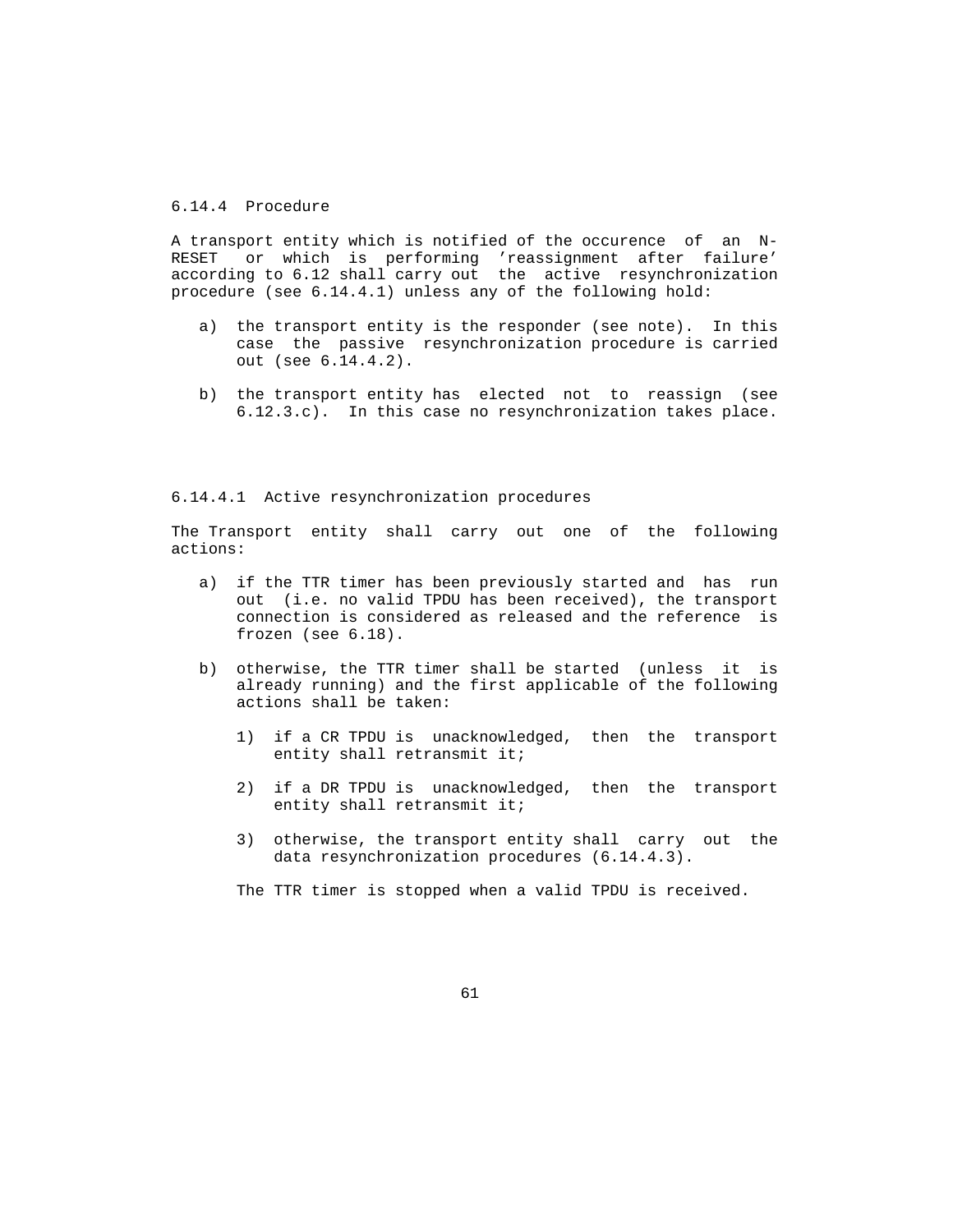# 6.14.4 Procedure

 A transport entity which is notified of the occurence of an N- RESET or which is performing 'reassignment after failure' according to 6.12 shall carry out the active resynchronization procedure (see 6.14.4.1) unless any of the following hold:

- a) the transport entity is the responder (see note). In this case the passive resynchronization procedure is carried out (see 6.14.4.2).
- b) the transport entity has elected not to reassign (see 6.12.3.c). In this case no resynchronization takes place.

### 6.14.4.1 Active resynchronization procedures

 The Transport entity shall carry out one of the following actions:

- a) if the TTR timer has been previously started and has run out (i.e. no valid TPDU has been received), the transport connection is considered as released and the reference is frozen (see 6.18).
- b) otherwise, the TTR timer shall be started (unless it is already running) and the first applicable of the following actions shall be taken:
	- 1) if a CR TPDU is unacknowledged, then the transport entity shall retransmit it;
	- 2) if a DR TPDU is unacknowledged, then the transport entity shall retransmit it;
	- 3) otherwise, the transport entity shall carry out the data resynchronization procedures (6.14.4.3).

The TTR timer is stopped when a valid TPDU is received.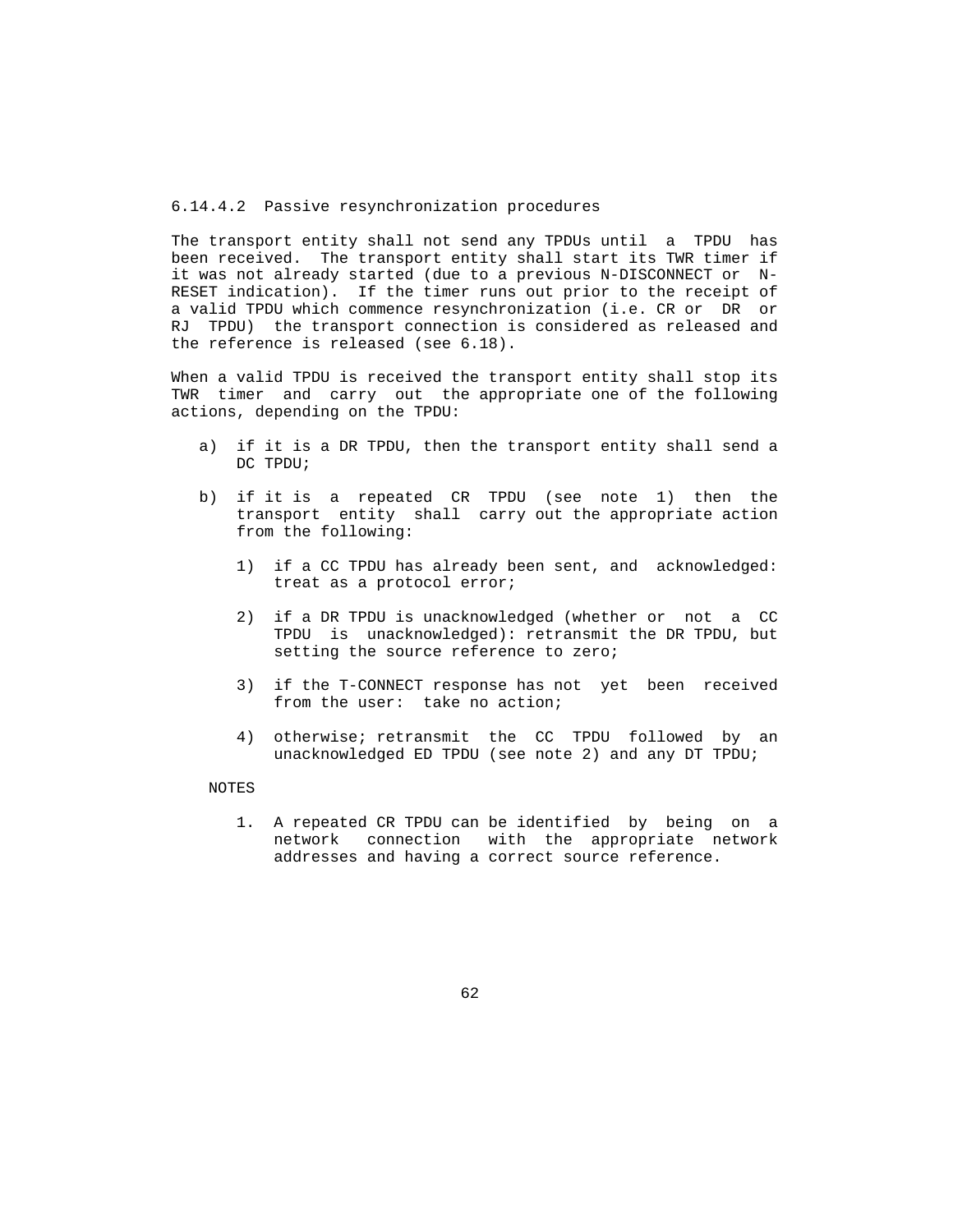### 6.14.4.2 Passive resynchronization procedures

 The transport entity shall not send any TPDUs until a TPDU has been received. The transport entity shall start its TWR timer if it was not already started (due to a previous N-DISCONNECT or N- RESET indication). If the timer runs out prior to the receipt of a valid TPDU which commence resynchronization (i.e. CR or DR or RJ TPDU) the transport connection is considered as released and the reference is released (see 6.18).

 When a valid TPDU is received the transport entity shall stop its TWR timer and carry out the appropriate one of the following actions, depending on the TPDU:

- a) if it is a DR TPDU, then the transport entity shall send a DC TPDU;
- b) if it is a repeated CR TPDU (see note 1) then the transport entity shall carry out the appropriate action from the following:
	- 1) if a CC TPDU has already been sent, and acknowledged: treat as a protocol error;
	- 2) if a DR TPDU is unacknowledged (whether or not a CC TPDU is unacknowledged): retransmit the DR TPDU, but setting the source reference to zero;
	- 3) if the T-CONNECT response has not yet been received from the user: take no action;
	- 4) otherwise; retransmit the CC TPDU followed by an unacknowledged ED TPDU (see note 2) and any DT TPDU;

#### NOTES

 1. A repeated CR TPDU can be identified by being on a network connection with the appropriate network addresses and having a correct source reference.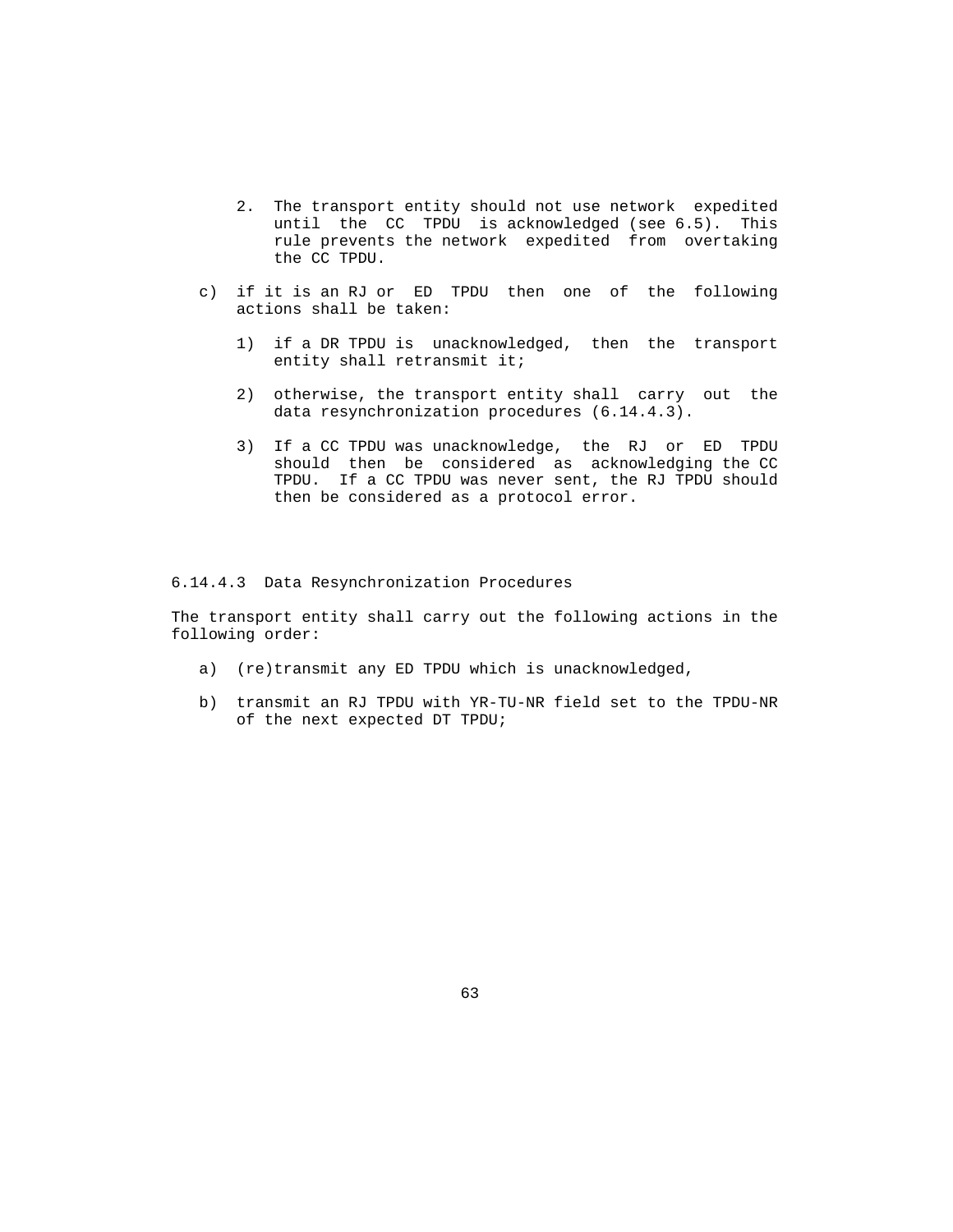- 2. The transport entity should not use network expedited until the CC TPDU is acknowledged (see 6.5). This rule prevents the network expedited from overtaking the CC TPDU.
- c) if it is an RJ or ED TPDU then one of the following actions shall be taken:
	- 1) if a DR TPDU is unacknowledged, then the transport entity shall retransmit it;
	- 2) otherwise, the transport entity shall carry out the data resynchronization procedures (6.14.4.3).
	- 3) If a CC TPDU was unacknowledge, the RJ or ED TPDU should then be considered as acknowledging the CC TPDU. If a CC TPDU was never sent, the RJ TPDU should then be considered as a protocol error.

#### 6.14.4.3 Data Resynchronization Procedures

 The transport entity shall carry out the following actions in the following order:

- a) (re)transmit any ED TPDU which is unacknowledged,
- b) transmit an RJ TPDU with YR-TU-NR field set to the TPDU-NR of the next expected DT TPDU;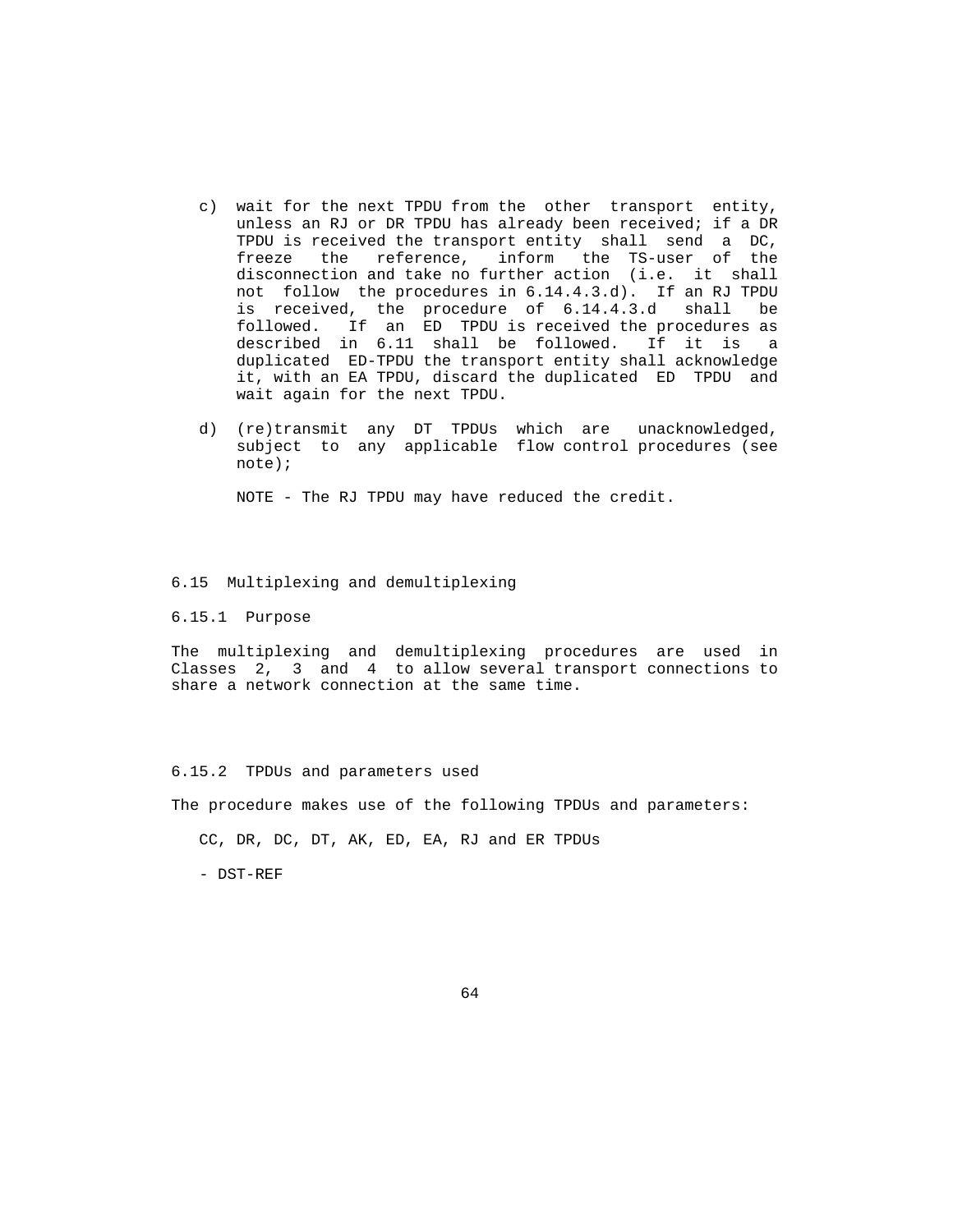- c) wait for the next TPDU from the other transport entity, unless an RJ or DR TPDU has already been received; if a DR TPDU is received the transport entity shall send a DC, freeze the reference, inform the TS-user of the disconnection and take no further action (i.e. it shall not follow the procedures in 6.14.4.3.d). If an RJ TPDU is received, the procedure of 6.14.4.3.d shall be followed. If an ED TPDU is received the procedures as described in 6.11 shall be followed. If it is a duplicated ED-TPDU the transport entity shall acknowledge it, with an EA TPDU, discard the duplicated ED TPDU and wait again for the next TPDU.
- d) (re)transmit any DT TPDUs which are unacknowledged, subject to any applicable flow control procedures (see note);

NOTE - The RJ TPDU may have reduced the credit.

#### 6.15 Multiplexing and demultiplexing

6.15.1 Purpose

 The multiplexing and demultiplexing procedures are used in Classes 2, 3 and 4 to allow several transport connections to share a network connection at the same time.

#### 6.15.2 TPDUs and parameters used

The procedure makes use of the following TPDUs and parameters:

CC, DR, DC, DT, AK, ED, EA, RJ and ER TPDUs

- DST-REF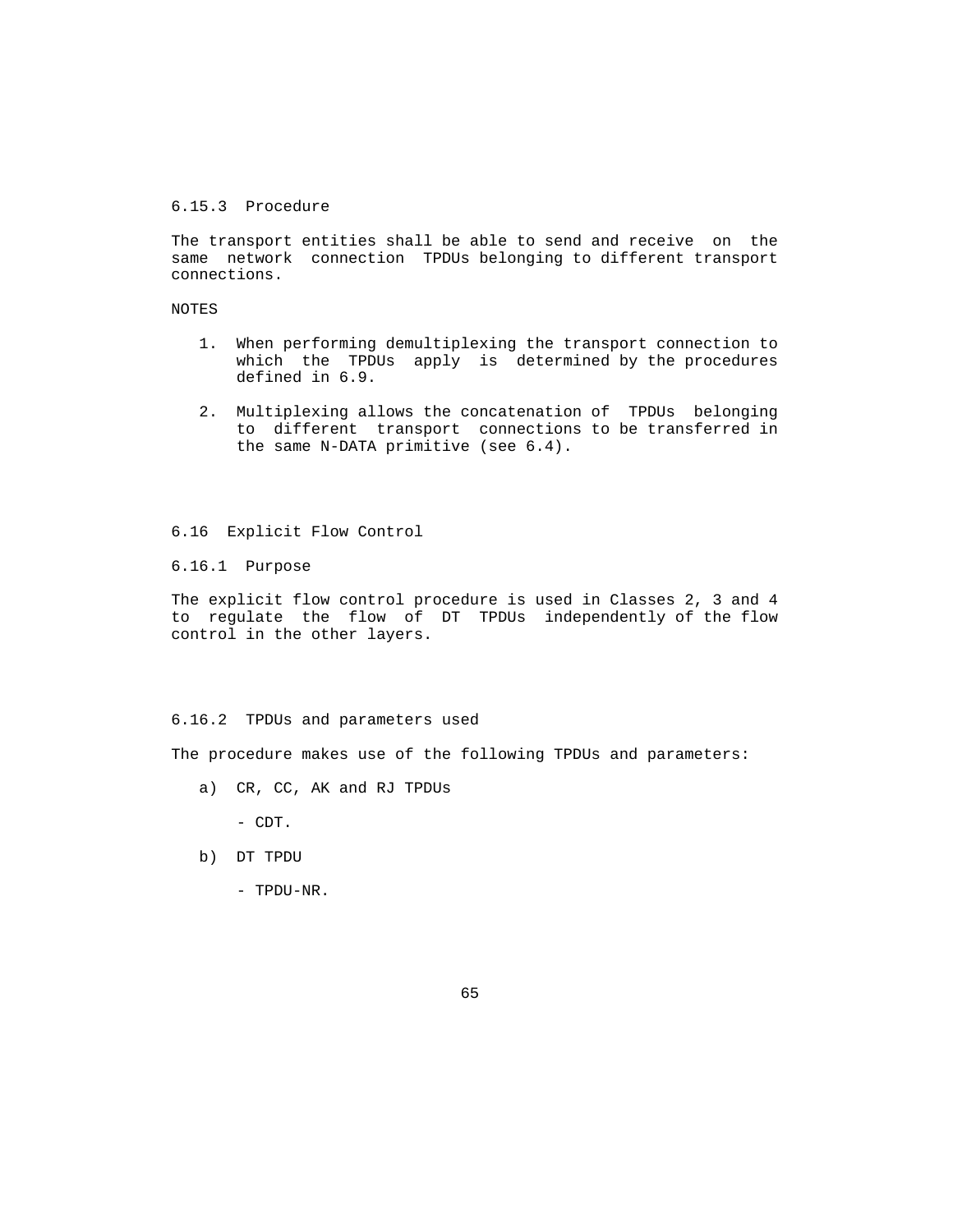### 6.15.3 Procedure

 The transport entities shall be able to send and receive on the same network connection TPDUs belonging to different transport connections.

## NOTES

- 1. When performing demultiplexing the transport connection to which the TPDUs apply is determined by the procedures defined in 6.9.
- 2. Multiplexing allows the concatenation of TPDUs belonging to different transport connections to be transferred in the same N-DATA primitive (see 6.4).

# 6.16 Explicit Flow Control

6.16.1 Purpose

 The explicit flow control procedure is used in Classes 2, 3 and 4 to regulate the flow of DT TPDUs independently of the flow control in the other layers.

#### 6.16.2 TPDUs and parameters used

The procedure makes use of the following TPDUs and parameters:

a) CR, CC, AK and RJ TPDUs

- CDT.

- b) DT TPDU
	- TPDU-NR.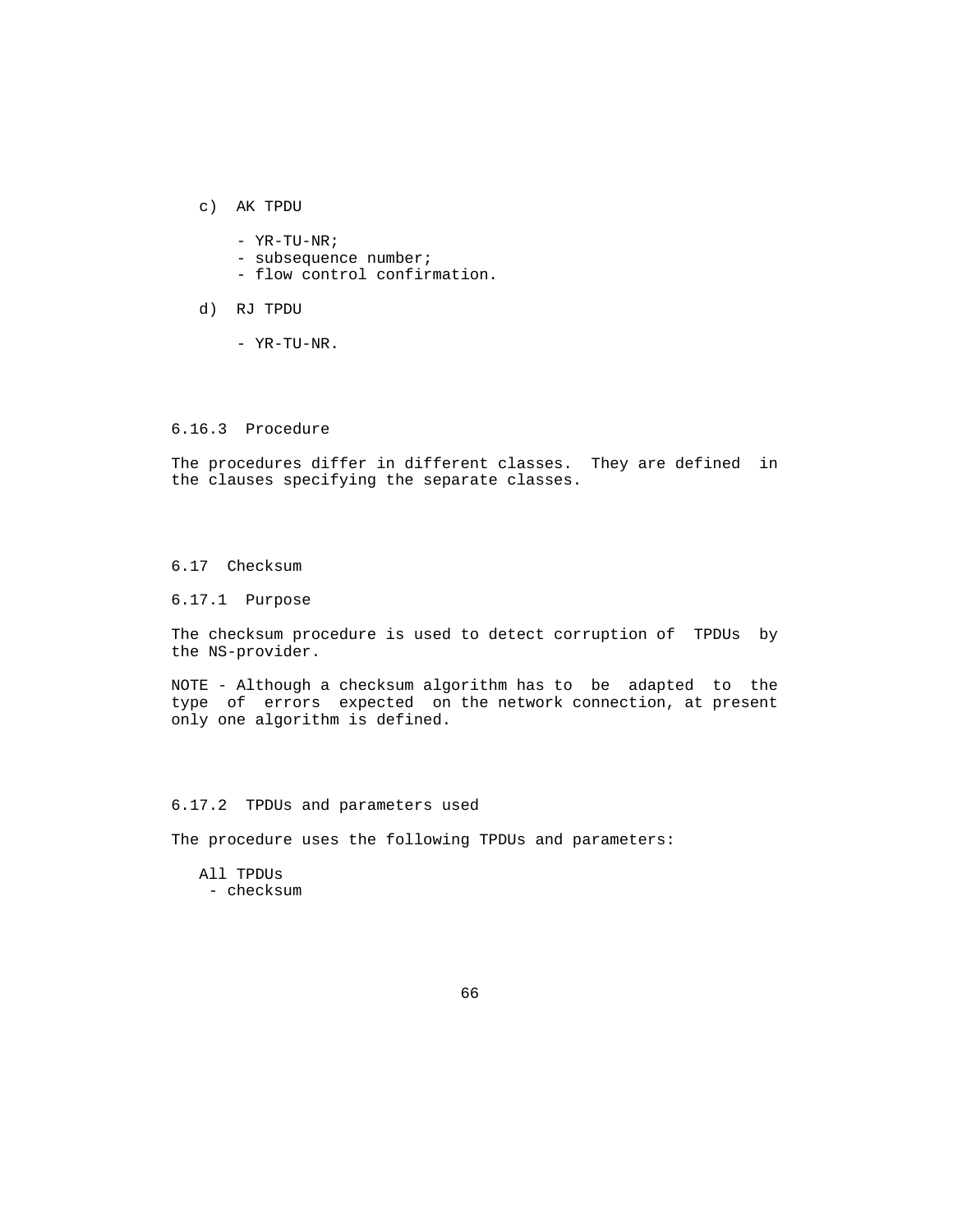- c) AK TPDU
	- YR-TU-NR;
	- subsequence number;
	- flow control confirmation.
- d) RJ TPDU
	- YR-TU-NR.

### 6.16.3 Procedure

 The procedures differ in different classes. They are defined in the clauses specifying the separate classes.

### 6.17 Checksum

6.17.1 Purpose

 The checksum procedure is used to detect corruption of TPDUs by the NS-provider.

 NOTE - Although a checksum algorithm has to be adapted to the type of errors expected on the network connection, at present only one algorithm is defined.

### 6.17.2 TPDUs and parameters used

The procedure uses the following TPDUs and parameters:

 All TPDUs - checksum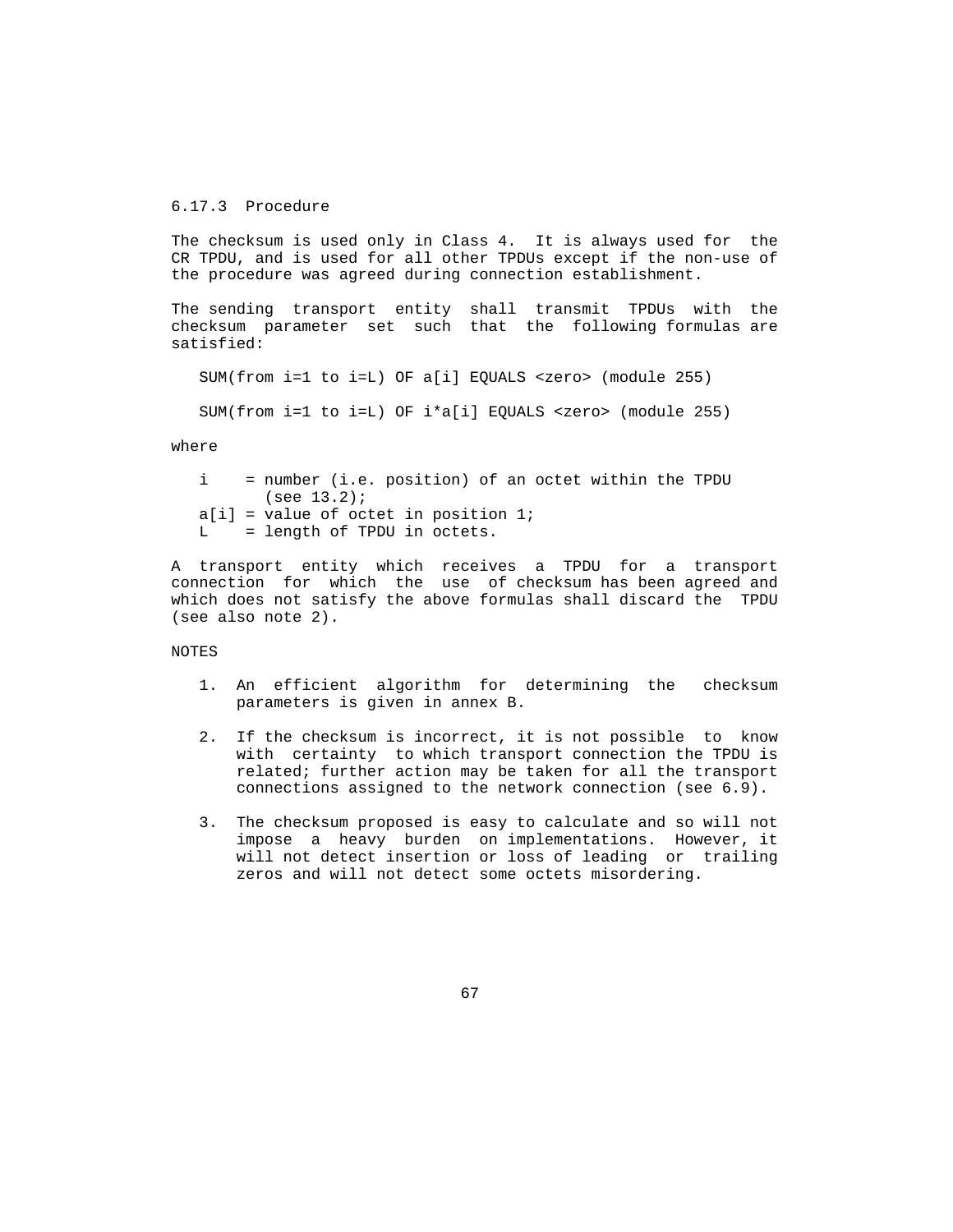## 6.17.3 Procedure

 The checksum is used only in Class 4. It is always used for the CR TPDU, and is used for all other TPDUs except if the non-use of the procedure was agreed during connection establishment.

 The sending transport entity shall transmit TPDUs with the checksum parameter set such that the following formulas are satisfied:

SUM(from i=1 to i=L) OF a[i] EQUALS <zero> (module 255)

SUM(from i=1 to i=L) OF i\*a[i] EQUALS <zero> (module 255)

where

 i = number (i.e. position) of an octet within the TPDU (see 13.2);  $a[i]$  = value of octet in position 1; L = length of TPDU in octets.

 A transport entity which receives a TPDU for a transport connection for which the use of checksum has been agreed and which does not satisfy the above formulas shall discard the TPDU (see also note 2).

NOTES

- 1. An efficient algorithm for determining the checksum parameters is given in annex B.
- 2. If the checksum is incorrect, it is not possible to know with certainty to which transport connection the TPDU is related; further action may be taken for all the transport connections assigned to the network connection (see 6.9).
- 3. The checksum proposed is easy to calculate and so will not impose a heavy burden on implementations. However, it will not detect insertion or loss of leading or trailing zeros and will not detect some octets misordering.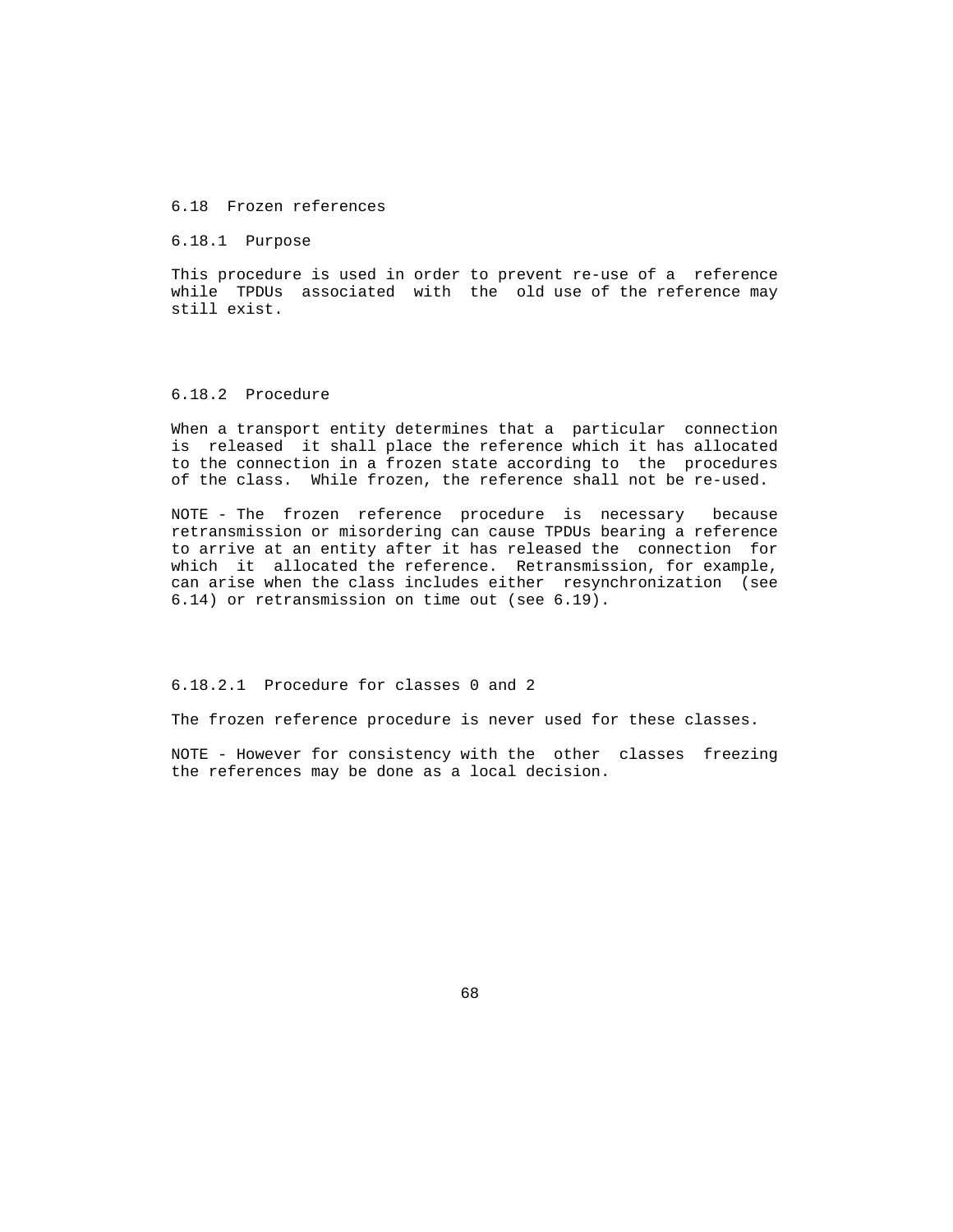#### 6.18 Frozen references

6.18.1 Purpose

 This procedure is used in order to prevent re-use of a reference while TPDUs associated with the old use of the reference may still exist.

#### 6.18.2 Procedure

 When a transport entity determines that a particular connection is released it shall place the reference which it has allocated to the connection in a frozen state according to the procedures of the class. While frozen, the reference shall not be re-used.

 NOTE - The frozen reference procedure is necessary because retransmission or misordering can cause TPDUs bearing a reference to arrive at an entity after it has released the connection for which it allocated the reference. Retransmission, for example, can arise when the class includes either resynchronization (see 6.14) or retransmission on time out (see 6.19).

6.18.2.1 Procedure for classes 0 and 2

The frozen reference procedure is never used for these classes.

 NOTE - However for consistency with the other classes freezing the references may be done as a local decision.

 $\sim$  68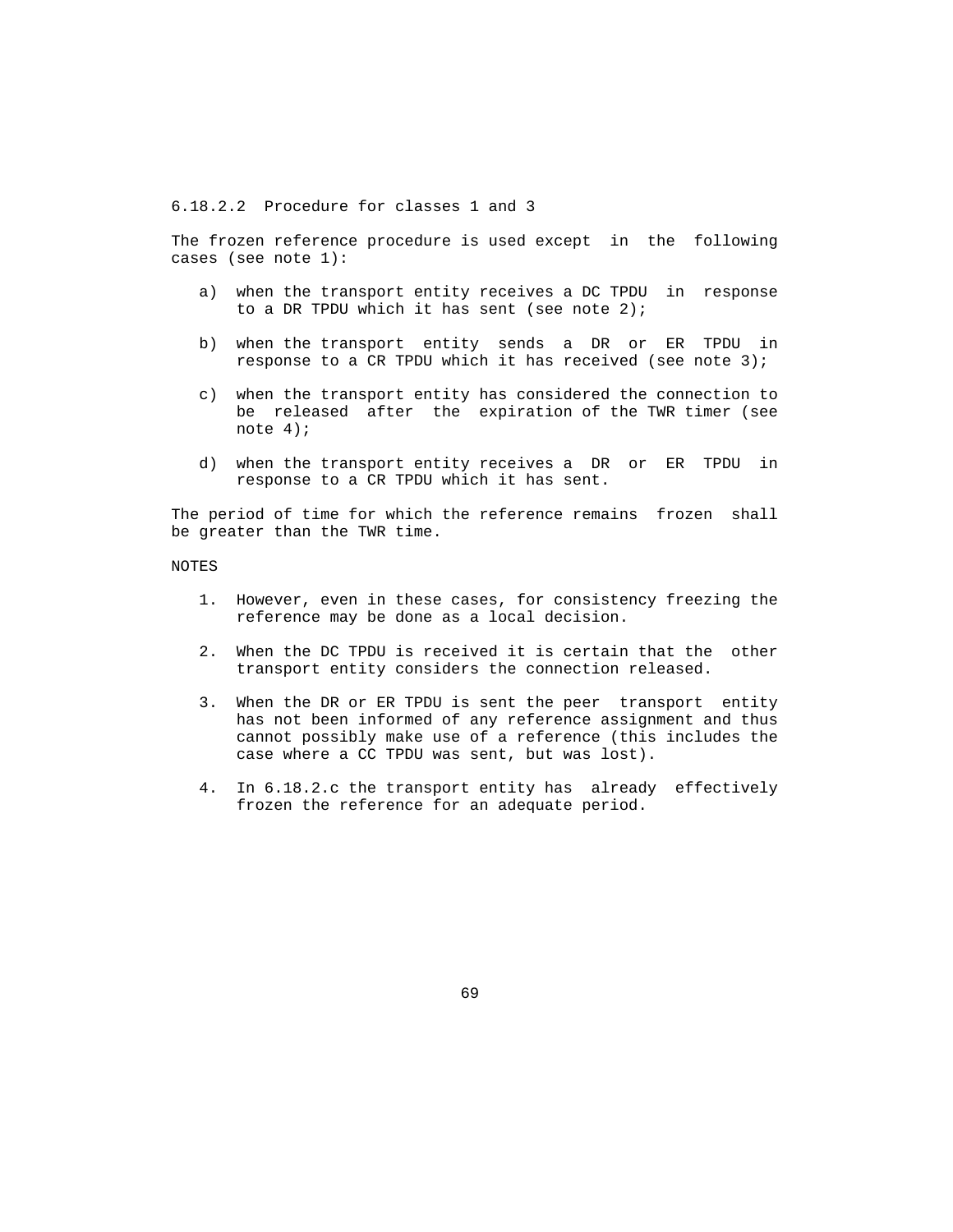6.18.2.2 Procedure for classes 1 and 3

 The frozen reference procedure is used except in the following cases (see note 1):

- a) when the transport entity receives a DC TPDU in response to a DR TPDU which it has sent (see note  $2$ );
- b) when the transport entity sends a DR or ER TPDU in response to a CR TPDU which it has received (see note 3);
- c) when the transport entity has considered the connection to be released after the expiration of the TWR timer (see note 4);
- d) when the transport entity receives a DR or ER TPDU in response to a CR TPDU which it has sent.

 The period of time for which the reference remains frozen shall be greater than the TWR time.

NOTES

- 1. However, even in these cases, for consistency freezing the reference may be done as a local decision.
- 2. When the DC TPDU is received it is certain that the other transport entity considers the connection released.
- 3. When the DR or ER TPDU is sent the peer transport entity has not been informed of any reference assignment and thus cannot possibly make use of a reference (this includes the case where a CC TPDU was sent, but was lost).
- 4. In 6.18.2.c the transport entity has already effectively frozen the reference for an adequate period.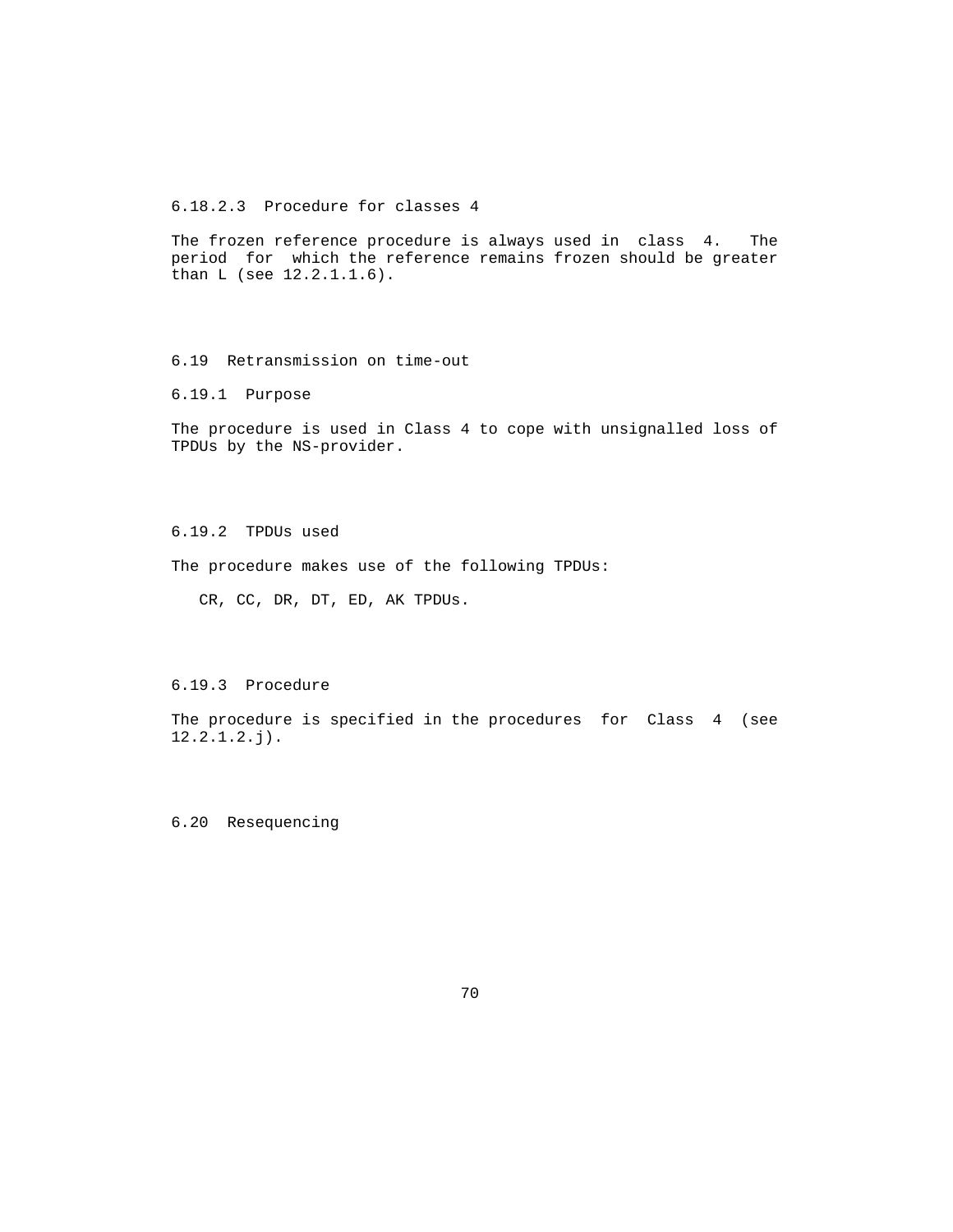6.18.2.3 Procedure for classes 4

 The frozen reference procedure is always used in class 4. The period for which the reference remains frozen should be greater than L (see 12.2.1.1.6).

6.19 Retransmission on time-out

6.19.1 Purpose

 The procedure is used in Class 4 to cope with unsignalled loss of TPDUs by the NS-provider.

6.19.2 TPDUs used

The procedure makes use of the following TPDUs:

CR, CC, DR, DT, ED, AK TPDUs.

6.19.3 Procedure

 The procedure is specified in the procedures for Class 4 (see 12.2.1.2.j).

6.20 Resequencing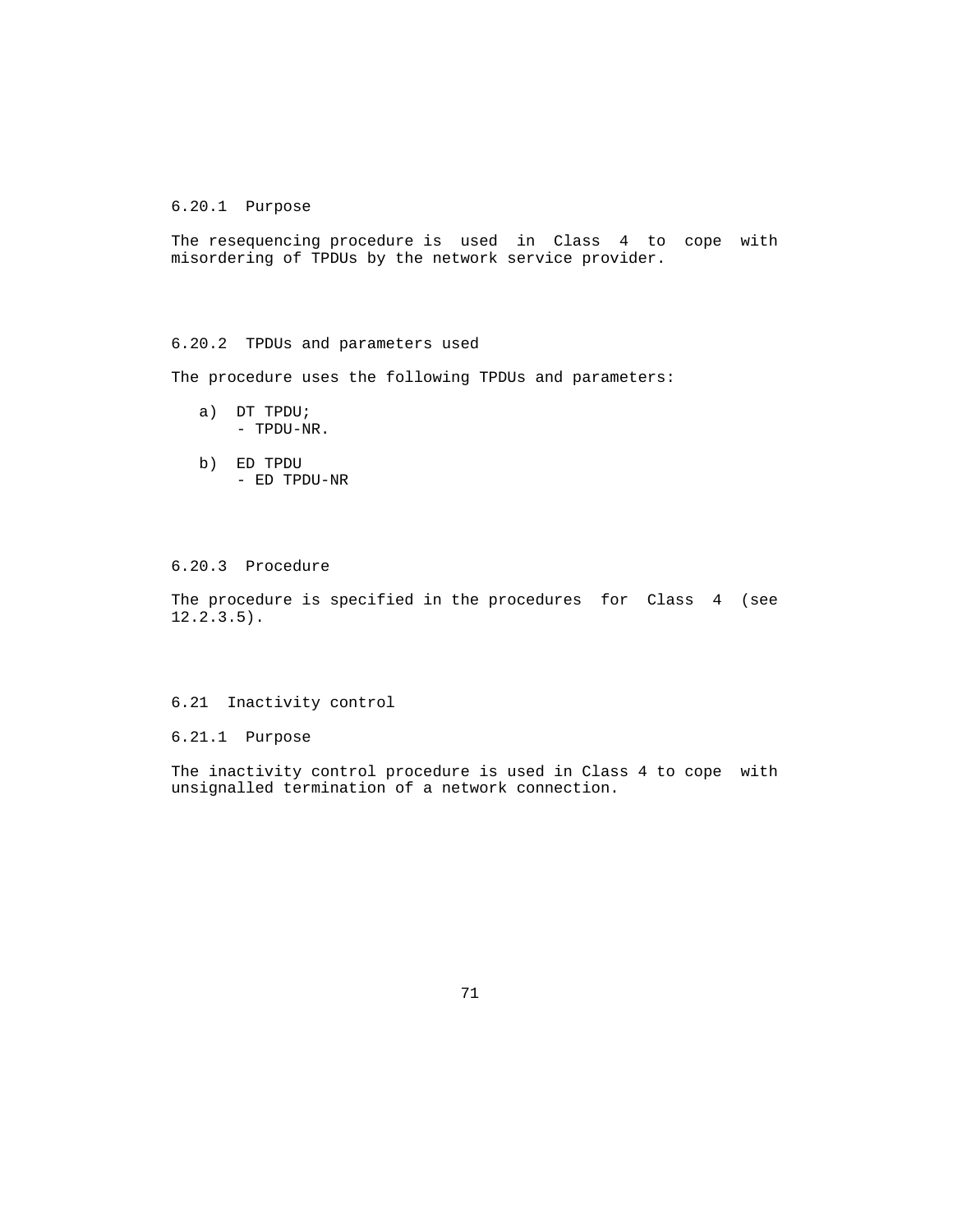## 6.20.1 Purpose

 The resequencing procedure is used in Class 4 to cope with misordering of TPDUs by the network service provider.

# 6.20.2 TPDUs and parameters used

The procedure uses the following TPDUs and parameters:

- a) DT TPDU; - TPDU-NR.
- b) ED TPDU - ED TPDU-NR

# 6.20.3 Procedure

 The procedure is specified in the procedures for Class 4 (see  $12.2.3.5$ ).

### 6.21 Inactivity control

6.21.1 Purpose

 The inactivity control procedure is used in Class 4 to cope with unsignalled termination of a network connection.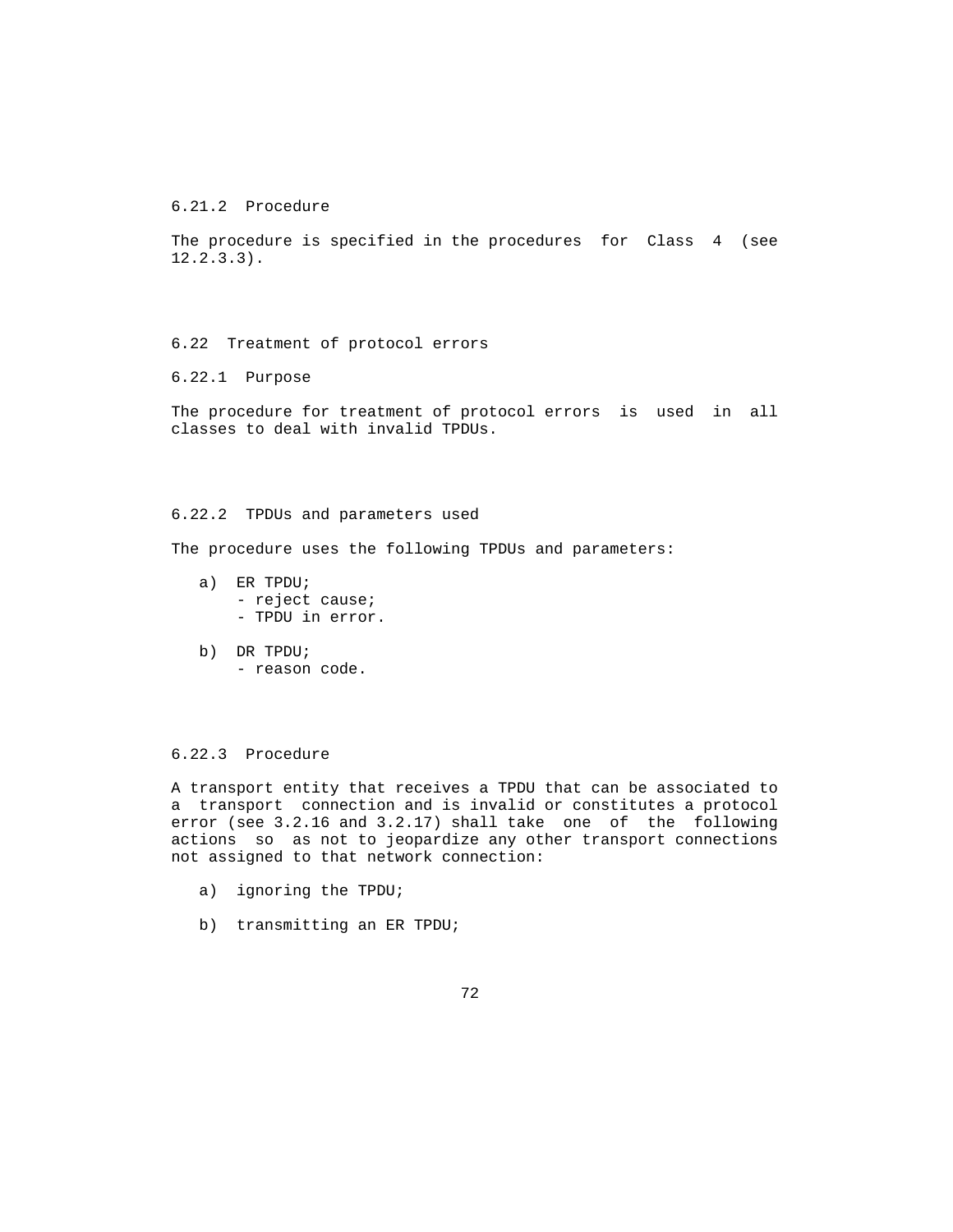6.21.2 Procedure

 The procedure is specified in the procedures for Class 4 (see 12.2.3.3).

6.22 Treatment of protocol errors

6.22.1 Purpose

 The procedure for treatment of protocol errors is used in all classes to deal with invalid TPDUs.

### 6.22.2 TPDUs and parameters used

The procedure uses the following TPDUs and parameters:

- a) ER TPDU; - reject cause; - TPDU in error.
- b) DR TPDU; - reason code.

#### 6.22.3 Procedure

 A transport entity that receives a TPDU that can be associated to a transport connection and is invalid or constitutes a protocol error (see 3.2.16 and 3.2.17) shall take one of the following actions so as not to jeopardize any other transport connections not assigned to that network connection:

- a) ignoring the TPDU;
- b) transmitting an ER TPDU;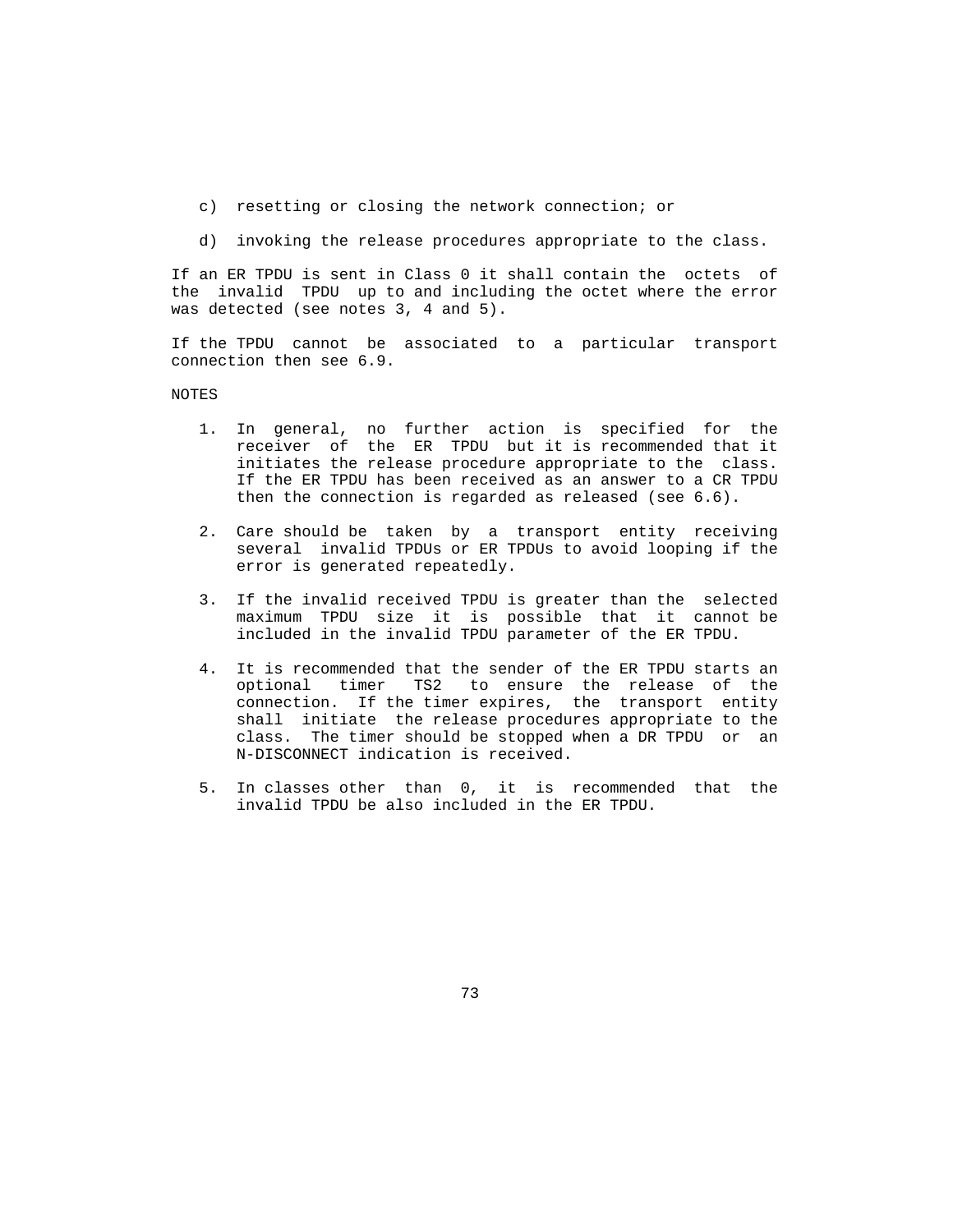- c) resetting or closing the network connection; or
- d) invoking the release procedures appropriate to the class.

 If an ER TPDU is sent in Class 0 it shall contain the octets of the invalid TPDU up to and including the octet where the error was detected (see notes 3, 4 and 5).

 If the TPDU cannot be associated to a particular transport connection then see 6.9.

#### NOTES

- 1. In general, no further action is specified for the receiver of the ER TPDU but it is recommended that it initiates the release procedure appropriate to the class. If the ER TPDU has been received as an answer to a CR TPDU then the connection is regarded as released (see 6.6).
- 2. Care should be taken by a transport entity receiving several invalid TPDUs or ER TPDUs to avoid looping if the error is generated repeatedly.
- 3. If the invalid received TPDU is greater than the selected maximum TPDU size it is possible that it cannot be included in the invalid TPDU parameter of the ER TPDU.
- 4. It is recommended that the sender of the ER TPDU starts an optional timer TS2 to ensure the release of the connection. If the timer expires, the transport entity shall initiate the release procedures appropriate to the class. The timer should be stopped when a DR TPDU or an N-DISCONNECT indication is received.
- 5. In classes other than 0, it is recommended that the invalid TPDU be also included in the ER TPDU.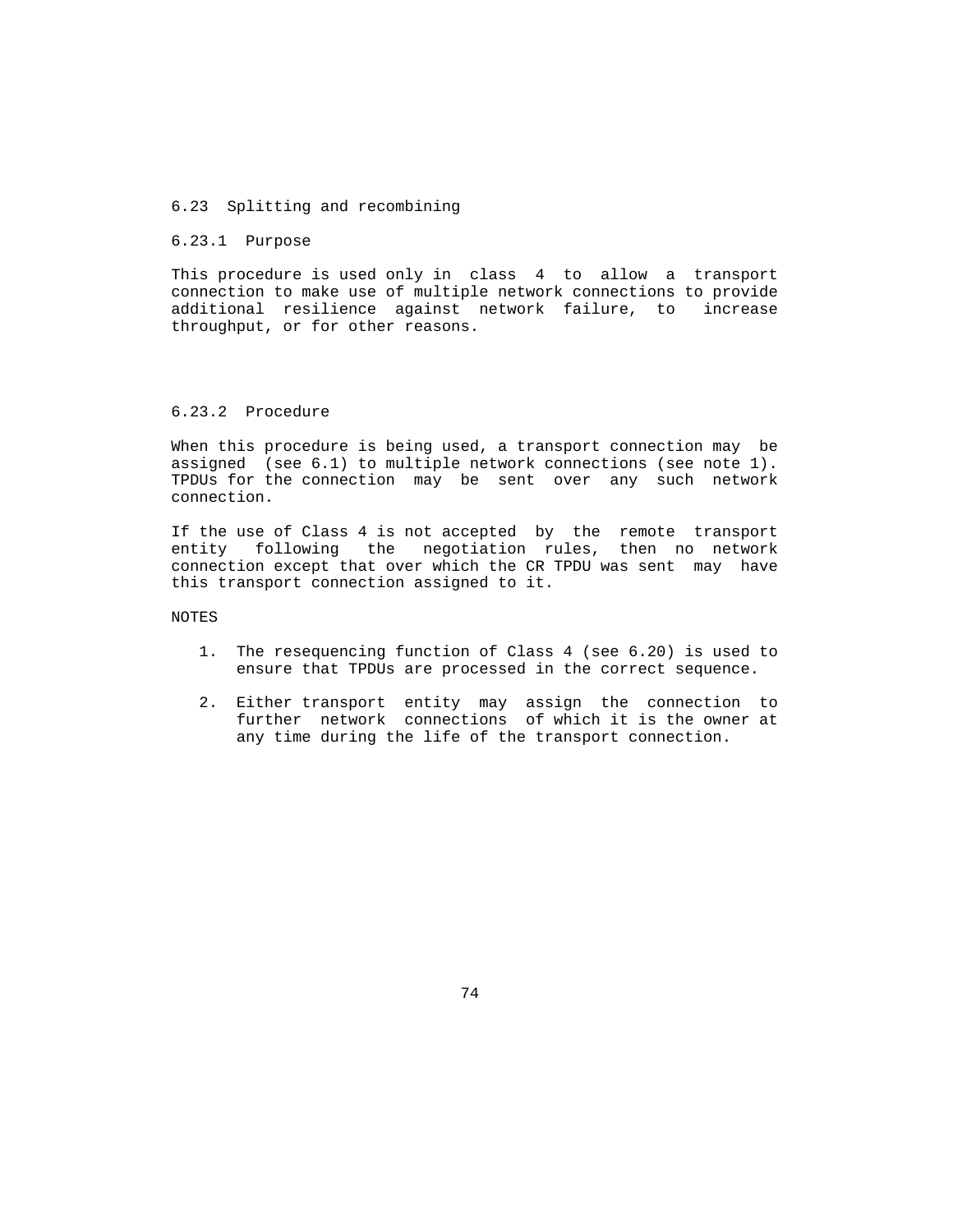### 6.23 Splitting and recombining

#### 6.23.1 Purpose

 This procedure is used only in class 4 to allow a transport connection to make use of multiple network connections to provide additional resilience against network failure, to increase throughput, or for other reasons.

### 6.23.2 Procedure

 When this procedure is being used, a transport connection may be assigned (see 6.1) to multiple network connections (see note 1). TPDUs for the connection may be sent over any such network connection.

 If the use of Class 4 is not accepted by the remote transport entity following the negotiation rules, then no network connection except that over which the CR TPDU was sent may have this transport connection assigned to it.

NOTES

- 1. The resequencing function of Class 4 (see 6.20) is used to ensure that TPDUs are processed in the correct sequence.
- 2. Either transport entity may assign the connection to further network connections of which it is the owner at any time during the life of the transport connection.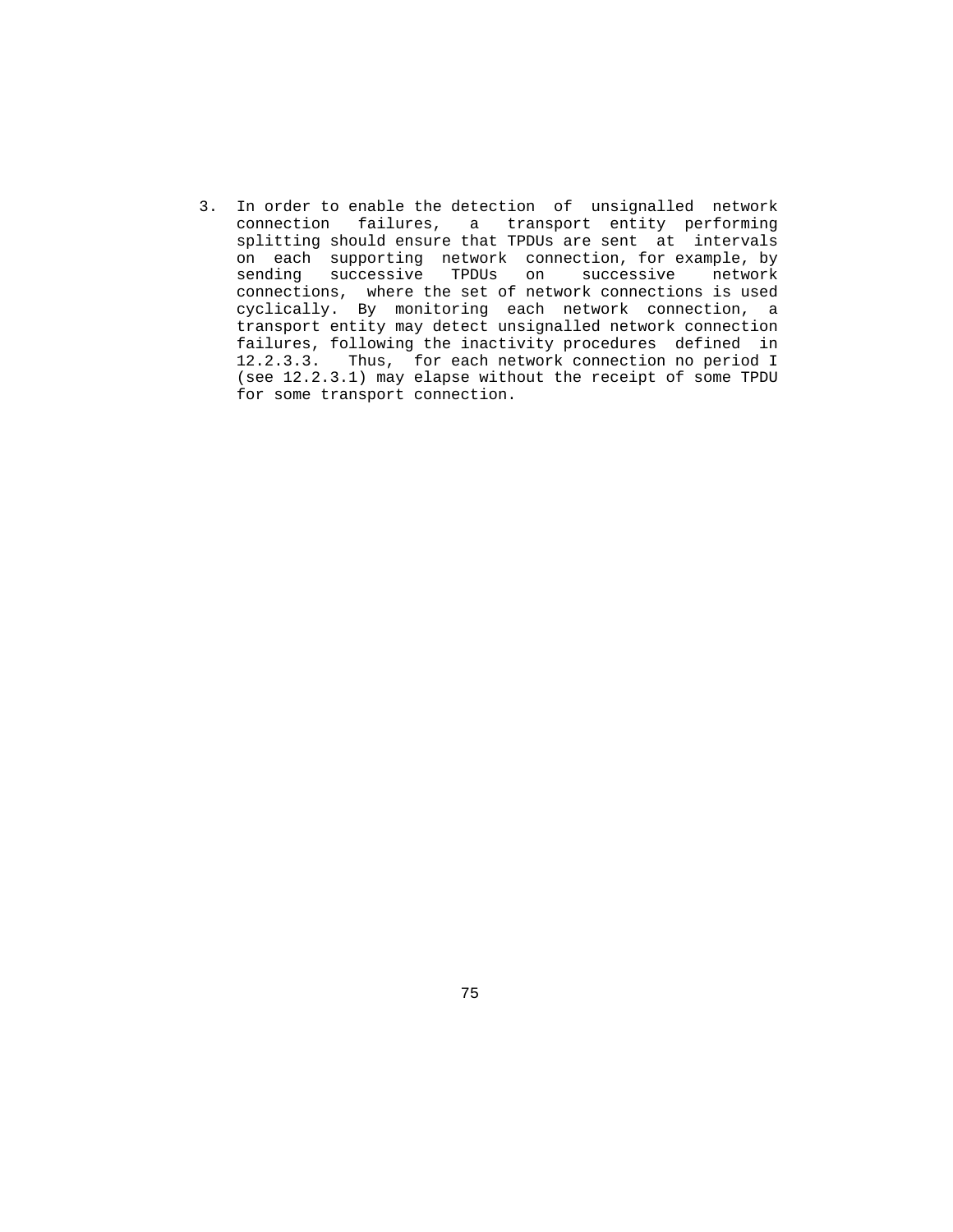3. In order to enable the detection of unsignalled network connection failures, a transport entity performing splitting should ensure that TPDUs are sent at intervals on each supporting network connection, for example, by sending successive TPDUs on successive network connections, where the set of network connections is used cyclically. By monitoring each network connection, a transport entity may detect unsignalled network connection failures, following the inactivity procedures defined in 12.2.3.3. Thus, for each network connection no period I (see 12.2.3.1) may elapse without the receipt of some TPDU for some transport connection.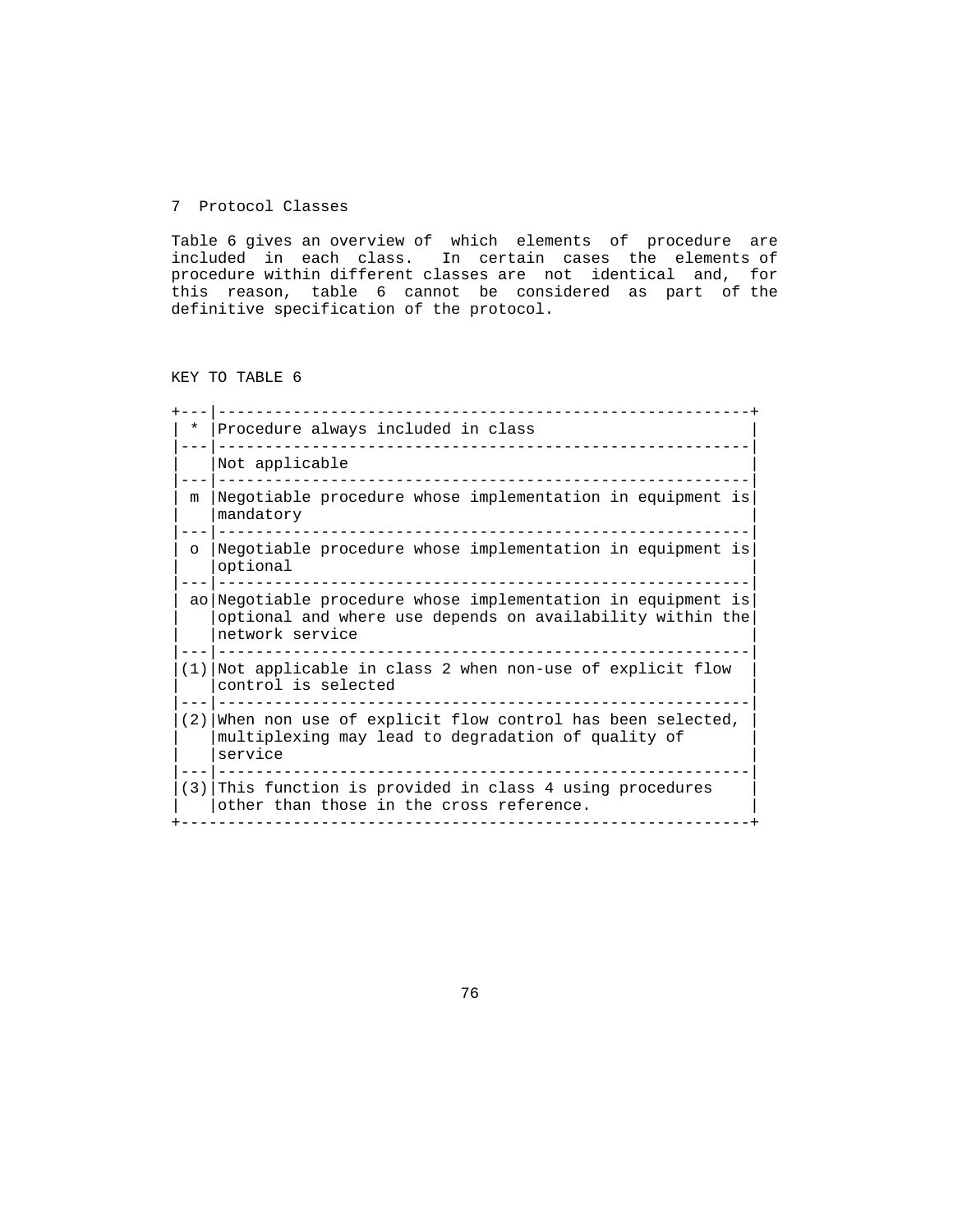### 7 Protocol Classes

 Table 6 gives an overview of which elements of procedure are included in each class. In certain cases the elements of procedure within different classes are not identical and, for this reason, table 6 cannot be considered as part of the definitive specification of the protocol.

KEY TO TABLE 6

| *       | Procedure always included in class                                                                                                           |  |  |  |  |
|---------|----------------------------------------------------------------------------------------------------------------------------------------------|--|--|--|--|
|         | Not applicable                                                                                                                               |  |  |  |  |
| m       | Negotiable procedure whose implementation in equipment is<br>mandatory                                                                       |  |  |  |  |
| $\circ$ | Negotiable procedure whose implementation in equipment is<br>optional                                                                        |  |  |  |  |
|         | ao Negotiable procedure whose implementation in equipment is<br>optional and where use depends on availability within the<br>network service |  |  |  |  |
|         | $(1)$ Not applicable in class 2 when non-use of explicit flow<br>control is selected                                                         |  |  |  |  |
| (2)     | When non use of explicit flow control has been selected,<br>multiplexing may lead to degradation of quality of<br>service                    |  |  |  |  |
|         | $(3)$ This function is provided in class 4 using procedures<br>other than those in the cross reference.                                      |  |  |  |  |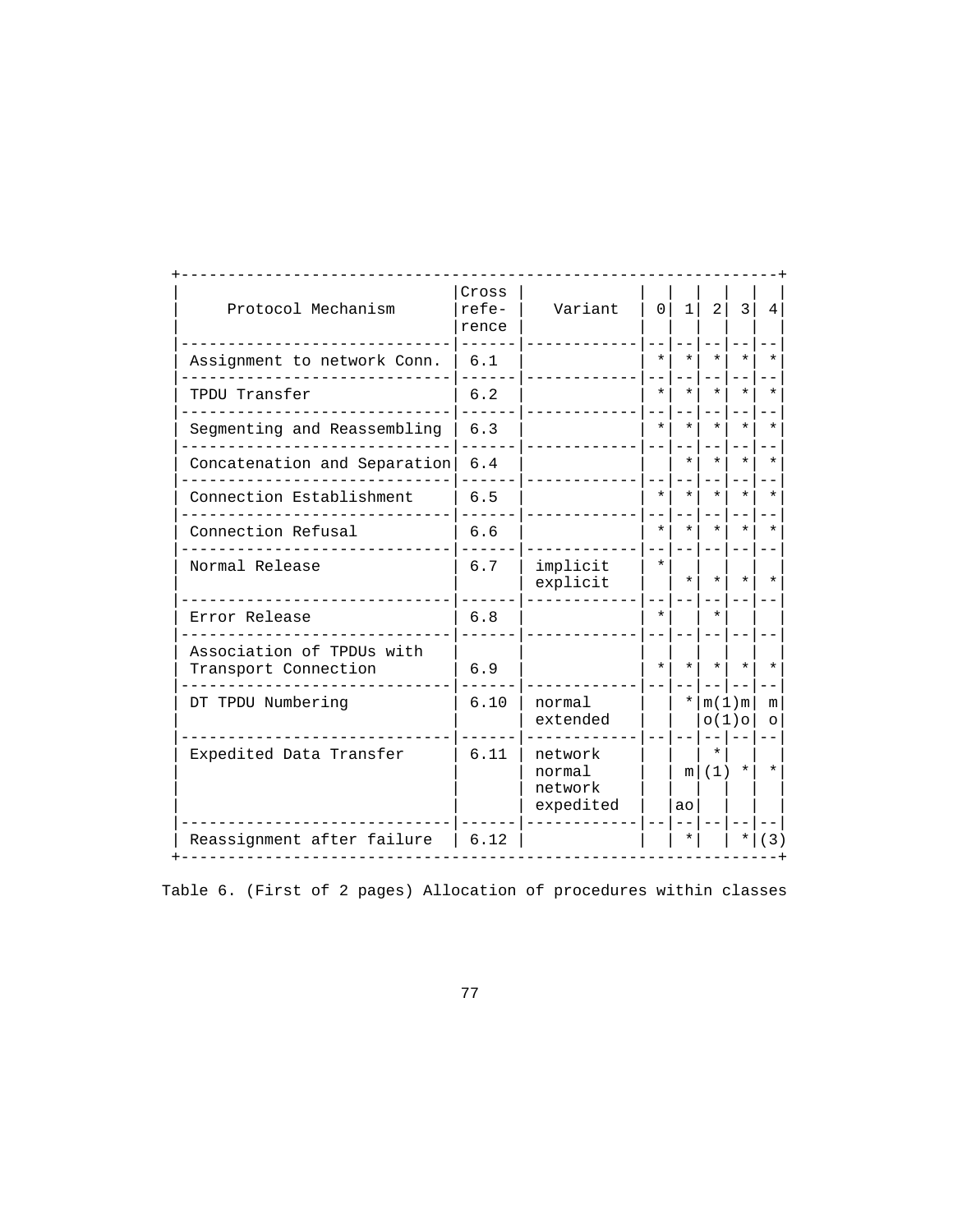| Protocol Mechanism                                | Cross<br>$refe-$<br>rence | Variant                                   | $\Omega$ | $\mathbf{1}$ | 2                | 3                | $\overline{4}$ |
|---------------------------------------------------|---------------------------|-------------------------------------------|----------|--------------|------------------|------------------|----------------|
| Assignment to network Conn.                       | 6.1                       |                                           | $^\star$ | $\star$      | $\star$          | $\star$          |                |
| TPDU Transfer                                     | 6.2                       |                                           | $^\star$ | $\star$      | $\star$          | $\star$          | ÷              |
| Segmenting and Reassembling                       | 6.3                       |                                           | $\star$  | $\star$      | $\star$          | $\star$          | $\star$        |
| Concatenation and Separation                      | 6.4                       |                                           |          | $\star$      | $\star$          | $\star$          | $\star$        |
| Connection Establishment                          | 6.5                       |                                           | $\star$  | $\star$      | $\star$          | $\star$          | $\star$        |
| Connection Refusal                                | 6.6                       |                                           | $\star$  | $\star$      | $\star$          | $\star$          | $\star$        |
| Normal Release                                    | 6.7                       | implicit<br>explicit                      | $\star$  | $\star$      | $\star$          | $\star$          | $\star$        |
| Error Release                                     | 6.8                       |                                           | $\star$  |              | $\star$          |                  |                |
| Association of TPDUs with<br>Transport Connection | 6.9                       |                                           | $\star$  | $\star$      | $\star$          | $\star$          | $\star$        |
| DT TPDU Numbering                                 | 6.10                      | normal<br>extended                        |          | $\star$      |                  | $m(1)$ m<br>O(1) | m<br>$\Omega$  |
| Expedited Data Transfer                           | 6.11                      | network<br>normal<br>network<br>expedited |          | ao           | $\star$<br>m (1) | $^\star$         | $\ast$         |
| Reassignment after failure                        | 6.12                      |                                           |          | $\ast$       |                  |                  | 3)             |

Table 6. (First of 2 pages) Allocation of procedures within classes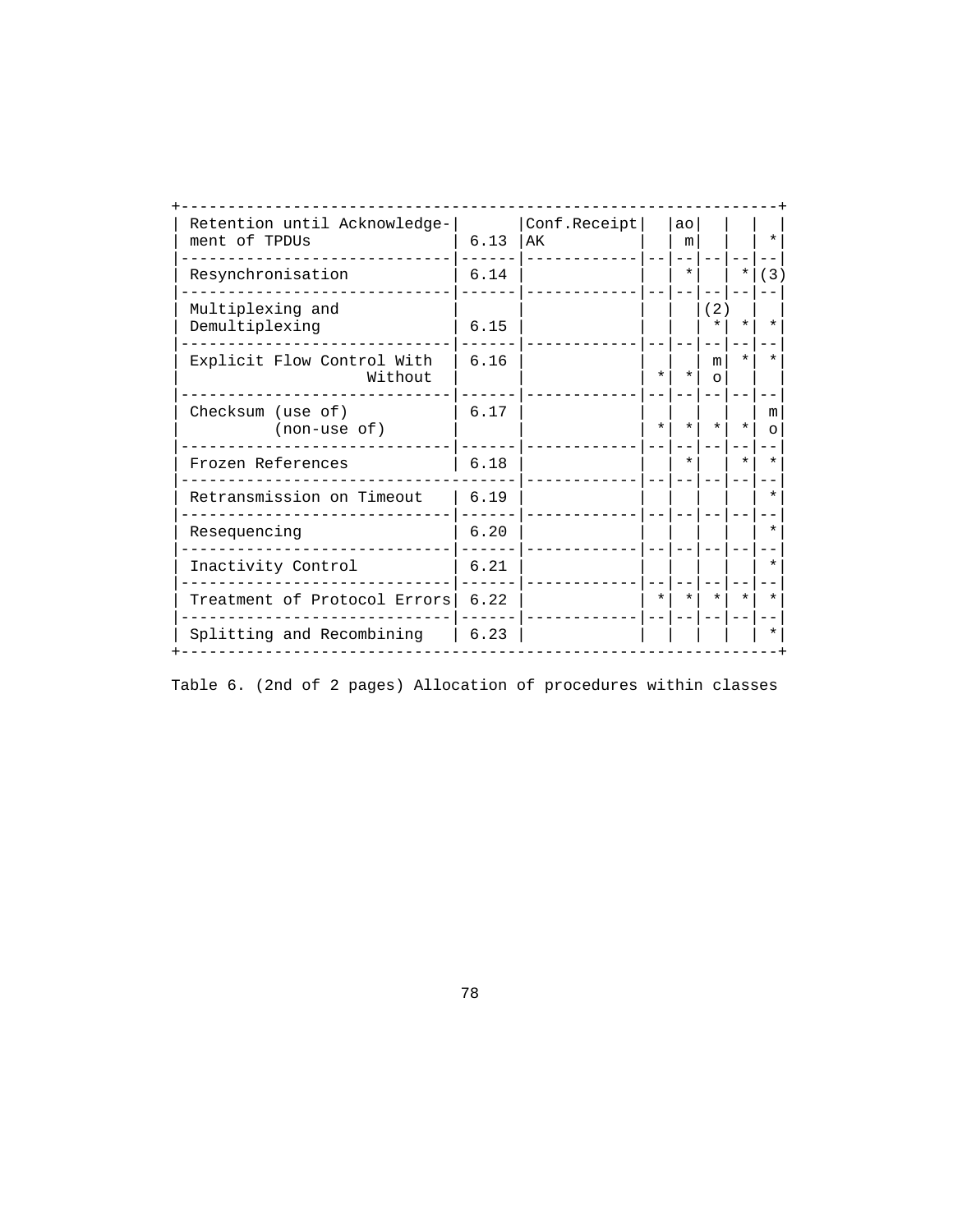| Retention until Acknowledge-<br>ment of TPDUs | 6.13 | Conf.Receipt<br>AК |         | ao<br>m |                |         | $\ast$  |
|-----------------------------------------------|------|--------------------|---------|---------|----------------|---------|---------|
| Resynchronisation                             | 6.14 |                    |         | $\star$ |                | $\ast$  | (3)     |
| Multiplexing and<br>Demultiplexing            | 6.15 |                    |         |         | (2)<br>$\star$ | *       | $\star$ |
| Explicit Flow Control With<br>Without         | 6.16 |                    | $\star$ | $\star$ | m<br>$\Omega$  | $\star$ |         |
| Checksum (use of)<br>$non-use of)$            | 6.17 |                    | $\star$ | $\star$ | $\star$        | $\star$ | m       |
| Frozen References                             | 6.18 |                    |         | $\star$ |                | $\star$ | $\star$ |
| Retransmission on Timeout                     | 6.19 |                    |         |         |                |         | $\star$ |
| Resequencing                                  | 6.20 |                    |         |         |                |         | $\ast$  |
| Inactivity Control                            | 6.21 |                    |         |         |                |         | $\star$ |
| Treatment of Protocol Errors                  | 6.22 |                    | $\star$ | $\star$ | $\star$        | $\star$ | $\star$ |
| Splitting and Recombining                     | 6.23 |                    |         |         |                |         | *       |

Table 6. (2nd of 2 pages) Allocation of procedures within classes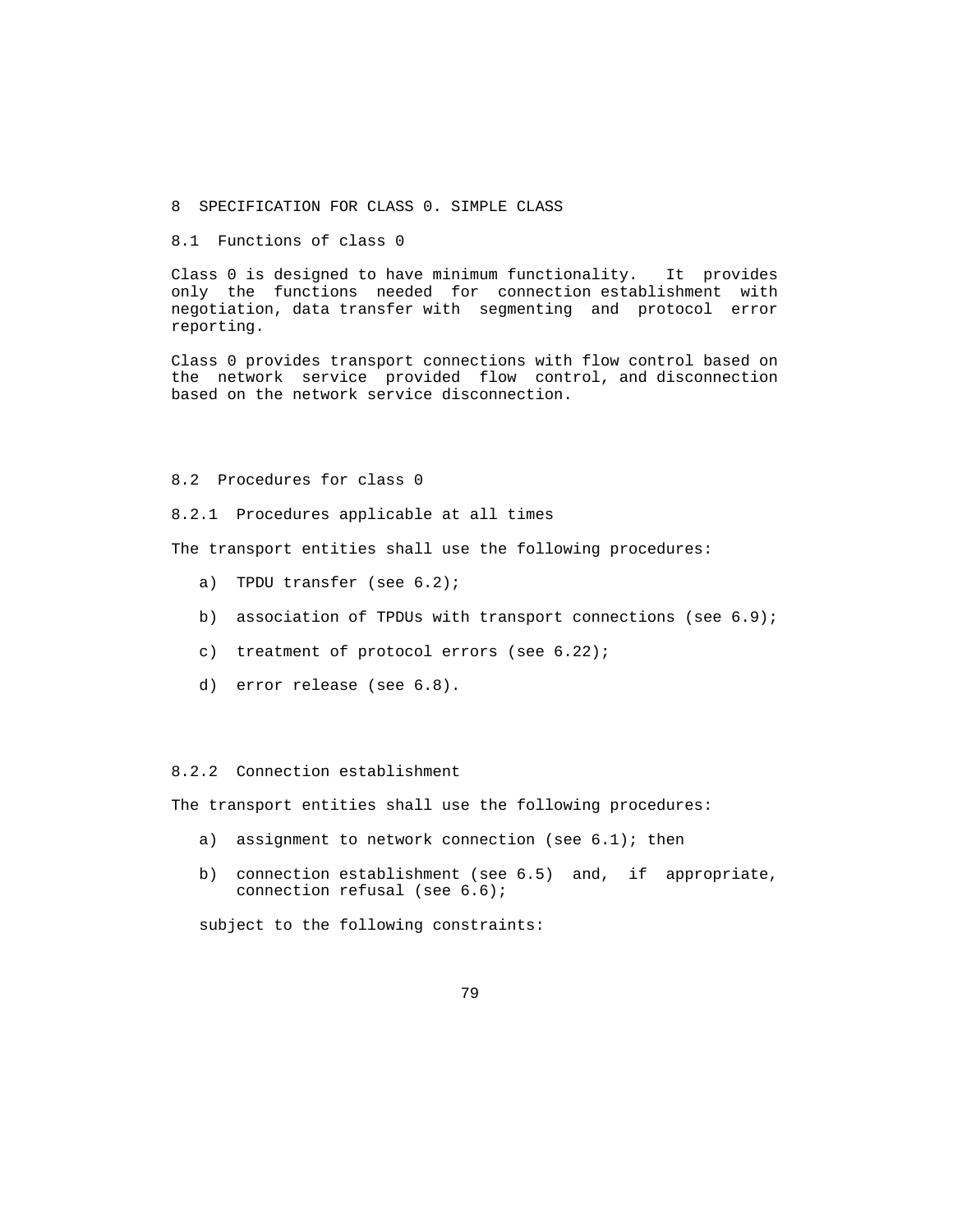- 8 SPECIFICATION FOR CLASS 0. SIMPLE CLASS
- 8.1 Functions of class 0

 Class 0 is designed to have minimum functionality. It provides only the functions needed for connection establishment with negotiation, data transfer with segmenting and protocol error reporting.

 Class 0 provides transport connections with flow control based on the network service provided flow control, and disconnection based on the network service disconnection.

#### 8.2 Procedures for class 0

8.2.1 Procedures applicable at all times

The transport entities shall use the following procedures:

- a) TPDU transfer (see 6.2);
- b) association of TPDUs with transport connections (see 6.9);
- c) treatment of protocol errors (see 6.22);
- d) error release (see 6.8).

## 8.2.2 Connection establishment

The transport entities shall use the following procedures:

- a) assignment to network connection (see 6.1); then
- b) connection establishment (see 6.5) and, if appropriate, connection refusal (see 6.6);

subject to the following constraints: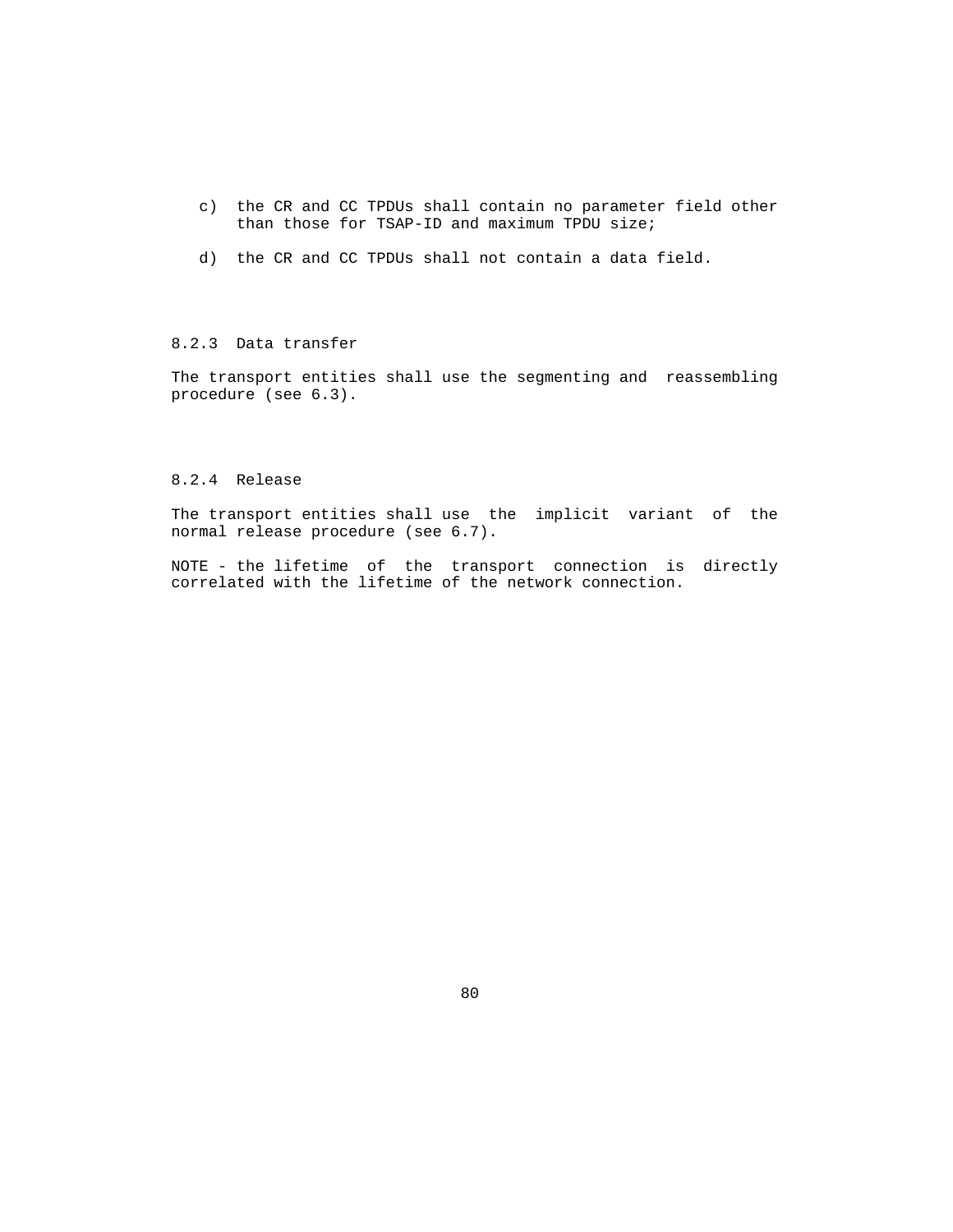- c) the CR and CC TPDUs shall contain no parameter field other than those for TSAP-ID and maximum TPDU size;
- d) the CR and CC TPDUs shall not contain a data field.

# 8.2.3 Data transfer

 The transport entities shall use the segmenting and reassembling procedure (see 6.3).

### 8.2.4 Release

 The transport entities shall use the implicit variant of the normal release procedure (see 6.7).

 NOTE - the lifetime of the transport connection is directly correlated with the lifetime of the network connection.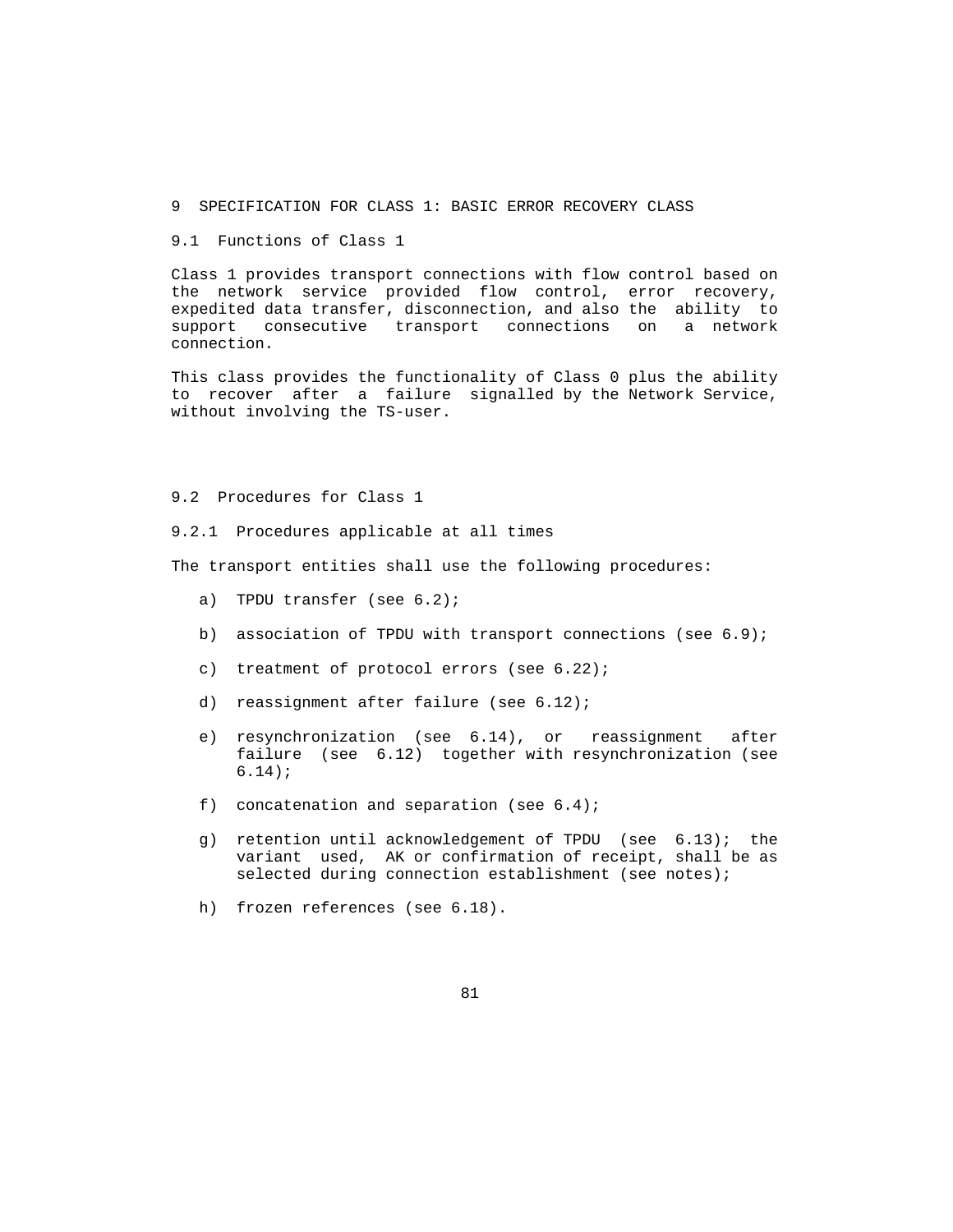- 9 SPECIFICATION FOR CLASS 1: BASIC ERROR RECOVERY CLASS
- 9.1 Functions of Class 1

 Class 1 provides transport connections with flow control based on the network service provided flow control, error recovery, expedited data transfer, disconnection, and also the ability to support consecutive transport connections on a network connection.

 This class provides the functionality of Class 0 plus the ability to recover after a failure signalled by the Network Service, without involving the TS-user.

9.2 Procedures for Class 1

9.2.1 Procedures applicable at all times

The transport entities shall use the following procedures:

- a) TPDU transfer (see 6.2);
- b) association of TPDU with transport connections (see 6.9);
- c) treatment of protocol errors (see 6.22);
- d) reassignment after failure (see 6.12);
- e) resynchronization (see 6.14), or reassignment after failure (see 6.12) together with resynchronization (see 6.14);
- f) concatenation and separation (see  $6.4$ );
- g) retention until acknowledgement of TPDU (see 6.13); the variant used, AK or confirmation of receipt, shall be as selected during connection establishment (see notes);
- h) frozen references (see 6.18).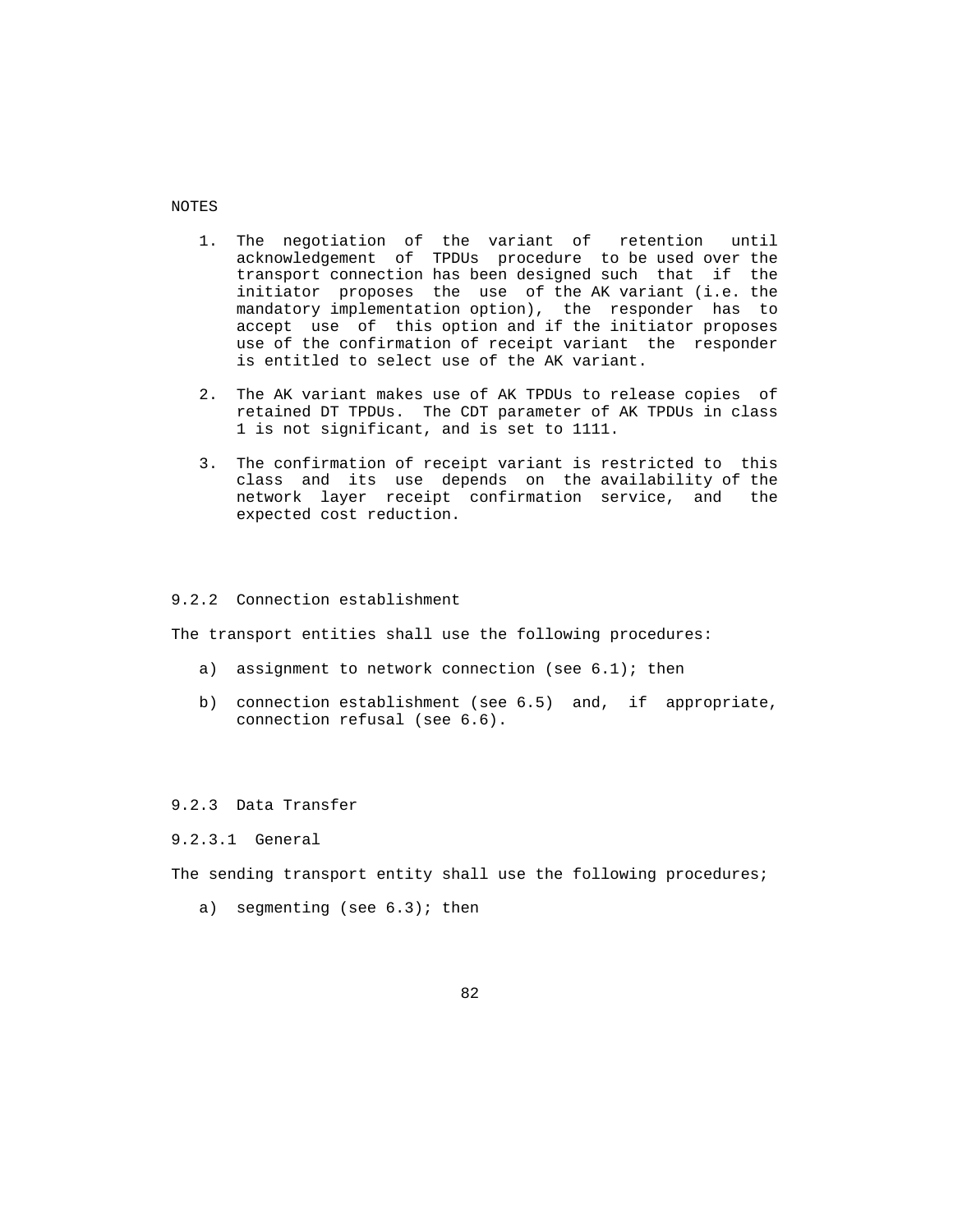NOTES

- 1. The negotiation of the variant of retention until acknowledgement of TPDUs procedure to be used over the transport connection has been designed such that if the initiator proposes the use of the AK variant (i.e. the mandatory implementation option), the responder has to accept use of this option and if the initiator proposes use of the confirmation of receipt variant the responder is entitled to select use of the AK variant.
- 2. The AK variant makes use of AK TPDUs to release copies of retained DT TPDUs. The CDT parameter of AK TPDUs in class 1 is not significant, and is set to 1111.
- 3. The confirmation of receipt variant is restricted to this class and its use depends on the availability of the network layer receipt confirmation service, and the expected cost reduction.

### 9.2.2 Connection establishment

The transport entities shall use the following procedures:

- a) assignment to network connection (see  $6.1$ ); then
- b) connection establishment (see 6.5) and, if appropriate, connection refusal (see 6.6).

### 9.2.3 Data Transfer

9.2.3.1 General

The sending transport entity shall use the following procedures;

a) segmenting (see  $6.3$ ); then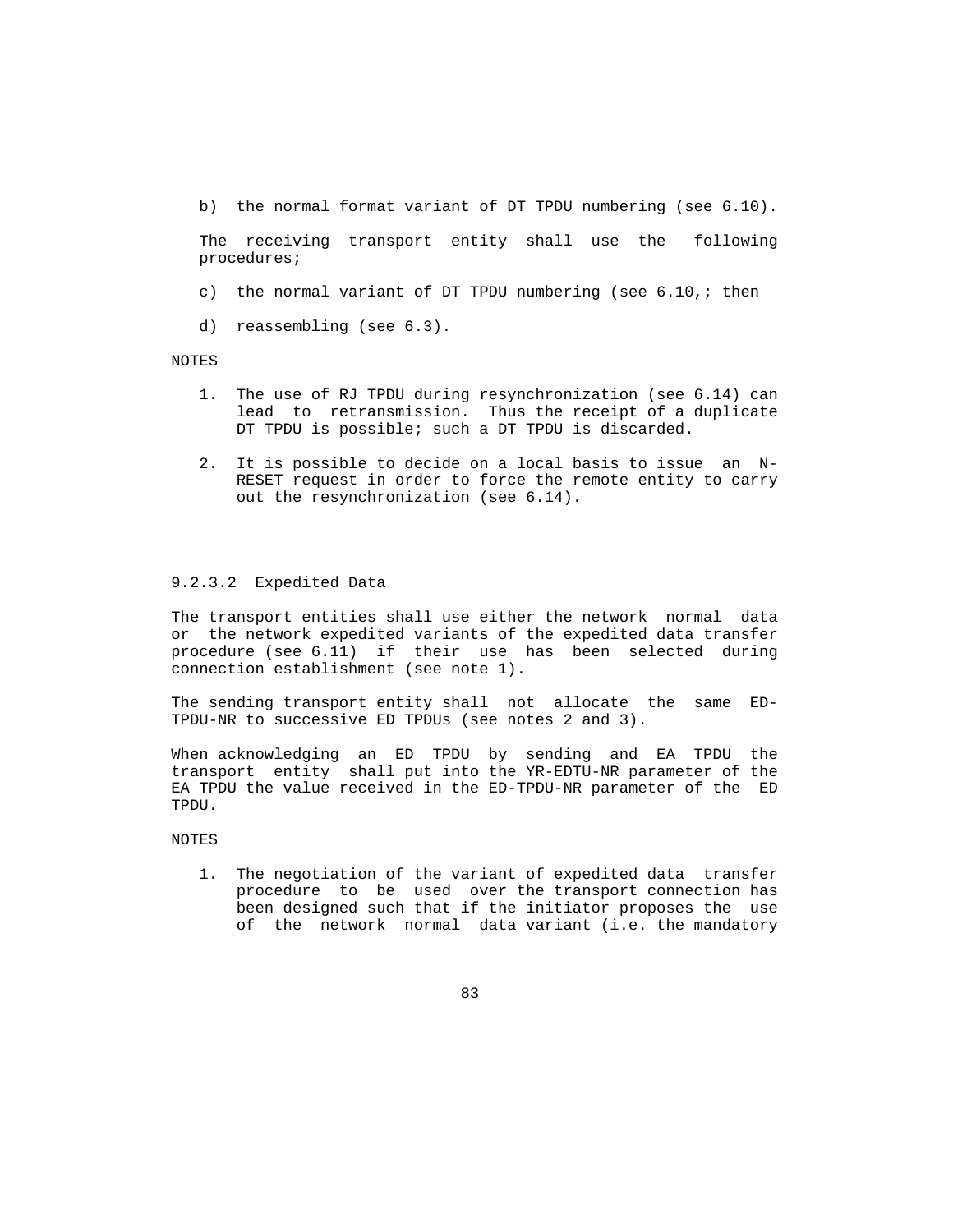b) the normal format variant of DT TPDU numbering (see 6.10).

 The receiving transport entity shall use the following procedures;

- c) the normal variant of DT TPDU numbering (see 6.10,; then
- d) reassembling (see 6.3).

NOTES

- 1. The use of RJ TPDU during resynchronization (see 6.14) can lead to retransmission. Thus the receipt of a duplicate DT TPDU is possible; such a DT TPDU is discarded.
- 2. It is possible to decide on a local basis to issue an N- RESET request in order to force the remote entity to carry out the resynchronization (see 6.14).

### 9.2.3.2 Expedited Data

 The transport entities shall use either the network normal data or the network expedited variants of the expedited data transfer procedure (see 6.11) if their use has been selected during connection establishment (see note 1).

 The sending transport entity shall not allocate the same ED- TPDU-NR to successive ED TPDUs (see notes 2 and 3).

 When acknowledging an ED TPDU by sending and EA TPDU the transport entity shall put into the YR-EDTU-NR parameter of the EA TPDU the value received in the ED-TPDU-NR parameter of the ED TPDU.

NOTES

 1. The negotiation of the variant of expedited data transfer procedure to be used over the transport connection has been designed such that if the initiator proposes the use of the network normal data variant (i.e. the mandatory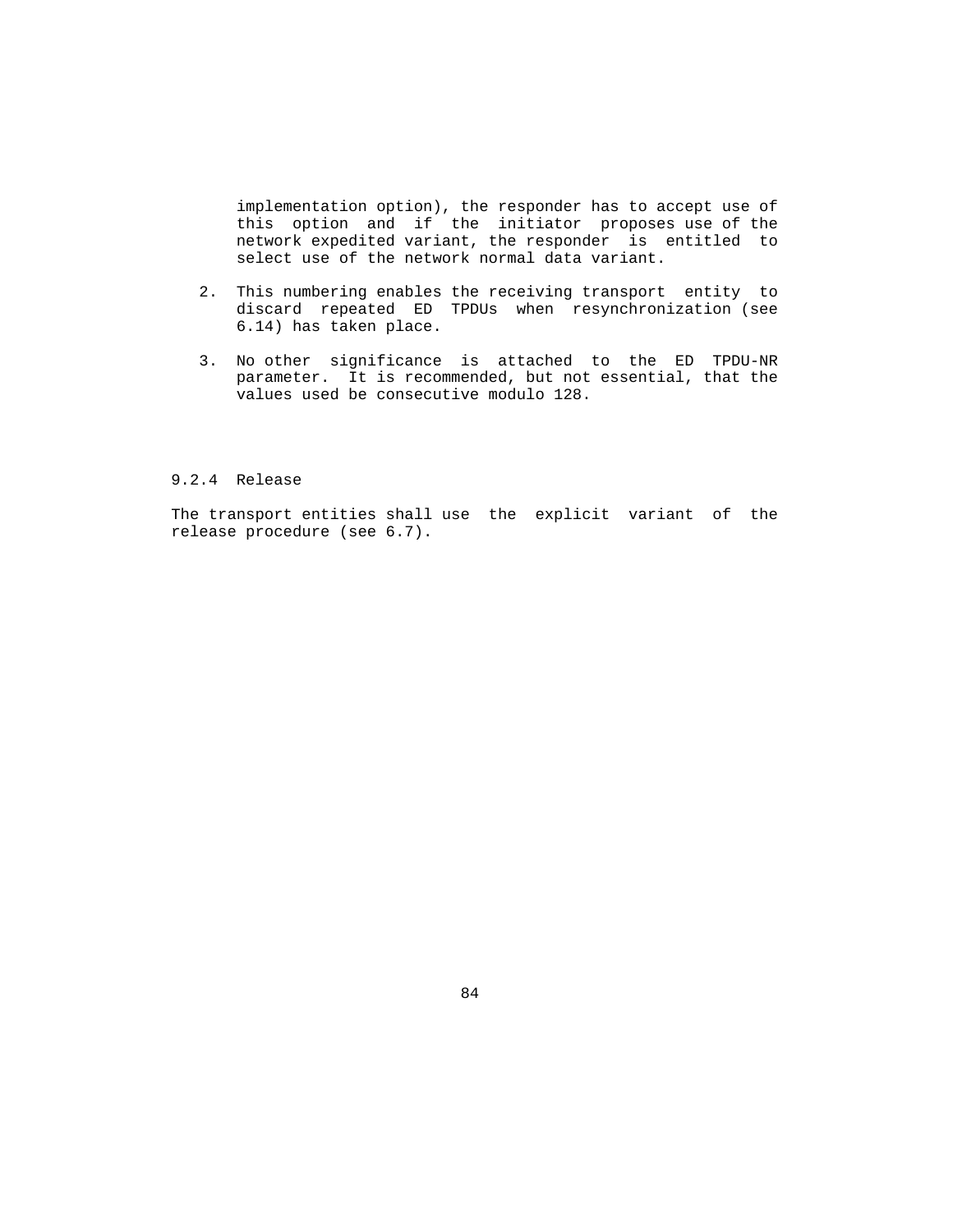implementation option), the responder has to accept use of this option and if the initiator proposes use of the network expedited variant, the responder is entitled to select use of the network normal data variant.

- 2. This numbering enables the receiving transport entity to discard repeated ED TPDUs when resynchronization (see 6.14) has taken place.
- 3. No other significance is attached to the ED TPDU-NR parameter. It is recommended, but not essential, that the values used be consecutive modulo 128.

### 9.2.4 Release

 The transport entities shall use the explicit variant of the release procedure (see 6.7).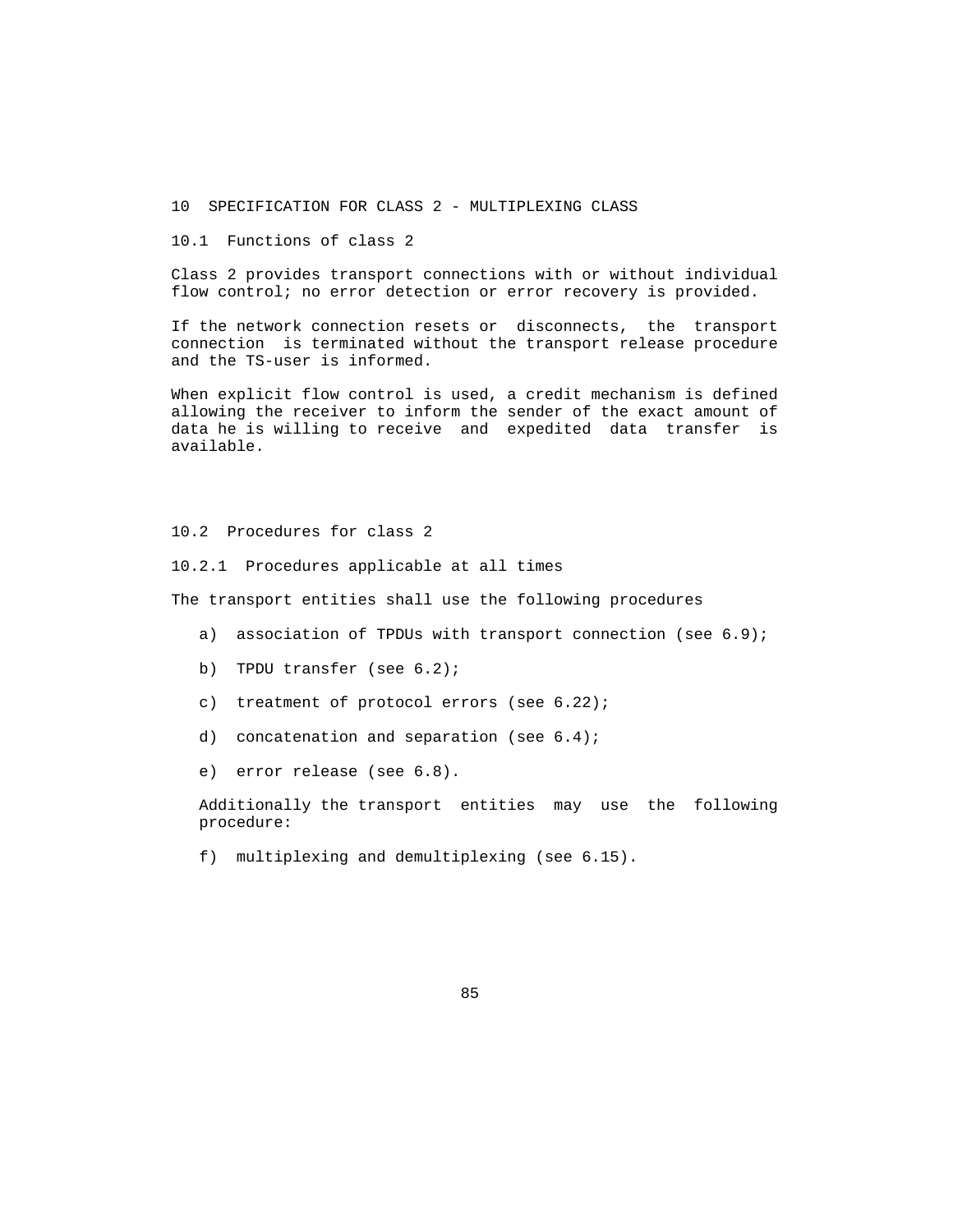10 SPECIFICATION FOR CLASS 2 - MULTIPLEXING CLASS

10.1 Functions of class 2

 Class 2 provides transport connections with or without individual flow control; no error detection or error recovery is provided.

 If the network connection resets or disconnects, the transport connection is terminated without the transport release procedure and the TS-user is informed.

 When explicit flow control is used, a credit mechanism is defined allowing the receiver to inform the sender of the exact amount of data he is willing to receive and expedited data transfer is available.

10.2 Procedures for class 2

10.2.1 Procedures applicable at all times

The transport entities shall use the following procedures

- a) association of TPDUs with transport connection (see 6.9);
- b) TPDU transfer (see 6.2);
- c) treatment of protocol errors (see 6.22);
- d) concatenation and separation (see 6.4);
- e) error release (see 6.8).

 Additionally the transport entities may use the following procedure:

f) multiplexing and demultiplexing (see 6.15).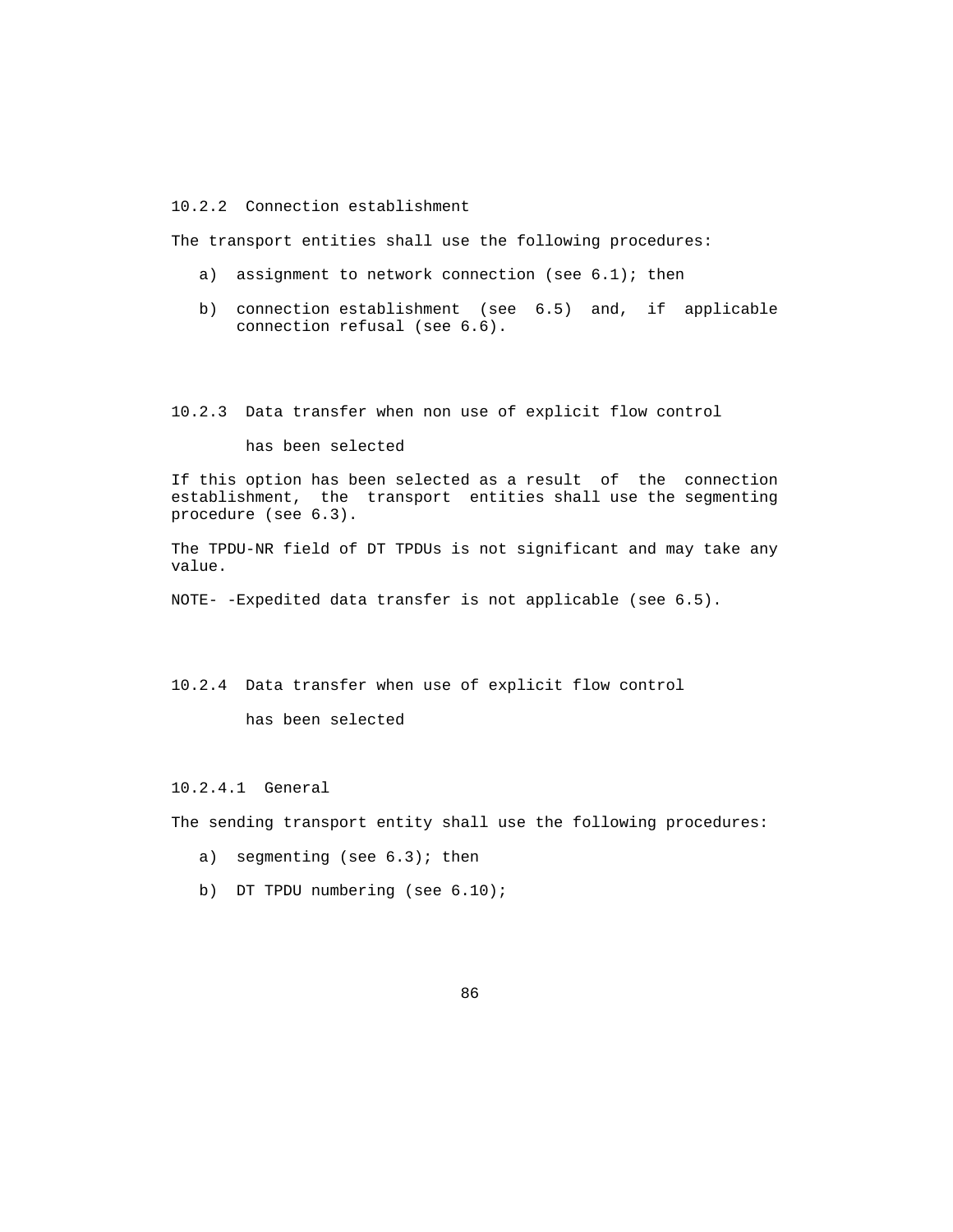10.2.2 Connection establishment

The transport entities shall use the following procedures:

- a) assignment to network connection (see 6.1); then
- b) connection establishment (see 6.5) and, if applicable connection refusal (see 6.6).

10.2.3 Data transfer when non use of explicit flow control

has been selected

 If this option has been selected as a result of the connection establishment, the transport entities shall use the segmenting procedure (see 6.3).

 The TPDU-NR field of DT TPDUs is not significant and may take any value.

NOTE- -Expedited data transfer is not applicable (see 6.5).

10.2.4 Data transfer when use of explicit flow control

has been selected

10.2.4.1 General

The sending transport entity shall use the following procedures:

- a) segmenting (see  $6.3$ ); then
- b) DT TPDU numbering (see 6.10);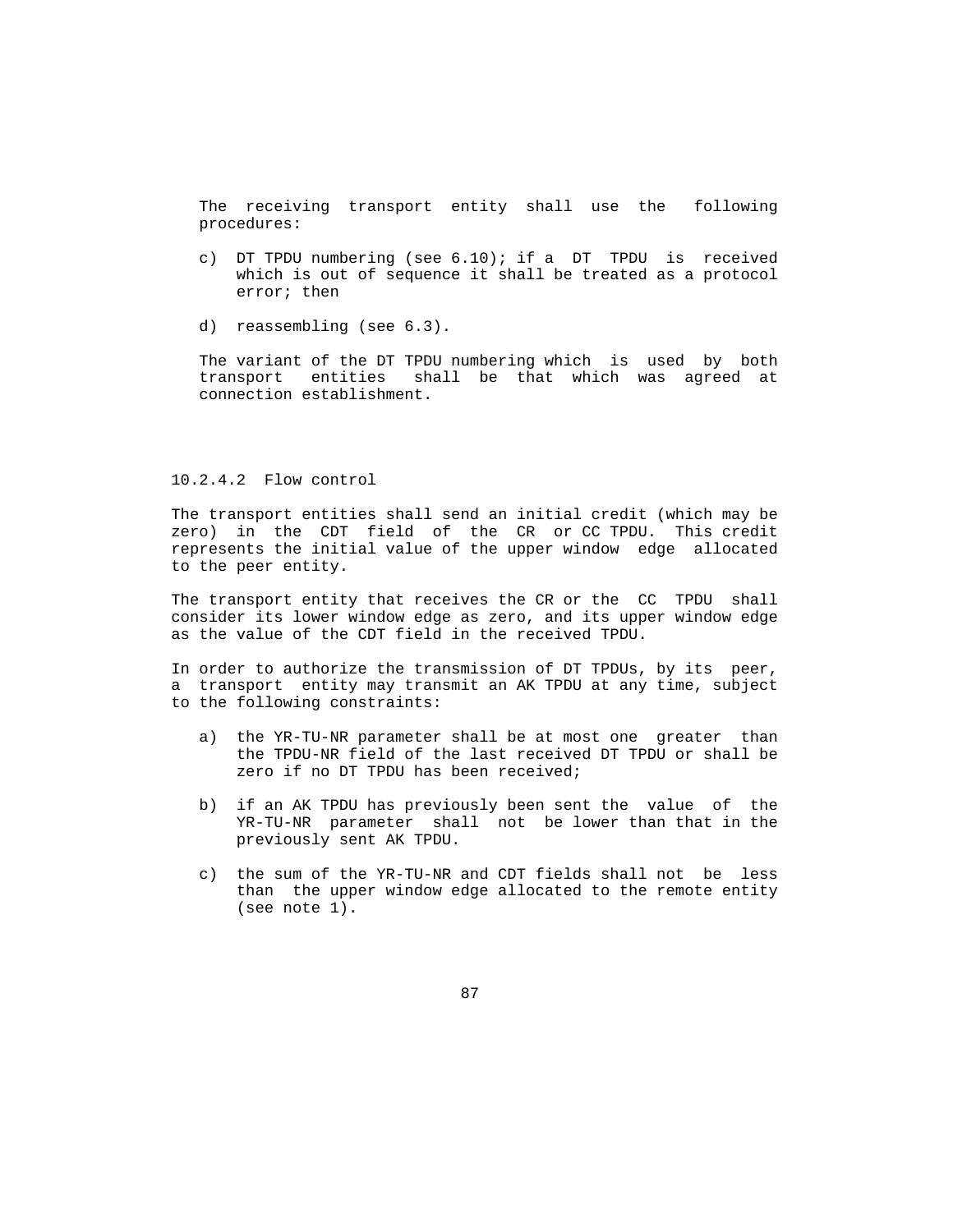The receiving transport entity shall use the following procedures:

- c) DT TPDU numbering (see 6.10); if a DT TPDU is received which is out of sequence it shall be treated as a protocol error; then
- d) reassembling (see 6.3).

 The variant of the DT TPDU numbering which is used by both transport entities shall be that which was agreed at connection establishment.

#### 10.2.4.2 Flow control

 The transport entities shall send an initial credit (which may be zero) in the CDT field of the CR or CC TPDU. This credit represents the initial value of the upper window edge allocated to the peer entity.

 The transport entity that receives the CR or the CC TPDU shall consider its lower window edge as zero, and its upper window edge as the value of the CDT field in the received TPDU.

 In order to authorize the transmission of DT TPDUs, by its peer, a transport entity may transmit an AK TPDU at any time, subject to the following constraints:

- a) the YR-TU-NR parameter shall be at most one greater than the TPDU-NR field of the last received DT TPDU or shall be zero if no DT TPDU has been received;
- b) if an AK TPDU has previously been sent the value of the YR-TU-NR parameter shall not be lower than that in the previously sent AK TPDU.
- c) the sum of the YR-TU-NR and CDT fields shall not be less than the upper window edge allocated to the remote entity (see note 1).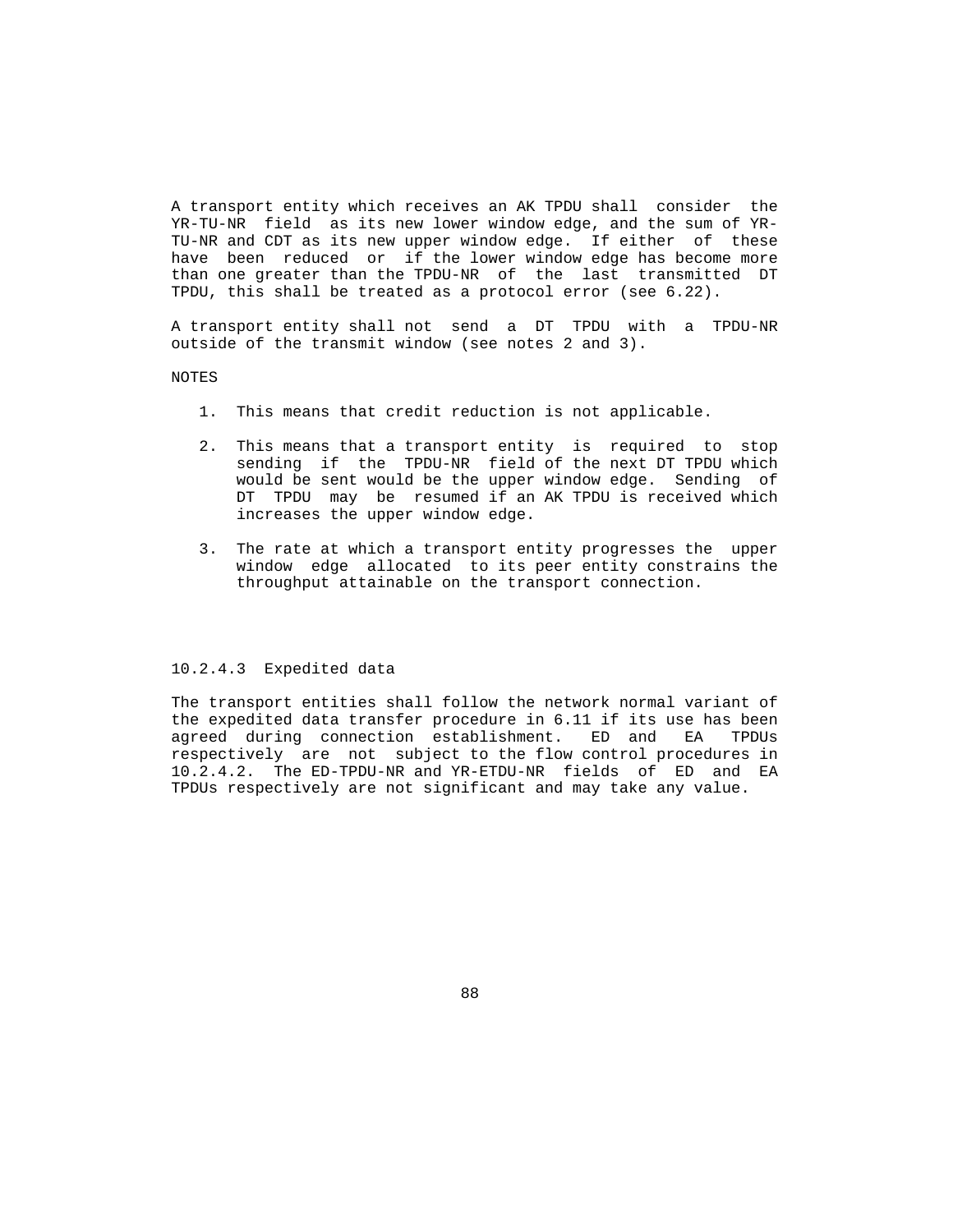A transport entity which receives an AK TPDU shall consider the YR-TU-NR field as its new lower window edge, and the sum of YR- TU-NR and CDT as its new upper window edge. If either of these have been reduced or if the lower window edge has become more than one greater than the TPDU-NR of the last transmitted DT TPDU, this shall be treated as a protocol error (see 6.22).

 A transport entity shall not send a DT TPDU with a TPDU-NR outside of the transmit window (see notes 2 and 3).

NOTES

- 1. This means that credit reduction is not applicable.
- 2. This means that a transport entity is required to stop sending if the TPDU-NR field of the next DT TPDU which would be sent would be the upper window edge. Sending of DT TPDU may be resumed if an AK TPDU is received which increases the upper window edge.
- 3. The rate at which a transport entity progresses the upper window edge allocated to its peer entity constrains the throughput attainable on the transport connection.

#### 10.2.4.3 Expedited data

 The transport entities shall follow the network normal variant of the expedited data transfer procedure in 6.11 if its use has been agreed during connection establishment. ED and EA TPDUs respectively are not subject to the flow control procedures in 10.2.4.2. The ED-TPDU-NR and YR-ETDU-NR fields of ED and EA TPDUs respectively are not significant and may take any value.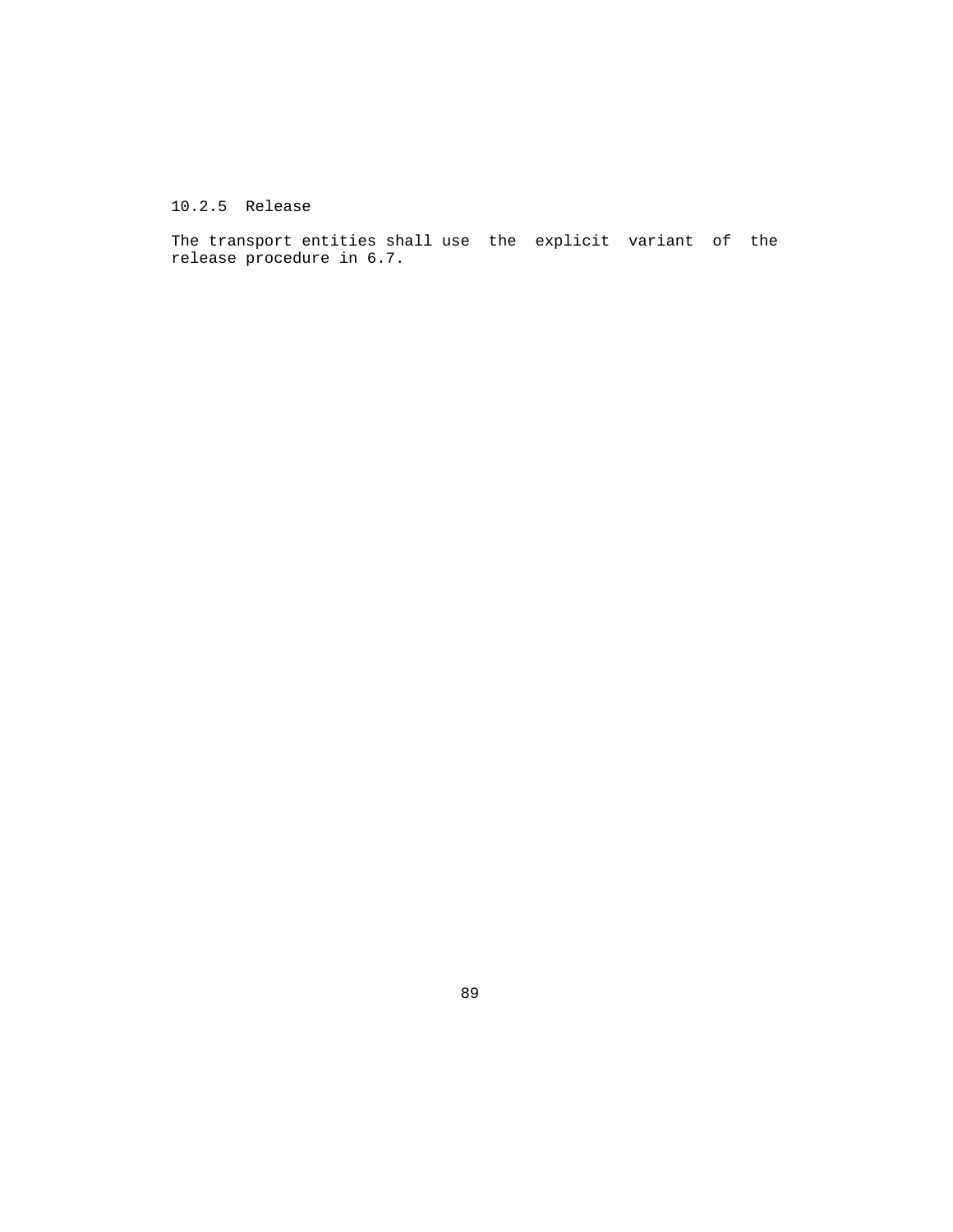10.2.5 Release

 The transport entities shall use the explicit variant of the release procedure in 6.7.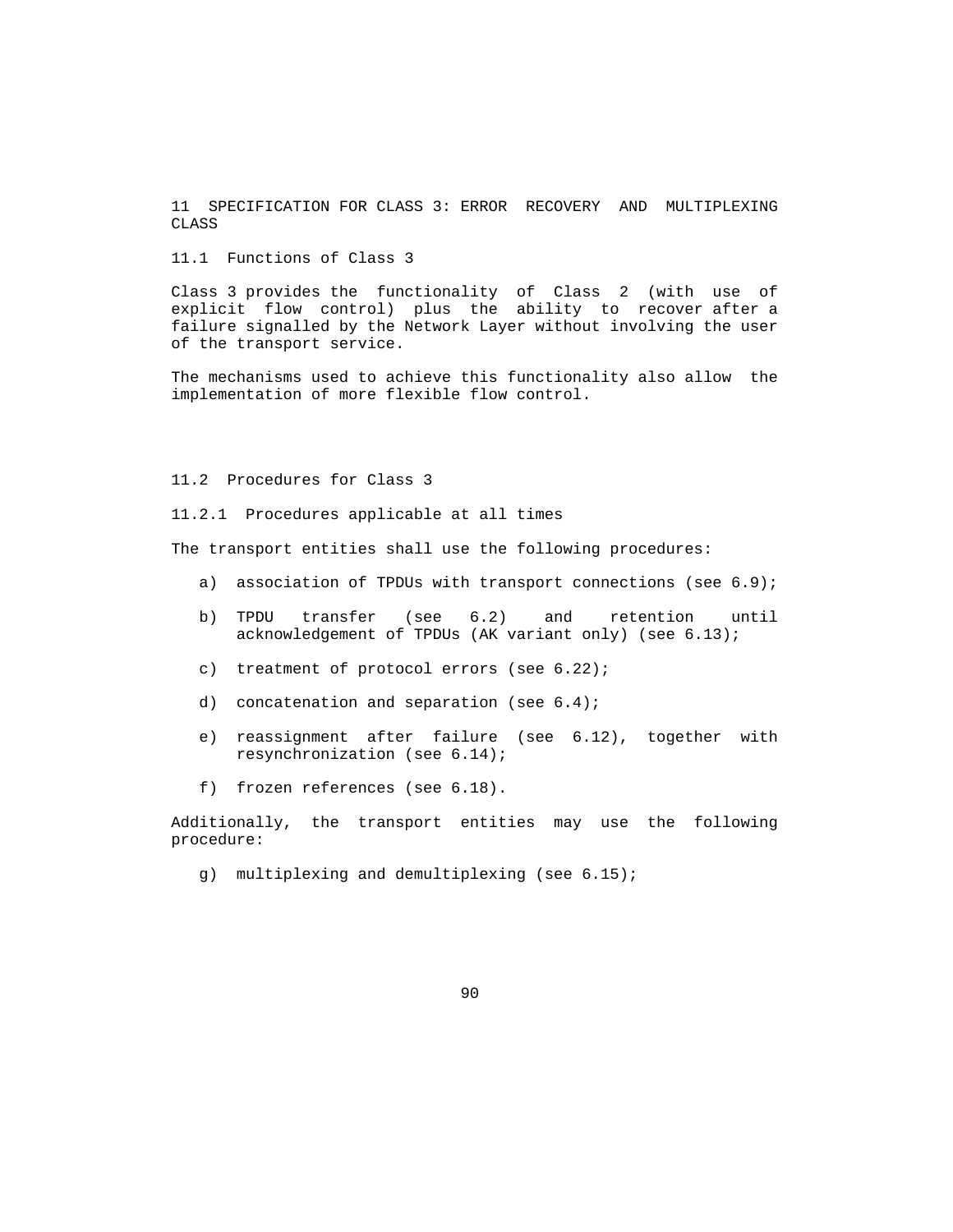11 SPECIFICATION FOR CLASS 3: ERROR RECOVERY AND MULTIPLEXING CLASS

11.1 Functions of Class 3

 Class 3 provides the functionality of Class 2 (with use of explicit flow control) plus the ability to recover after a failure signalled by the Network Layer without involving the user of the transport service.

 The mechanisms used to achieve this functionality also allow the implementation of more flexible flow control.

#### 11.2 Procedures for Class 3

11.2.1 Procedures applicable at all times

The transport entities shall use the following procedures:

- a) association of TPDUs with transport connections (see 6.9);
- b) TPDU transfer (see 6.2) and retention until acknowledgement of TPDUs (AK variant only) (see 6.13);
- c) treatment of protocol errors (see 6.22);
- d) concatenation and separation (see 6.4);
- e) reassignment after failure (see 6.12), together with resynchronization (see 6.14);
- f) frozen references (see 6.18).

 Additionally, the transport entities may use the following procedure:

g) multiplexing and demultiplexing (see 6.15);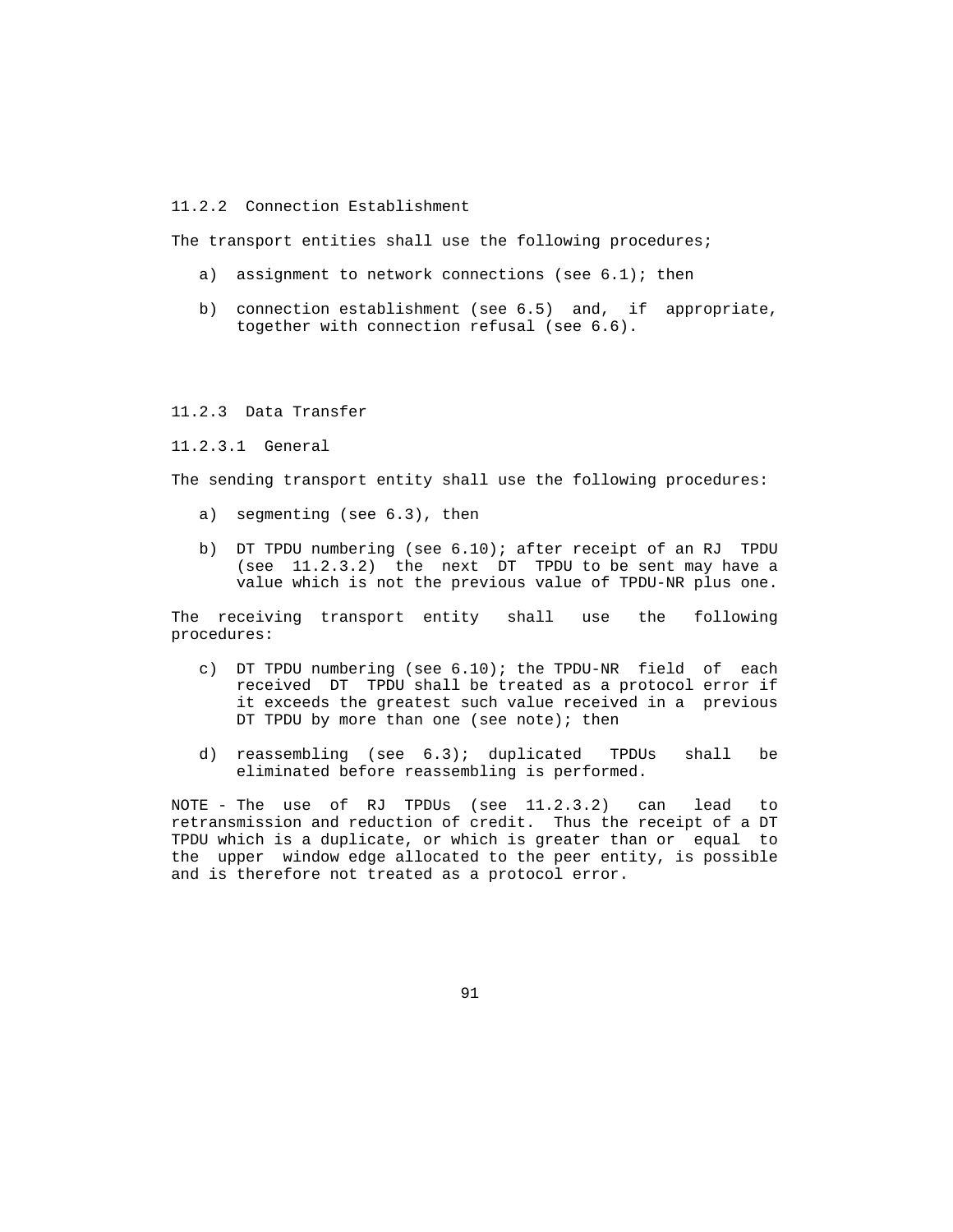11.2.2 Connection Establishment

The transport entities shall use the following procedures;

- a) assignment to network connections (see  $6.1$ ); then
- b) connection establishment (see 6.5) and, if appropriate, together with connection refusal (see 6.6).

# 11.2.3 Data Transfer

#### 11.2.3.1 General

The sending transport entity shall use the following procedures:

- a) segmenting (see 6.3), then
- b) DT TPDU numbering (see 6.10); after receipt of an RJ TPDU (see 11.2.3.2) the next DT TPDU to be sent may have a value which is not the previous value of TPDU-NR plus one.

 The receiving transport entity shall use the following procedures:

- c) DT TPDU numbering (see 6.10); the TPDU-NR field of each received DT TPDU shall be treated as a protocol error if it exceeds the greatest such value received in a previous DT TPDU by more than one (see note); then
- d) reassembling (see 6.3); duplicated TPDUs shall be eliminated before reassembling is performed.

 NOTE - The use of RJ TPDUs (see 11.2.3.2) can lead to retransmission and reduction of credit. Thus the receipt of a DT TPDU which is a duplicate, or which is greater than or equal to the upper window edge allocated to the peer entity, is possible and is therefore not treated as a protocol error.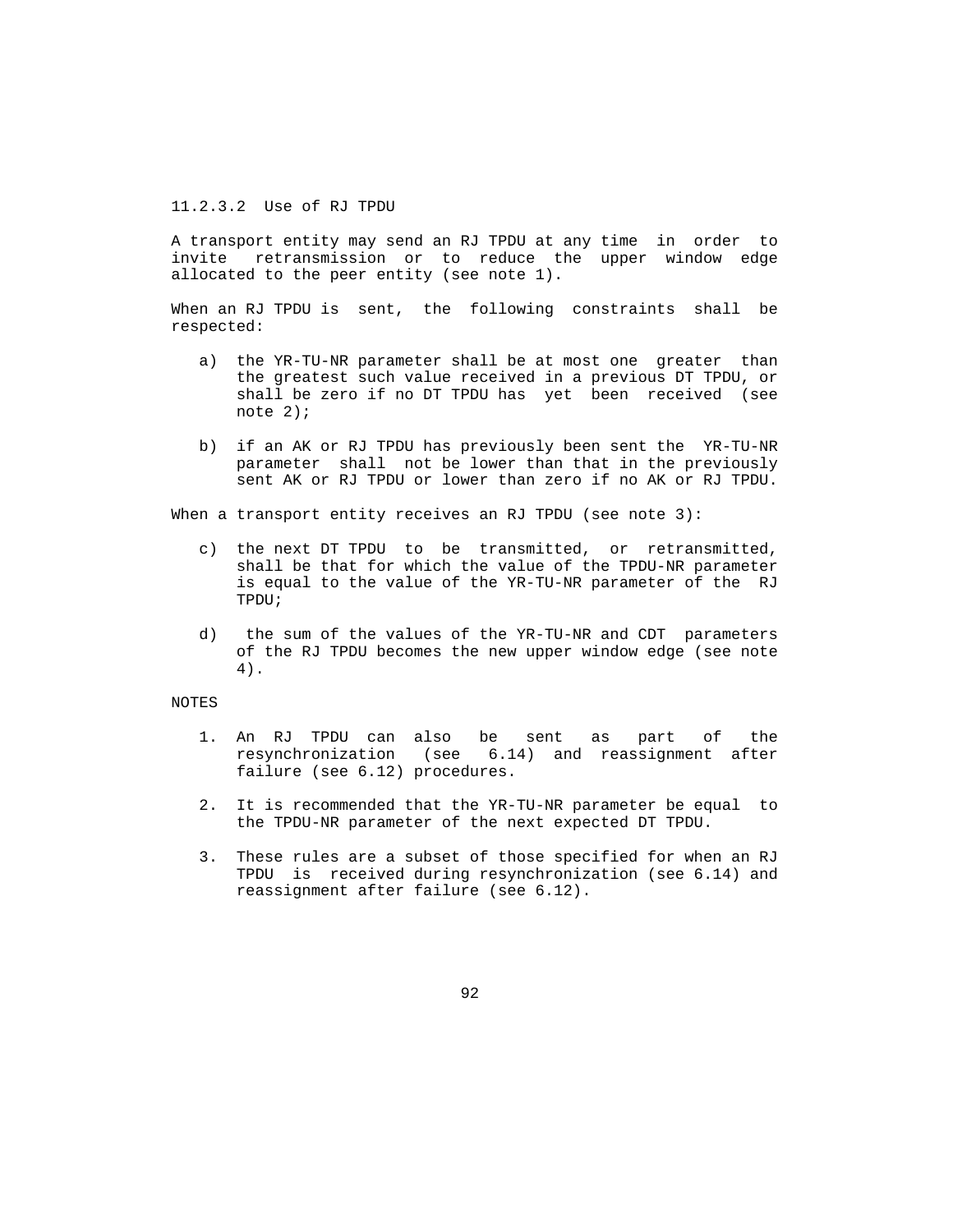### 11.2.3.2 Use of RJ TPDU

 A transport entity may send an RJ TPDU at any time in order to invite retransmission or to reduce the upper window edge allocated to the peer entity (see note 1).

 When an RJ TPDU is sent, the following constraints shall be respected:

- a) the YR-TU-NR parameter shall be at most one greater than the greatest such value received in a previous DT TPDU, or shall be zero if no DT TPDU has yet been received (see note 2);
- b) if an AK or RJ TPDU has previously been sent the YR-TU-NR parameter shall not be lower than that in the previously sent AK or RJ TPDU or lower than zero if no AK or RJ TPDU.

When a transport entity receives an RJ TPDU (see note 3):

- c) the next DT TPDU to be transmitted, or retransmitted, shall be that for which the value of the TPDU-NR parameter is equal to the value of the YR-TU-NR parameter of the RJ TPDU;
- d) the sum of the values of the YR-TU-NR and CDT parameters of the RJ TPDU becomes the new upper window edge (see note 4).

#### NOTES

- 1. An RJ TPDU can also be sent as part of the resynchronization (see 6.14) and reassignment after failure (see 6.12) procedures.
- 2. It is recommended that the YR-TU-NR parameter be equal to the TPDU-NR parameter of the next expected DT TPDU.
- 3. These rules are a subset of those specified for when an RJ TPDU is received during resynchronization (see 6.14) and reassignment after failure (see 6.12).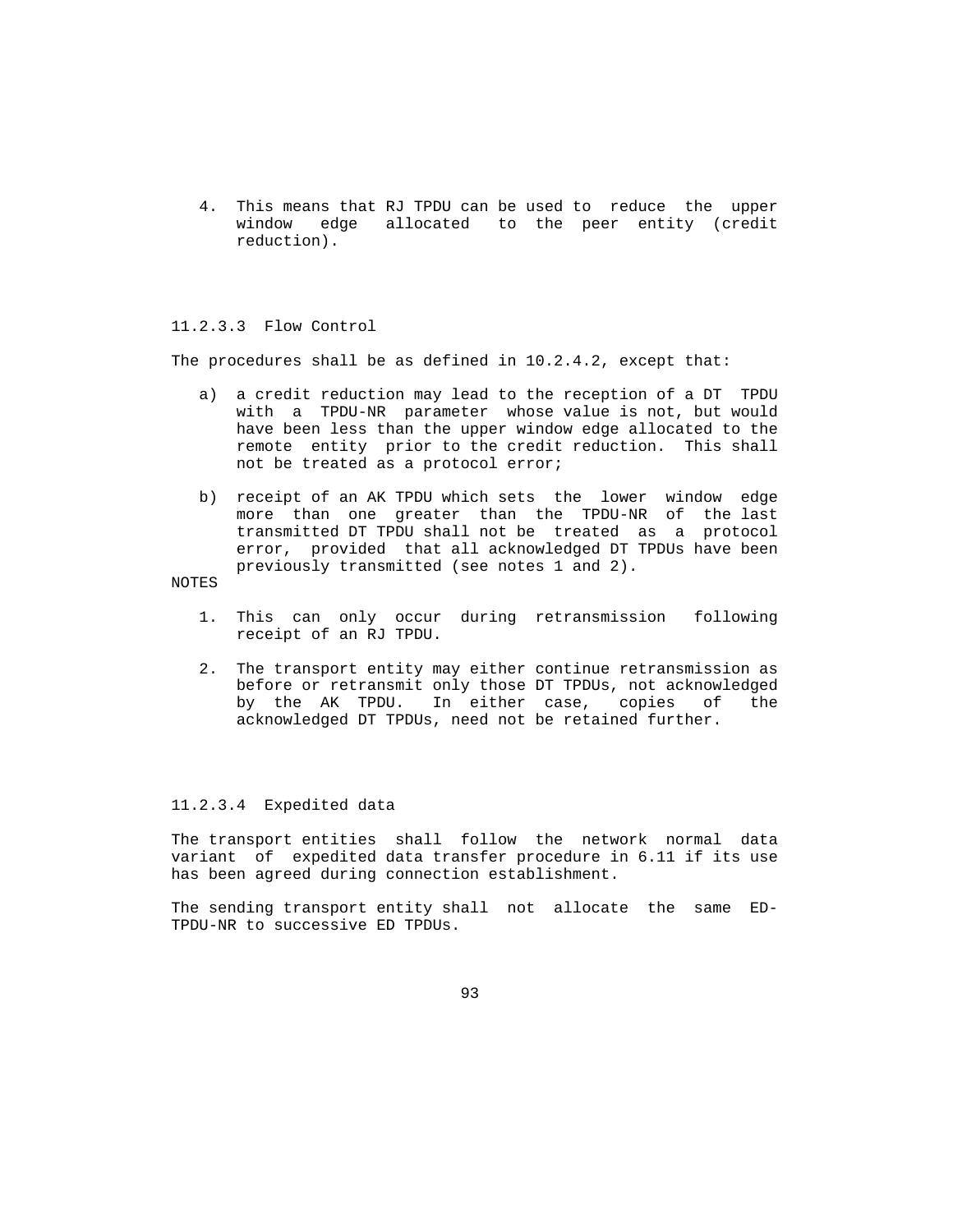4. This means that RJ TPDU can be used to reduce the upper window edge allocated to the peer entity (credit reduction).

### 11.2.3.3 Flow Control

The procedures shall be as defined in 10.2.4.2, except that:

- a) a credit reduction may lead to the reception of a DT TPDU with a TPDU-NR parameter whose value is not, but would have been less than the upper window edge allocated to the remote entity prior to the credit reduction. This shall not be treated as a protocol error;
- b) receipt of an AK TPDU which sets the lower window edge more than one greater than the TPDU-NR of the last transmitted DT TPDU shall not be treated as a protocol error, provided that all acknowledged DT TPDUs have been previously transmitted (see notes 1 and 2).

NOTES

- 1. This can only occur during retransmission following receipt of an RJ TPDU.
- 2. The transport entity may either continue retransmission as before or retransmit only those DT TPDUs, not acknowledged by the AK TPDU. In either case, copies of the acknowledged DT TPDUs, need not be retained further.

#### 11.2.3.4 Expedited data

 The transport entities shall follow the network normal data variant of expedited data transfer procedure in 6.11 if its use has been agreed during connection establishment.

 The sending transport entity shall not allocate the same ED- TPDU-NR to successive ED TPDUs.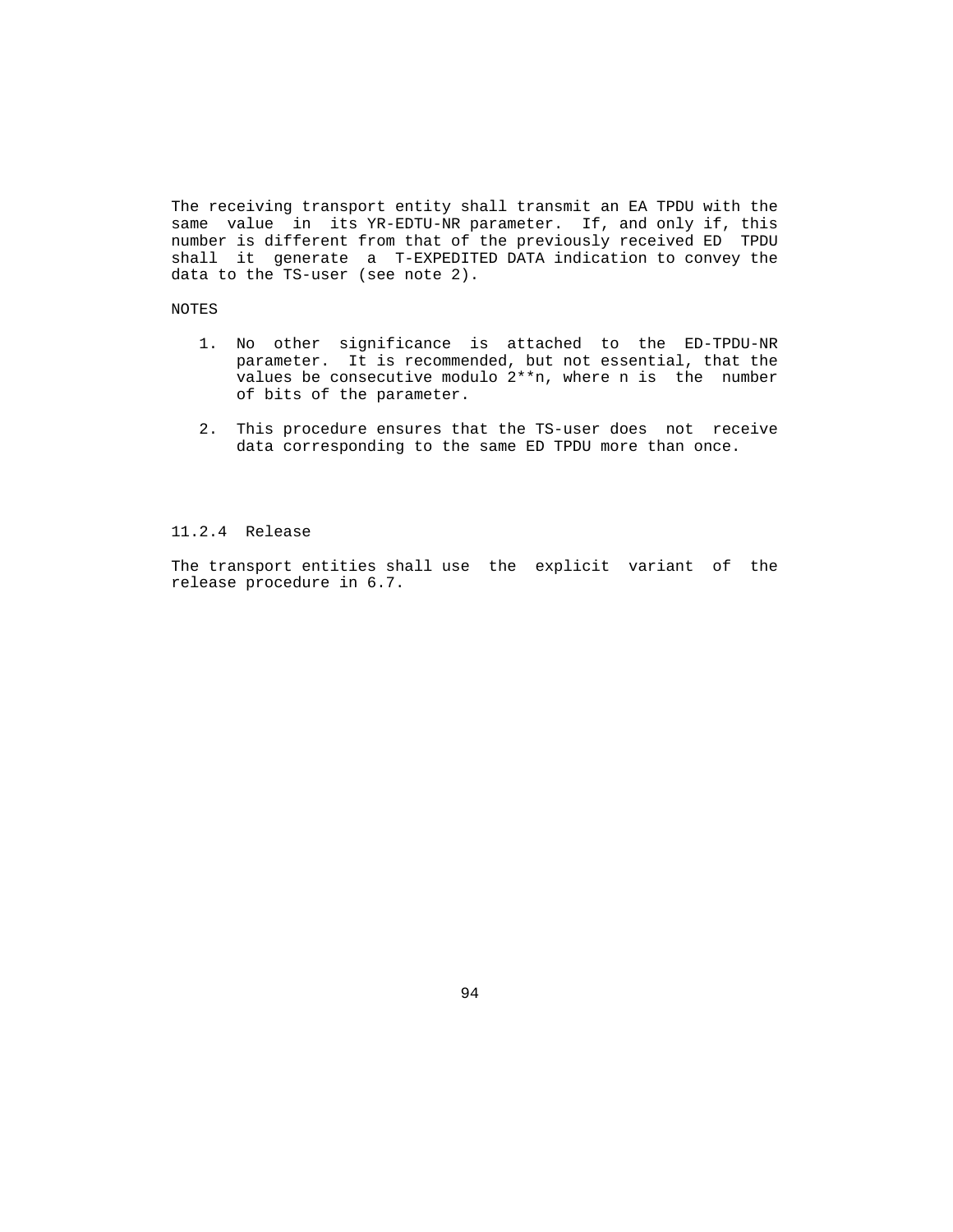The receiving transport entity shall transmit an EA TPDU with the same value in its YR-EDTU-NR parameter. If, and only if, this number is different from that of the previously received ED TPDU shall it generate a T-EXPEDITED DATA indication to convey the data to the TS-user (see note 2).

# NOTES

- 1. No other significance is attached to the ED-TPDU-NR parameter. It is recommended, but not essential, that the values be consecutive modulo 2\*\*n, where n is the number of bits of the parameter.
- 2. This procedure ensures that the TS-user does not receive data corresponding to the same ED TPDU more than once.

### 11.2.4 Release

 The transport entities shall use the explicit variant of the release procedure in 6.7.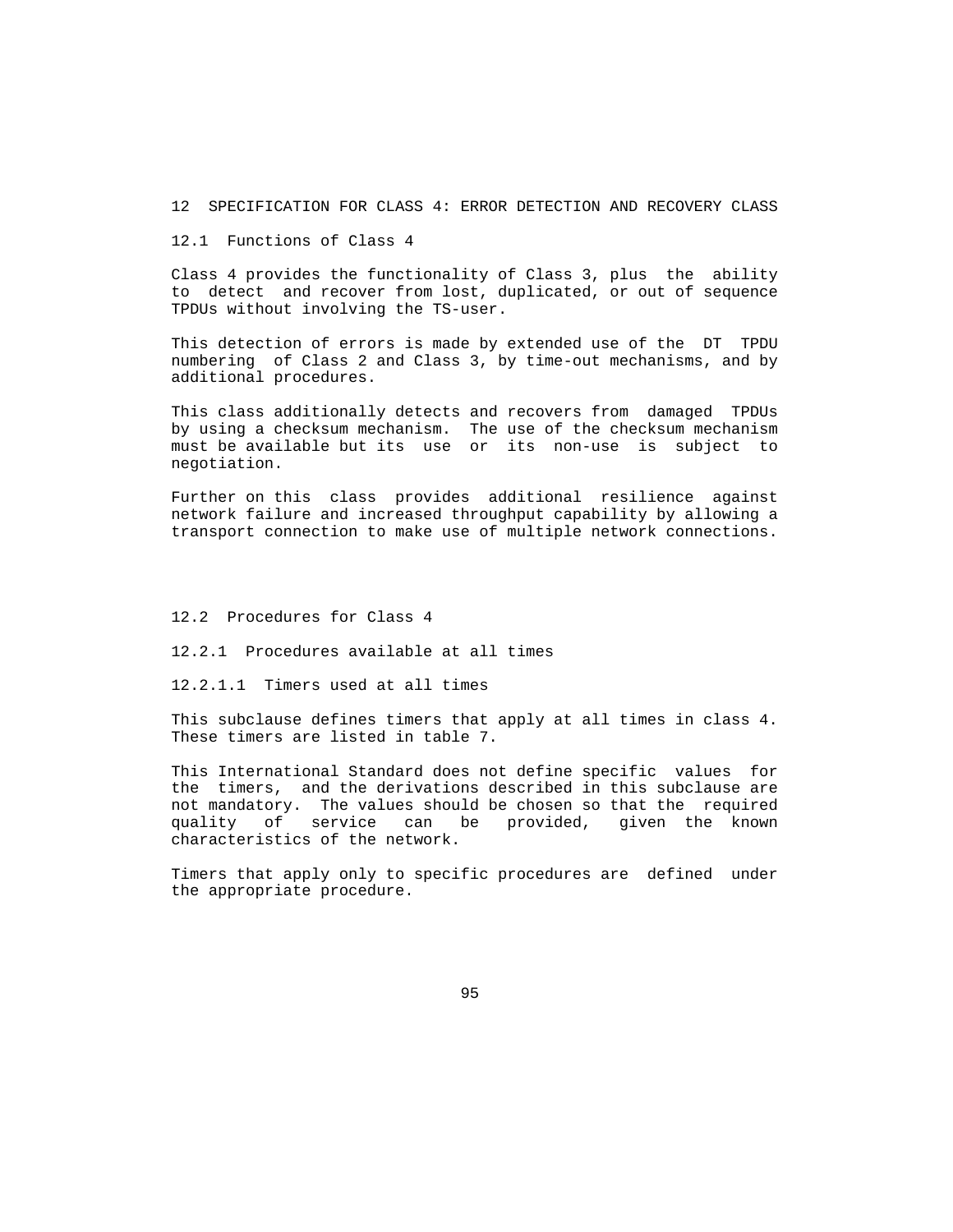12 SPECIFICATION FOR CLASS 4: ERROR DETECTION AND RECOVERY CLASS

12.1 Functions of Class 4

 Class 4 provides the functionality of Class 3, plus the ability to detect and recover from lost, duplicated, or out of sequence TPDUs without involving the TS-user.

 This detection of errors is made by extended use of the DT TPDU numbering of Class 2 and Class 3, by time-out mechanisms, and by additional procedures.

 This class additionally detects and recovers from damaged TPDUs by using a checksum mechanism. The use of the checksum mechanism must be available but its use or its non-use is subject to negotiation.

 Further on this class provides additional resilience against network failure and increased throughput capability by allowing a transport connection to make use of multiple network connections.

12.2 Procedures for Class 4

12.2.1 Procedures available at all times

12.2.1.1 Timers used at all times

 This subclause defines timers that apply at all times in class 4. These timers are listed in table 7.

 This International Standard does not define specific values for the timers, and the derivations described in this subclause are not mandatory. The values should be chosen so that the required quality of service can be provided, given the known characteristics of the network.

 Timers that apply only to specific procedures are defined under the appropriate procedure.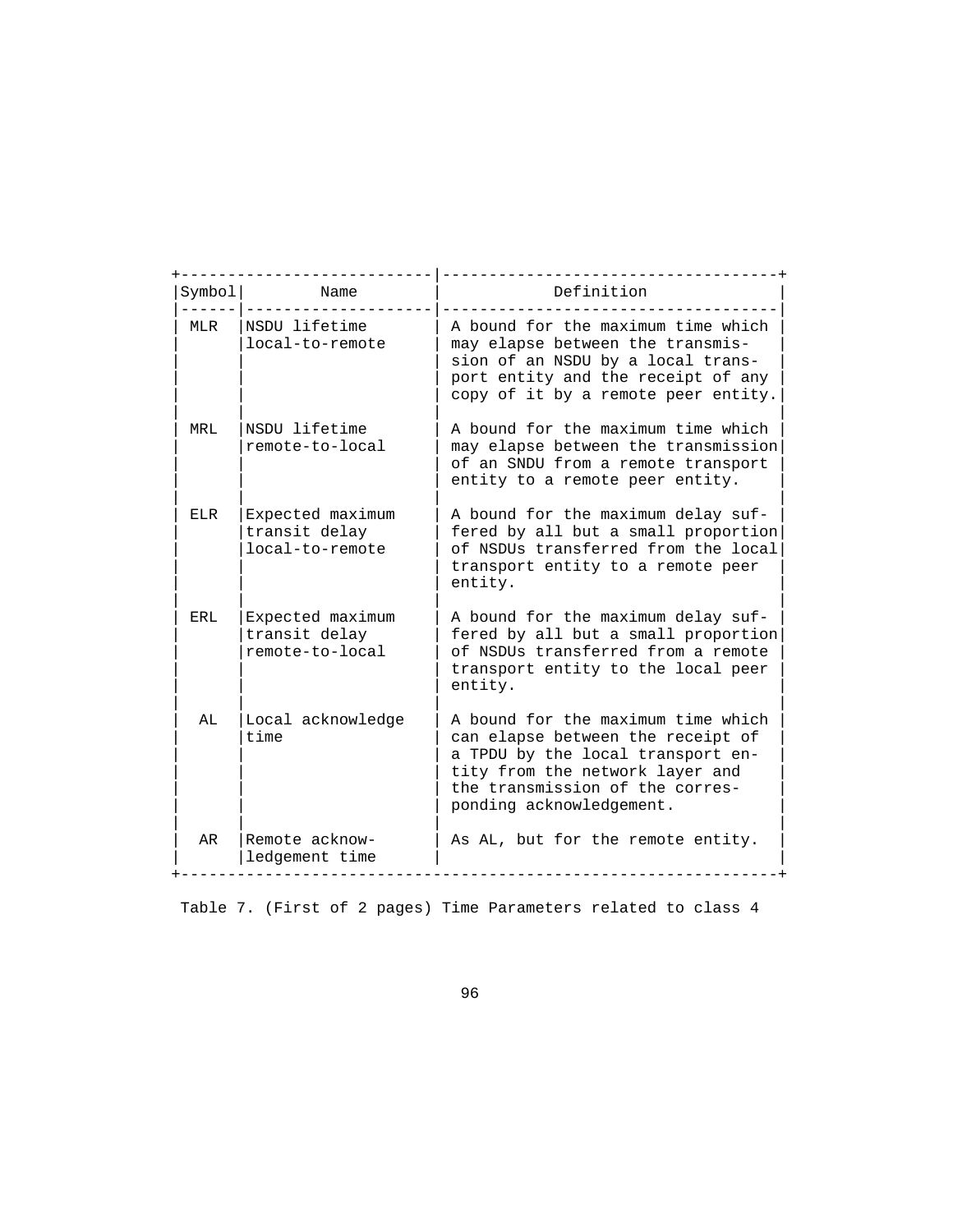| Symbol     | Name                                                 | Definition                                                                                                                                                                                                     |  |  |
|------------|------------------------------------------------------|----------------------------------------------------------------------------------------------------------------------------------------------------------------------------------------------------------------|--|--|
| MLR        | NSDU lifetime<br>local-to-remote                     | A bound for the maximum time which<br>may elapse between the transmis-<br>sion of an NSDU by a local trans-<br>port entity and the receipt of any<br>copy of it by a remote peer entity.                       |  |  |
| MRL        | NSDU lifetime<br>remote-to-local                     | A bound for the maximum time which<br>may elapse between the transmission<br>of an SNDU from a remote transport<br>entity to a remote peer entity.                                                             |  |  |
| ELR        | Expected maximum<br>transit delay<br>local-to-remote | A bound for the maximum delay suf-<br>fered by all but a small proportion<br>of NSDUs transferred from the local<br>transport entity to a remote peer<br>entity.                                               |  |  |
| <b>ERL</b> | Expected maximum<br>transit delay<br>remote-to-local | A bound for the maximum delay suf-<br>fered by all but a small proportion<br>of NSDUs transferred from a remote<br>transport entity to the local peer<br>entity.                                               |  |  |
| AL         | Local acknowledge<br>time                            | A bound for the maximum time which<br>can elapse between the receipt of<br>a TPDU by the local transport en-<br>tity from the network layer and<br>the transmission of the corres-<br>ponding acknowledgement. |  |  |
| AR         | Remote acknow-<br>ledgement time                     | As AL, but for the remote entity.                                                                                                                                                                              |  |  |

Table 7. (First of 2 pages) Time Parameters related to class 4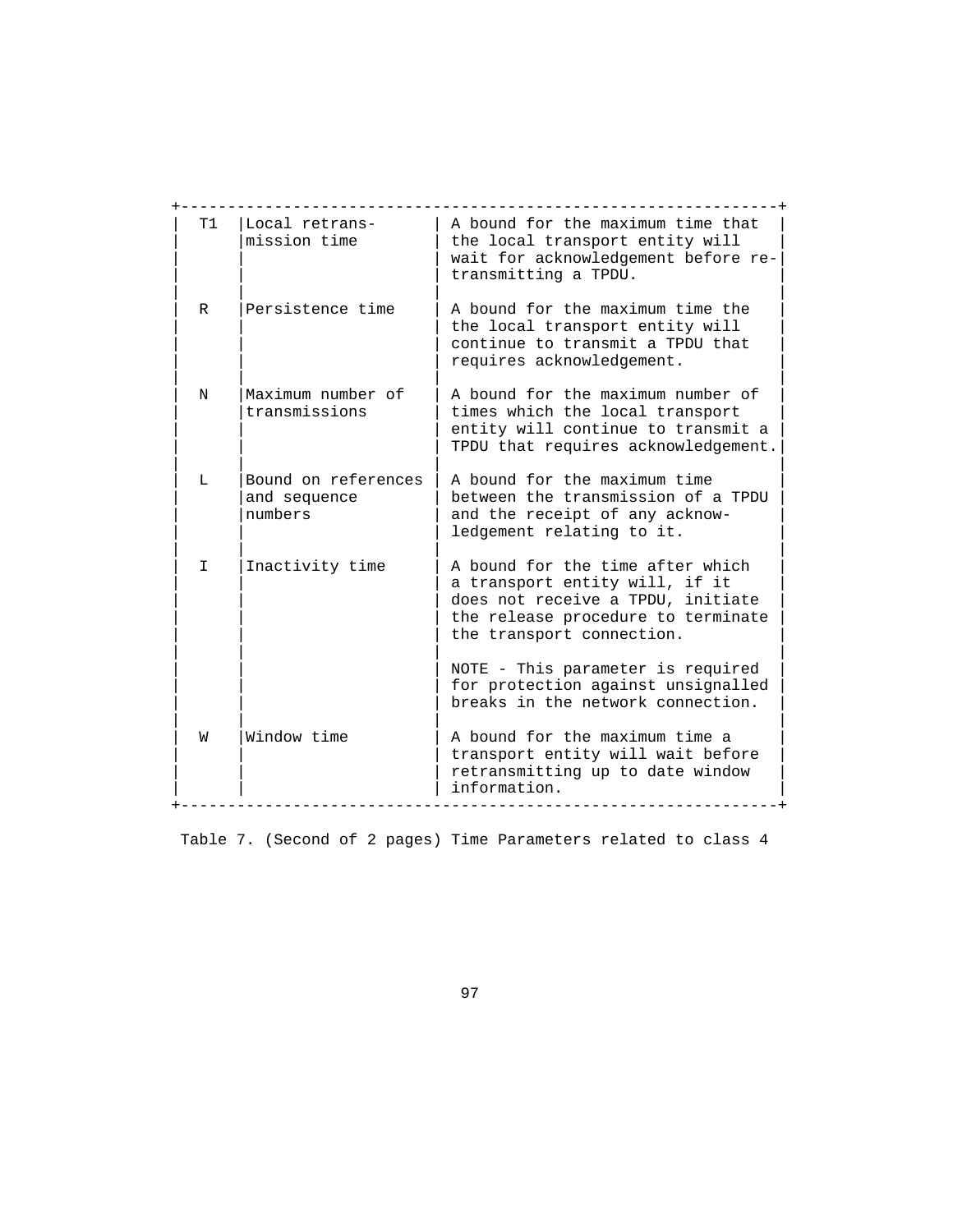| <b>T1</b> | Local retrans-<br>mission time                 | A bound for the maximum time that<br>the local transport entity will<br>wait for acknowledgement before re-<br>transmitting a TPDU.                                        |
|-----------|------------------------------------------------|----------------------------------------------------------------------------------------------------------------------------------------------------------------------------|
| R         | Persistence time                               | A bound for the maximum time the<br>the local transport entity will<br>continue to transmit a TPDU that<br>requires acknowledgement.                                       |
| N         | Maximum number of<br>transmissions             | A bound for the maximum number of<br>times which the local transport<br>entity will continue to transmit a<br>TPDU that requires acknowledgement.                          |
| L         | Bound on references<br>and sequence<br>numbers | A bound for the maximum time<br>between the transmission of a TPDU<br>and the receipt of any acknow-<br>ledgement relating to it.                                          |
| T.        | Inactivity time                                | A bound for the time after which<br>a transport entity will, if it<br>does not receive a TPDU, initiate<br>the release procedure to terminate<br>the transport connection. |
|           |                                                | NOTE - This parameter is required<br>for protection against unsignalled<br>breaks in the network connection.                                                               |
| W         | Window time                                    | A bound for the maximum time a<br>transport entity will wait before<br>retransmitting up to date window<br>information.                                                    |

Table 7. (Second of 2 pages) Time Parameters related to class 4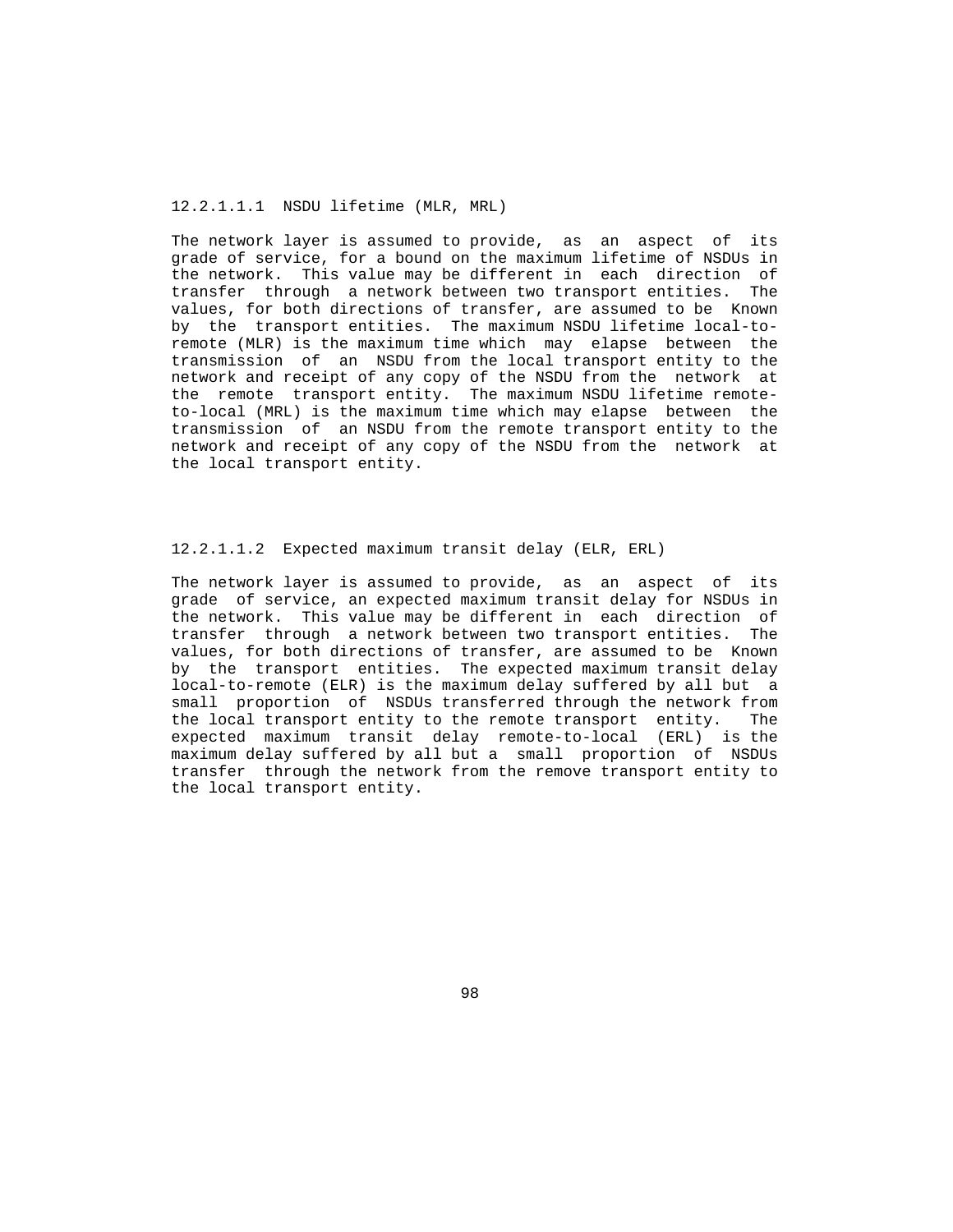#### 12.2.1.1.1 NSDU lifetime (MLR, MRL)

 The network layer is assumed to provide, as an aspect of its grade of service, for a bound on the maximum lifetime of NSDUs in the network. This value may be different in each direction of transfer through a network between two transport entities. The values, for both directions of transfer, are assumed to be Known by the transport entities. The maximum NSDU lifetime local-to remote (MLR) is the maximum time which may elapse between the transmission of an NSDU from the local transport entity to the network and receipt of any copy of the NSDU from the network at the remote transport entity. The maximum NSDU lifetime remote to-local (MRL) is the maximum time which may elapse between the transmission of an NSDU from the remote transport entity to the network and receipt of any copy of the NSDU from the network at the local transport entity.

#### 12.2.1.1.2 Expected maximum transit delay (ELR, ERL)

 The network layer is assumed to provide, as an aspect of its grade of service, an expected maximum transit delay for NSDUs in the network. This value may be different in each direction of transfer through a network between two transport entities. The values, for both directions of transfer, are assumed to be Known by the transport entities. The expected maximum transit delay local-to-remote (ELR) is the maximum delay suffered by all but a small proportion of NSDUs transferred through the network from the local transport entity to the remote transport entity. The expected maximum transit delay remote-to-local (ERL) is the maximum delay suffered by all but a small proportion of NSDUs transfer through the network from the remove transport entity to the local transport entity.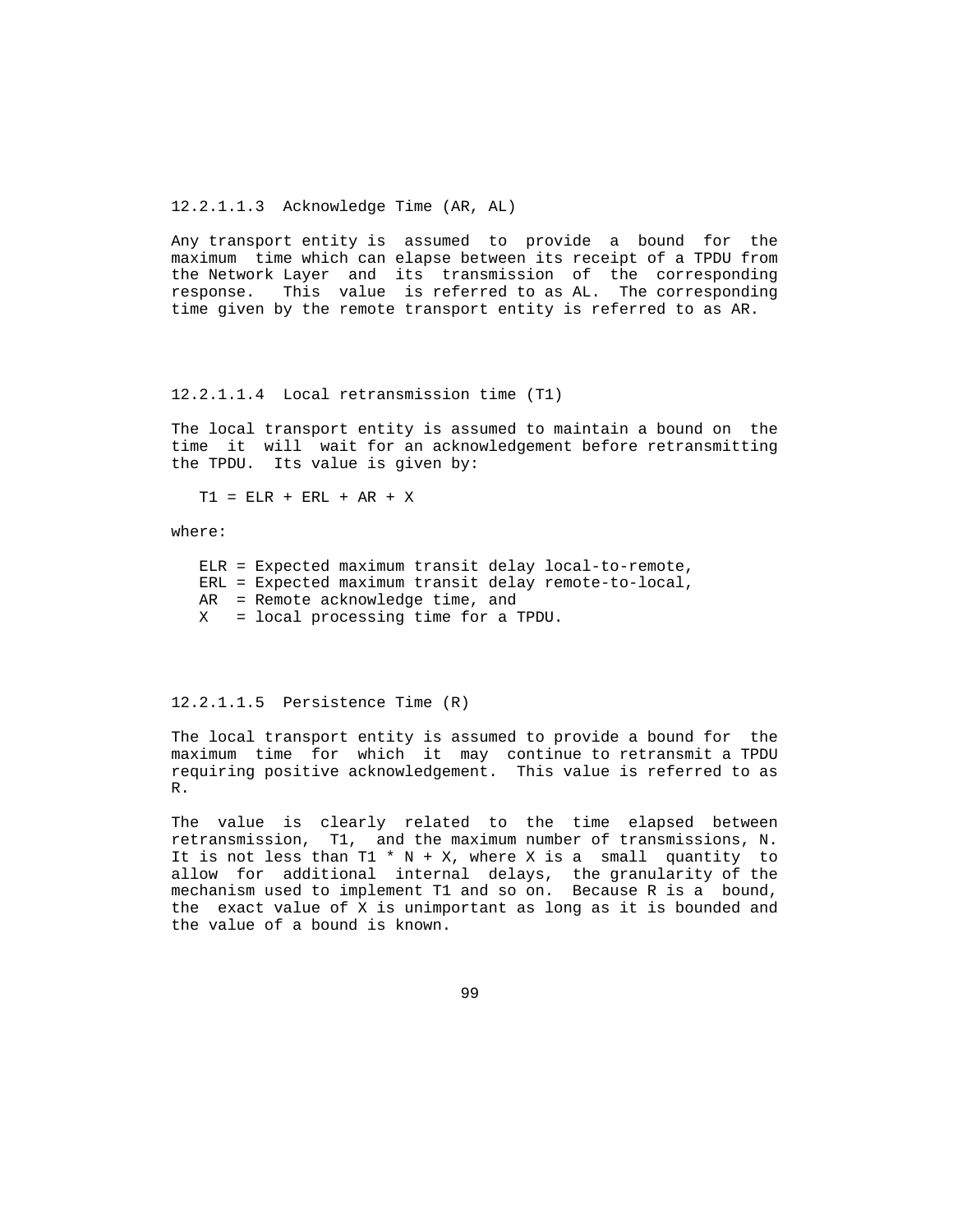12.2.1.1.3 Acknowledge Time (AR, AL)

 Any transport entity is assumed to provide a bound for the maximum time which can elapse between its receipt of a TPDU from the Network Layer and its transmission of the corresponding response. This value is referred to as AL. The corresponding time given by the remote transport entity is referred to as AR.

12.2.1.1.4 Local retransmission time (T1)

 The local transport entity is assumed to maintain a bound on the time it will wait for an acknowledgement before retransmitting the TPDU. Its value is given by:

T1 = ELR + ERL + AR + X

where:

 ELR = Expected maximum transit delay local-to-remote, ERL = Expected maximum transit delay remote-to-local, AR = Remote acknowledge time, and X = local processing time for a TPDU.

12.2.1.1.5 Persistence Time (R)

 The local transport entity is assumed to provide a bound for the maximum time for which it may continue to retransmit a TPDU requiring positive acknowledgement. This value is referred to as R.

 The value is clearly related to the time elapsed between retransmission, T1, and the maximum number of transmissions, N. It is not less than T1  $*$  N + X, where X is a small quantity to allow for additional internal delays, the granularity of the mechanism used to implement T1 and so on. Because R is a bound, the exact value of X is unimportant as long as it is bounded and the value of a bound is known.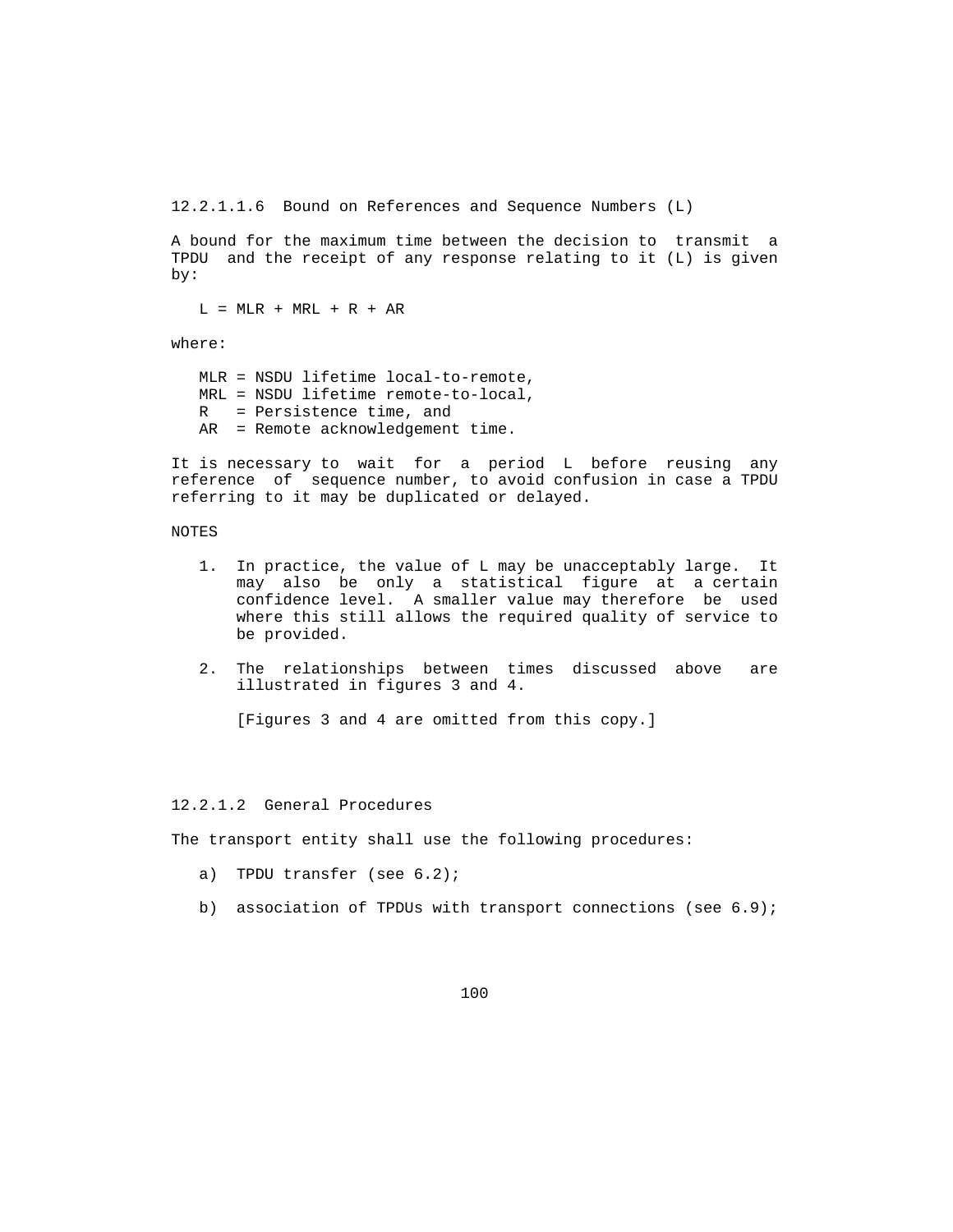12.2.1.1.6 Bound on References and Sequence Numbers (L)

 A bound for the maximum time between the decision to transmit a TPDU and the receipt of any response relating to it (L) is given by:

 $L = MLR + MRL + R + AR$ 

where:

 MLR = NSDU lifetime local-to-remote, MRL = NSDU lifetime remote-to-local, R = Persistence time, and AR = Remote acknowledgement time.

 It is necessary to wait for a period L before reusing any reference of sequence number, to avoid confusion in case a TPDU referring to it may be duplicated or delayed.

# NOTES

- 1. In practice, the value of L may be unacceptably large. It may also be only a statistical figure at a certain confidence level. A smaller value may therefore be used where this still allows the required quality of service to be provided.
- 2. The relationships between times discussed above are illustrated in figures 3 and 4.

[Figures 3 and 4 are omitted from this copy.]

### 12.2.1.2 General Procedures

The transport entity shall use the following procedures:

- a) TPDU transfer (see 6.2);
- b) association of TPDUs with transport connections (see 6.9);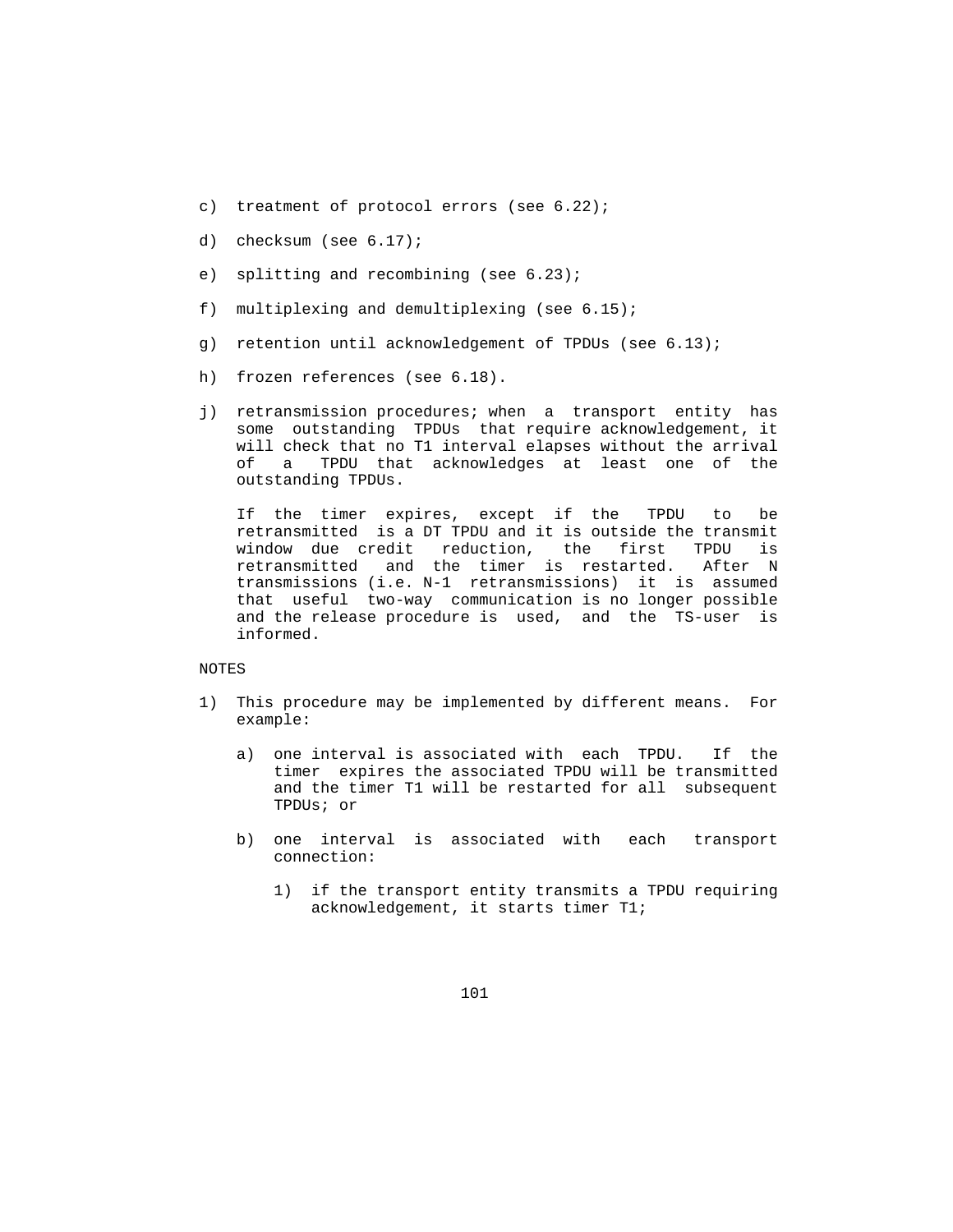- c) treatment of protocol errors (see 6.22);
- d) checksum (see 6.17);
- e) splitting and recombining (see 6.23);
- f) multiplexing and demultiplexing (see 6.15);
- g) retention until acknowledgement of TPDUs (see 6.13);
- h) frozen references (see 6.18).
- j) retransmission procedures; when a transport entity has some outstanding TPDUs that require acknowledgement, it will check that no T1 interval elapses without the arrival of a TPDU that acknowledges at least one of the outstanding TPDUs.

 If the timer expires, except if the TPDU to be retransmitted is a DT TPDU and it is outside the transmit window due credit reduction, the first TPDU is retransmitted and the timer is restarted. After N transmissions (i.e. N-1 retransmissions) it is assumed that useful two-way communication is no longer possible and the release procedure is used, and the TS-user is informed.

# NOTES

- 1) This procedure may be implemented by different means. For example:
	- a) one interval is associated with each TPDU. If the timer expires the associated TPDU will be transmitted and the timer T1 will be restarted for all subsequent TPDUs; or
	- b) one interval is associated with each transport connection:
		- 1) if the transport entity transmits a TPDU requiring acknowledgement, it starts timer T1;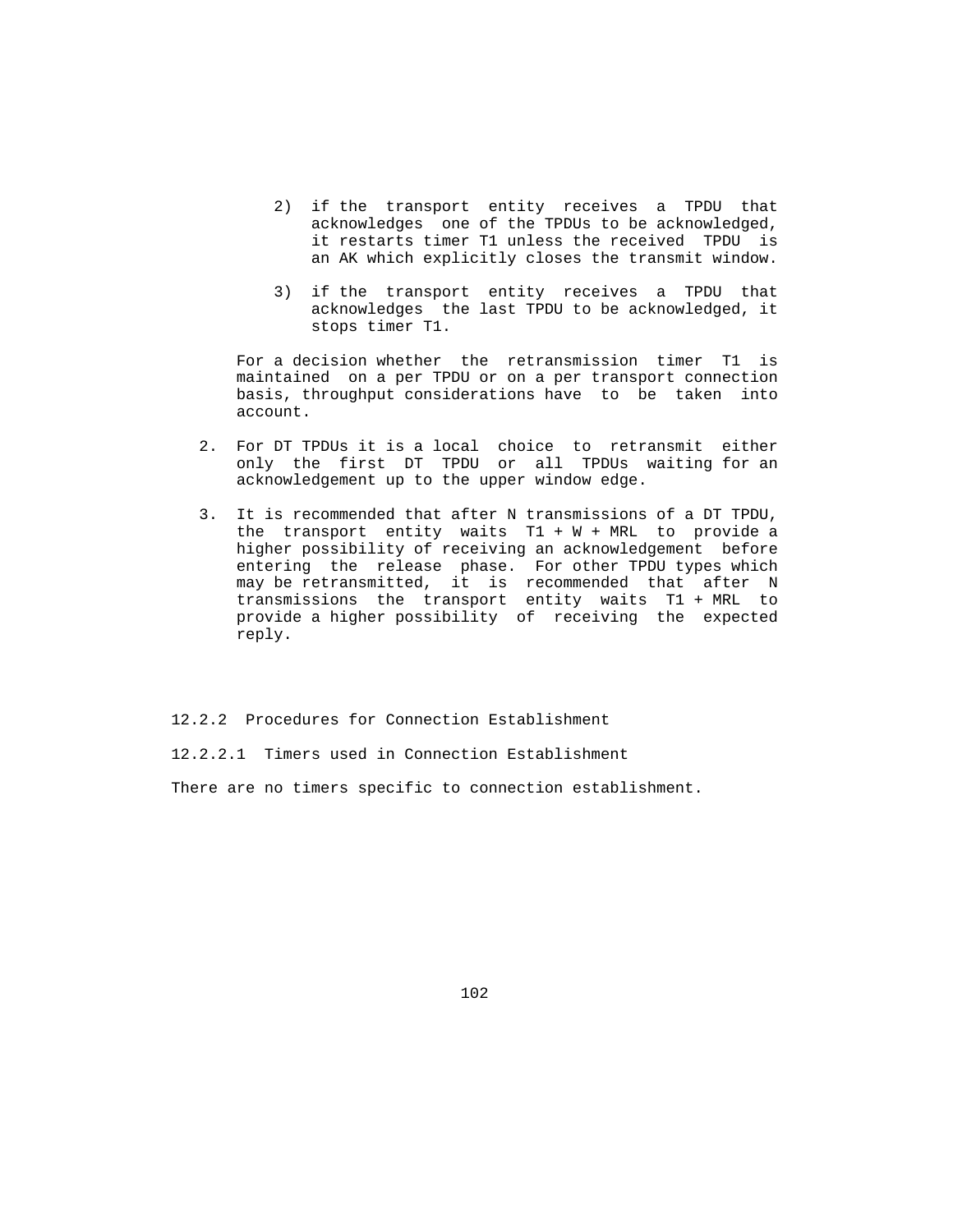- 2) if the transport entity receives a TPDU that acknowledges one of the TPDUs to be acknowledged, it restarts timer T1 unless the received TPDU is an AK which explicitly closes the transmit window.
- 3) if the transport entity receives a TPDU that acknowledges the last TPDU to be acknowledged, it stops timer T1.

 For a decision whether the retransmission timer T1 is maintained on a per TPDU or on a per transport connection basis, throughput considerations have to be taken into account.

- 2. For DT TPDUs it is a local choice to retransmit either only the first DT TPDU or all TPDUs waiting for an acknowledgement up to the upper window edge.
- 3. It is recommended that after N transmissions of a DT TPDU, the transport entity waits  $T1 + W + MRL$  to provide a higher possibility of receiving an acknowledgement before entering the release phase. For other TPDU types which may be retransmitted, it is recommended that after N transmissions the transport entity waits T1 + MRL to provide a higher possibility of receiving the expected reply.

12.2.2 Procedures for Connection Establishment

12.2.2.1 Timers used in Connection Establishment

There are no timers specific to connection establishment.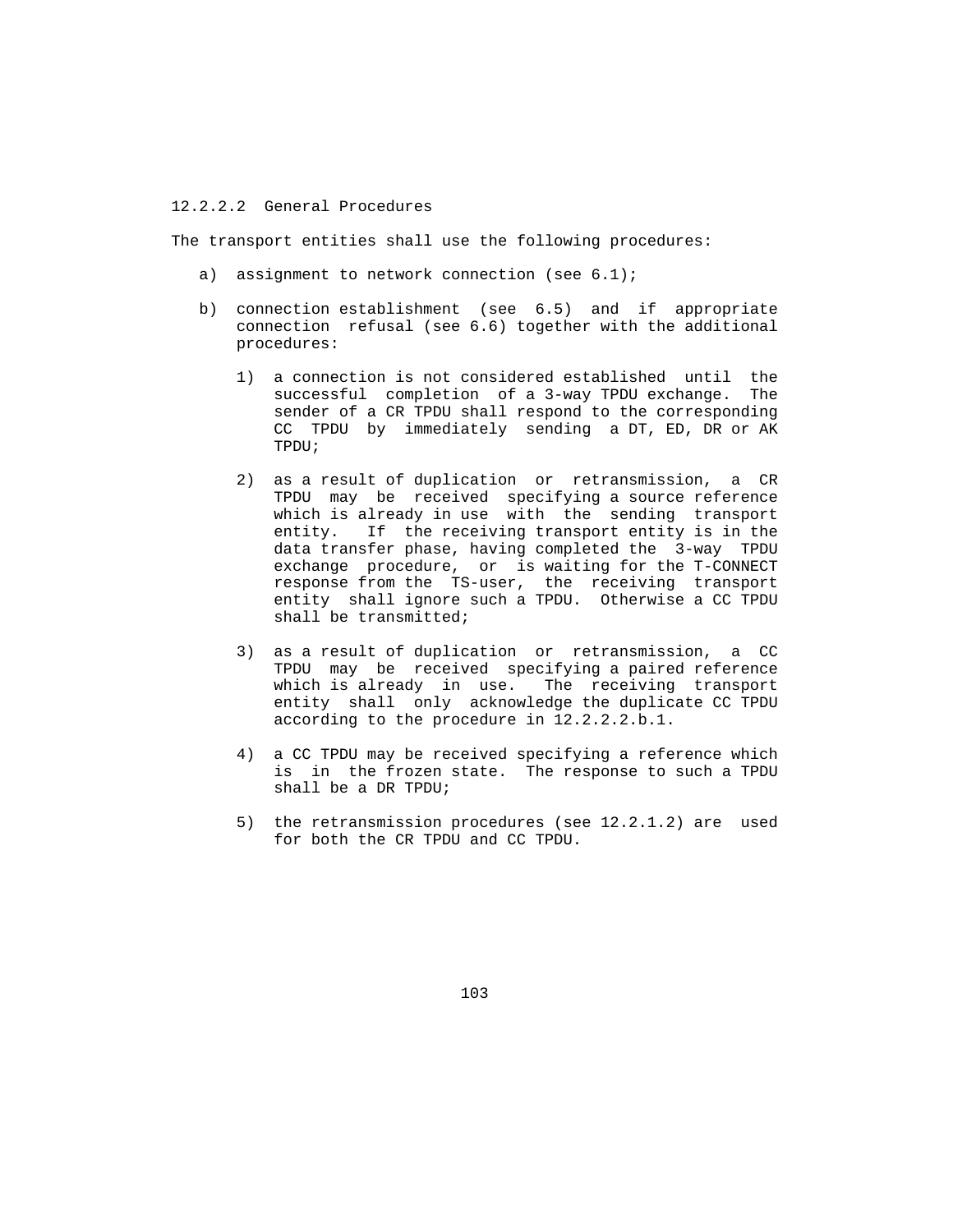## 12.2.2.2 General Procedures

The transport entities shall use the following procedures:

- a) assignment to network connection (see 6.1);
- b) connection establishment (see 6.5) and if appropriate connection refusal (see 6.6) together with the additional procedures:
	- 1) a connection is not considered established until the successful completion of a 3-way TPDU exchange. The sender of a CR TPDU shall respond to the corresponding CC TPDU by immediately sending a DT, ED, DR or AK TPDU;
	- 2) as a result of duplication or retransmission, a CR TPDU may be received specifying a source reference which is already in use with the sending transport entity. If the receiving transport entity is in the data transfer phase, having completed the 3-way TPDU exchange procedure, or is waiting for the T-CONNECT response from the TS-user, the receiving transport entity shall ignore such a TPDU. Otherwise a CC TPDU shall be transmitted;
	- 3) as a result of duplication or retransmission, a CC TPDU may be received specifying a paired reference which is already in use. The receiving transport entity shall only acknowledge the duplicate CC TPDU according to the procedure in 12.2.2.2.b.1.
	- 4) a CC TPDU may be received specifying a reference which is in the frozen state. The response to such a TPDU shall be a DR TPDU;
	- 5) the retransmission procedures (see 12.2.1.2) are used for both the CR TPDU and CC TPDU.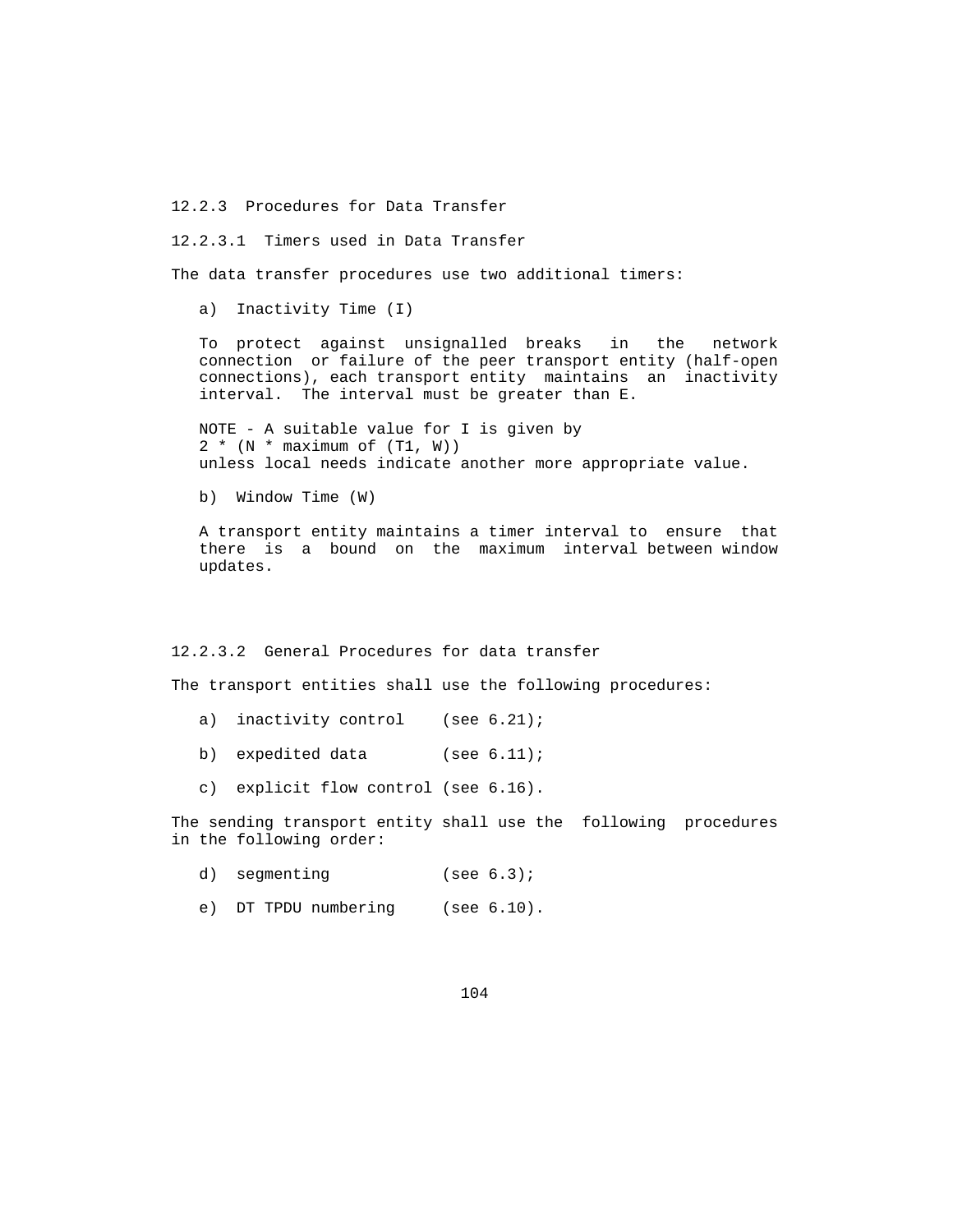12.2.3 Procedures for Data Transfer

12.2.3.1 Timers used in Data Transfer

The data transfer procedures use two additional timers:

a) Inactivity Time (I)

 To protect against unsignalled breaks in the network connection or failure of the peer transport entity (half-open connections), each transport entity maintains an inactivity interval. The interval must be greater than E.

 NOTE - A suitable value for I is given by  $2 * (N * maximum of (T1, W))$ unless local needs indicate another more appropriate value.

b) Window Time (W)

 A transport entity maintains a timer interval to ensure that there is a bound on the maximum interval between window updates.

12.2.3.2 General Procedures for data transfer

The transport entities shall use the following procedures:

- a) inactivity control (see 6.21);
- b) expedited data (see 6.11);
- c) explicit flow control (see 6.16).

 The sending transport entity shall use the following procedures in the following order:

- d) segmenting (see 6.3);
- e) DT TPDU numbering (see 6.10).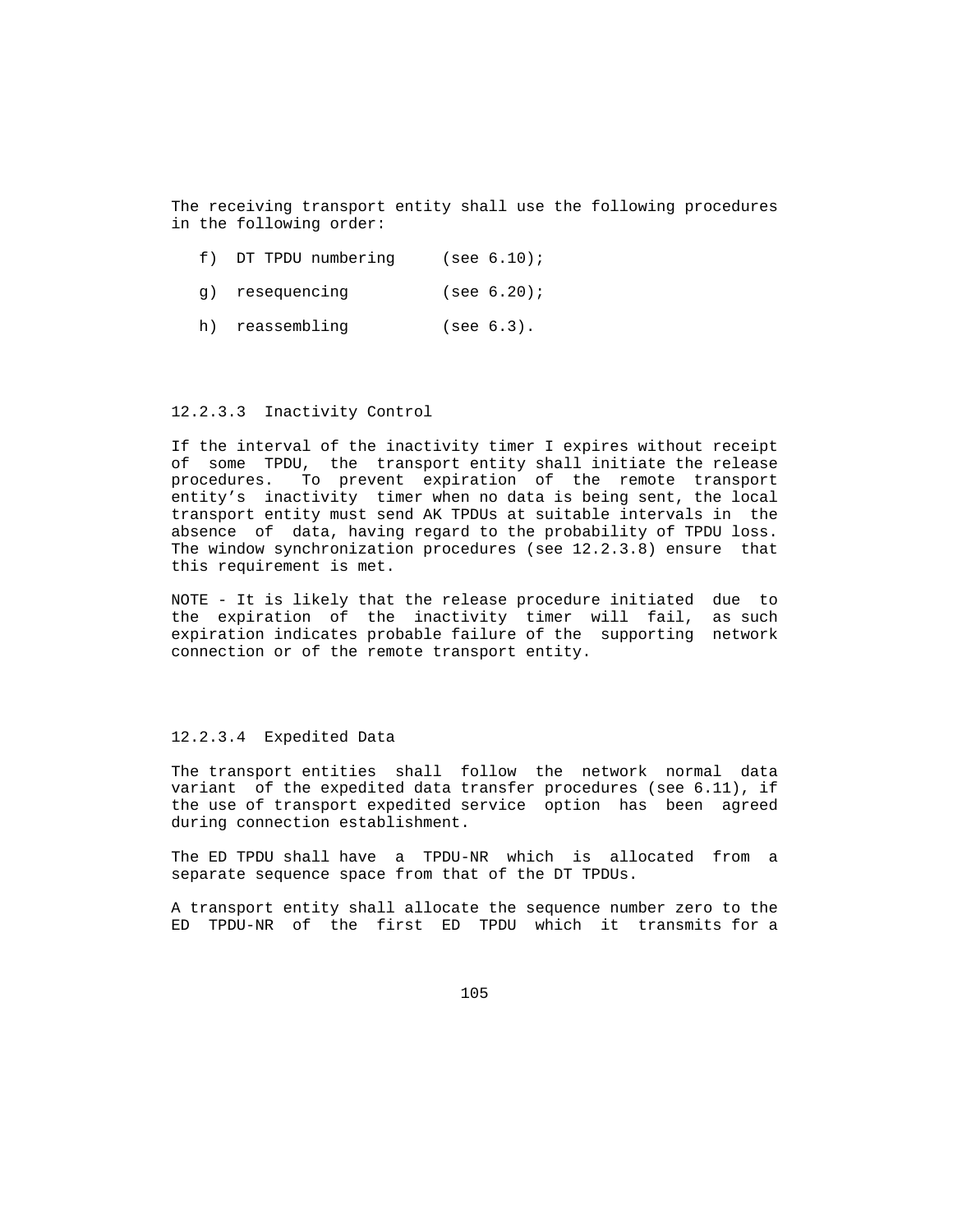The receiving transport entity shall use the following procedures in the following order:

- f) DT TPDU numbering (see 6.10);
- g) resequencing (see 6.20);
- h) reassembling (see 6.3).

### 12.2.3.3 Inactivity Control

 If the interval of the inactivity timer I expires without receipt of some TPDU, the transport entity shall initiate the release procedures. To prevent expiration of the remote transport entity's inactivity timer when no data is being sent, the local transport entity must send AK TPDUs at suitable intervals in the absence of data, having regard to the probability of TPDU loss. The window synchronization procedures (see 12.2.3.8) ensure that this requirement is met.

 NOTE - It is likely that the release procedure initiated due to the expiration of the inactivity timer will fail, as such expiration indicates probable failure of the supporting network connection or of the remote transport entity.

## 12.2.3.4 Expedited Data

 The transport entities shall follow the network normal data variant of the expedited data transfer procedures (see 6.11), if the use of transport expedited service option has been agreed during connection establishment.

 The ED TPDU shall have a TPDU-NR which is allocated from a separate sequence space from that of the DT TPDUs.

 A transport entity shall allocate the sequence number zero to the ED TPDU-NR of the first ED TPDU which it transmits for a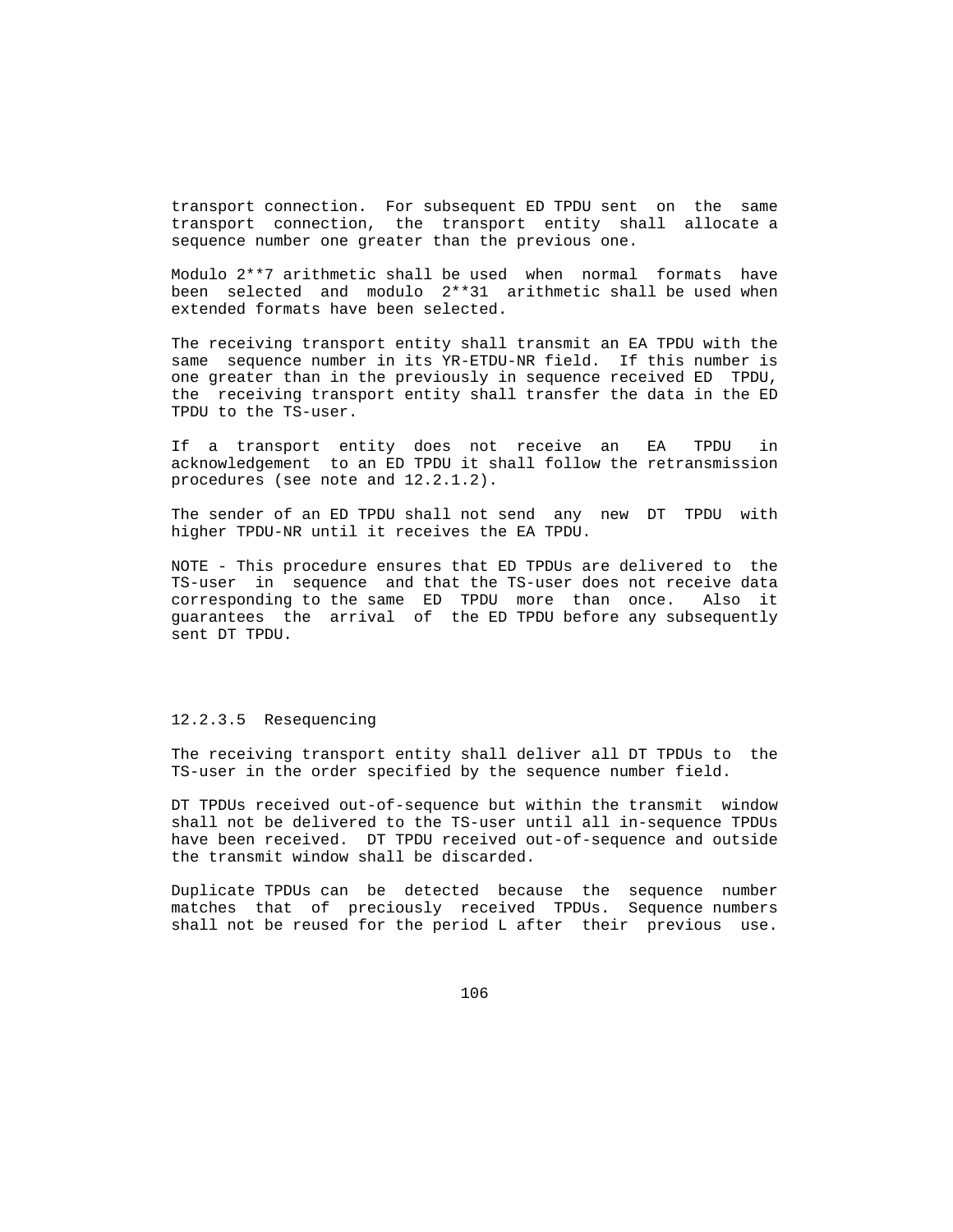transport connection. For subsequent ED TPDU sent on the same transport connection, the transport entity shall allocate a sequence number one greater than the previous one.

 Modulo 2\*\*7 arithmetic shall be used when normal formats have been selected and modulo 2\*\*31 arithmetic shall be used when extended formats have been selected.

 The receiving transport entity shall transmit an EA TPDU with the same sequence number in its YR-ETDU-NR field. If this number is one greater than in the previously in sequence received ED TPDU, the receiving transport entity shall transfer the data in the ED TPDU to the TS-user.

 If a transport entity does not receive an EA TPDU in acknowledgement to an ED TPDU it shall follow the retransmission procedures (see note and 12.2.1.2).

 The sender of an ED TPDU shall not send any new DT TPDU with higher TPDU-NR until it receives the EA TPDU.

 NOTE - This procedure ensures that ED TPDUs are delivered to the TS-user in sequence and that the TS-user does not receive data corresponding to the same ED TPDU more than once. Also it guarantees the arrival of the ED TPDU before any subsequently sent DT TPDU.

## 12.2.3.5 Resequencing

 The receiving transport entity shall deliver all DT TPDUs to the TS-user in the order specified by the sequence number field.

 DT TPDUs received out-of-sequence but within the transmit window shall not be delivered to the TS-user until all in-sequence TPDUs have been received. DT TPDU received out-of-sequence and outside the transmit window shall be discarded.

 Duplicate TPDUs can be detected because the sequence number matches that of preciously received TPDUs. Sequence numbers shall not be reused for the period L after their previous use.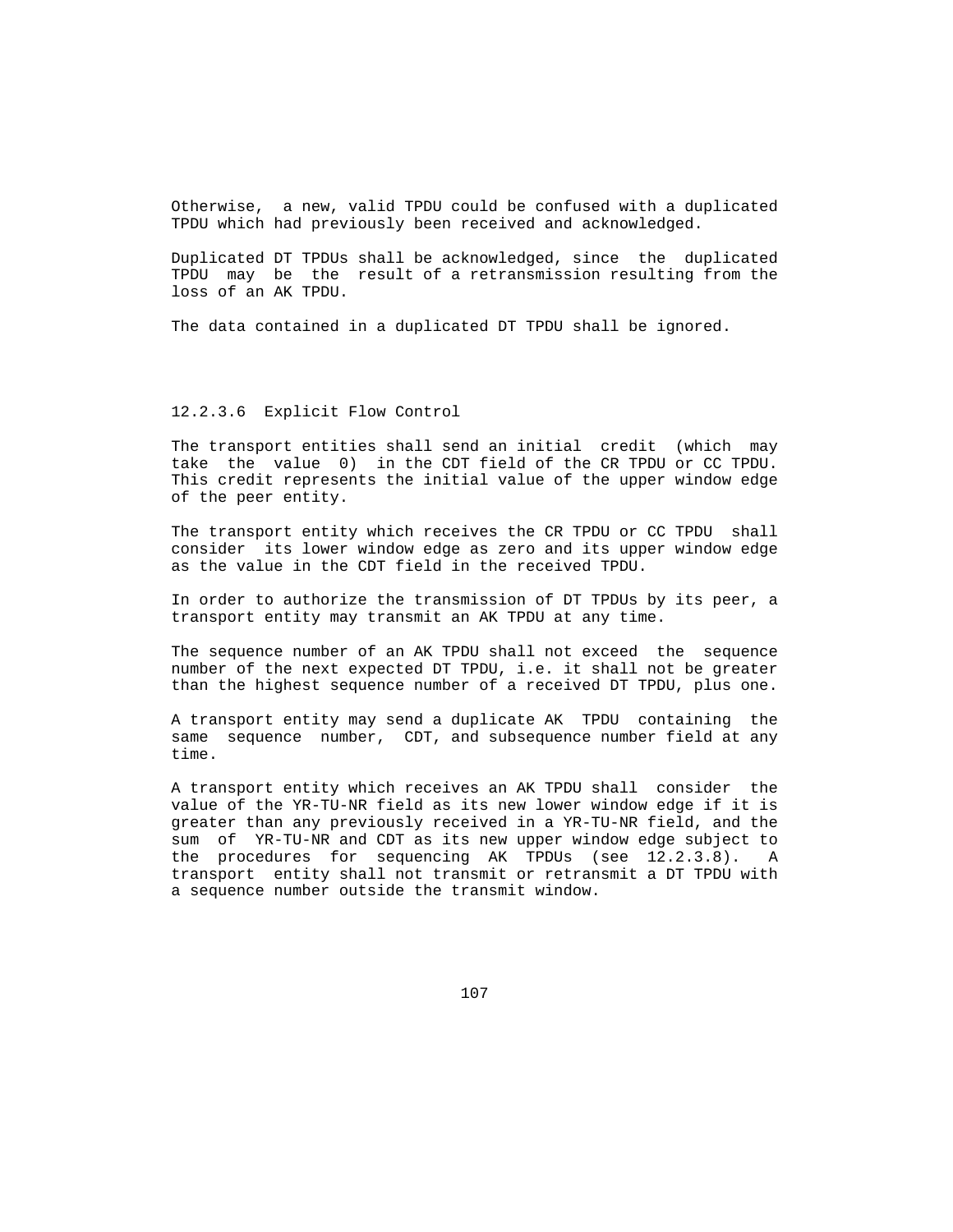Otherwise, a new, valid TPDU could be confused with a duplicated TPDU which had previously been received and acknowledged.

 Duplicated DT TPDUs shall be acknowledged, since the duplicated TPDU may be the result of a retransmission resulting from the loss of an AK TPDU.

The data contained in a duplicated DT TPDU shall be ignored.

### 12.2.3.6 Explicit Flow Control

 The transport entities shall send an initial credit (which may take the value 0) in the CDT field of the CR TPDU or CC TPDU. This credit represents the initial value of the upper window edge of the peer entity.

 The transport entity which receives the CR TPDU or CC TPDU shall consider its lower window edge as zero and its upper window edge as the value in the CDT field in the received TPDU.

 In order to authorize the transmission of DT TPDUs by its peer, a transport entity may transmit an AK TPDU at any time.

 The sequence number of an AK TPDU shall not exceed the sequence number of the next expected DT TPDU, i.e. it shall not be greater than the highest sequence number of a received DT TPDU, plus one.

 A transport entity may send a duplicate AK TPDU containing the same sequence number, CDT, and subsequence number field at any time.

 A transport entity which receives an AK TPDU shall consider the value of the YR-TU-NR field as its new lower window edge if it is greater than any previously received in a YR-TU-NR field, and the sum of YR-TU-NR and CDT as its new upper window edge subject to the procedures for sequencing AK TPDUs (see 12.2.3.8). A transport entity shall not transmit or retransmit a DT TPDU with a sequence number outside the transmit window.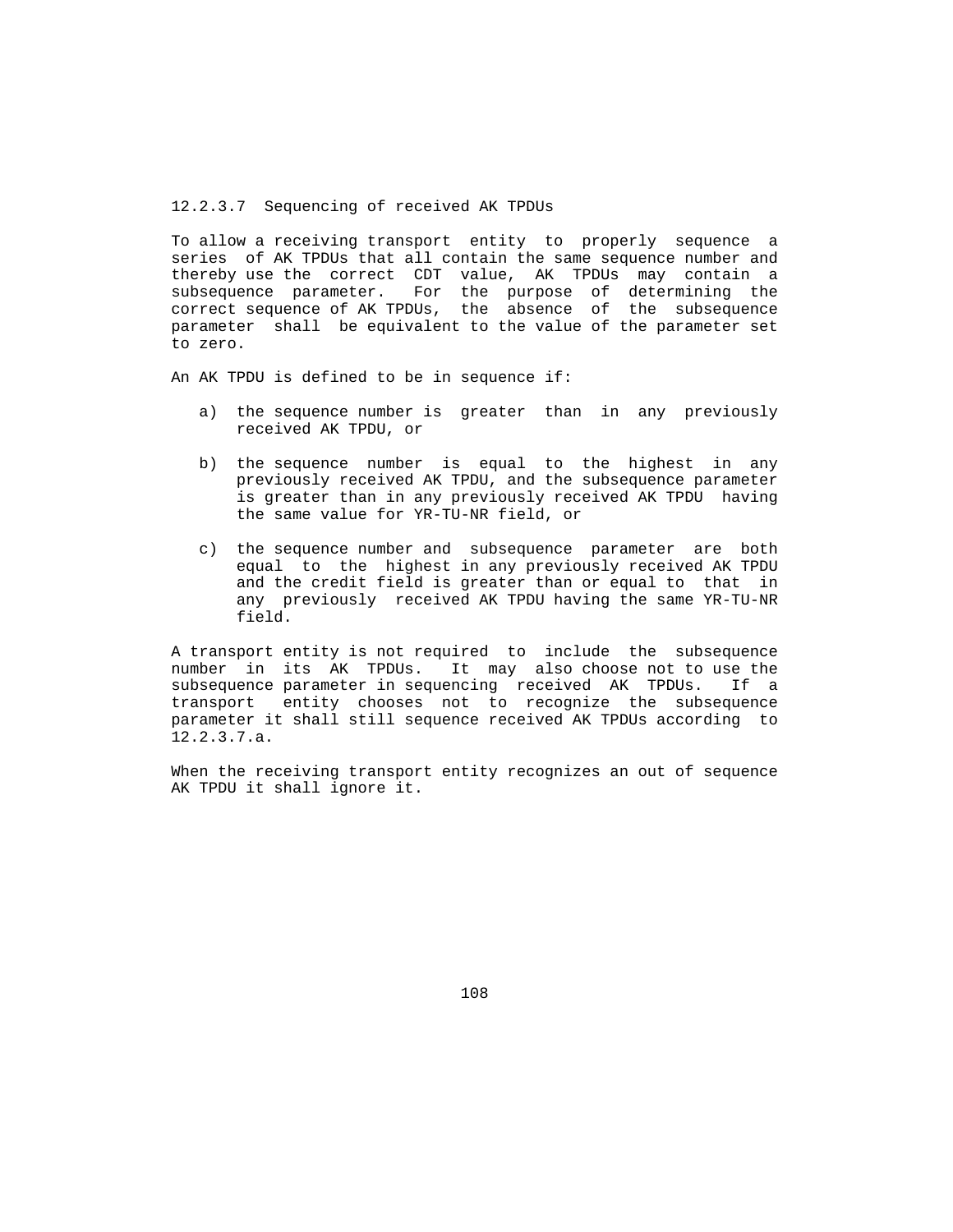12.2.3.7 Sequencing of received AK TPDUs

 To allow a receiving transport entity to properly sequence a series of AK TPDUs that all contain the same sequence number and thereby use the correct CDT value, AK TPDUs may contain a subsequence parameter. For the purpose of determining the correct sequence of AK TPDUs, the absence of the subsequence parameter shall be equivalent to the value of the parameter set to zero.

An AK TPDU is defined to be in sequence if:

- a) the sequence number is greater than in any previously received AK TPDU, or
- b) the sequence number is equal to the highest in any previously received AK TPDU, and the subsequence parameter is greater than in any previously received AK TPDU having the same value for YR-TU-NR field, or
- c) the sequence number and subsequence parameter are both equal to the highest in any previously received AK TPDU and the credit field is greater than or equal to that in any previously received AK TPDU having the same YR-TU-NR field.

 A transport entity is not required to include the subsequence number in its AK TPDUs. It may also choose not to use the subsequence parameter in sequencing received AK TPDUs. If a transport entity chooses not to recognize the subsequence parameter it shall still sequence received AK TPDUs according to 12.2.3.7.a.

 When the receiving transport entity recognizes an out of sequence AK TPDU it shall ignore it.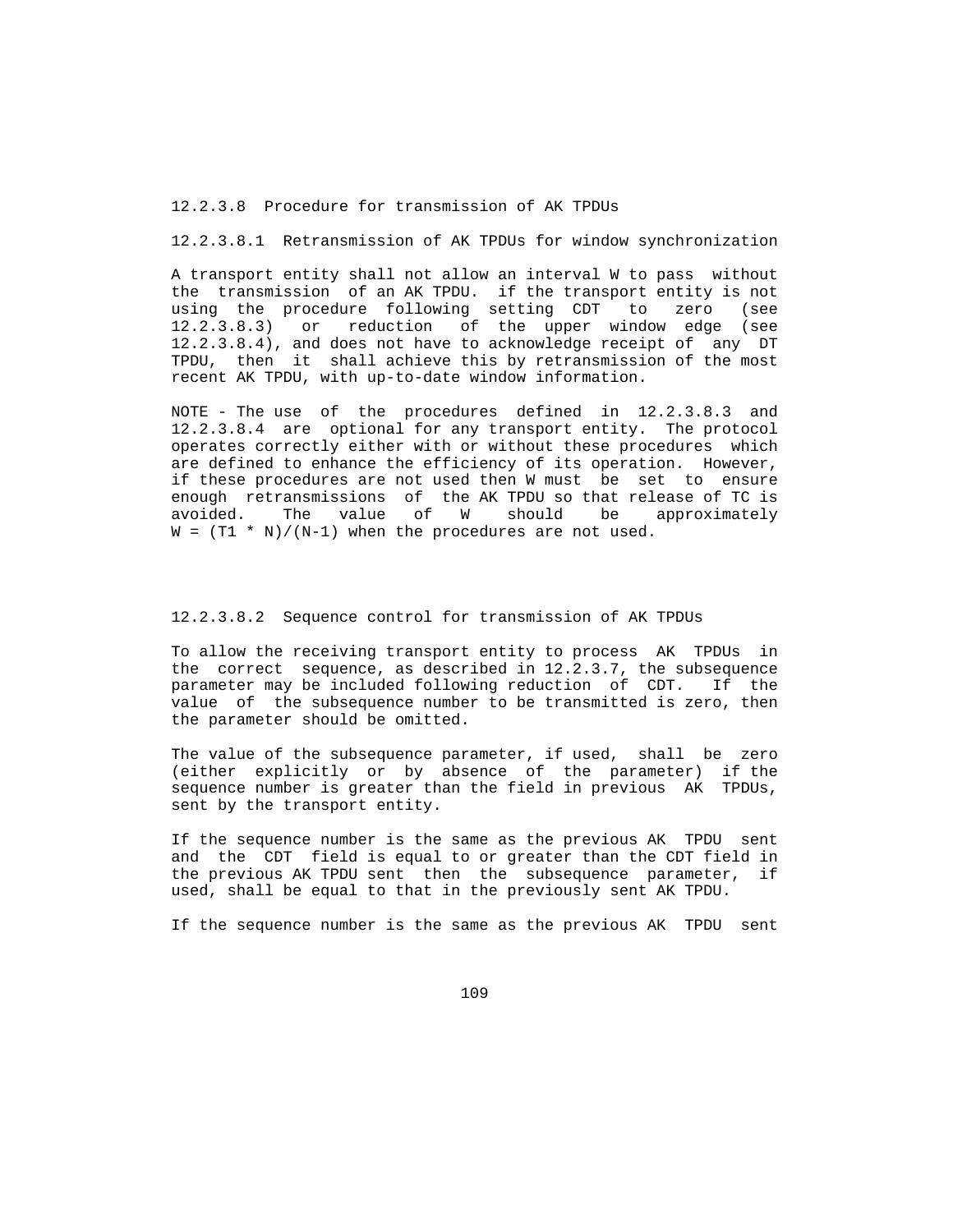12.2.3.8 Procedure for transmission of AK TPDUs

12.2.3.8.1 Retransmission of AK TPDUs for window synchronization

 A transport entity shall not allow an interval W to pass without the transmission of an AK TPDU. if the transport entity is not using the procedure following setting CDT to zero (see 12.2.3.8.3) or reduction of the upper window edge (see 12.2.3.8.4), and does not have to acknowledge receipt of any DT TPDU, then it shall achieve this by retransmission of the most recent AK TPDU, with up-to-date window information.

 NOTE - The use of the procedures defined in 12.2.3.8.3 and 12.2.3.8.4 are optional for any transport entity. The protocol operates correctly either with or without these procedures which are defined to enhance the efficiency of its operation. However, if these procedures are not used then W must be set to ensure enough retransmissions of the AK TPDU so that release of TC is avoided. The value of W should be approximately  $W = (T1 * N)/(N-1)$  when the procedures are not used.

# 12.2.3.8.2 Sequence control for transmission of AK TPDUs

 To allow the receiving transport entity to process AK TPDUs in the correct sequence, as described in 12.2.3.7, the subsequence parameter may be included following reduction of CDT. If the value of the subsequence number to be transmitted is zero, then the parameter should be omitted.

 The value of the subsequence parameter, if used, shall be zero (either explicitly or by absence of the parameter) if the sequence number is greater than the field in previous AK TPDUs, sent by the transport entity.

 If the sequence number is the same as the previous AK TPDU sent and the CDT field is equal to or greater than the CDT field in the previous AK TPDU sent then the subsequence parameter, if used, shall be equal to that in the previously sent AK TPDU.

If the sequence number is the same as the previous AK TPDU sent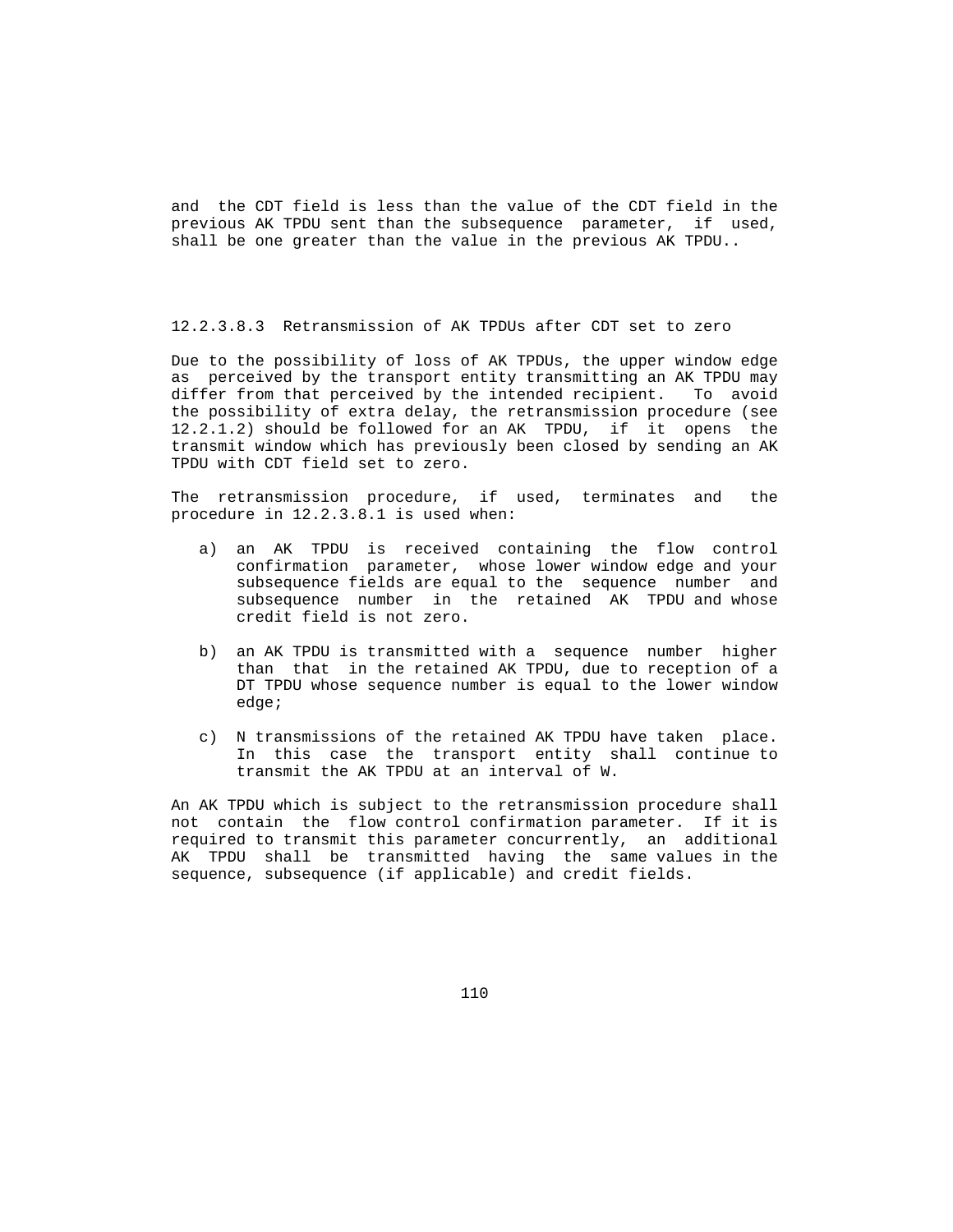and the CDT field is less than the value of the CDT field in the previous AK TPDU sent than the subsequence parameter, if used, shall be one greater than the value in the previous AK TPDU..

12.2.3.8.3 Retransmission of AK TPDUs after CDT set to zero

 Due to the possibility of loss of AK TPDUs, the upper window edge as perceived by the transport entity transmitting an AK TPDU may differ from that perceived by the intended recipient. To avoid the possibility of extra delay, the retransmission procedure (see 12.2.1.2) should be followed for an AK TPDU, if it opens the transmit window which has previously been closed by sending an AK TPDU with CDT field set to zero.

 The retransmission procedure, if used, terminates and the procedure in 12.2.3.8.1 is used when:

- a) an AK TPDU is received containing the flow control confirmation parameter, whose lower window edge and your subsequence fields are equal to the sequence number and subsequence number in the retained AK TPDU and whose credit field is not zero.
	- b) an AK TPDU is transmitted with a sequence number higher than that in the retained AK TPDU, due to reception of a DT TPDU whose sequence number is equal to the lower window edge;
	- c) N transmissions of the retained AK TPDU have taken place. In this case the transport entity shall continue to transmit the AK TPDU at an interval of W.

 An AK TPDU which is subject to the retransmission procedure shall not contain the flow control confirmation parameter. If it is required to transmit this parameter concurrently, an additional AK TPDU shall be transmitted having the same values in the sequence, subsequence (if applicable) and credit fields.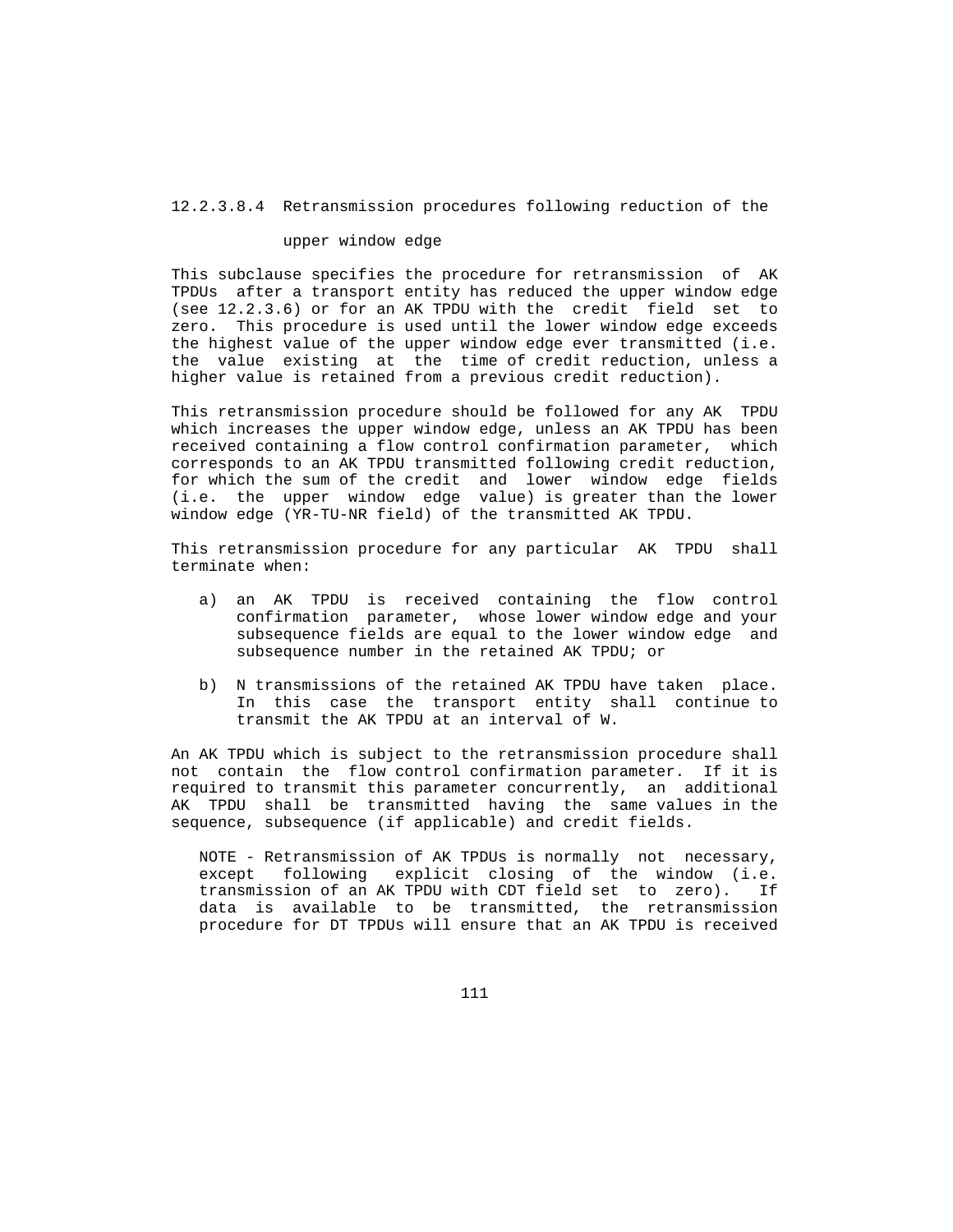12.2.3.8.4 Retransmission procedures following reduction of the

### upper window edge

 This subclause specifies the procedure for retransmission of AK TPDUs after a transport entity has reduced the upper window edge (see 12.2.3.6) or for an AK TPDU with the credit field set to zero. This procedure is used until the lower window edge exceeds the highest value of the upper window edge ever transmitted (i.e. the value existing at the time of credit reduction, unless a higher value is retained from a previous credit reduction).

 This retransmission procedure should be followed for any AK TPDU which increases the upper window edge, unless an AK TPDU has been received containing a flow control confirmation parameter, which corresponds to an AK TPDU transmitted following credit reduction, for which the sum of the credit and lower window edge fields (i.e. the upper window edge value) is greater than the lower window edge (YR-TU-NR field) of the transmitted AK TPDU.

 This retransmission procedure for any particular AK TPDU shall terminate when:

- a) an AK TPDU is received containing the flow control confirmation parameter, whose lower window edge and your subsequence fields are equal to the lower window edge and subsequence number in the retained AK TPDU; or
- b) N transmissions of the retained AK TPDU have taken place. In this case the transport entity shall continue to transmit the AK TPDU at an interval of W.

 An AK TPDU which is subject to the retransmission procedure shall not contain the flow control confirmation parameter. If it is required to transmit this parameter concurrently, an additional AK TPDU shall be transmitted having the same values in the sequence, subsequence (if applicable) and credit fields.

 NOTE - Retransmission of AK TPDUs is normally not necessary, except following explicit closing of the window (i.e. transmission of an AK TPDU with CDT field set to zero). If data is available to be transmitted, the retransmission procedure for DT TPDUs will ensure that an AK TPDU is received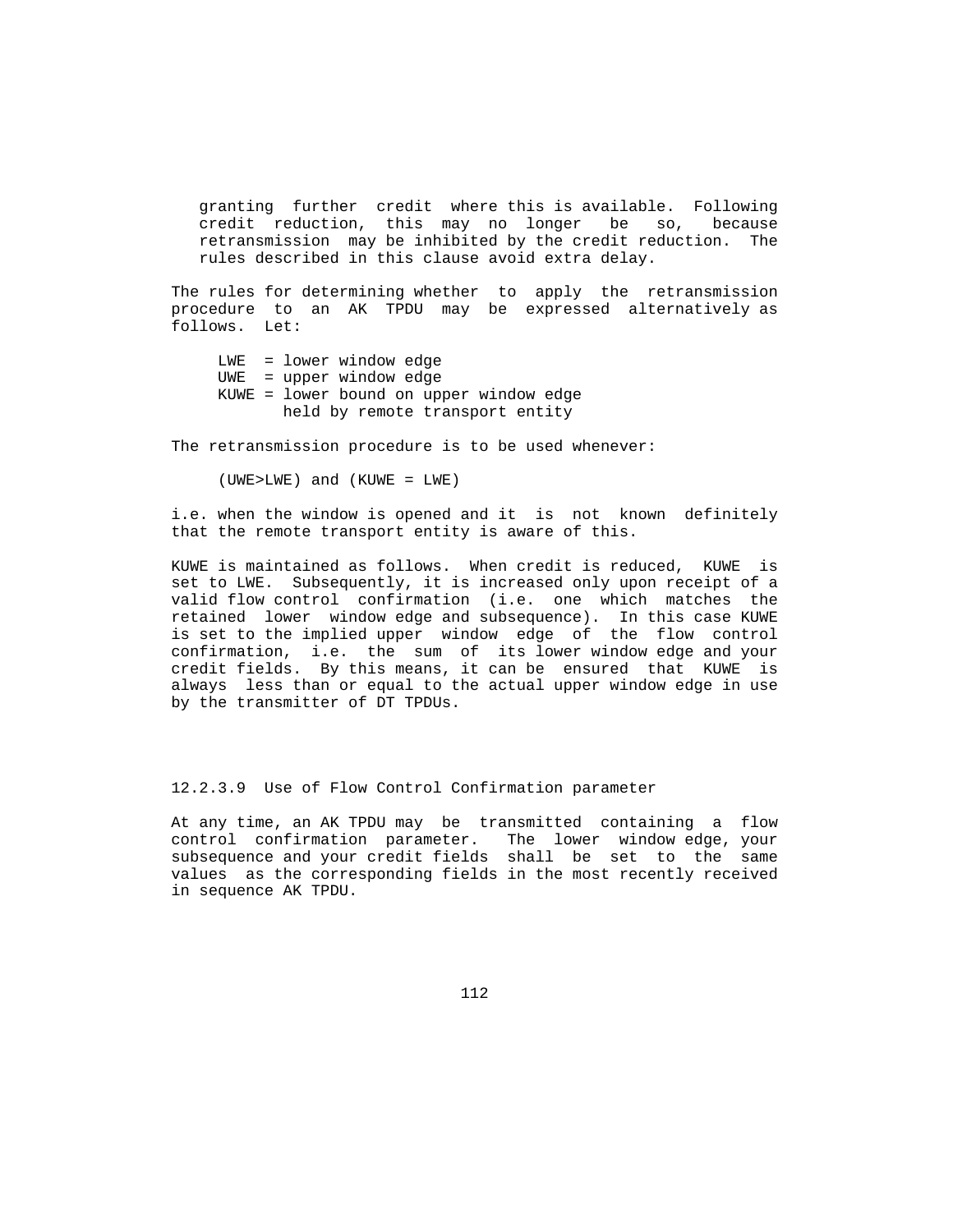granting further credit where this is available. Following credit reduction, this may no longer be so, because retransmission may be inhibited by the credit reduction. The rules described in this clause avoid extra delay.

 The rules for determining whether to apply the retransmission procedure to an AK TPDU may be expressed alternatively as follows. Let:

 LWE = lower window edge UWE = upper window edge KUWE = lower bound on upper window edge held by remote transport entity

The retransmission procedure is to be used whenever:

(UWE>LWE) and (KUWE = LWE)

 i.e. when the window is opened and it is not known definitely that the remote transport entity is aware of this.

 KUWE is maintained as follows. When credit is reduced, KUWE is set to LWE. Subsequently, it is increased only upon receipt of a valid flow control confirmation (i.e. one which matches the retained lower window edge and subsequence). In this case KUWE is set to the implied upper window edge of the flow control confirmation, i.e. the sum of its lower window edge and your credit fields. By this means, it can be ensured that KUWE is always less than or equal to the actual upper window edge in use by the transmitter of DT TPDUs.

12.2.3.9 Use of Flow Control Confirmation parameter

 At any time, an AK TPDU may be transmitted containing a flow control confirmation parameter. The lower window edge, your subsequence and your credit fields shall be set to the same values as the corresponding fields in the most recently received in sequence AK TPDU.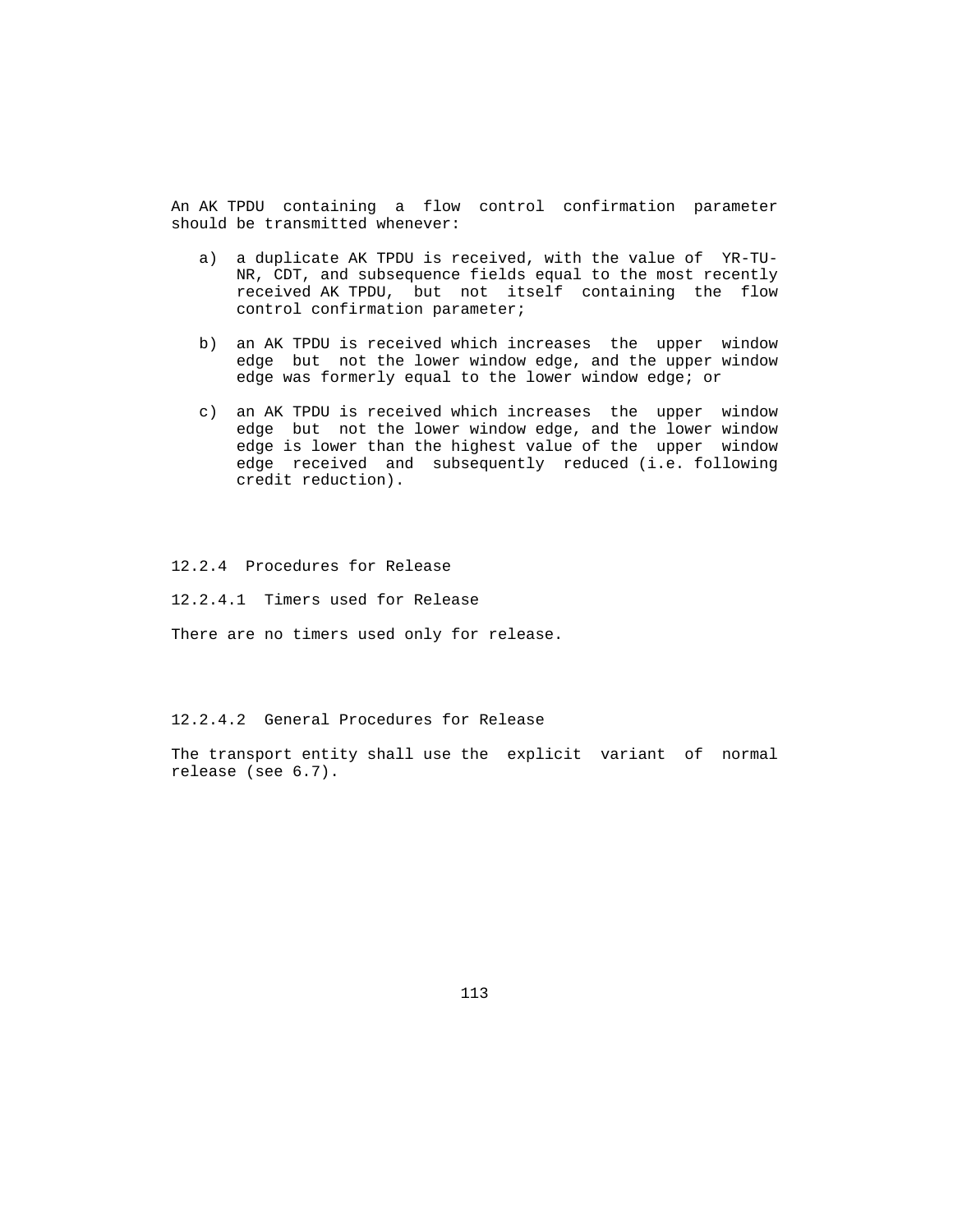An AK TPDU containing a flow control confirmation parameter should be transmitted whenever:

- a) a duplicate AK TPDU is received, with the value of YR-TU- NR, CDT, and subsequence fields equal to the most recently received AK TPDU, but not itself containing the flow control confirmation parameter;
- b) an AK TPDU is received which increases the upper window edge but not the lower window edge, and the upper window edge was formerly equal to the lower window edge; or
- c) an AK TPDU is received which increases the upper window edge but not the lower window edge, and the lower window edge is lower than the highest value of the upper window edge received and subsequently reduced (i.e. following credit reduction).

12.2.4 Procedures for Release

12.2.4.1 Timers used for Release

There are no timers used only for release.

12.2.4.2 General Procedures for Release

 The transport entity shall use the explicit variant of normal release (see 6.7).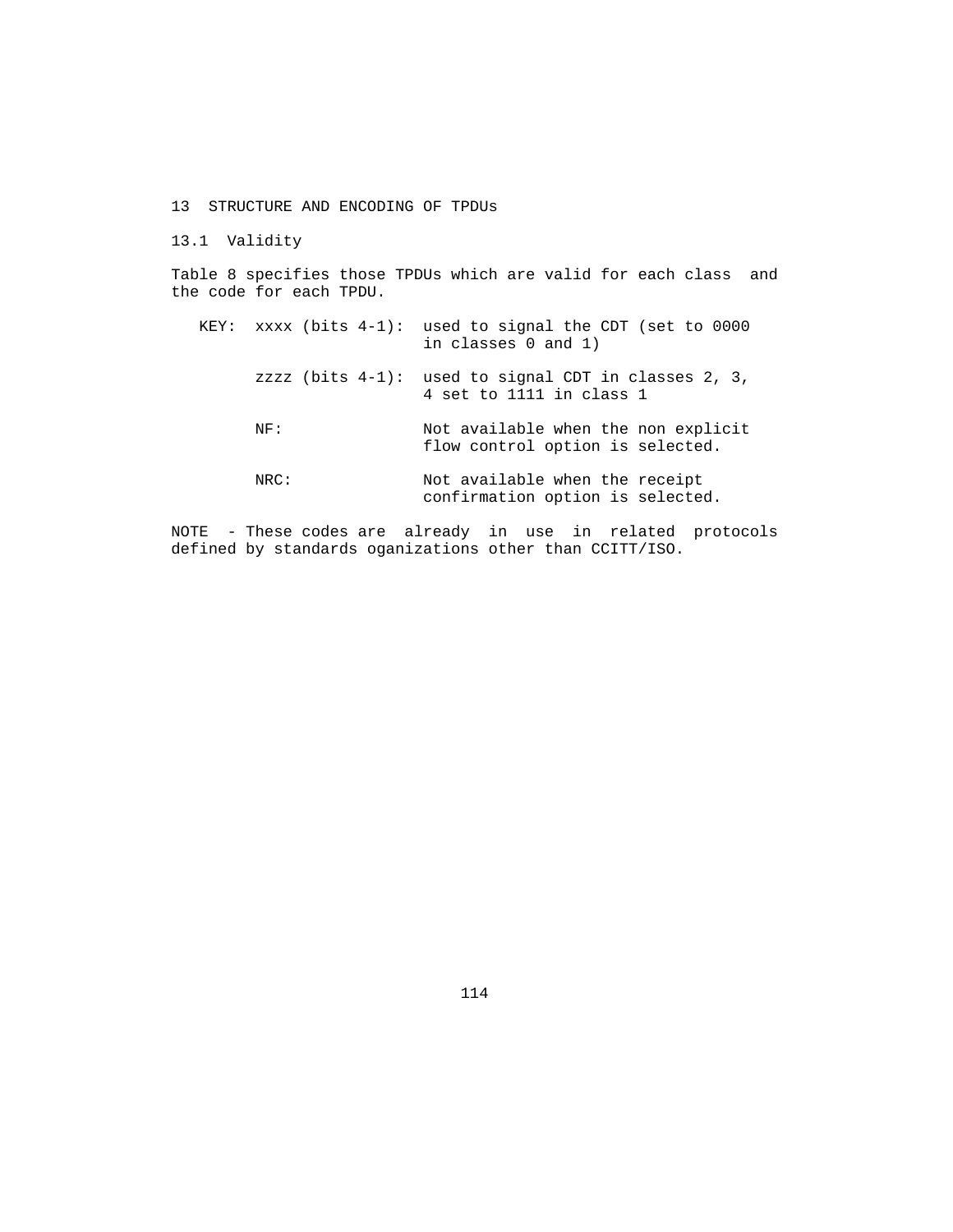13 STRUCTURE AND ENCODING OF TPDUs

13.1 Validity

 Table 8 specifies those TPDUs which are valid for each class and the code for each TPDU.

| KEY: |      | xxxx (bits $4-1$ ): used to signal the CDT (set to 0000<br>in classes 0 and 1)      |
|------|------|-------------------------------------------------------------------------------------|
|      |      | zzzz (bits $4-1$ ): used to signal CDT in classes 2, 3,<br>4 set to 1111 in class 1 |
|      | NF:  | Not available when the non explicit<br>flow control option is selected.             |
|      | NRC: | Not available when the receipt<br>confirmation option is selected.                  |

 NOTE - These codes are already in use in related protocols defined by standards oganizations other than CCITT/ISO.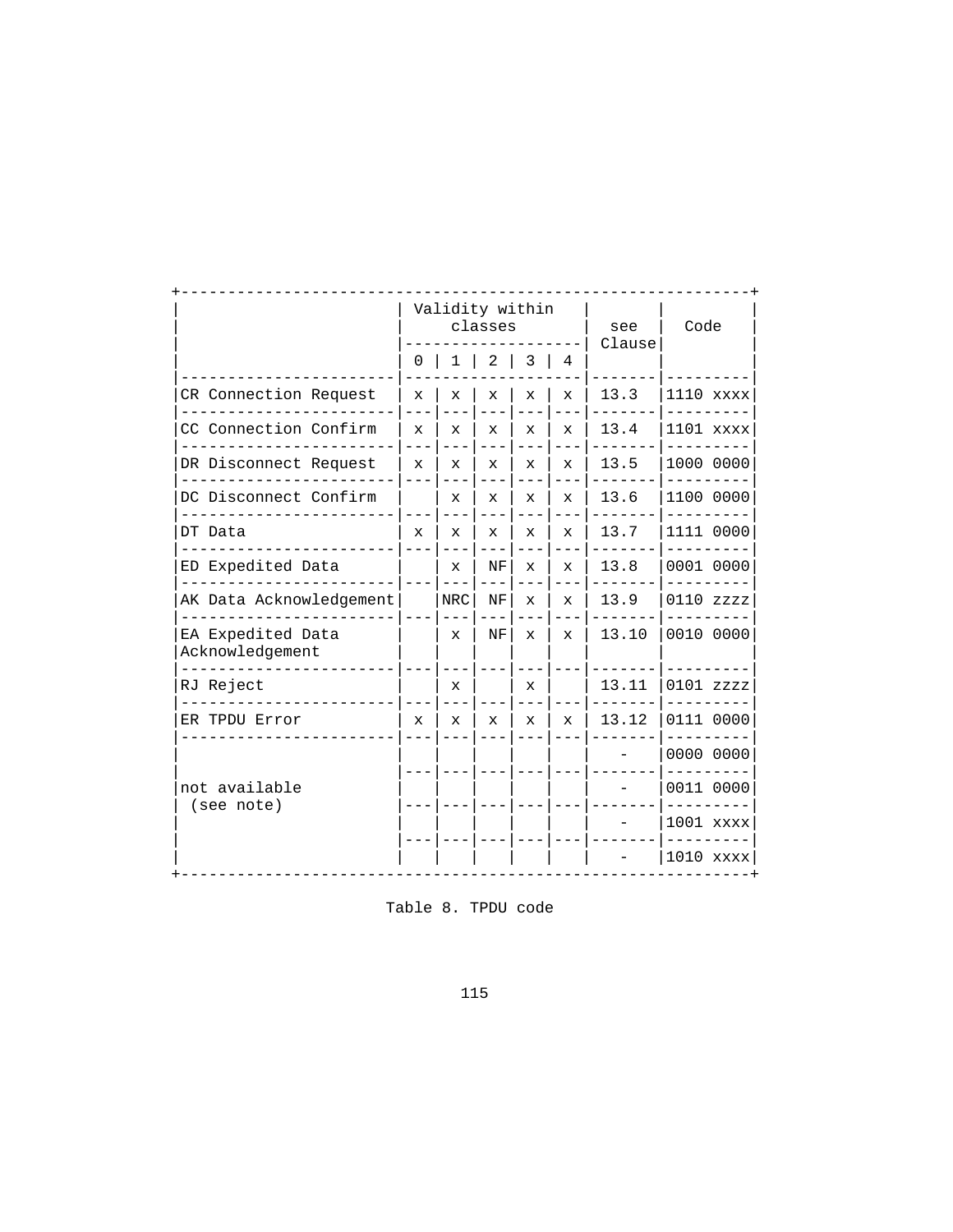|                                      | classes      |     |                                                                                                                                                                                                                                                                                                                                                                                                                                                                                                                                                                                             |  |  | see | Code        |
|--------------------------------------|--------------|-----|---------------------------------------------------------------------------------------------------------------------------------------------------------------------------------------------------------------------------------------------------------------------------------------------------------------------------------------------------------------------------------------------------------------------------------------------------------------------------------------------------------------------------------------------------------------------------------------------|--|--|-----|-------------|
|                                      |              |     | Validity within<br>Clause<br>$0 \mid 1 \mid 2 \mid 3 \mid 4$<br>13.3<br>$\mathbf x$<br>$\mathbf x$<br>$\mathbf{x}$<br>$\mathbf{x}$<br>13.4<br>X<br>x<br>$\mathbf{x}$<br>$\mathbf{x}$<br>13.5<br>X.<br>$\mathbf x$<br>$\mathbf{x}$<br>$\mathbf{x}$<br>13.6<br>X.<br>X<br>X.<br>x<br>13.7<br>$\mathbf{x}$<br>X<br>X.<br>$\mathbf x$<br>13.8<br>NF<br>$\mathbf{x}$<br>$\mathbf{x}$<br>X<br>$---$<br>$- - -$<br>$- - -$<br>13.9<br>NF<br>$\mathbf{x}$<br>$\mathbf{x}$<br>13.10<br>NF<br>x<br>$\mathbf{x}$<br>$\mathbf{x}$<br>13.11<br>$\mathbf x$<br>X<br>13.12<br>x<br>x<br>X.<br>$\mathbf{x}$ |  |  |     |             |
| CR Connection Request                | x            |     |                                                                                                                                                                                                                                                                                                                                                                                                                                                                                                                                                                                             |  |  |     | 1110 xxxx   |
| CC Connection Confirm                | x            |     |                                                                                                                                                                                                                                                                                                                                                                                                                                                                                                                                                                                             |  |  |     | 1101 xxxx   |
| DR Disconnect Request                | $\mathbf{x}$ |     |                                                                                                                                                                                                                                                                                                                                                                                                                                                                                                                                                                                             |  |  |     | 1000 0000   |
| DC Disconnect Confirm                |              |     |                                                                                                                                                                                                                                                                                                                                                                                                                                                                                                                                                                                             |  |  |     | 1100 0000   |
| DT Data                              | $\mathbf{x}$ |     |                                                                                                                                                                                                                                                                                                                                                                                                                                                                                                                                                                                             |  |  |     | 1111 0000   |
| ED Expedited Data                    | $- - -$      |     |                                                                                                                                                                                                                                                                                                                                                                                                                                                                                                                                                                                             |  |  |     | 0001 0000   |
| AK Data Acknowledgement              |              | NRC |                                                                                                                                                                                                                                                                                                                                                                                                                                                                                                                                                                                             |  |  |     | $0110$ zzzz |
| EA Expedited Data<br>Acknowledgement |              |     |                                                                                                                                                                                                                                                                                                                                                                                                                                                                                                                                                                                             |  |  |     | 0010 0000   |
| RJ Reject                            |              |     |                                                                                                                                                                                                                                                                                                                                                                                                                                                                                                                                                                                             |  |  |     | 0101 zzzz   |
| ER TPDU Error                        | $\mathbf{x}$ |     |                                                                                                                                                                                                                                                                                                                                                                                                                                                                                                                                                                                             |  |  |     | 0111 0000   |
|                                      |              |     |                                                                                                                                                                                                                                                                                                                                                                                                                                                                                                                                                                                             |  |  |     | 0000 0000   |
| not available                        |              |     |                                                                                                                                                                                                                                                                                                                                                                                                                                                                                                                                                                                             |  |  |     | 0011 0000   |
| (see note)                           |              |     |                                                                                                                                                                                                                                                                                                                                                                                                                                                                                                                                                                                             |  |  |     | 1001 xxxx   |
|                                      |              |     |                                                                                                                                                                                                                                                                                                                                                                                                                                                                                                                                                                                             |  |  |     | 1010 xxxx   |

Table 8. TPDU code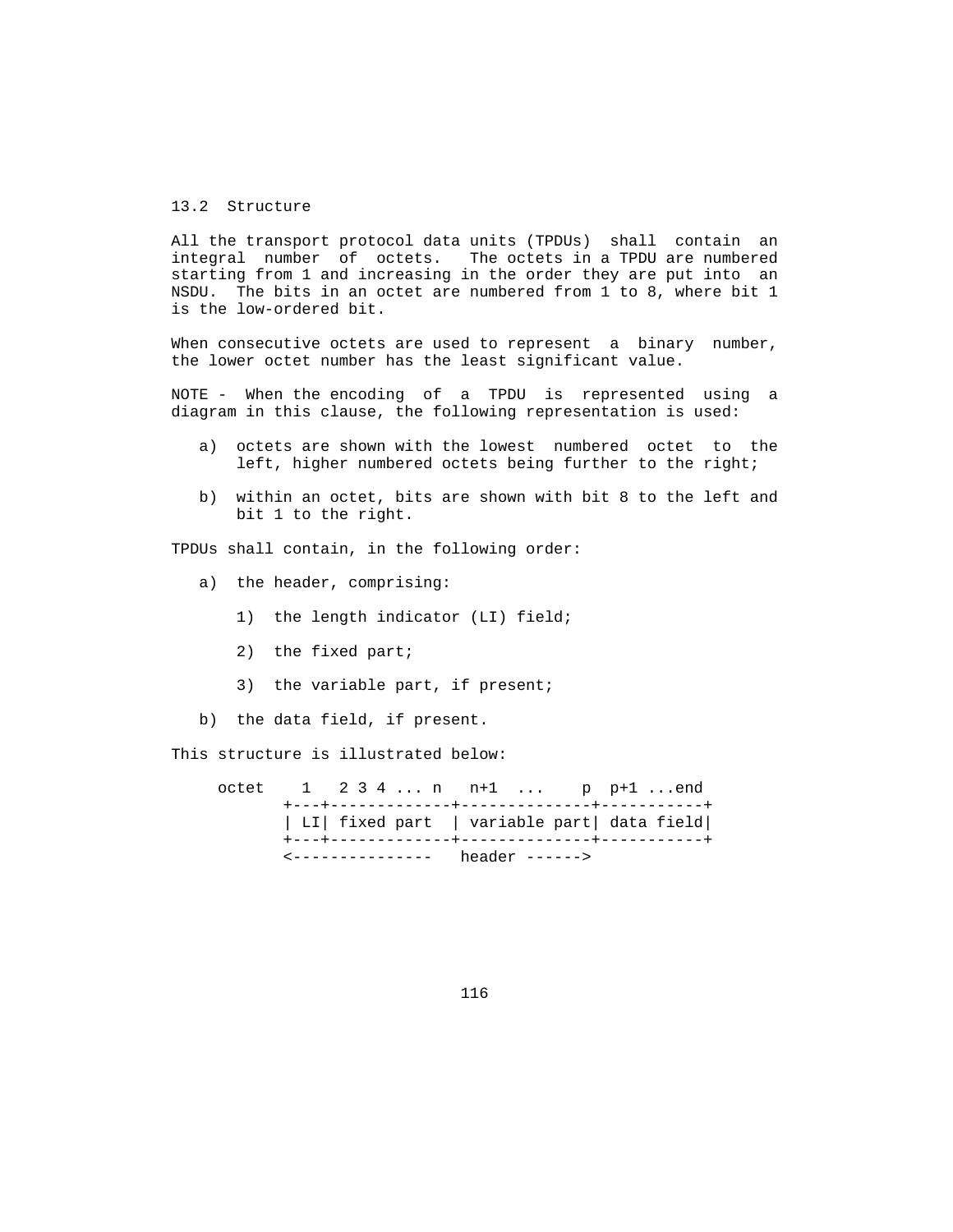# 13.2 Structure

 All the transport protocol data units (TPDUs) shall contain an integral number of octets. The octets in a TPDU are numbered starting from 1 and increasing in the order they are put into an NSDU. The bits in an octet are numbered from 1 to 8, where bit 1 is the low-ordered bit.

When consecutive octets are used to represent a binary number, the lower octet number has the least significant value.

 NOTE - When the encoding of a TPDU is represented using a diagram in this clause, the following representation is used:

- a) octets are shown with the lowest numbered octet to the left, higher numbered octets being further to the right;
- b) within an octet, bits are shown with bit 8 to the left and bit 1 to the right.

TPDUs shall contain, in the following order:

- a) the header, comprising:
	- 1) the length indicator (LI) field;
	- 2) the fixed part;
	- 3) the variable part, if present;
- b) the data field, if present.

This structure is illustrated below:

|  |  | octet $1 \t2 \t3 \t4 \t n \t n+1 \t p \t p+1 \t$ |  |  |
|--|--|--------------------------------------------------|--|--|
|  |  | LI  fixed part   variable part  data field       |  |  |
|  |  | <--------------- header ------>                  |  |  |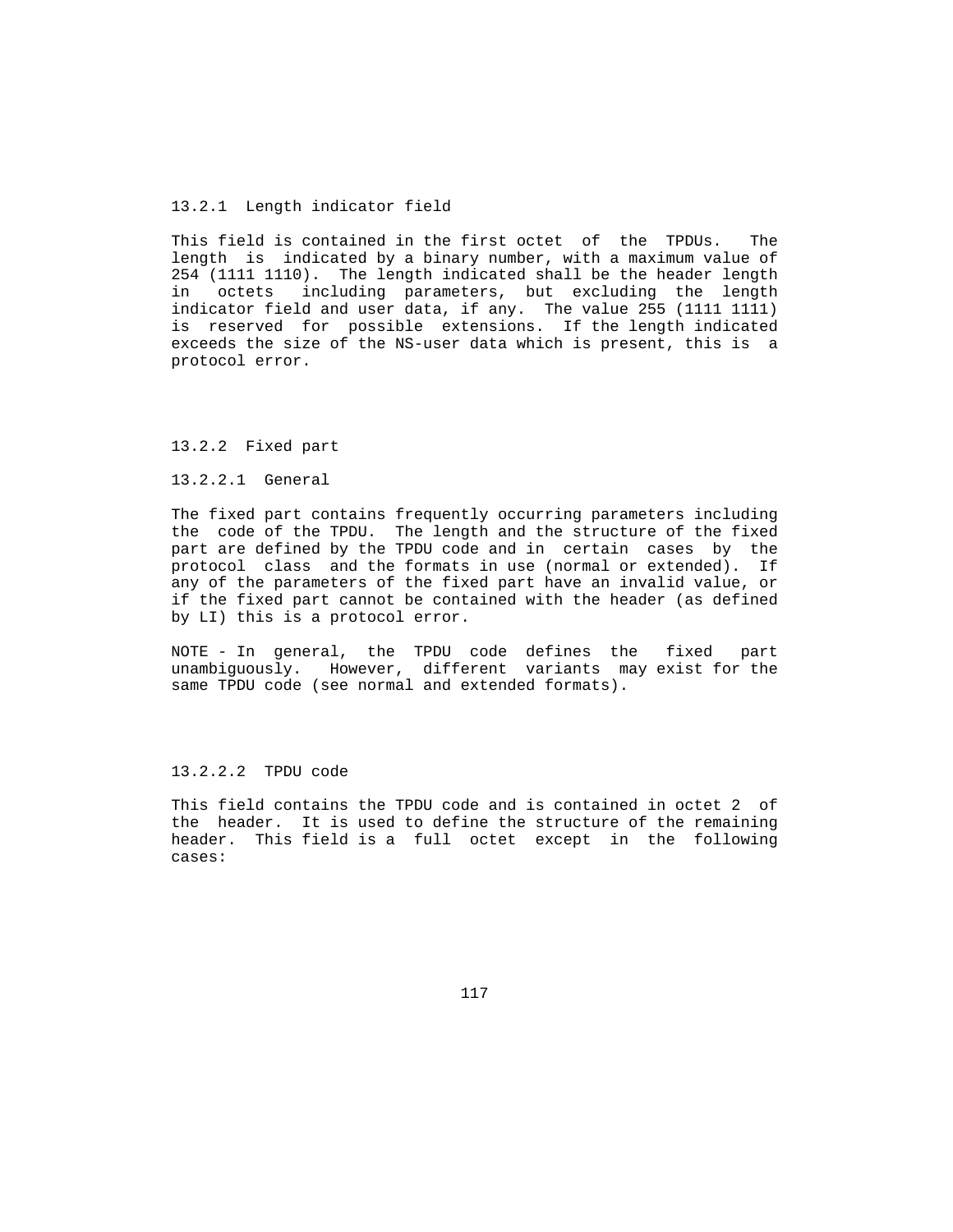## 13.2.1 Length indicator field

 This field is contained in the first octet of the TPDUs. The length is indicated by a binary number, with a maximum value of 254 (1111 1110). The length indicated shall be the header length in octets including parameters, but excluding the length indicator field and user data, if any. The value 255 (1111 1111) is reserved for possible extensions. If the length indicated exceeds the size of the NS-user data which is present, this is a protocol error.

#### 13.2.2 Fixed part

### 13.2.2.1 General

 The fixed part contains frequently occurring parameters including the code of the TPDU. The length and the structure of the fixed part are defined by the TPDU code and in certain cases by the protocol class and the formats in use (normal or extended). If any of the parameters of the fixed part have an invalid value, or if the fixed part cannot be contained with the header (as defined by LI) this is a protocol error.

 NOTE - In general, the TPDU code defines the fixed part unambiguously. However, different variants may exist for the same TPDU code (see normal and extended formats).

# 13.2.2.2 TPDU code

 This field contains the TPDU code and is contained in octet 2 of the header. It is used to define the structure of the remaining header. This field is a full octet except in the following cases: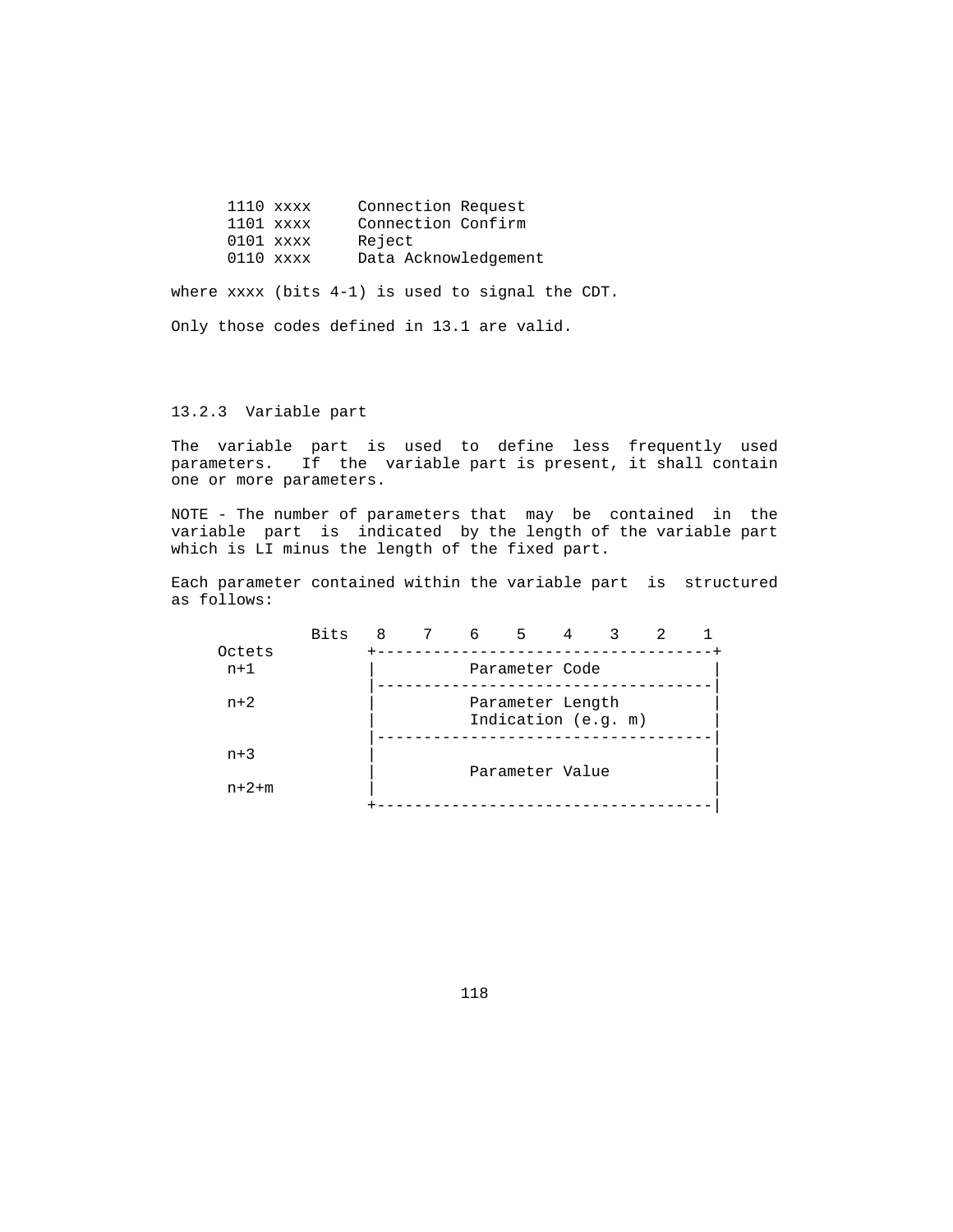| $1110$ xxxx | Connection Request   |
|-------------|----------------------|
| $1101$ xxxx | Connection Confirm   |
| $0101$ xxxx | Reject               |
| $0110$ xxxx | Data Acknowledgement |

where xxxx (bits 4-1) is used to signal the CDT.

Only those codes defined in 13.1 are valid.

# 13.2.3 Variable part

 The variable part is used to define less frequently used parameters. If the variable part is present, it shall contain one or more parameters.

 NOTE - The number of parameters that may be contained in the variable part is indicated by the length of the variable part which is LI minus the length of the fixed part.

 Each parameter contained within the variable part is structured as follows:

|                 | <b>Bits</b> | 8 | 6 | $5 -$               | 4 | 2 |  |
|-----------------|-------------|---|---|---------------------|---|---|--|
| Octets<br>$n+1$ |             |   |   | Parameter Code      |   |   |  |
|                 |             |   |   |                     |   |   |  |
| $n+2$           |             |   |   | Parameter Length    |   |   |  |
|                 |             |   |   | Indication (e.g. m) |   |   |  |
| $n+3$           |             |   |   |                     |   |   |  |
|                 |             |   |   | Parameter Value     |   |   |  |
| $n + 2 + m$     |             |   |   |                     |   |   |  |
|                 |             |   |   |                     |   |   |  |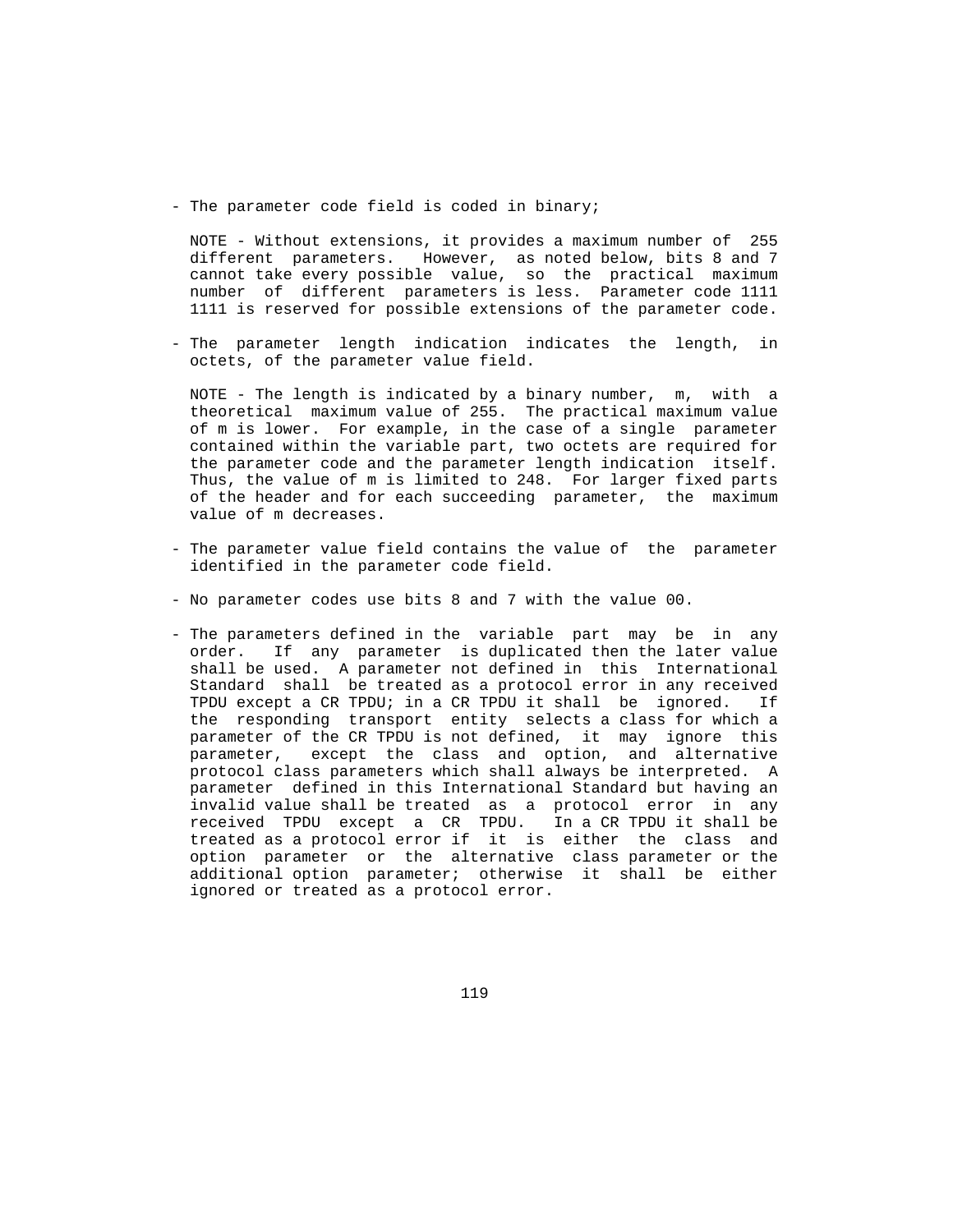- The parameter code field is coded in binary;

 NOTE - Without extensions, it provides a maximum number of 255 different parameters. However, as noted below, bits 8 and 7 cannot take every possible value, so the practical maximum number of different parameters is less. Parameter code 1111 1111 is reserved for possible extensions of the parameter code.

 - The parameter length indication indicates the length, in octets, of the parameter value field.

 NOTE - The length is indicated by a binary number, m, with a theoretical maximum value of 255. The practical maximum value of m is lower. For example, in the case of a single parameter contained within the variable part, two octets are required for the parameter code and the parameter length indication itself. Thus, the value of m is limited to 248. For larger fixed parts of the header and for each succeeding parameter, the maximum value of m decreases.

- The parameter value field contains the value of the parameter identified in the parameter code field.
- No parameter codes use bits 8 and 7 with the value 00.
- The parameters defined in the variable part may be in any order. If any parameter is duplicated then the later value shall be used. A parameter not defined in this International Standard shall be treated as a protocol error in any received TPDU except a CR TPDU; in a CR TPDU it shall be ignored. If the responding transport entity selects a class for which a parameter of the CR TPDU is not defined, it may ignore this parameter, except the class and option, and alternative protocol class parameters which shall always be interpreted. A parameter defined in this International Standard but having an invalid value shall be treated as a protocol error in any received TPDU except a CR TPDU. In a CR TPDU it shall be treated as a protocol error if it is either the class and option parameter or the alternative class parameter or the additional option parameter; otherwise it shall be either ignored or treated as a protocol error.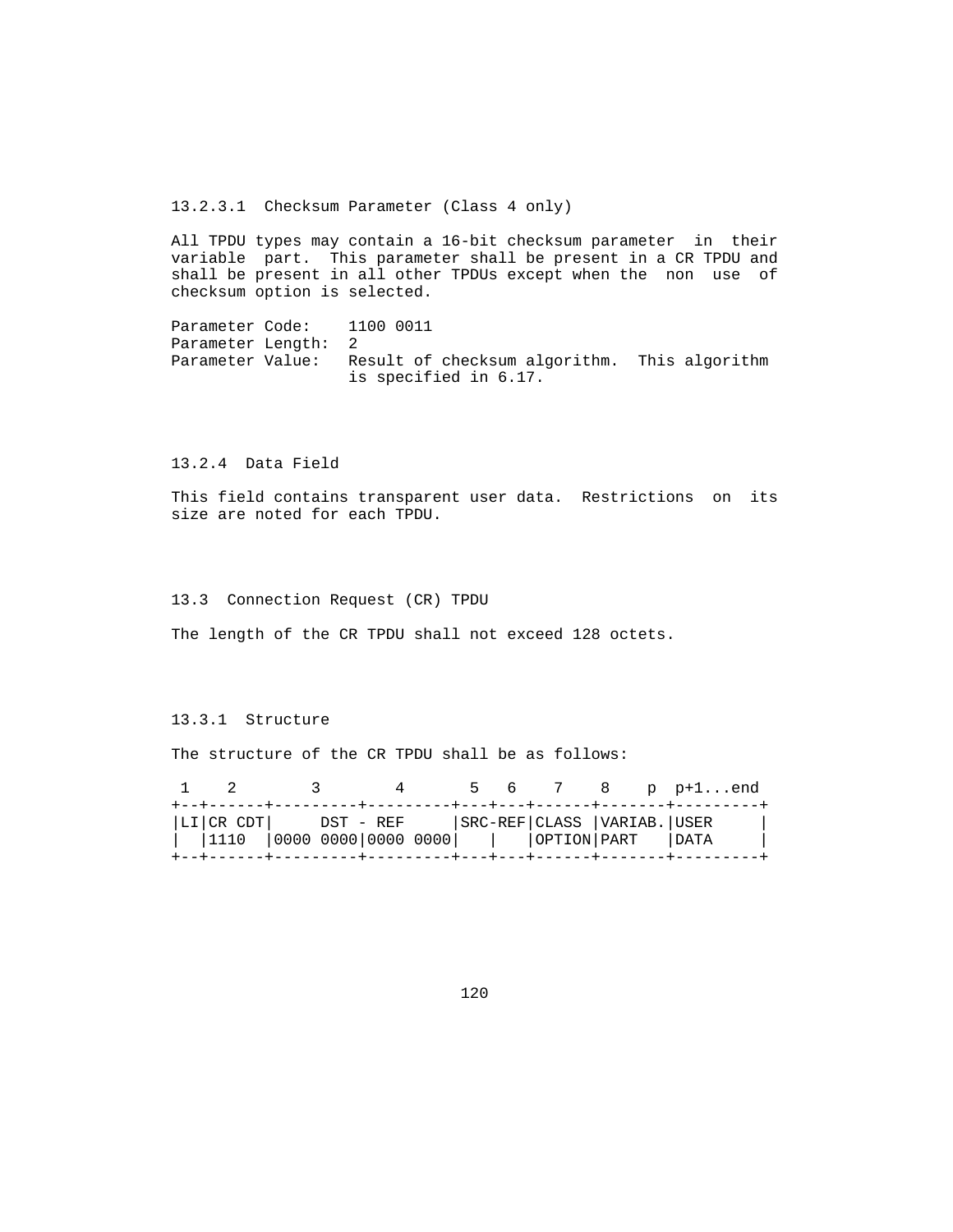13.2.3.1 Checksum Parameter (Class 4 only)

 All TPDU types may contain a 16-bit checksum parameter in their variable part. This parameter shall be present in a CR TPDU and shall be present in all other TPDUs except when the non use of checksum option is selected.

Parameter Code: 1100 0011 Parameter Length: 2 Parameter Value: Result of checksum algorithm. This algorithm is specified in 6.17.

13.2.4 Data Field

 This field contains transparent user data. Restrictions on its size are noted for each TPDU.

13.3 Connection Request (CR) TPDU

The length of the CR TPDU shall not exceed 128 octets.

# 13.3.1 Structure

The structure of the CR TPDU shall be as follows:

|  |                                                                                                                         |  |  |  | 5 6 7 8 p p+1end |  |
|--|-------------------------------------------------------------------------------------------------------------------------|--|--|--|------------------|--|
|  | LI CR CDT      DST - REF      SRC-REF CLASS  VARIAB. USER<br>    1110   0000 0000 0000 0000         OPTION PART    DATA |  |  |  |                  |  |
|  |                                                                                                                         |  |  |  |                  |  |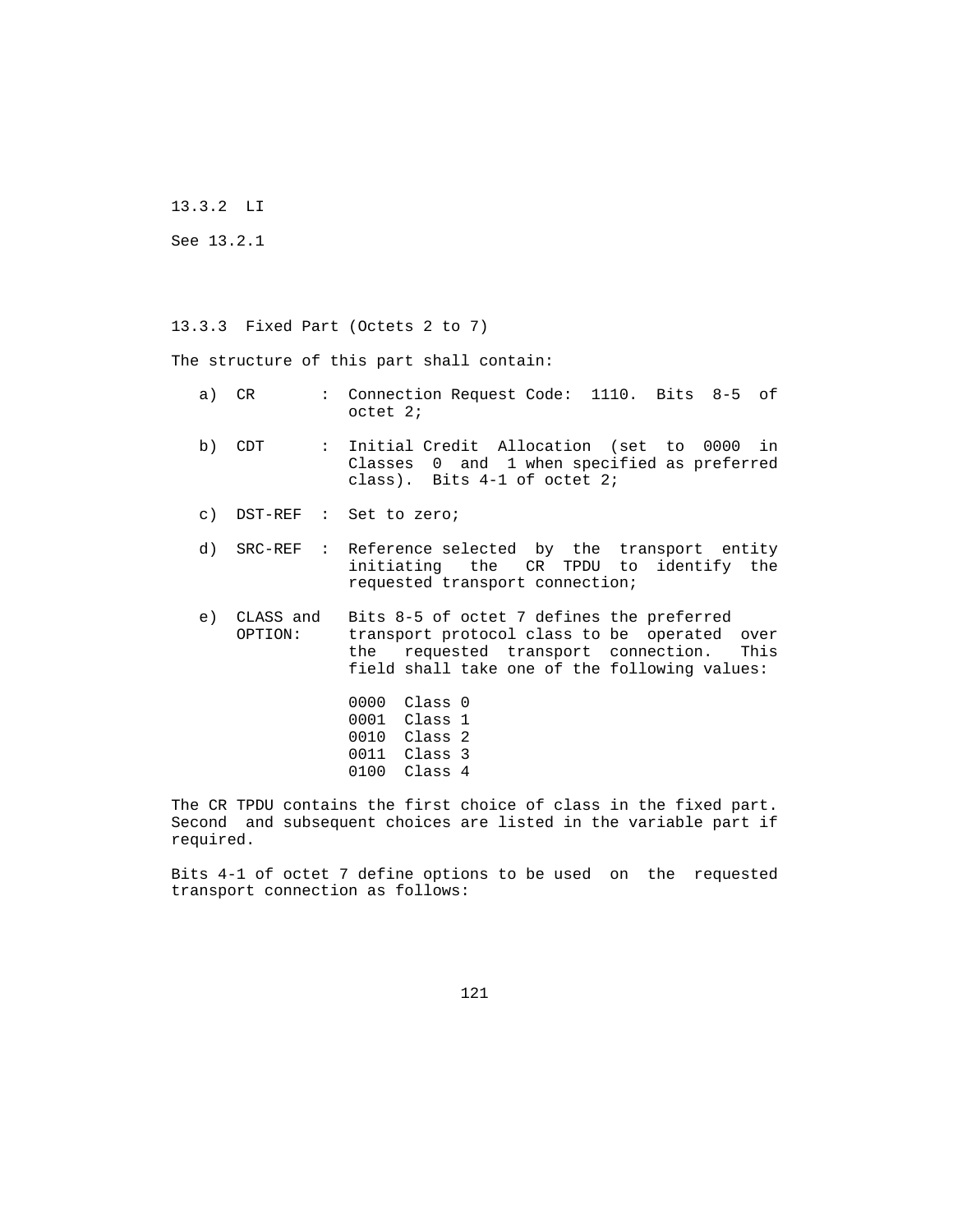13.3.2 LI

See 13.2.1

13.3.3 Fixed Part (Octets 2 to 7)

The structure of this part shall contain:

- a) CR : Connection Request Code: 1110. Bits 8-5 of octet 2;
- b) CDT : Initial Credit Allocation (set to 0000 in Classes 0 and 1 when specified as preferred class). Bits 4-1 of octet 2;
- c) DST-REF : Set to zero;
- d) SRC-REF : Reference selected by the transport entity initiating the CR TPDU to identify the requested transport connection;
	- e) CLASS and Bits 8-5 of octet 7 defines the preferred transport protocol class to be operated over the requested transport connection. This field shall take one of the following values:
		- 0000 Class 0 0001 Class 1 0010 Class 2 0011 Class 3 0100 Class 4

 The CR TPDU contains the first choice of class in the fixed part. Second and subsequent choices are listed in the variable part if required.

 Bits 4-1 of octet 7 define options to be used on the requested transport connection as follows: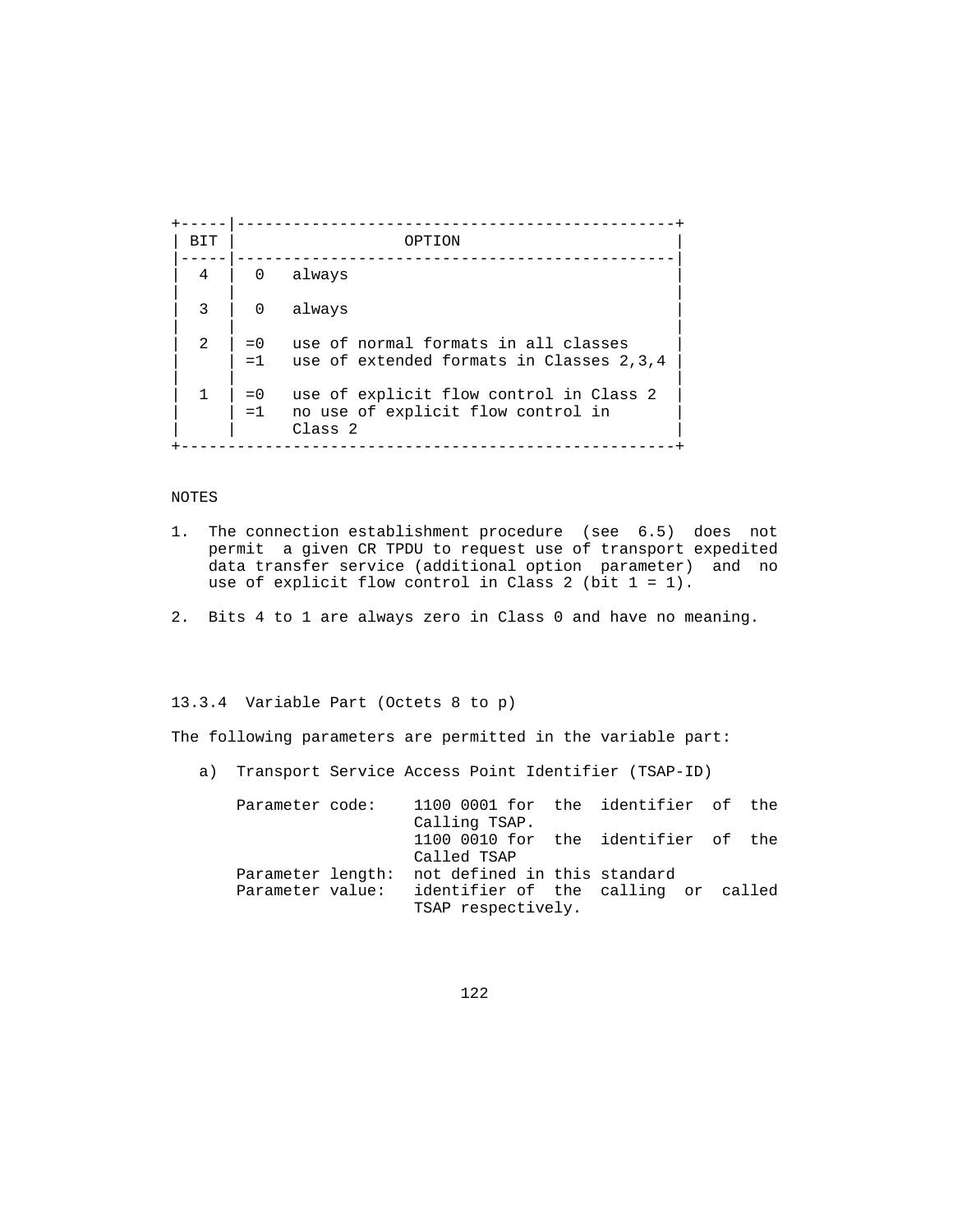+-----|-----------------------------------------------+ | BIT | OPTION | |-----|-----------------------------------------------| 4 | 0 always | | |  $3 \mid 0$  always | | |  $2 \mid 0$  use of normal formats in all classes  $=1$  use of extended formats in Classes 2,3,4 | | |  $1 \mid 0$  use of explicit flow control in Class 2 =1 no use of explicit flow control in Class 2 +-----------------------------------------------------+

# NOTES

- 1. The connection establishment procedure (see 6.5) does not permit a given CR TPDU to request use of transport expedited data transfer service (additional option parameter) and no use of explicit flow control in Class 2 (bit  $1 = 1$ ).
- 2. Bits 4 to 1 are always zero in Class 0 and have no meaning.

# 13.3.4 Variable Part (Octets 8 to p)

The following parameters are permitted in the variable part:

a) Transport Service Access Point Identifier (TSAP-ID)

| Parameter code:   | 1100 0001 for the identifier of the |  |  |  |
|-------------------|-------------------------------------|--|--|--|
|                   | Calling TSAP.                       |  |  |  |
|                   | 1100 0010 for the identifier of the |  |  |  |
|                   | Called TSAP                         |  |  |  |
| Parameter length: | not defined in this standard        |  |  |  |
| Parameter value:  | identifier of the calling or called |  |  |  |
|                   | TSAP respectively.                  |  |  |  |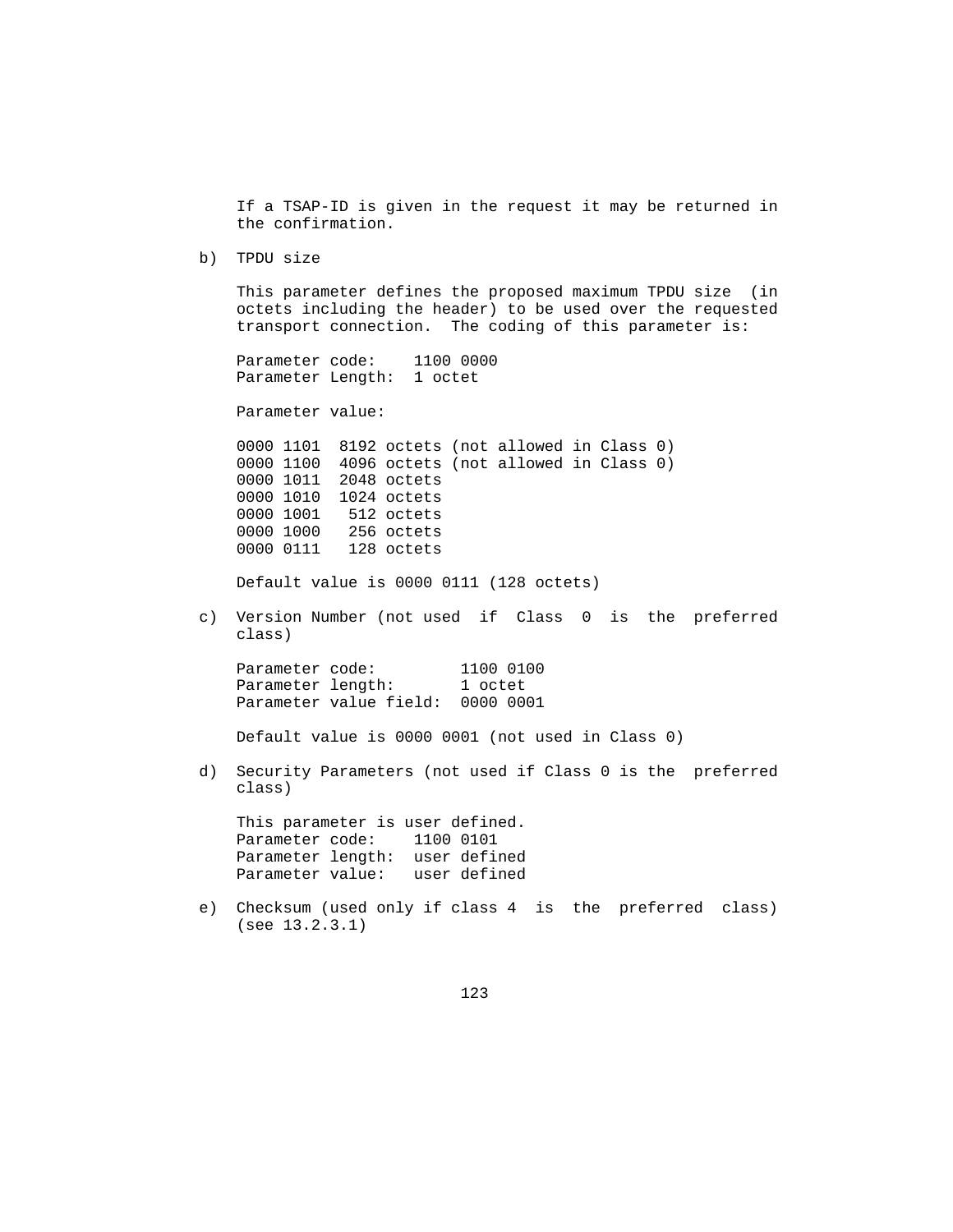If a TSAP-ID is given in the request it may be returned in the confirmation.

b) TPDU size

 This parameter defines the proposed maximum TPDU size (in octets including the header) to be used over the requested transport connection. The coding of this parameter is:

 Parameter code: 1100 0000 Parameter Length: 1 octet

Parameter value:

 0000 1101 8192 octets (not allowed in Class 0) 0000 1100 4096 octets (not allowed in Class 0) 0000 1011 2048 octets 0000 1010 1024 octets<br>0000 1001 512 octets 512 octets 0000 1000 256 octets 0000 0111 128 octets

Default value is 0000 0111 (128 octets)

 c) Version Number (not used if Class 0 is the preferred class)

 Parameter code: 1100 0100 Parameter length: 1 octet Parameter value field: 0000 0001

Default value is 0000 0001 (not used in Class 0)

 d) Security Parameters (not used if Class 0 is the preferred class)

 This parameter is user defined. Parameter code: 1100 0101 Parameter length: user defined Parameter value: user defined

 e) Checksum (used only if class 4 is the preferred class) (see 13.2.3.1)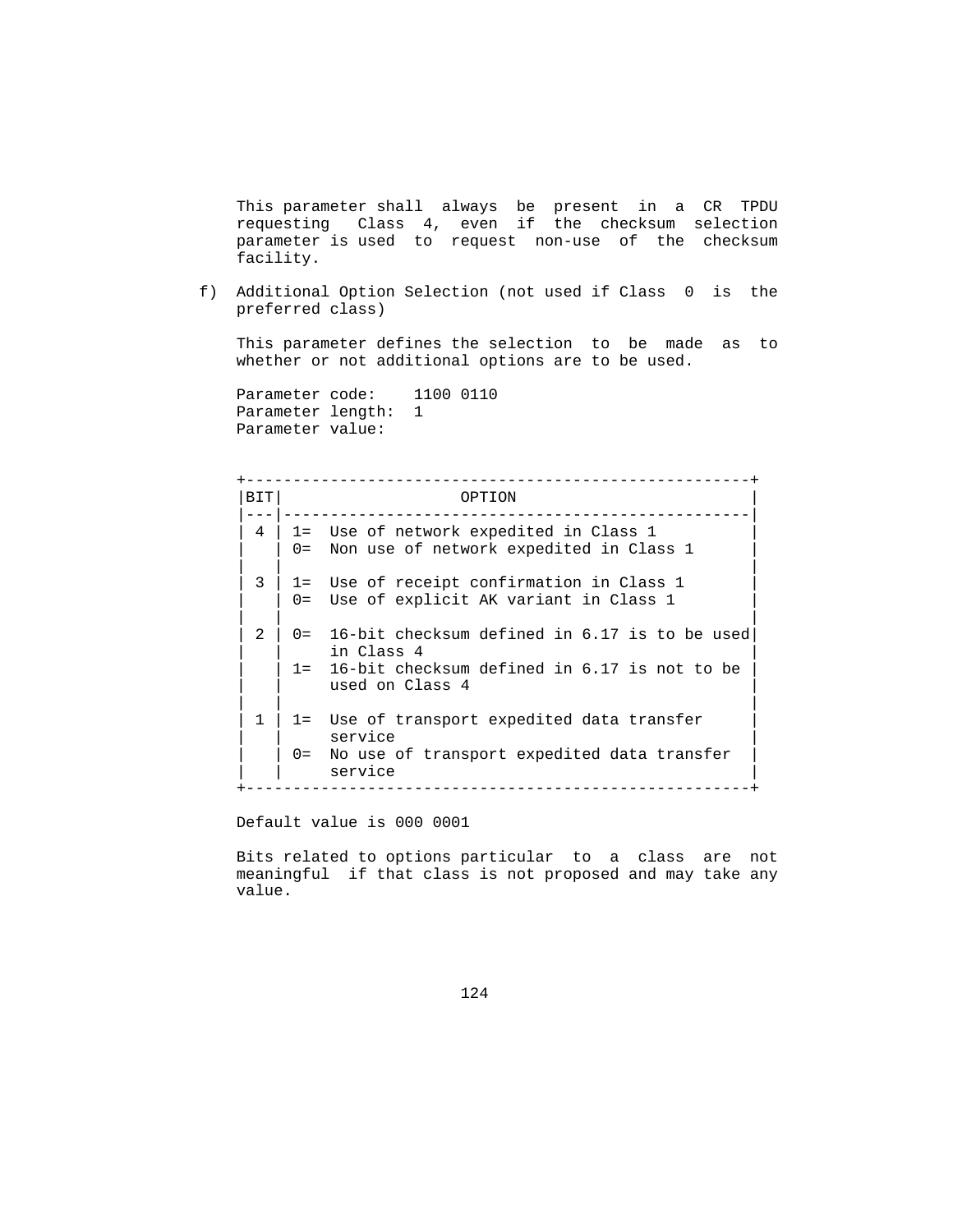This parameter shall always be present in a CR TPDU requesting Class 4, even if the checksum selection parameter is used to request non-use of the checksum facility.

 f) Additional Option Selection (not used if Class 0 is the preferred class)

 This parameter defines the selection to be made as to whether or not additional options are to be used.

Parameter code: 1100 0110 Parameter length: 1 Parameter value:

 +------------------------------------------------------+ | BIT| OPTION |---|--------------------------------------------------|  $4$  | 1= Use of network expedited in Class 1 0= Non use of network expedited in Class 1 | | | | 3 | 1= Use of receipt confirmation in Class 1 | 0= Use of explicit AK variant in Class 1 | | |  $2$  | 0= 16-bit checksum defined in 6.17 is to be used in Class 4 1= 16-bit checksum defined in 6.17 is not to be used on Class 4 | | | | 1 | 1= Use of transport expedited data transfer | service 0= No use of transport expedited data transfer service +------------------------------------------------------+

Default value is 000 0001

 Bits related to options particular to a class are not meaningful if that class is not proposed and may take any value.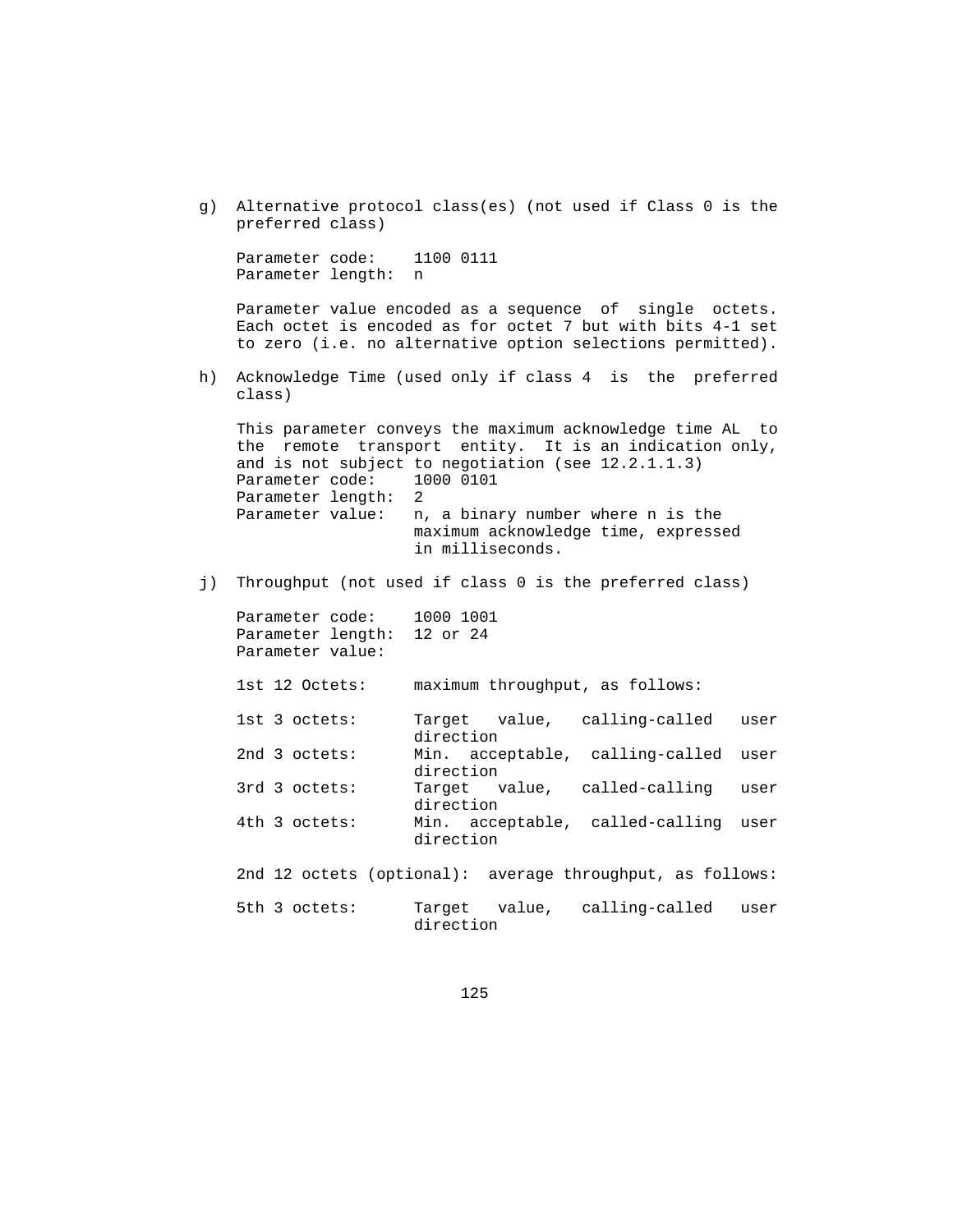g) Alternative protocol class(es) (not used if Class 0 is the preferred class)

Parameter code: 1100 0111 Parameter length: n

 Parameter value encoded as a sequence of single octets. Each octet is encoded as for octet 7 but with bits 4-1 set to zero (i.e. no alternative option selections permitted).

 h) Acknowledge Time (used only if class 4 is the preferred class)

 This parameter conveys the maximum acknowledge time AL to the remote transport entity. It is an indication only, and is not subject to negotiation (see 12.2.1.1.3) Parameter code: 1000 0101 Parameter length: 2 Parameter value: n, a binary number where n is the maximum acknowledge time, expressed in milliseconds.

j) Throughput (not used if class 0 is the preferred class)

Parameter code: 1000 1001 Parameter length: 12 or 24 Parameter value:

1st 12 Octets: maximum throughput, as follows:

 1st 3 octets: Target value, calling-called user direction 2nd 3 octets: Min. acceptable, calling-called user direction 3rd 3 octets: Target value, called-calling user direction 4th 3 octets: Min. acceptable, called-calling user direction

2nd 12 octets (optional): average throughput, as follows:

 5th 3 octets: Target value, calling-called user direction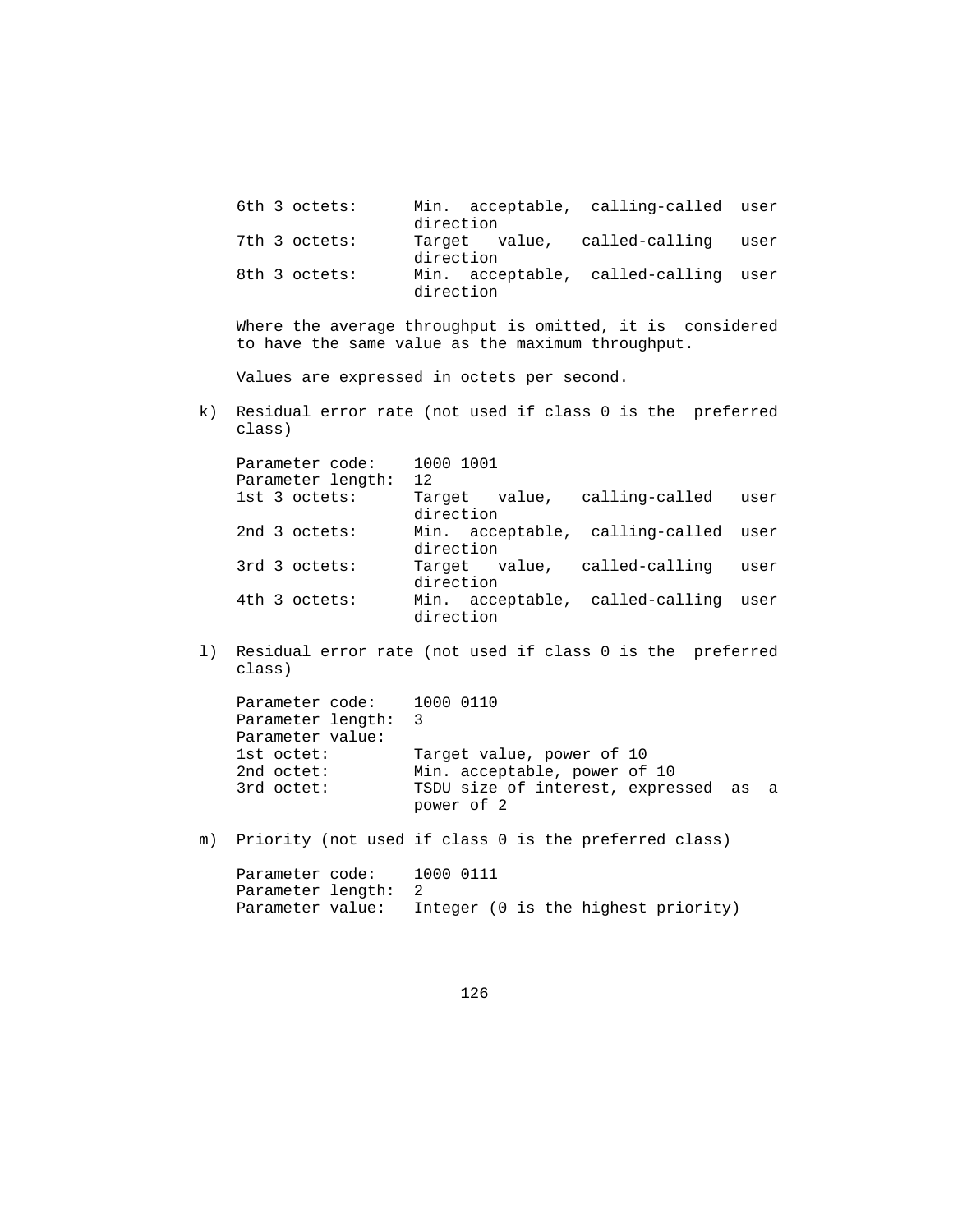| 6th 3 octets: | Min. acceptable, calling-called user<br>direction |
|---------------|---------------------------------------------------|
| 7th 3 octets: | Target value, called-calling user<br>direction    |
| 8th 3 octets: | Min. acceptable, called-calling user<br>direction |

 Where the average throughput is omitted, it is considered to have the same value as the maximum throughput.

Values are expressed in octets per second.

 k) Residual error rate (not used if class 0 is the preferred class)

| Parameter code:   | 1000 1001                            |      |
|-------------------|--------------------------------------|------|
| Parameter length: | 12                                   |      |
| 1st 3 octets:     | Target value, calling-called         | user |
|                   | direction                            |      |
| 2nd 3 octets:     | Min. acceptable, calling-called user |      |
|                   | direction                            |      |
| 3rd 3 octets:     | Target value, called-calling         | user |
|                   | direction                            |      |
| 4th 3 octets:     | Min. acceptable, called-calling user |      |
|                   | direction                            |      |

 l) Residual error rate (not used if class 0 is the preferred class)

| Parameter code: 1000 0110 |                                                     |  |
|---------------------------|-----------------------------------------------------|--|
| Parameter length: 3       |                                                     |  |
| Parameter value:          |                                                     |  |
| lst octet:                | Target value, power of 10                           |  |
| 2nd $octet:$              | Min. acceptable, power of 10                        |  |
| 3rd octet:                | TSDU size of interest, expressed as a<br>power of 2 |  |
|                           |                                                     |  |

m) Priority (not used if class 0 is the preferred class)

| Parameter code:     | 1000 0111 |  |  |                                     |
|---------------------|-----------|--|--|-------------------------------------|
| Parameter length: 2 |           |  |  |                                     |
| Parameter value:    |           |  |  | Integer (0 is the highest priority) |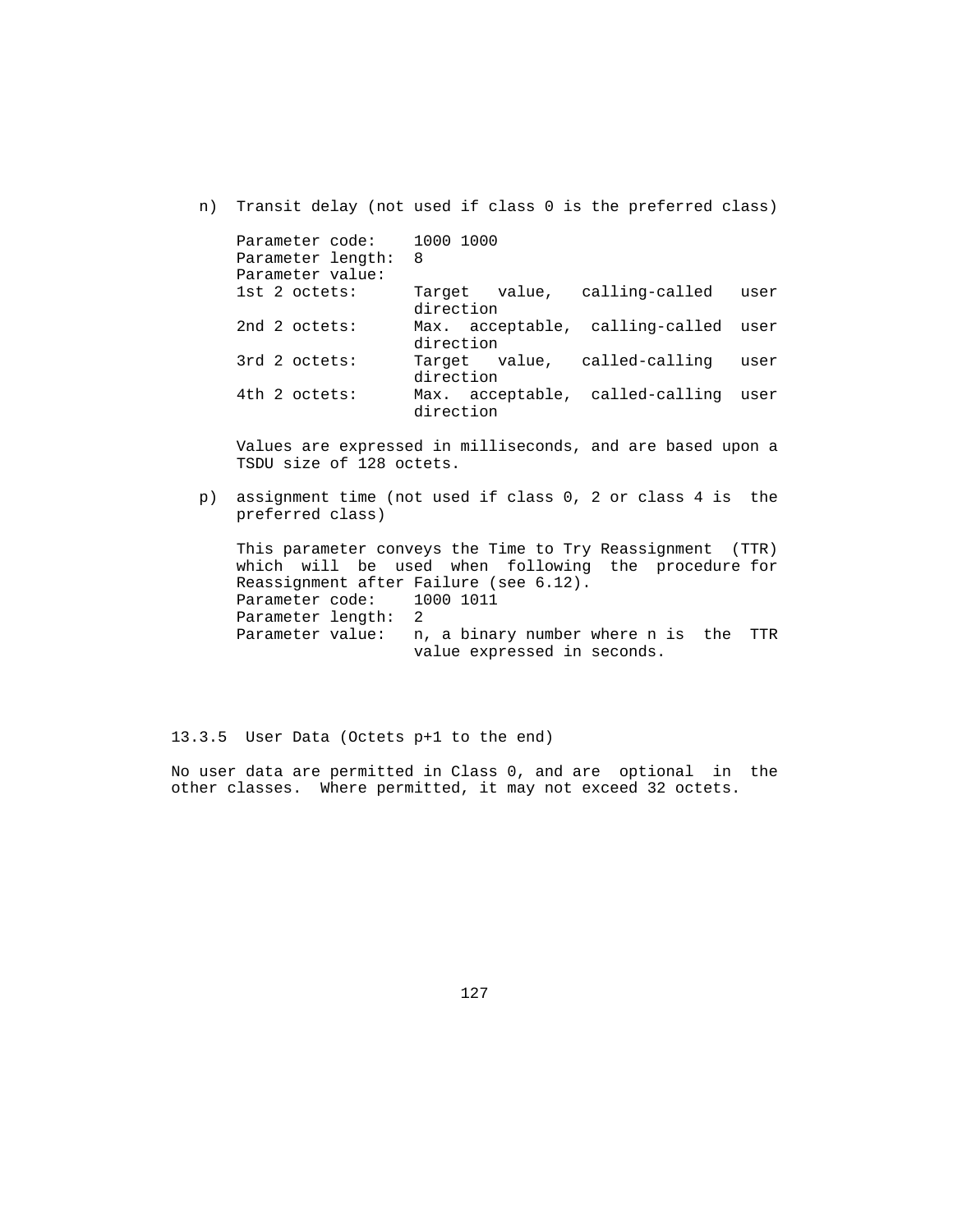n) Transit delay (not used if class 0 is the preferred class)

| Parameter code: 1000 1000 |                                      |      |
|---------------------------|--------------------------------------|------|
| Parameter length:         | 8                                    |      |
| Parameter value:          |                                      |      |
| $1st$ 2 octets:           | Target value, calling-called         | user |
|                           | direction                            |      |
| 2nd 2 octets:             | Max. acceptable, calling-called user |      |
|                           | direction                            |      |
| 3rd 2 octets:             | Target value, called-calling         | user |
|                           | direction                            |      |
| 4th 2 octets:             | Max. acceptable, called-calling user |      |
|                           | direction                            |      |

 Values are expressed in milliseconds, and are based upon a TSDU size of 128 octets.

 p) assignment time (not used if class 0, 2 or class 4 is the preferred class)

 This parameter conveys the Time to Try Reassignment (TTR) which will be used when following the procedure for Reassignment after Failure (see 6.12).<br>Parameter code: 1000 1011 Parameter code: Parameter length: 2 Parameter value: n, a binary number where n is the TTR value expressed in seconds.

13.3.5 User Data (Octets p+1 to the end)

 No user data are permitted in Class 0, and are optional in the other classes. Where permitted, it may not exceed 32 octets.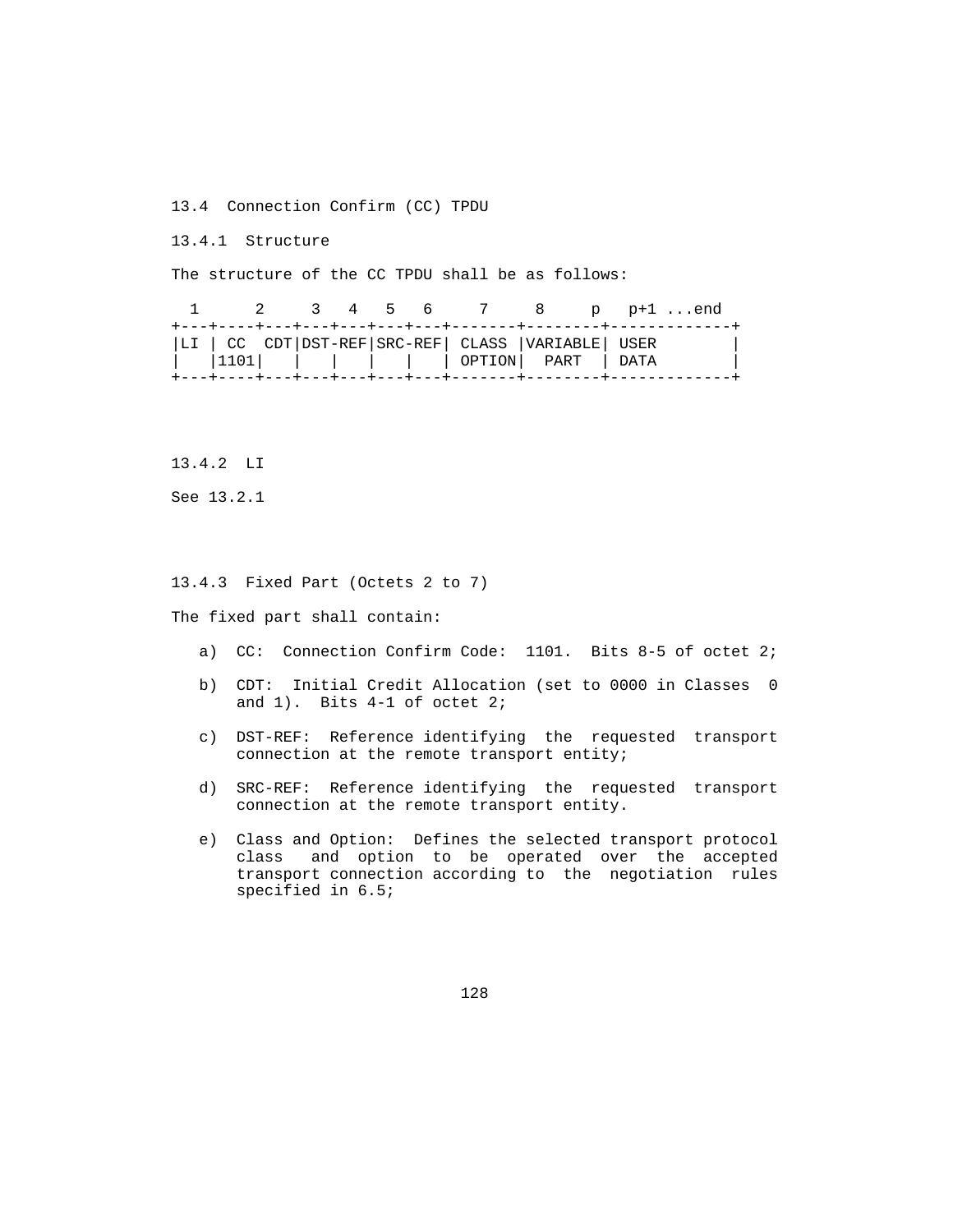13.4 Connection Confirm (CC) TPDU

13.4.1 Structure

The structure of the CC TPDU shall be as follows:

|  |  |  | 1 2 3 4 5 6 7 8 p p+1end                           |  |  |
|--|--|--|----------------------------------------------------|--|--|
|  |  |  | LI   CC CDT DST-REF SRC-REF  CLASS  VARIABLE  USER |  |  |
|  |  |  | 1101              OPTION  PART   DATA              |  |  |

13.4.2 LI

See 13.2.1

# 13.4.3 Fixed Part (Octets 2 to 7)

The fixed part shall contain:

- a) CC: Connection Confirm Code: 1101. Bits 8-5 of octet 2;
- b) CDT: Initial Credit Allocation (set to 0000 in Classes 0 and 1). Bits 4-1 of octet 2;
- c) DST-REF: Reference identifying the requested transport connection at the remote transport entity;
- d) SRC-REF: Reference identifying the requested transport connection at the remote transport entity.
- e) Class and Option: Defines the selected transport protocol class and option to be operated over the accepted transport connection according to the negotiation rules specified in 6.5;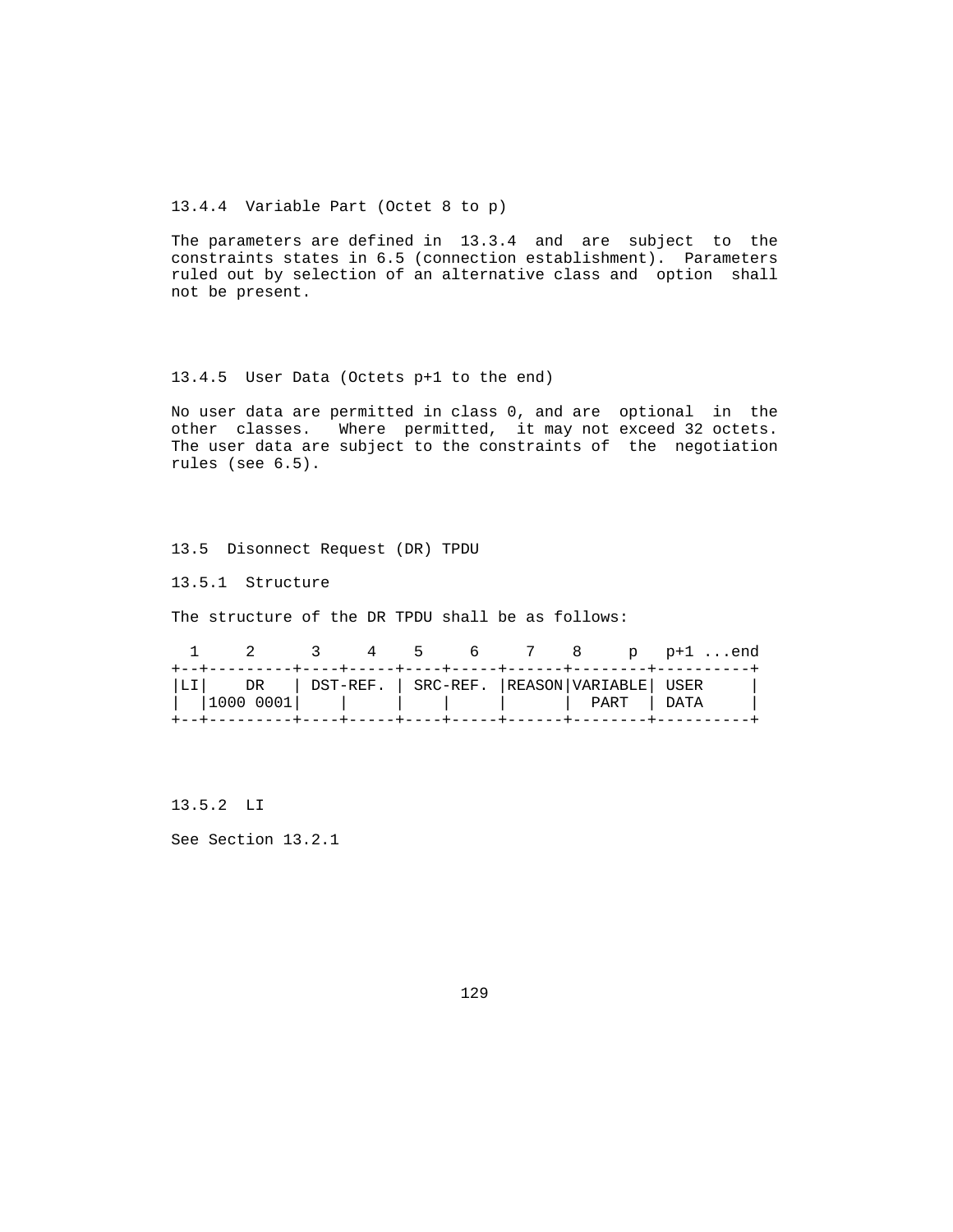13.4.4 Variable Part (Octet 8 to p)

 The parameters are defined in 13.3.4 and are subject to the constraints states in 6.5 (connection establishment). Parameters ruled out by selection of an alternative class and option shall not be present.

### 13.4.5 User Data (Octets p+1 to the end)

 No user data are permitted in class 0, and are optional in the other classes. Where permitted, it may not exceed 32 octets. The user data are subject to the constraints of the negotiation rules (see 6.5).

13.5 Disonnect Request (DR) TPDU

13.5.1 Structure

The structure of the DR TPDU shall be as follows:

|  |                                                                                                | $\sim$ 3 |  |  | 4 5 6 7 8 p p+1end |  |
|--|------------------------------------------------------------------------------------------------|----------|--|--|--------------------|--|
|  | LI  DR   DST-REF.   SRC-REF.  REASON VARIABLE  USER<br>   1000 0001                PART   DATA |          |  |  |                    |  |
|  |                                                                                                |          |  |  |                    |  |

13.5.2 LI

See Section 13.2.1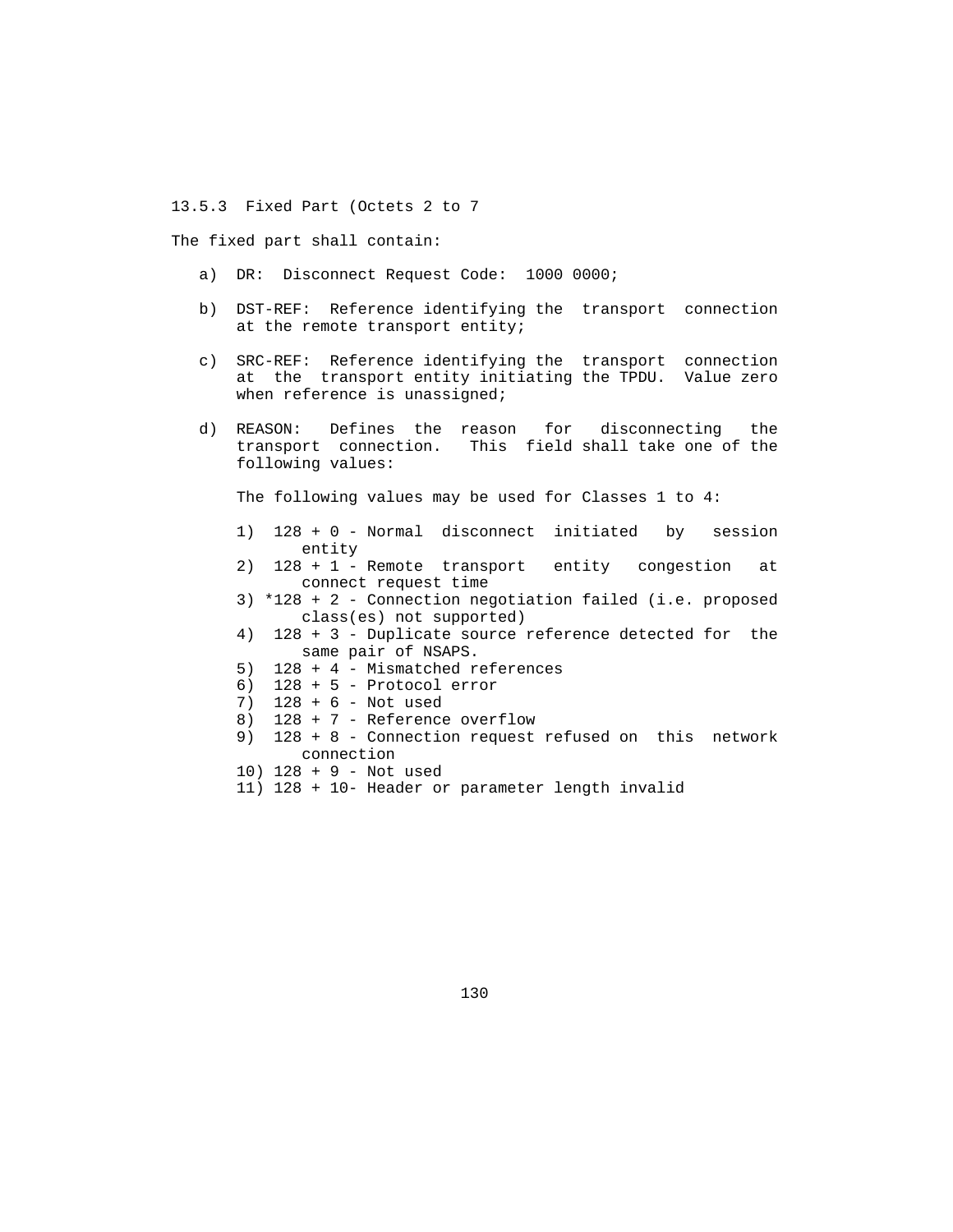13.5.3 Fixed Part (Octets 2 to 7

The fixed part shall contain:

- a) DR: Disconnect Request Code: 1000 0000;
- b) DST-REF: Reference identifying the transport connection at the remote transport entity;
- c) SRC-REF: Reference identifying the transport connection at the transport entity initiating the TPDU. Value zero when reference is unassigned;
- d) REASON: Defines the reason for disconnecting the transport connection. This field shall take one of the following values:

The following values may be used for Classes 1 to 4:

- 1) 128 + 0 Normal disconnect initiated by session entity
- 2) 128 + 1 Remote transport entity congestion at connect request time
- 3) \*128 + 2 Connection negotiation failed (i.e. proposed class(es) not supported)
- 4) 128 + 3 Duplicate source reference detected for the same pair of NSAPS.
- 5) 128 + 4 Mismatched references
- 6) 128 + 5 Protocol error
- 7) 128 + 6 Not used
- 8) 128 + 7 Reference overflow
- 9) 128 + 8 Connection request refused on this network connection
- 10) 128 + 9 Not used
- 11) 128 + 10- Header or parameter length invalid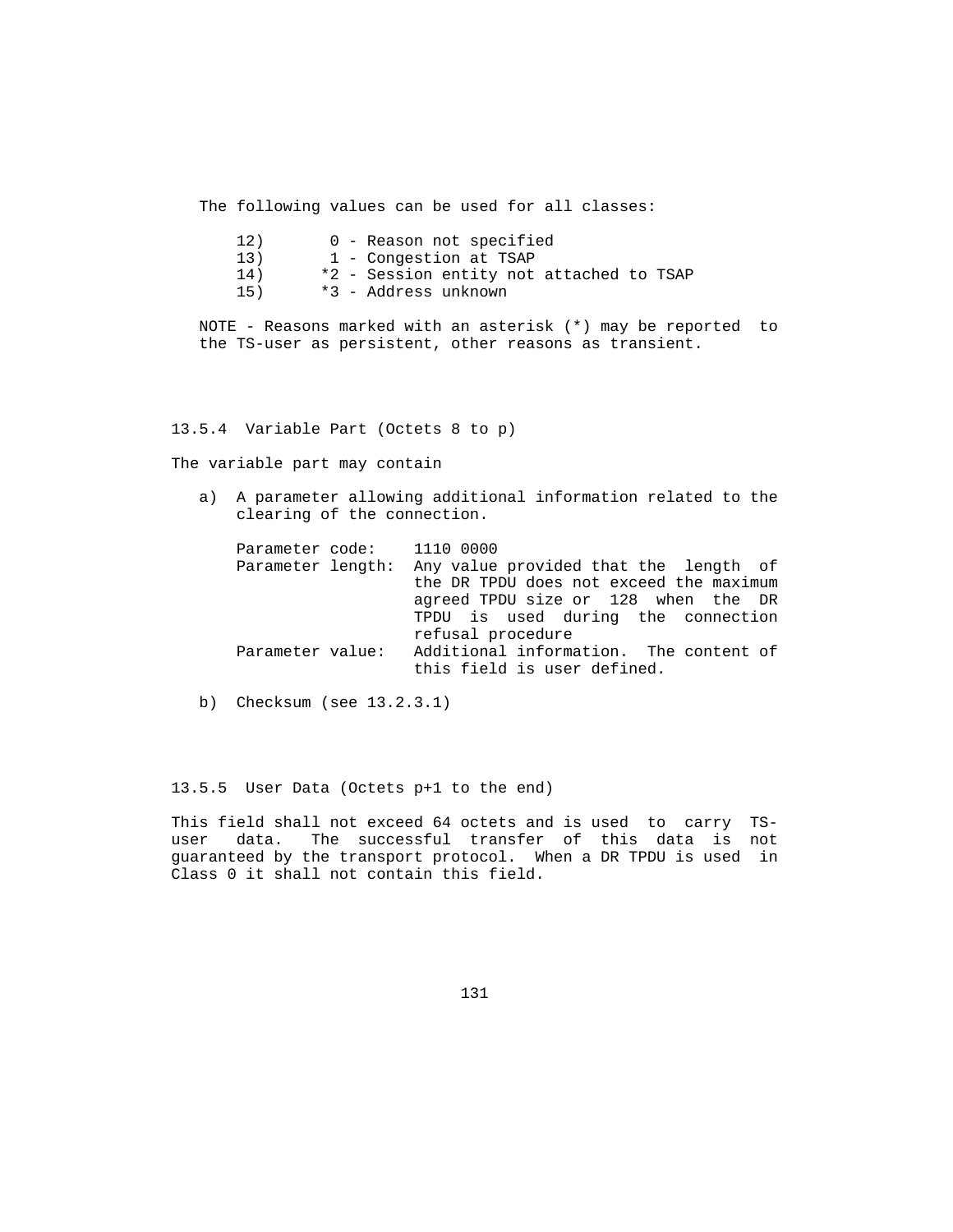The following values can be used for all classes:

| 12) | 0 - Reason not specified                 |
|-----|------------------------------------------|
| 13) | 1 - Congestion at TSAP                   |
| 14) | *2 - Session entity not attached to TSAP |
| 15) | *3 - Address unknown                     |

 NOTE - Reasons marked with an asterisk (\*) may be reported to the TS-user as persistent, other reasons as transient.

### 13.5.4 Variable Part (Octets 8 to p)

The variable part may contain

 a) A parameter allowing additional information related to the clearing of the connection.

|                   | Parameter code: 1110 0000               |
|-------------------|-----------------------------------------|
| Parameter length: | Any value provided that the length of   |
|                   | the DR TPDU does not exceed the maximum |
|                   | agreed TPDU size or 128 when the DR     |
|                   | TPDU is used during the connection      |
|                   | refusal procedure                       |
| Parameter value:  | Additional information. The content of  |
|                   | this field is user defined.             |

b) Checksum (see 13.2.3.1)

# 13.5.5 User Data (Octets p+1 to the end)

 This field shall not exceed 64 octets and is used to carry TS user data. The successful transfer of this data is not guaranteed by the transport protocol. When a DR TPDU is used in Class 0 it shall not contain this field.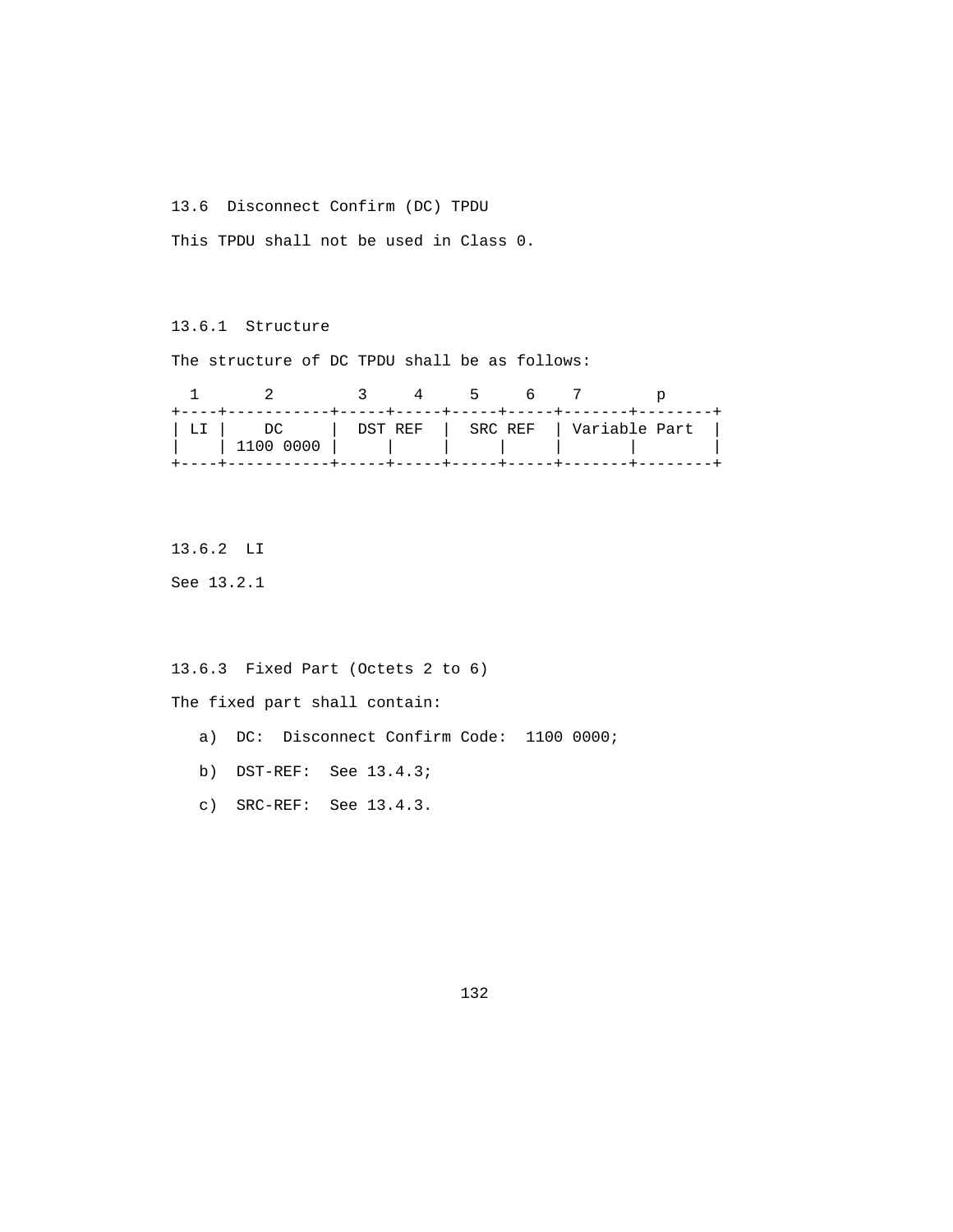13.6 Disconnect Confirm (DC) TPDU

This TPDU shall not be used in Class 0.

13.6.1 Structure

The structure of DC TPDU shall be as follows:

|  |                 |  | - 5 |                                       |  |
|--|-----------------|--|-----|---------------------------------------|--|
|  | DC<br>1100 0000 |  |     | !   DST REF   SRC REF   Variable Part |  |
|  |                 |  |     |                                       |  |

13.6.2 LI

See 13.2.1

13.6.3 Fixed Part (Octets 2 to 6)

The fixed part shall contain:

- a) DC: Disconnect Confirm Code: 1100 0000;
- b) DST-REF: See 13.4.3;
- c) SRC-REF: See 13.4.3.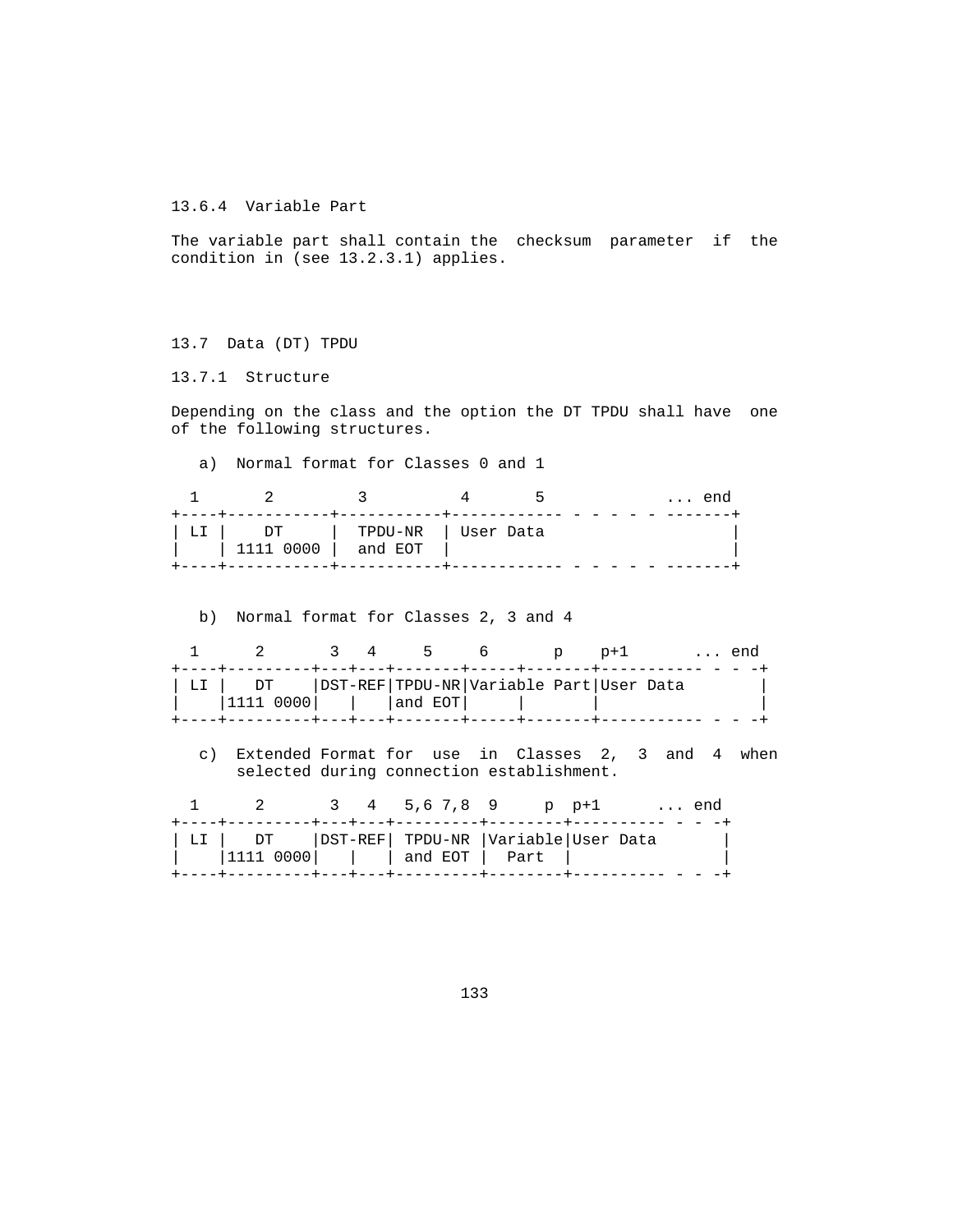13.6.4 Variable Part

 The variable part shall contain the checksum parameter if the condition in (see 13.2.3.1) applies.

13.7 Data (DT) TPDU

13.7.1 Structure

 Depending on the class and the option the DT TPDU shall have one of the following structures.

a) Normal format for Classes 0 and 1

|    |                     |                                |  | ∩∩A |
|----|---------------------|--------------------------------|--|-----|
| ЬT | DT<br>$'$ 1111 0000 | TPDU-NR   User Data<br>and EOT |  |     |

b) Normal format for Classes 2, 3 and 4

|  | 2 3 4 5 6 p                                                                           |  |  | $D+1$ | end |
|--|---------------------------------------------------------------------------------------|--|--|-------|-----|
|  | ULI   DT   DST-REF TPDU-NR Variable Part User Data<br>$ 1111 0000 $   $ $ and EOT $ $ |  |  |       |     |
|  |                                                                                       |  |  |       |     |

 c) Extended Format for use in Classes 2, 3 and 4 when selected during connection establishment.

|  |                                                                                       |  | 2 3 4 5.6 7.8 9 p p+1  end |  |  |  |
|--|---------------------------------------------------------------------------------------|--|----------------------------|--|--|--|
|  | LI   DT   DST-REF  TPDU-NR   Variable   User Data<br>$ 1111 0000 $     and EOT   Part |  |                            |  |  |  |
|  |                                                                                       |  |                            |  |  |  |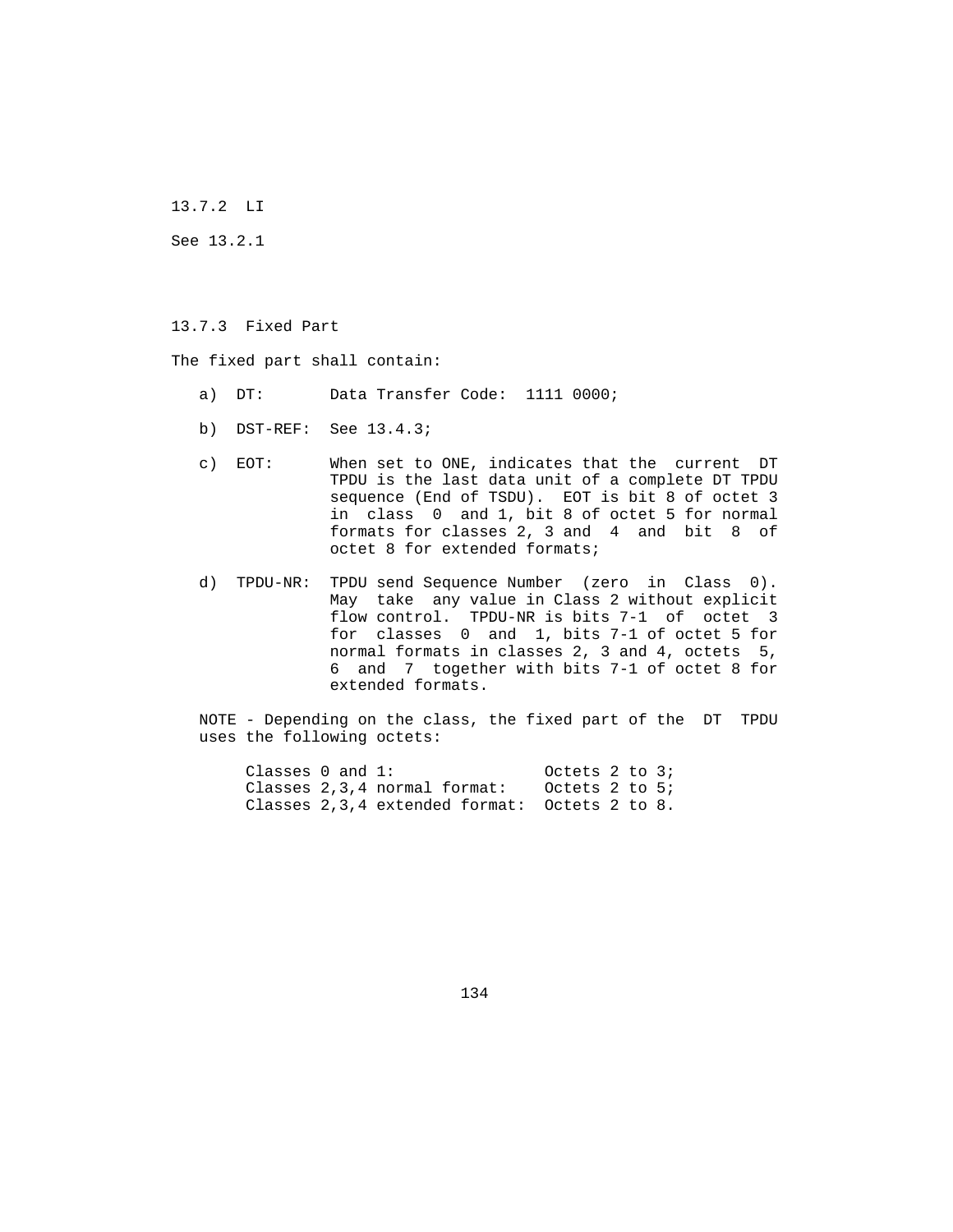13.7.2 LI

See 13.2.1

13.7.3 Fixed Part

The fixed part shall contain:

- a) DT: Data Transfer Code: 1111 0000;
- b) DST-REF: See 13.4.3;
- c) EOT: When set to ONE, indicates that the current DT TPDU is the last data unit of a complete DT TPDU sequence (End of TSDU). EOT is bit 8 of octet 3 in class 0 and 1, bit 8 of octet 5 for normal formats for classes 2, 3 and 4 and bit 8 of octet 8 for extended formats;
- d) TPDU-NR: TPDU send Sequence Number (zero in Class 0). May take any value in Class 2 without explicit flow control. TPDU-NR is bits 7-1 of octet 3 for classes 0 and 1, bits 7-1 of octet 5 for normal formats in classes 2, 3 and 4, octets 5, 6 and 7 together with bits 7-1 of octet 8 for extended formats.
- NOTE Depending on the class, the fixed part of the DT TPDU uses the following octets:

Classes 0 and 1: 0ctets 2 to 3; Classes 2,3,4 normal format: Octets 2 to 5; Classes 2,3,4 extended format: Octets 2 to 8.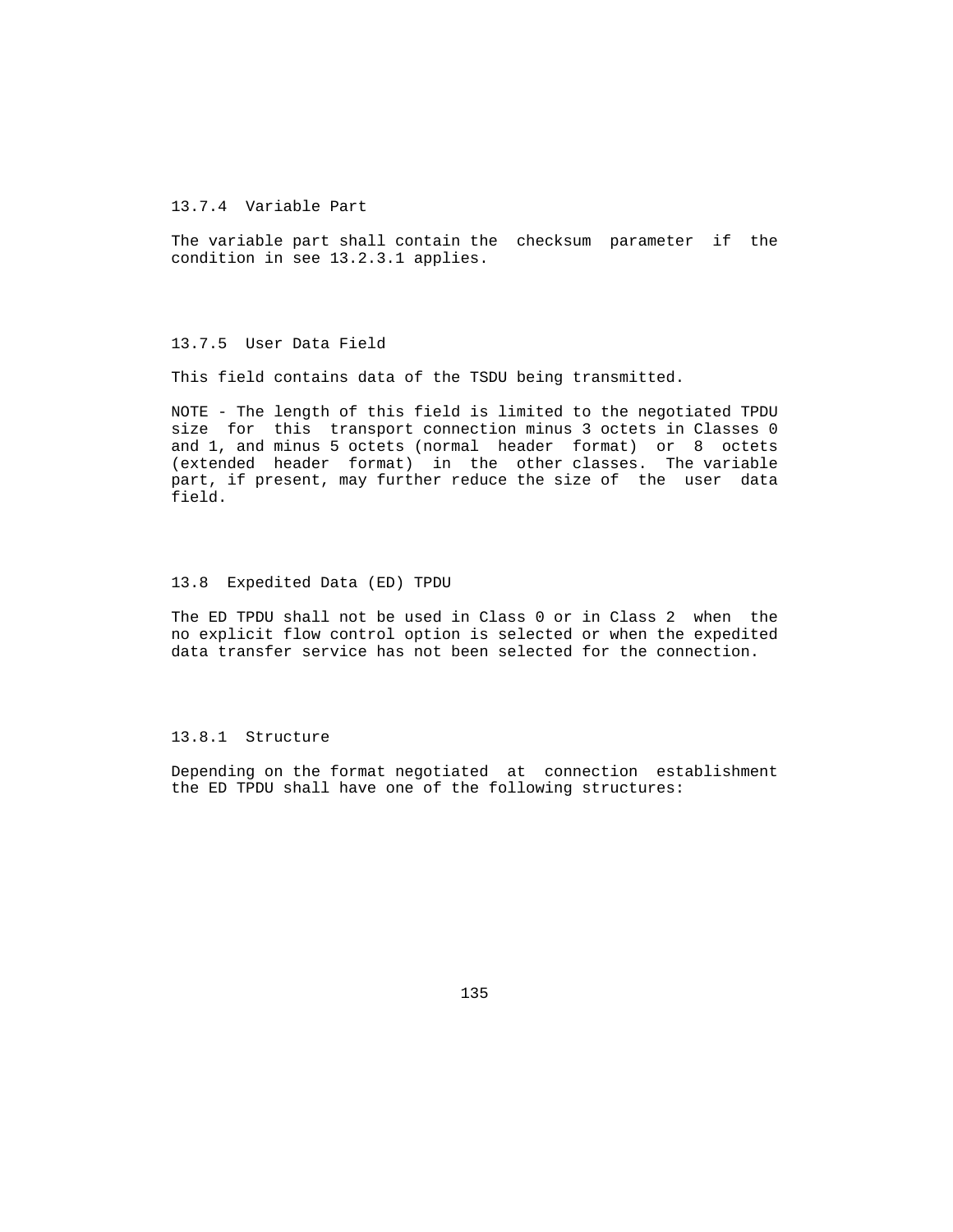### 13.7.4 Variable Part

 The variable part shall contain the checksum parameter if the condition in see 13.2.3.1 applies.

### 13.7.5 User Data Field

This field contains data of the TSDU being transmitted.

 NOTE - The length of this field is limited to the negotiated TPDU size for this transport connection minus 3 octets in Classes 0 and 1, and minus 5 octets (normal header format) or 8 octets (extended header format) in the other classes. The variable part, if present, may further reduce the size of the user data field.

#### 13.8 Expedited Data (ED) TPDU

 The ED TPDU shall not be used in Class 0 or in Class 2 when the no explicit flow control option is selected or when the expedited data transfer service has not been selected for the connection.

### 13.8.1 Structure

 Depending on the format negotiated at connection establishment the ED TPDU shall have one of the following structures: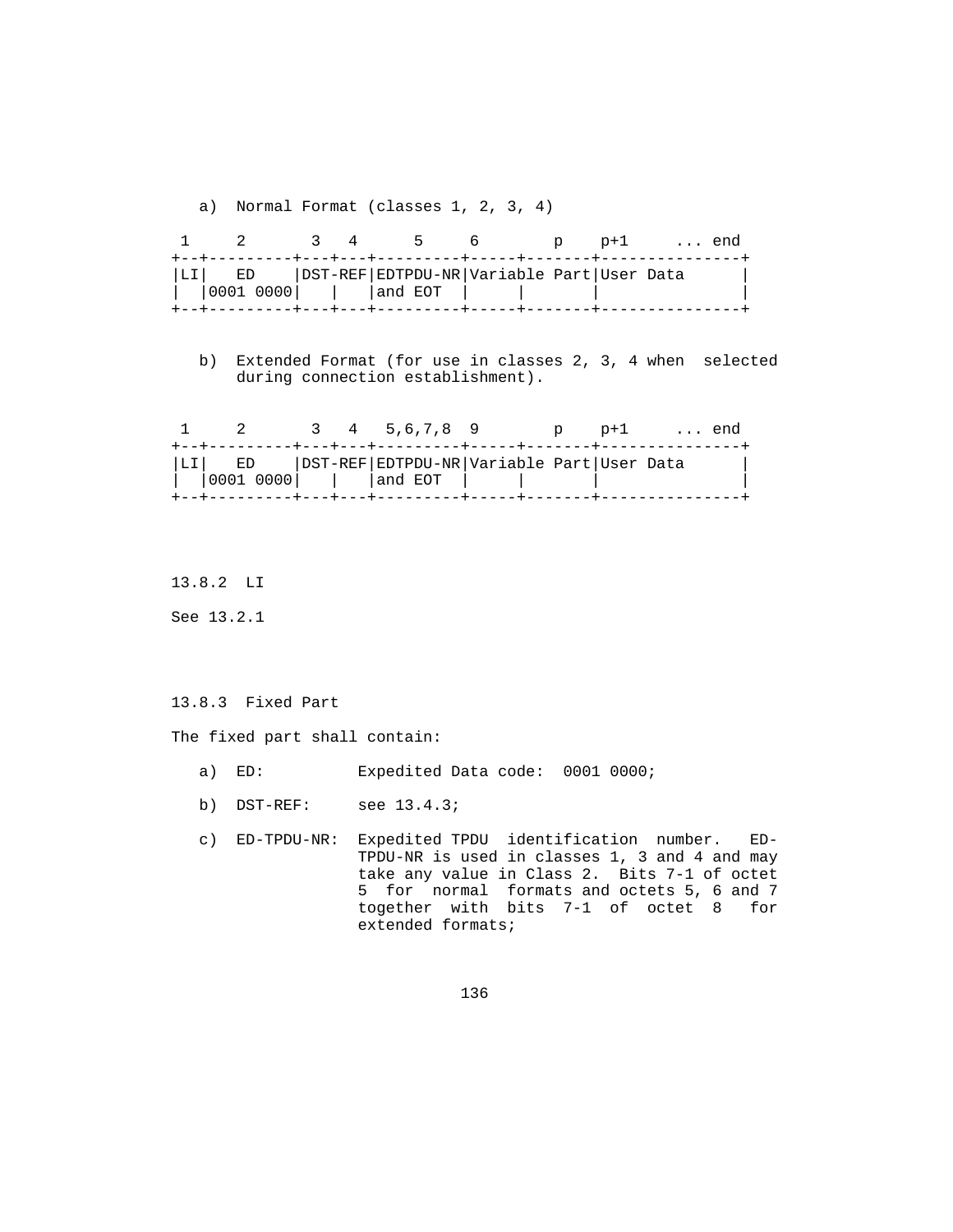a) Normal Format (classes 1, 2, 3, 4)

|  |                                                                                | $\sim$ 3 4 | <u>ь</u> 6 |  | p p+1 end |  |
|--|--------------------------------------------------------------------------------|------------|------------|--|-----------|--|
|  | LI  ED   DST-REF EDTPDU-NR Variable Part User Data<br>   0001 0000     and EOT |            |            |  |           |  |
|  |                                                                                |            |            |  |           |  |

 b) Extended Format (for use in classes 2, 3, 4 when selected during connection establishment).

|                                                                                |  |  | 3 4 5.6.7.8 9 |  | p p+1 |  | end |
|--------------------------------------------------------------------------------|--|--|---------------|--|-------|--|-----|
| LI  ED   DST-REF EDTPDU-NR Variable Part User Data<br>   0001 0000     and EOT |  |  |               |  |       |  |     |
|                                                                                |  |  |               |  |       |  |     |

13.8.2 LI

See 13.2.1

#### 13.8.3 Fixed Part

The fixed part shall contain:

- a) ED: Expedited Data code: 0001 0000;
- b) DST-REF: see 13.4.3;
- c) ED-TPDU-NR: Expedited TPDU identification number. ED- TPDU-NR is used in classes 1, 3 and 4 and may take any value in Class 2. Bits 7-1 of octet 5 for normal formats and octets 5, 6 and 7 together with bits 7-1 of octet 8 for extended formats;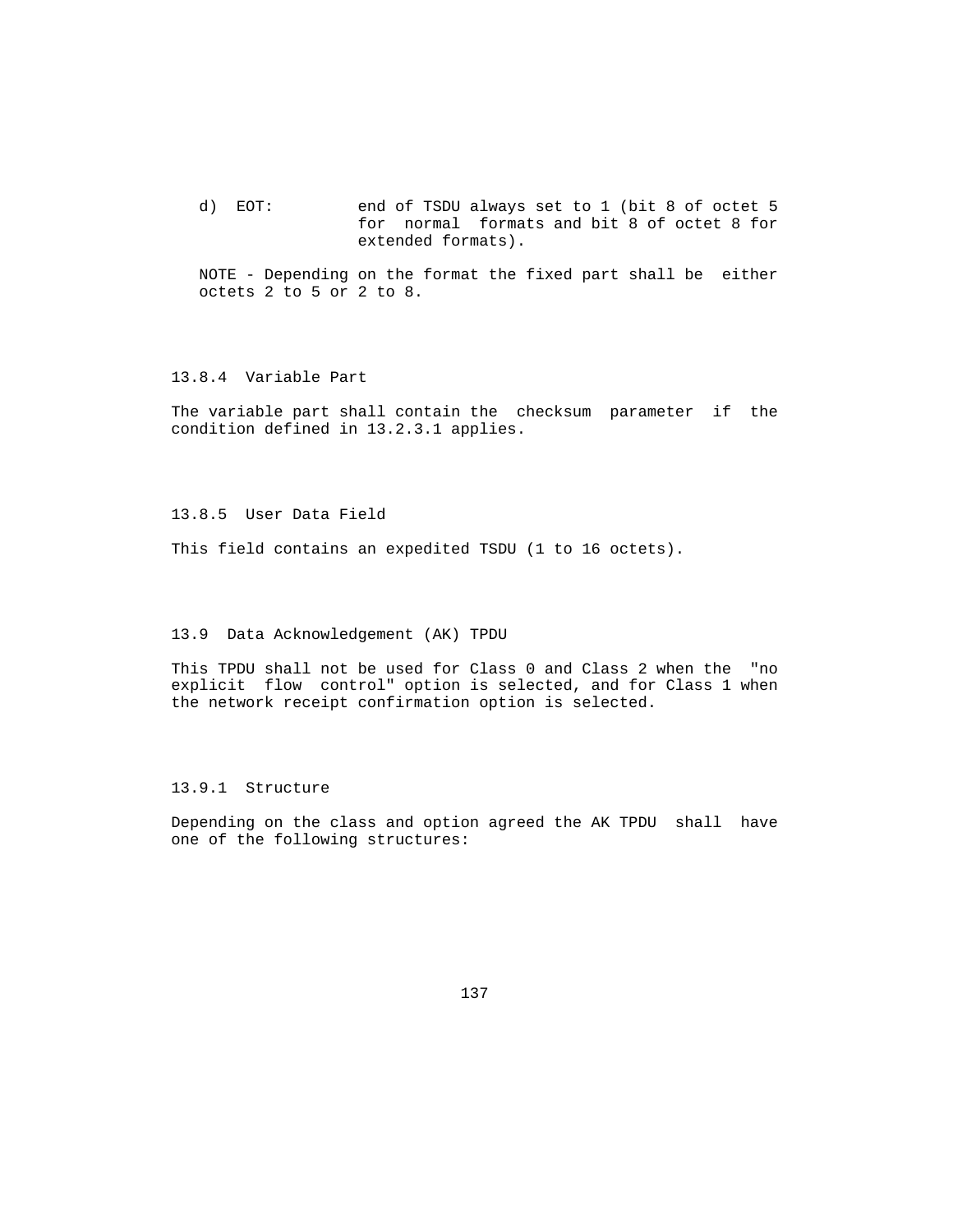d) EOT: end of TSDU always set to 1 (bit 8 of octet 5 for normal formats and bit 8 of octet 8 for extended formats).

 NOTE - Depending on the format the fixed part shall be either octets 2 to 5 or 2 to 8.

# 13.8.4 Variable Part

 The variable part shall contain the checksum parameter if the condition defined in 13.2.3.1 applies.

13.8.5 User Data Field

This field contains an expedited TSDU (1 to 16 octets).

### 13.9 Data Acknowledgement (AK) TPDU

 This TPDU shall not be used for Class 0 and Class 2 when the "no explicit flow control" option is selected, and for Class 1 when the network receipt confirmation option is selected.

### 13.9.1 Structure

 Depending on the class and option agreed the AK TPDU shall have one of the following structures: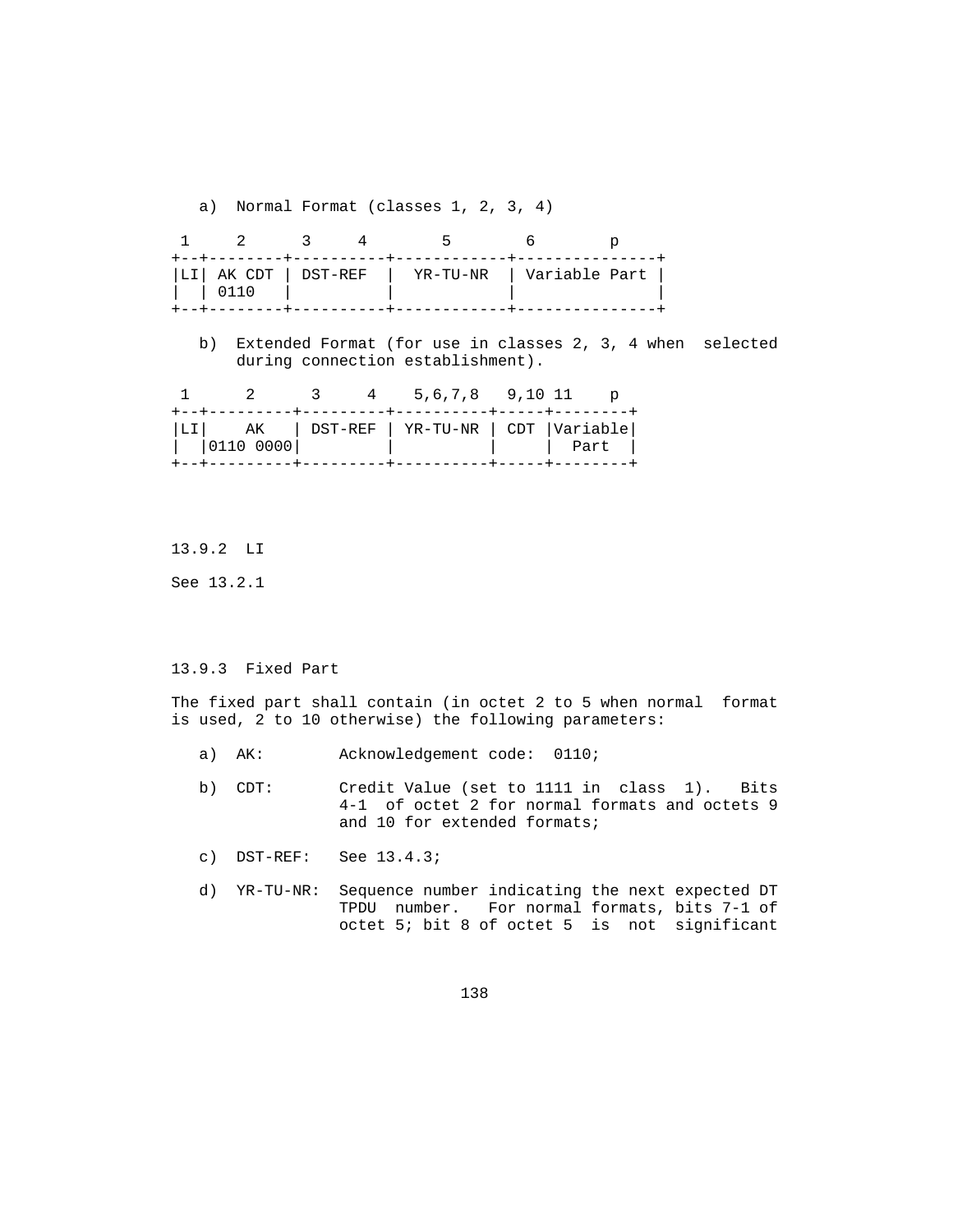a) Normal Format (classes 1, 2, 3, 4)

| LI  AK CDT   DST-REF<br>$\begin{matrix} 1 & 0 & 1 & 1 & 0 \end{matrix}$ |  |  | YR-TU-NR   Variable Part |  |
|-------------------------------------------------------------------------|--|--|--------------------------|--|

 b) Extended Format (for use in classes 2, 3, 4 when selected during connection establishment).

|  |  | 3 4 5,6,7,8 9,10 11                                                        |  |
|--|--|----------------------------------------------------------------------------|--|
|  |  | LI  AK   DST-REF   YR-TU-NR   CDT  Variable <br> 0110 0000            Part |  |
|  |  |                                                                            |  |

13.9.2 LI

See 13.2.1

### 13.9.3 Fixed Part

 The fixed part shall contain (in octet 2 to 5 when normal format is used, 2 to 10 otherwise) the following parameters:

- a) AK: Acknowledgement code: 0110;
- b) CDT: Credit Value (set to 1111 in class 1). Bits 4-1 of octet 2 for normal formats and octets 9 and 10 for extended formats;
- c) DST-REF: See 13.4.3;
- d) YR-TU-NR: Sequence number indicating the next expected DT TPDU number. For normal formats, bits 7-1 of octet 5; bit 8 of octet 5 is not significant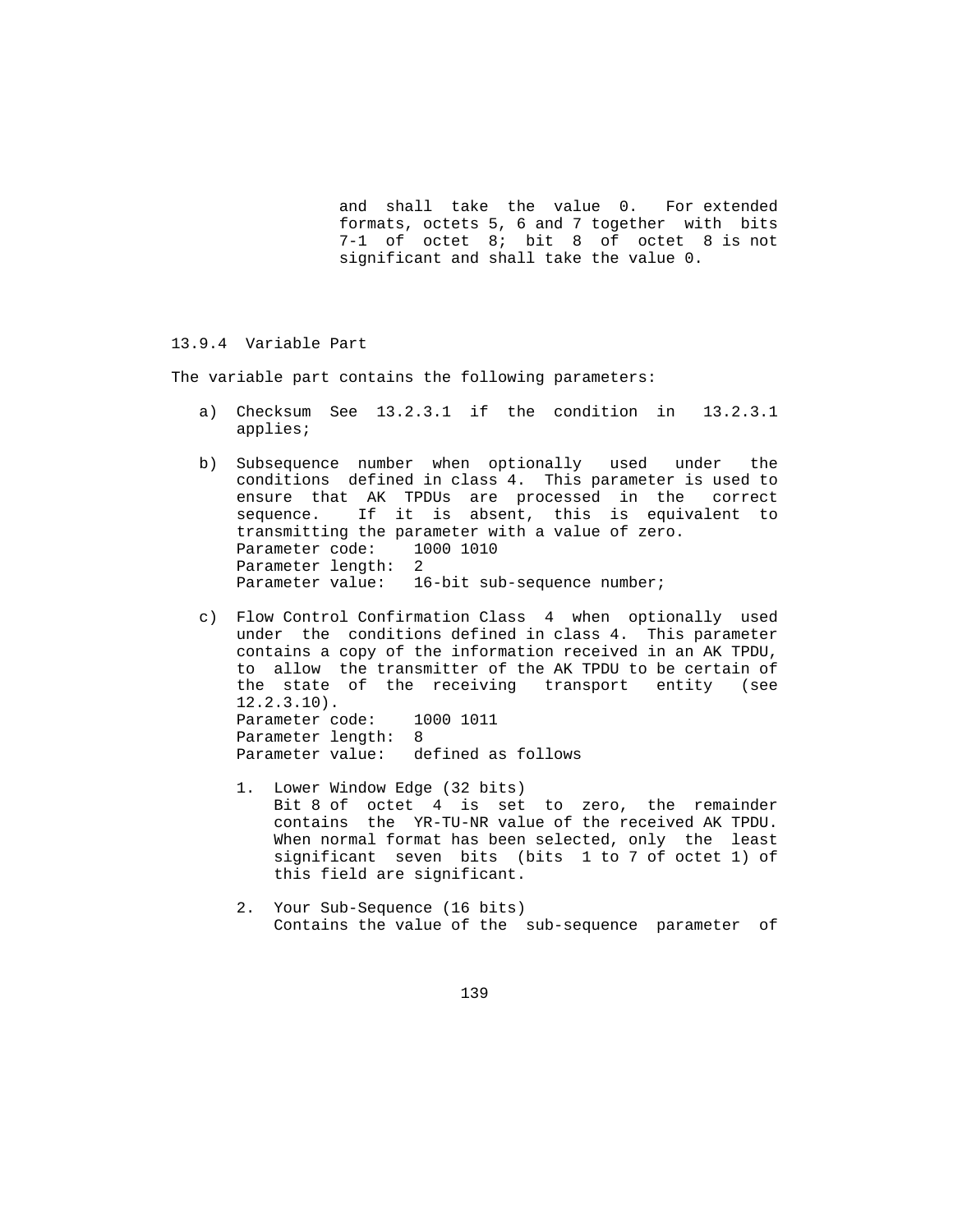and shall take the value 0. For extended formats, octets 5, 6 and 7 together with bits 7-1 of octet 8; bit 8 of octet 8 is not significant and shall take the value 0.

#### 13.9.4 Variable Part

The variable part contains the following parameters:

- a) Checksum See 13.2.3.1 if the condition in 13.2.3.1 applies;
- b) Subsequence number when optionally used under the conditions defined in class 4. This parameter is used to ensure that AK TPDUs are processed in the correct sequence. If it is absent, this is equivalent to transmitting the parameter with a value of zero. Parameter code: 1000 1010 Parameter length: 2 Parameter value: 16-bit sub-sequence number;
- c) Flow Control Confirmation Class 4 when optionally used under the conditions defined in class 4. This parameter contains a copy of the information received in an AK TPDU, to allow the transmitter of the AK TPDU to be certain of the state of the receiving transport entity (see 12.2.3.10). Parameter code: 1000 1011 Parameter length: 8 Parameter value: defined as follows
	- 1. Lower Window Edge (32 bits) Bit 8 of octet 4 is set to zero, the remainder contains the YR-TU-NR value of the received AK TPDU. When normal format has been selected, only the least significant seven bits (bits 1 to 7 of octet 1) of this field are significant.
	- 2. Your Sub-Sequence (16 bits) Contains the value of the sub-sequence parameter of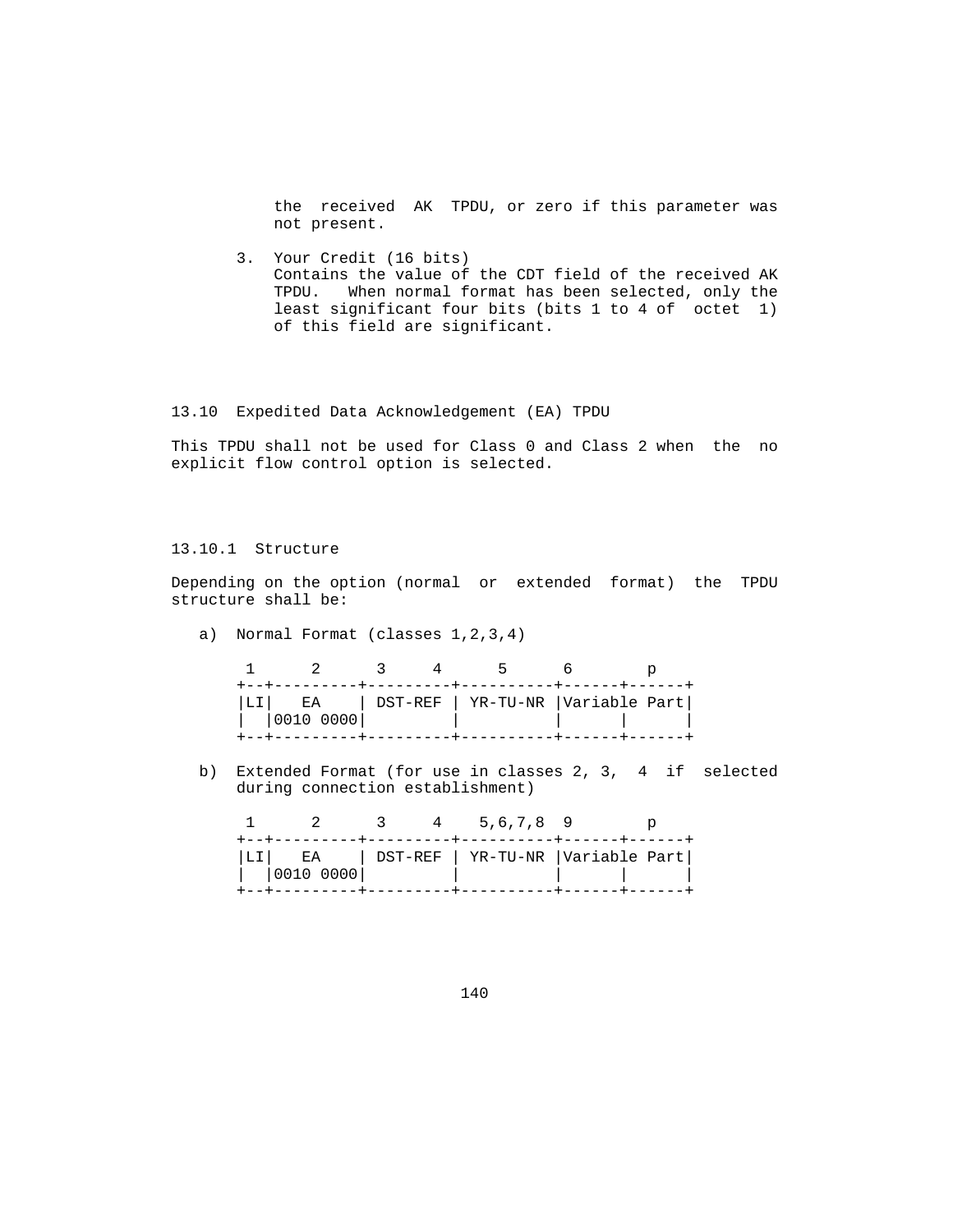the received AK TPDU, or zero if this parameter was not present.

 3. Your Credit (16 bits) Contains the value of the CDT field of the received AK TPDU. When normal format has been selected, only the least significant four bits (bits 1 to 4 of octet 1) of this field are significant.

### 13.10 Expedited Data Acknowledgement (EA) TPDU

 This TPDU shall not be used for Class 0 and Class 2 when the no explicit flow control option is selected.

# 13.10.1 Structure

 Depending on the option (normal or extended format) the TPDU structure shall be:

a) Normal Format (classes 1,2,3,4)

|  |           |  | $\sim$ $\sim$ $\sim$<br>------+---------+----------+-----+----+--- |  |
|--|-----------|--|--------------------------------------------------------------------|--|
|  | 0010 0000 |  | LI  EA   DST-REF   YR-TU-NR  Variable Part                         |  |
|  |           |  |                                                                    |  |

 b) Extended Format (for use in classes 2, 3, 4 if selected during connection establishment)

|  | $\sim$ 2  |  | 4 5.6.7.8 9                                |  |
|--|-----------|--|--------------------------------------------|--|
|  | 0010 0000 |  | LI  EA   DST-REF   YR-TU-NR  Variable Part |  |
|  |           |  |                                            |  |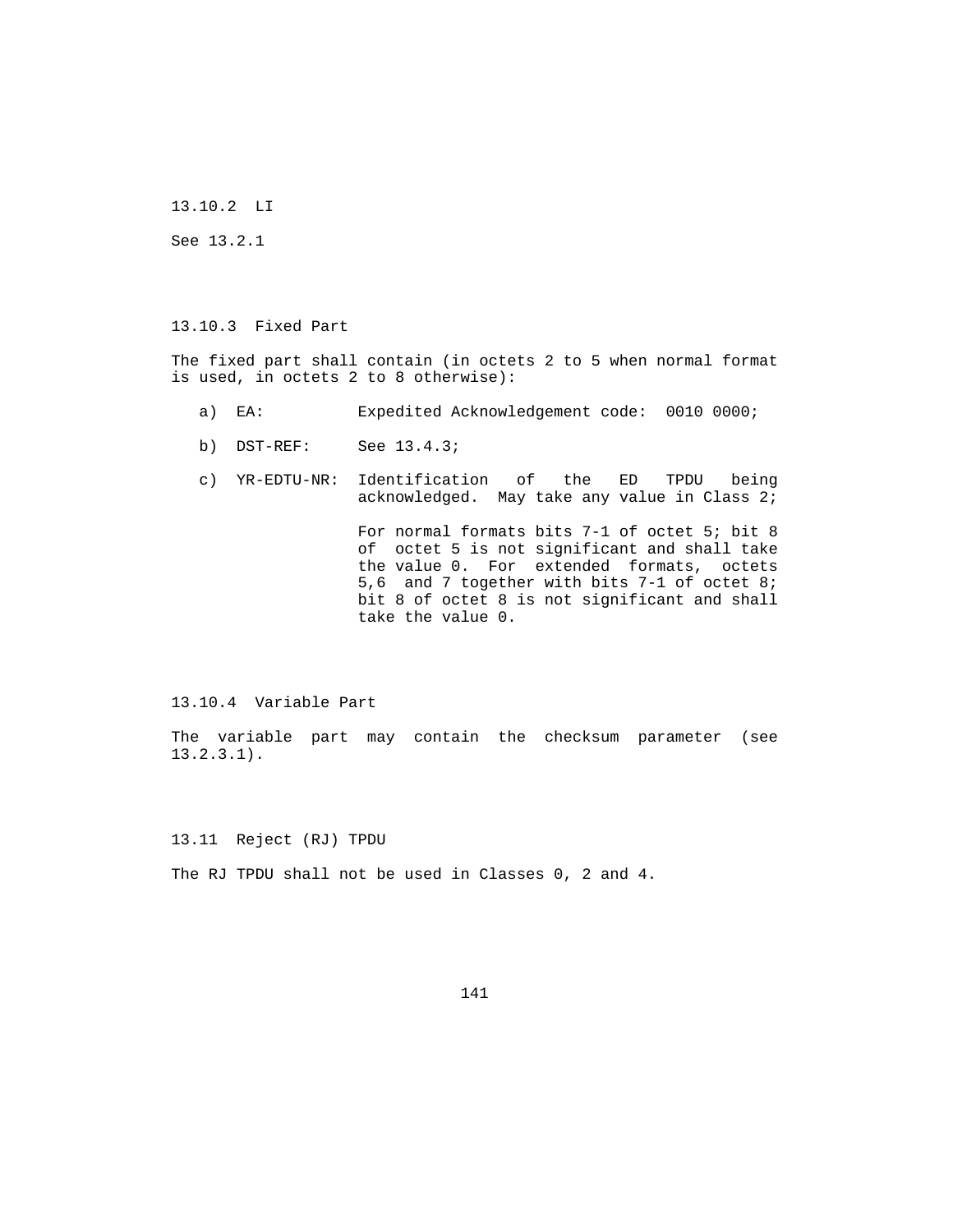13.10.2 LI

See 13.2.1

13.10.3 Fixed Part

 The fixed part shall contain (in octets 2 to 5 when normal format is used, in octets 2 to 8 otherwise):

- a) EA: Expedited Acknowledgement code: 0010 0000;
- b) DST-REF: See 13.4.3;
- c) YR-EDTU-NR: Identification of the ED TPDU being acknowledged. May take any value in Class 2;

 For normal formats bits 7-1 of octet 5; bit 8 of octet 5 is not significant and shall take the value 0. For extended formats, octets 5,6 and 7 together with bits 7-1 of octet 8; bit 8 of octet 8 is not significant and shall take the value 0.

13.10.4 Variable Part

 The variable part may contain the checksum parameter (see 13.2.3.1).

13.11 Reject (RJ) TPDU

The RJ TPDU shall not be used in Classes 0, 2 and 4.

141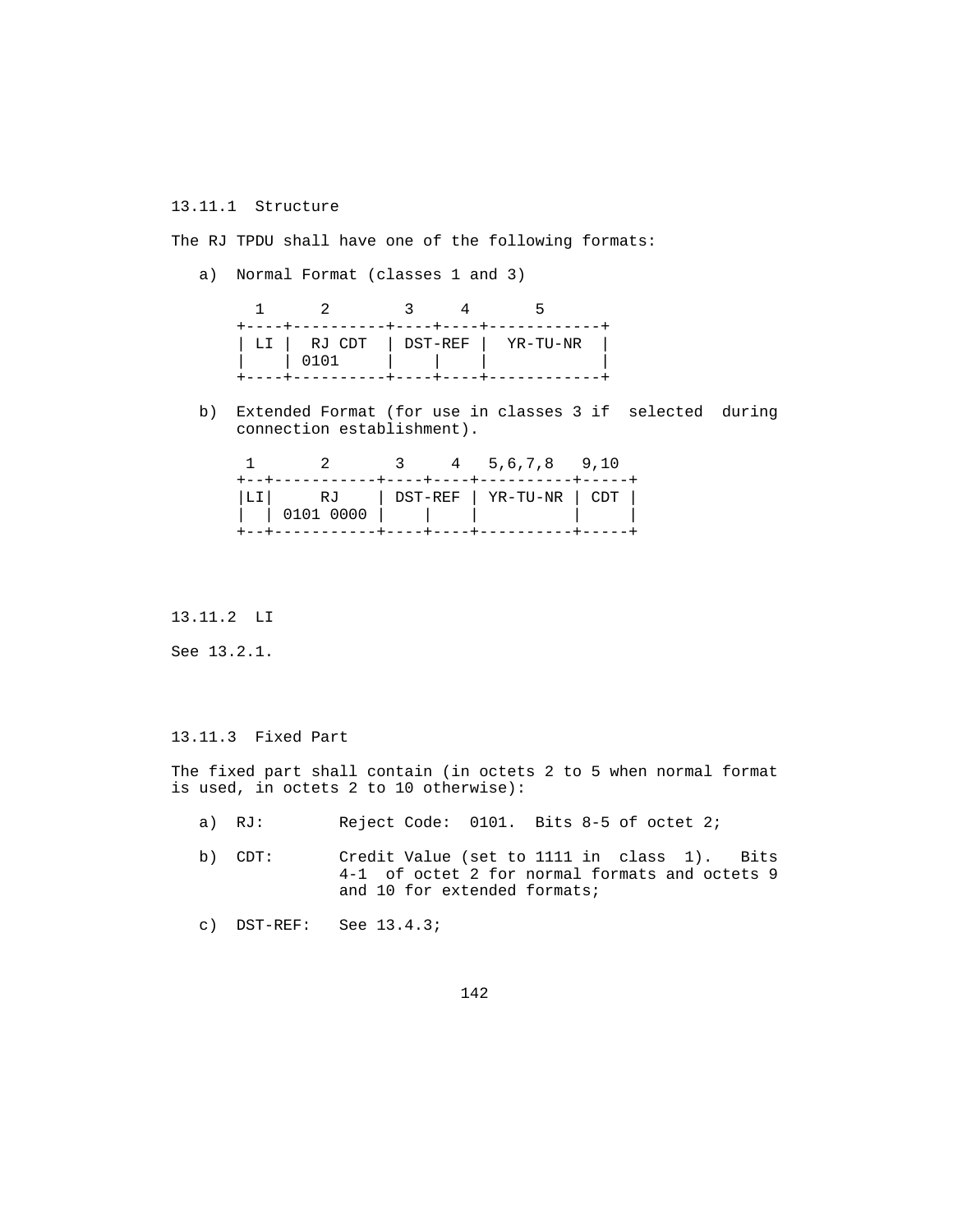### 13.11.1 Structure

The RJ TPDU shall have one of the following formats:

a) Normal Format (classes 1 and 3)

|  | ---------+----+----+------------ |
|--|----------------------------------|
|  | LI   RJ CDT   DST-REF   YR-TU-NR |
|  |                                  |

 b) Extended Format (for use in classes 3 if selected during connection establishment).

|  |  | 2 3 4 5.6.7.8 9.10<br>----------+----+----+-----------+-----+ |  |
|--|--|---------------------------------------------------------------|--|
|  |  | LI  RJ   DST-REF   YR-TU-NR   CDT                             |  |

## 13.11.2 LI

See 13.2.1.

## 13.11.3 Fixed Part

 The fixed part shall contain (in octets 2 to 5 when normal format is used, in octets 2 to 10 otherwise):

- a) RJ: Reject Code: 0101. Bits 8-5 of octet 2;
- b) CDT: Credit Value (set to 1111 in class 1). Bits 4-1 of octet 2 for normal formats and octets 9 and 10 for extended formats;
- c) DST-REF: See 13.4.3;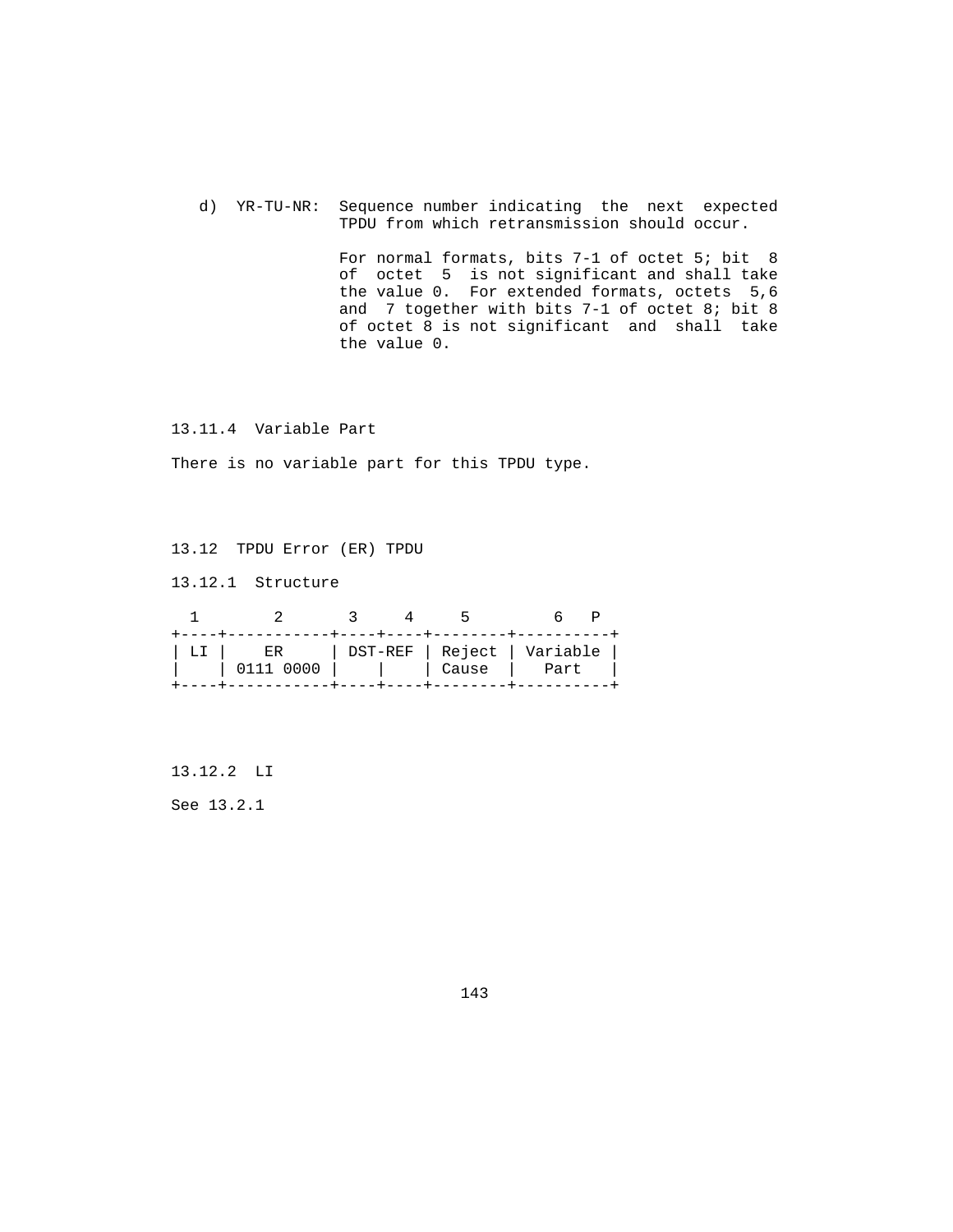d) YR-TU-NR: Sequence number indicating the next expected TPDU from which retransmission should occur.

> For normal formats, bits 7-1 of octet 5; bit 8 of octet 5 is not significant and shall take the value 0. For extended formats, octets 5,6 and 7 together with bits 7-1 of octet 8; bit 8 of octet 8 is not significant and shall take the value 0.

13.11.4 Variable Part

There is no variable part for this TPDU type.

13.12 TPDU Error (ER) TPDU

13.12.1 Structure

|                                                                                      |  | $\overline{\phantom{a}}$ | +----+----+--------+-------- |  |
|--------------------------------------------------------------------------------------|--|--------------------------|------------------------------|--|
| LI       ER        DST-REF   Reject   Variable  <br>  0111 0000         Cause   Part |  |                          |                              |  |

13.12.2 LI

See 13.2.1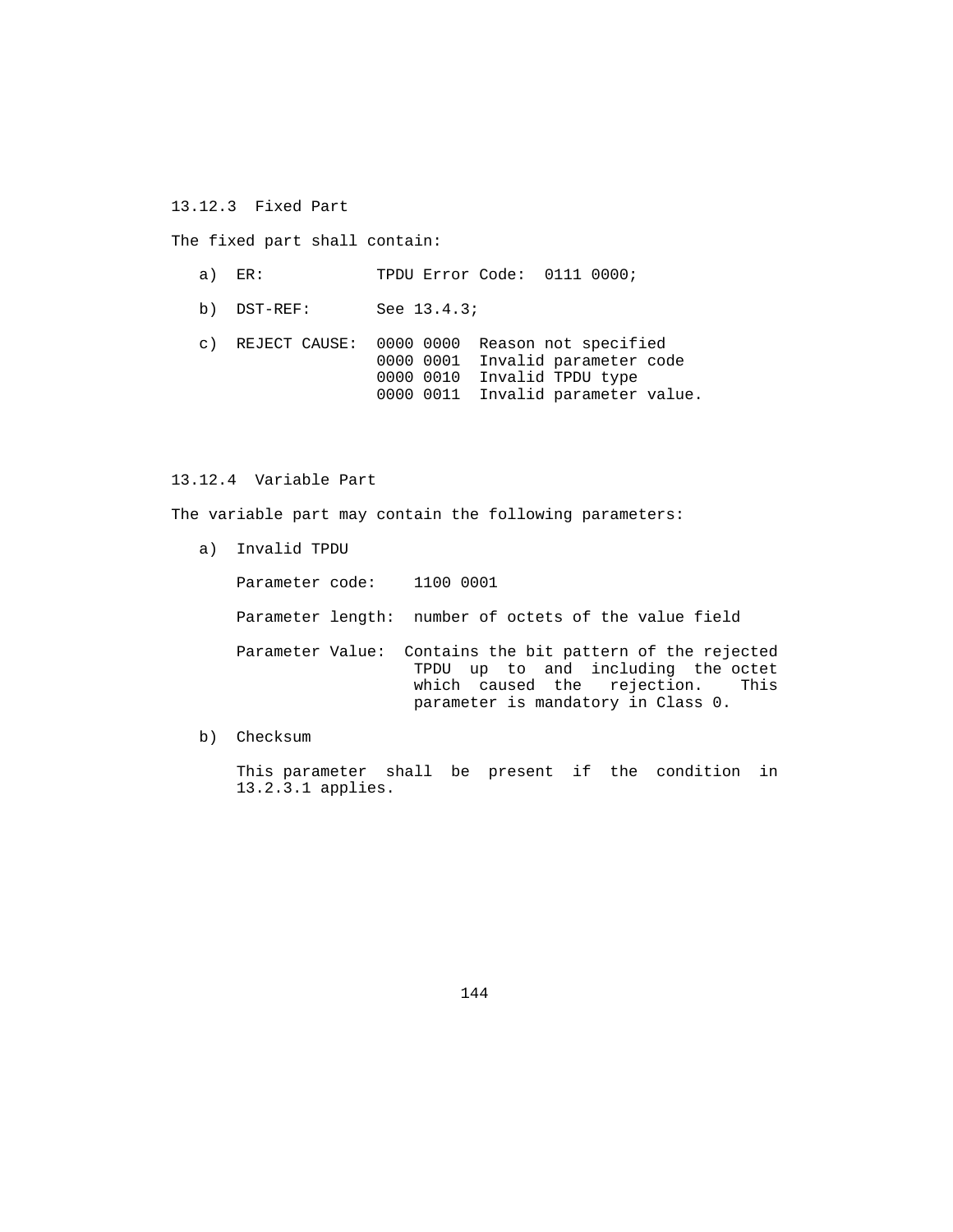13.12.3 Fixed Part

The fixed part shall contain:

 a) ER: TPDU Error Code: 0111 0000; b) DST-REF: See 13.4.3; c) REJECT CAUSE: 0000 0000 Reason not specified 0000 0001 Invalid parameter code 0000 0010 Invalid TPDU type 0000 0011 Invalid parameter value.

## 13.12.4 Variable Part

The variable part may contain the following parameters:

a) Invalid TPDU

Parameter code: 1100 0001 Parameter length: number of octets of the value field Parameter Value: Contains the bit pattern of the rejected TPDU up to and including the octet which caused the rejection. This parameter is mandatory in Class 0.

b) Checksum

 This parameter shall be present if the condition in 13.2.3.1 applies.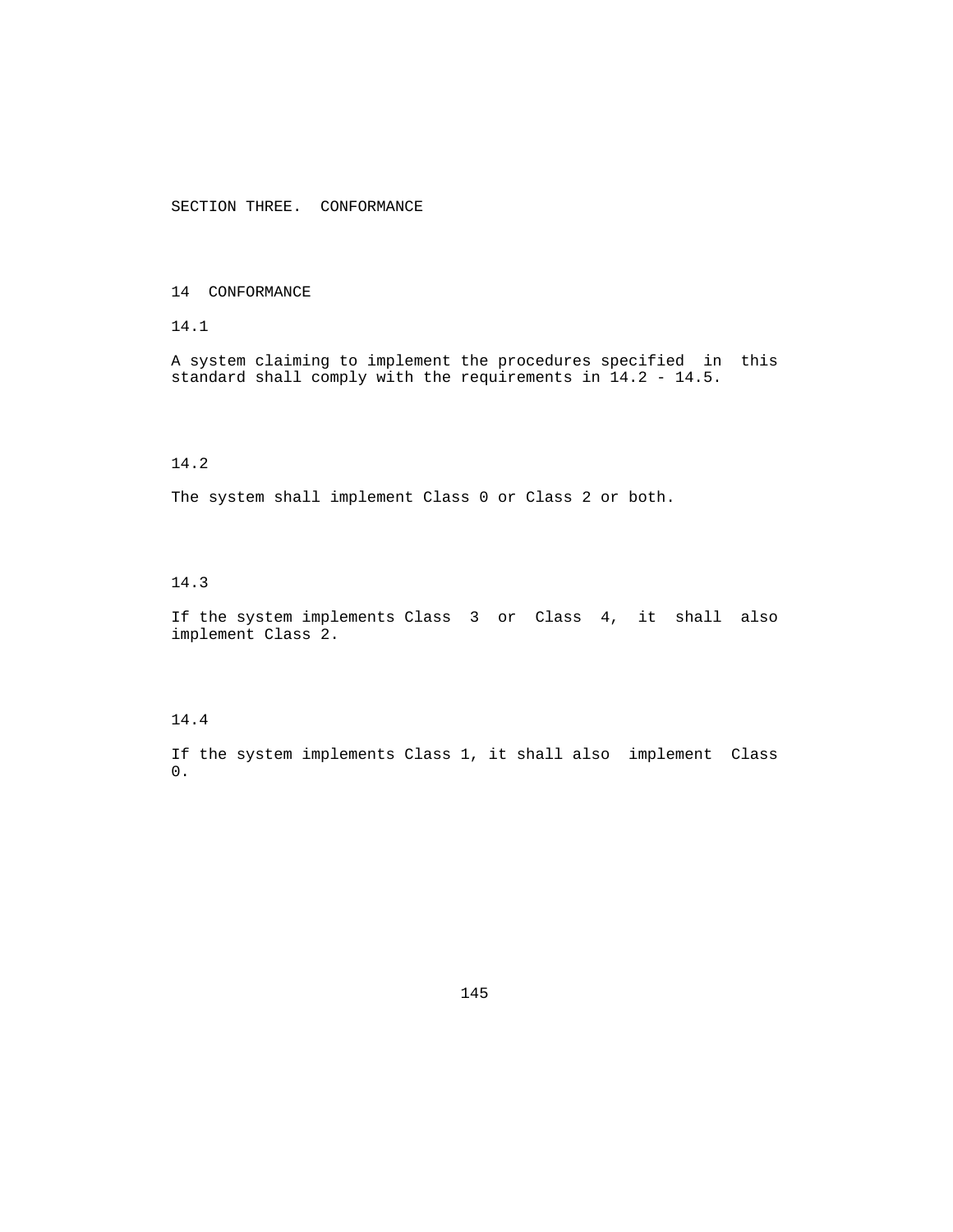SECTION THREE. CONFORMANCE

### 14 CONFORMANCE

# 14.1

 A system claiming to implement the procedures specified in this standard shall comply with the requirements in 14.2 - 14.5.

# 14.2

The system shall implement Class 0 or Class 2 or both.

## 14.3

 If the system implements Class 3 or Class 4, it shall also implement Class 2.

#### 14.4

 If the system implements Class 1, it shall also implement Class 0.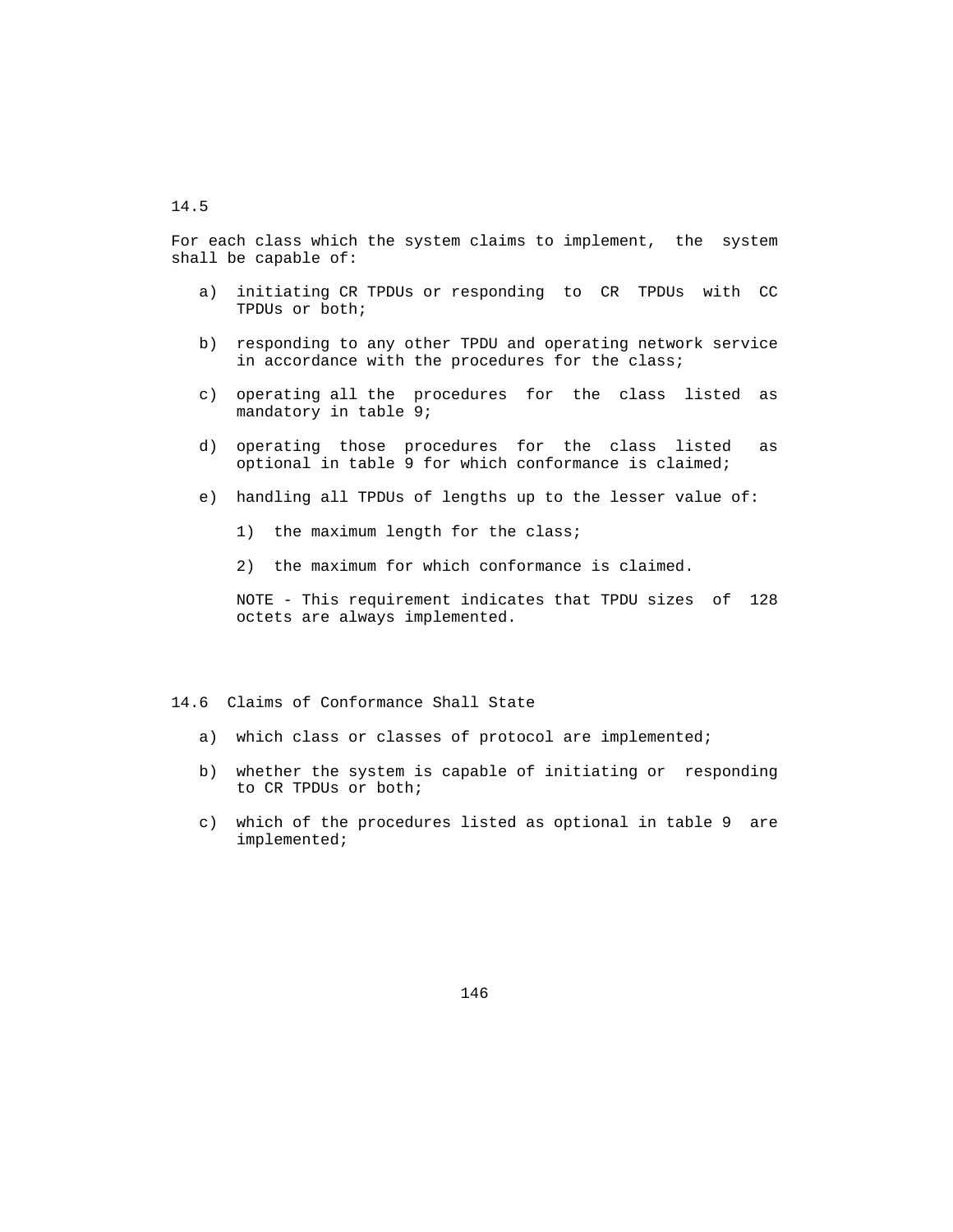### 14.5

 For each class which the system claims to implement, the system shall be capable of:

- a) initiating CR TPDUs or responding to CR TPDUs with CC TPDUs or both;
- b) responding to any other TPDU and operating network service in accordance with the procedures for the class;
- c) operating all the procedures for the class listed as mandatory in table 9;
- d) operating those procedures for the class listed as optional in table 9 for which conformance is claimed;
- e) handling all TPDUs of lengths up to the lesser value of:
	- 1) the maximum length for the class;
	- 2) the maximum for which conformance is claimed.

 NOTE - This requirement indicates that TPDU sizes of 128 octets are always implemented.

#### 14.6 Claims of Conformance Shall State

- a) which class or classes of protocol are implemented;
- b) whether the system is capable of initiating or responding to CR TPDUs or both;
- c) which of the procedures listed as optional in table 9 are implemented;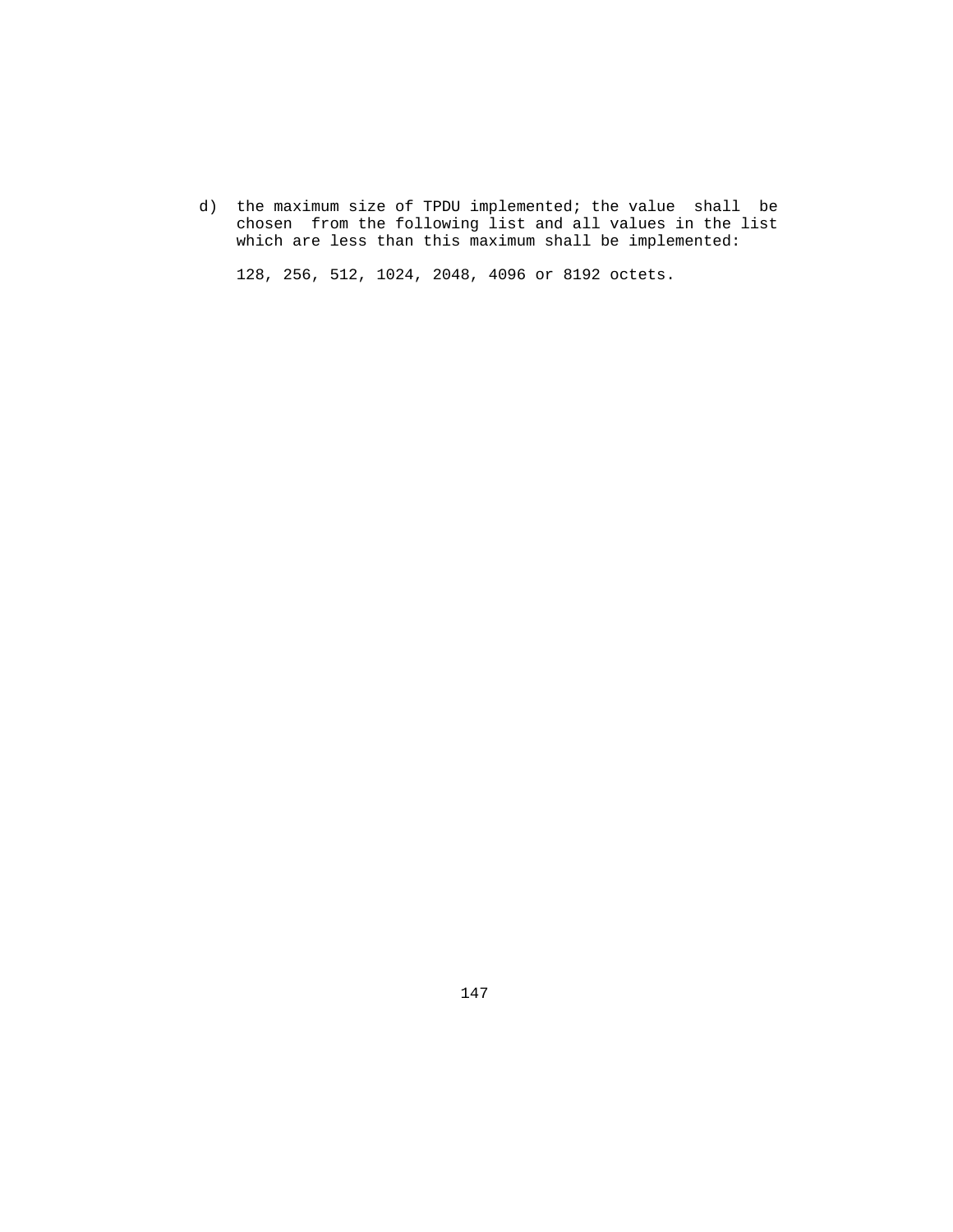d) the maximum size of TPDU implemented; the value shall be chosen from the following list and all values in the list which are less than this maximum shall be implemented:

128, 256, 512, 1024, 2048, 4096 or 8192 octets.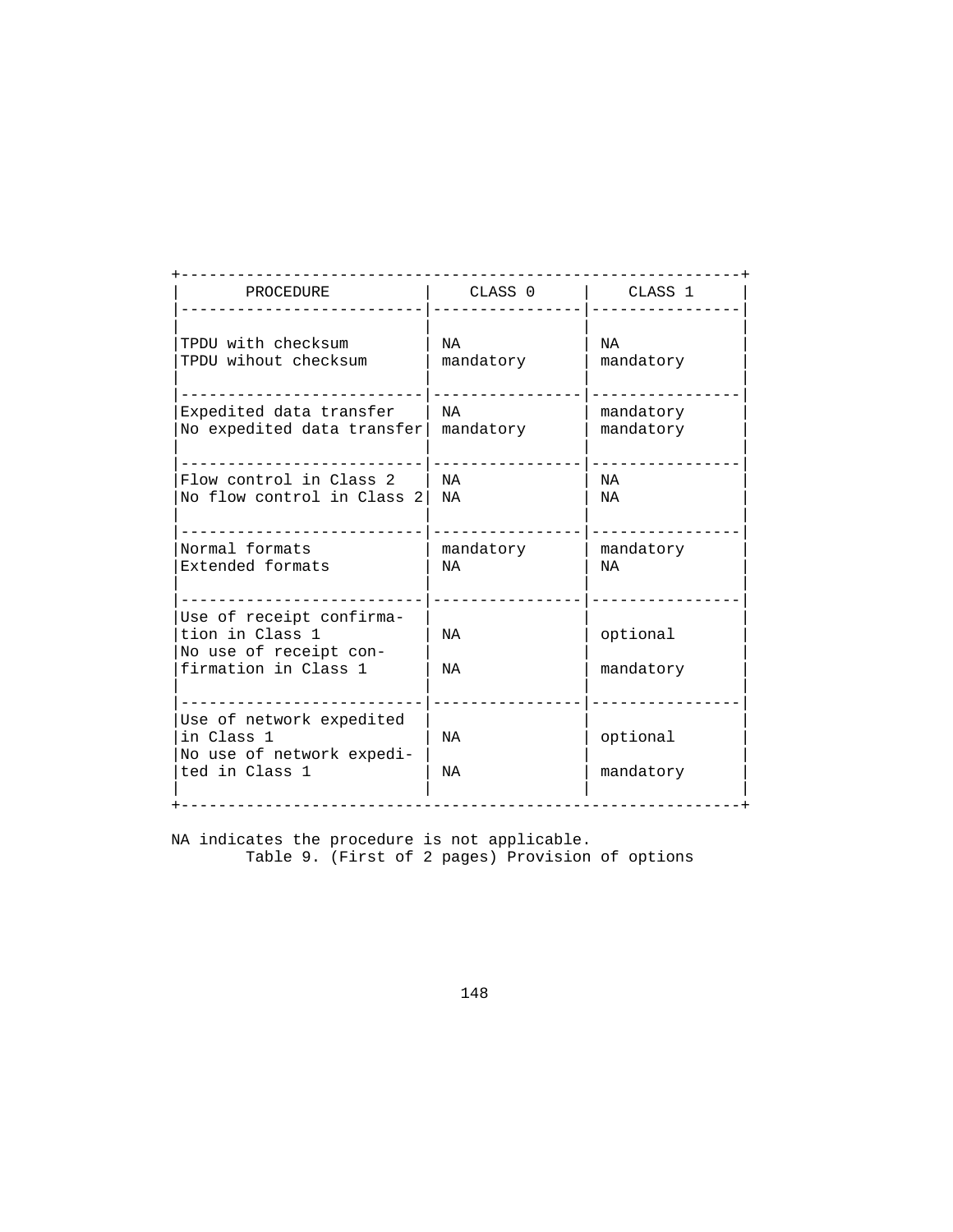| PROCEDURE                                                                                     | CLASS 0   | CLASS <sub>1</sub>    |
|-----------------------------------------------------------------------------------------------|-----------|-----------------------|
| TPDU with checksum                                                                            | NA        | NA                    |
| TPDU wihout checksum                                                                          | mandatory | mandatory             |
| Expedited data transfer                                                                       | NA        | mandatory             |
| No expedited data transfer                                                                    | mandatory | mandatory             |
| Flow control in Class 2                                                                       | NA        | NA                    |
| No flow control in Class 2                                                                    | ΝA        | NA                    |
| Normal formats                                                                                | mandatory | mandatory             |
| Extended formats                                                                              | NA        | ΝA                    |
| Use of receipt confirma-<br>tion in Class 1<br>No use of receipt con-<br>firmation in Class 1 | NA<br>NA  | optional<br>mandatory |
| Use of network expedited<br>in Class 1<br>No use of network expedi-<br>ted in Class 1         | NA<br>NA  | optional<br>mandatory |

 NA indicates the procedure is not applicable. Table 9. (First of 2 pages) Provision of options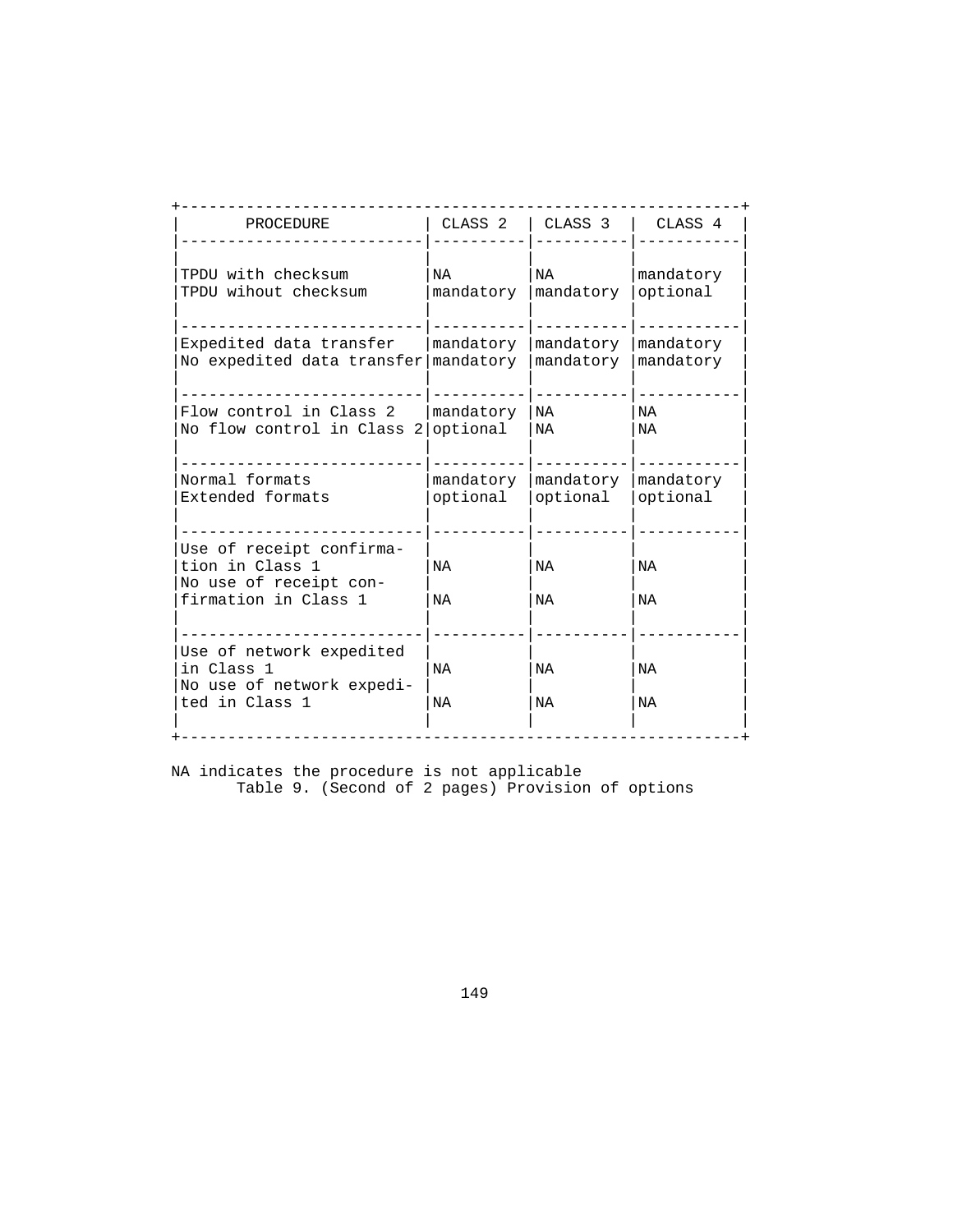| PROCEDURE                                                                                     | CLASS <sub>2</sub> | CLASS <sub>3</sub> | CLASS <sub>4</sub> |
|-----------------------------------------------------------------------------------------------|--------------------|--------------------|--------------------|
| TPDU with checksum                                                                            | NA                 | NA                 | mandatory          |
| TPDU wihout checksum                                                                          | mandatory          | mandatory          | optional           |
| Expedited data transfer                                                                       | mandatory          | mandatory          | mandatory          |
| No expedited data transfer                                                                    | mandatory          | mandatory          | mandatory          |
| Flow control in Class 2                                                                       | mandatory          | NA                 | NA                 |
| No flow control in Class 2                                                                    | optional           | NA                 | NA                 |
| Normal formats                                                                                | mandatory          | mandatory          | mandatory          |
| Extended formats                                                                              | optional           | optional           | optional           |
| Use of receipt confirma-<br>tion in Class 1<br>No use of receipt con-<br>firmation in Class 1 | NA<br>NA           | NA<br>NA           | NA<br>NA           |
| Use of network expedited<br>in Class 1<br>No use of network expedi-<br>ted in Class 1         | NA<br>NA           | NA<br>NA           | NA<br>NA           |

 NA indicates the procedure is not applicable Table 9. (Second of 2 pages) Provision of options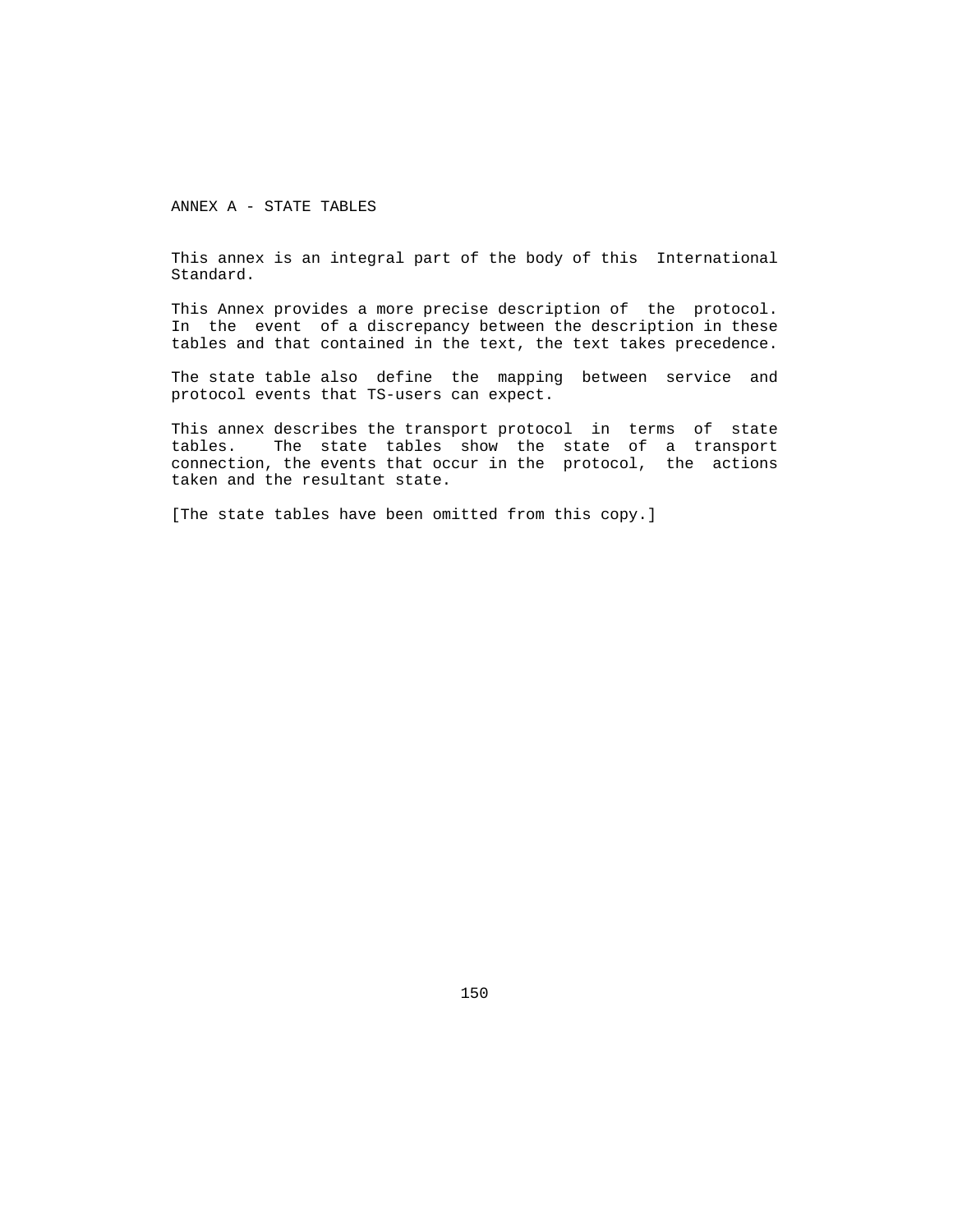ANNEX A - STATE TABLES

 This annex is an integral part of the body of this International Standard.

 This Annex provides a more precise description of the protocol. In the event of a discrepancy between the description in these tables and that contained in the text, the text takes precedence.

 The state table also define the mapping between service and protocol events that TS-users can expect.

 This annex describes the transport protocol in terms of state tables. The state tables show the state of a transport connection, the events that occur in the protocol, the actions taken and the resultant state.

[The state tables have been omitted from this copy.]

150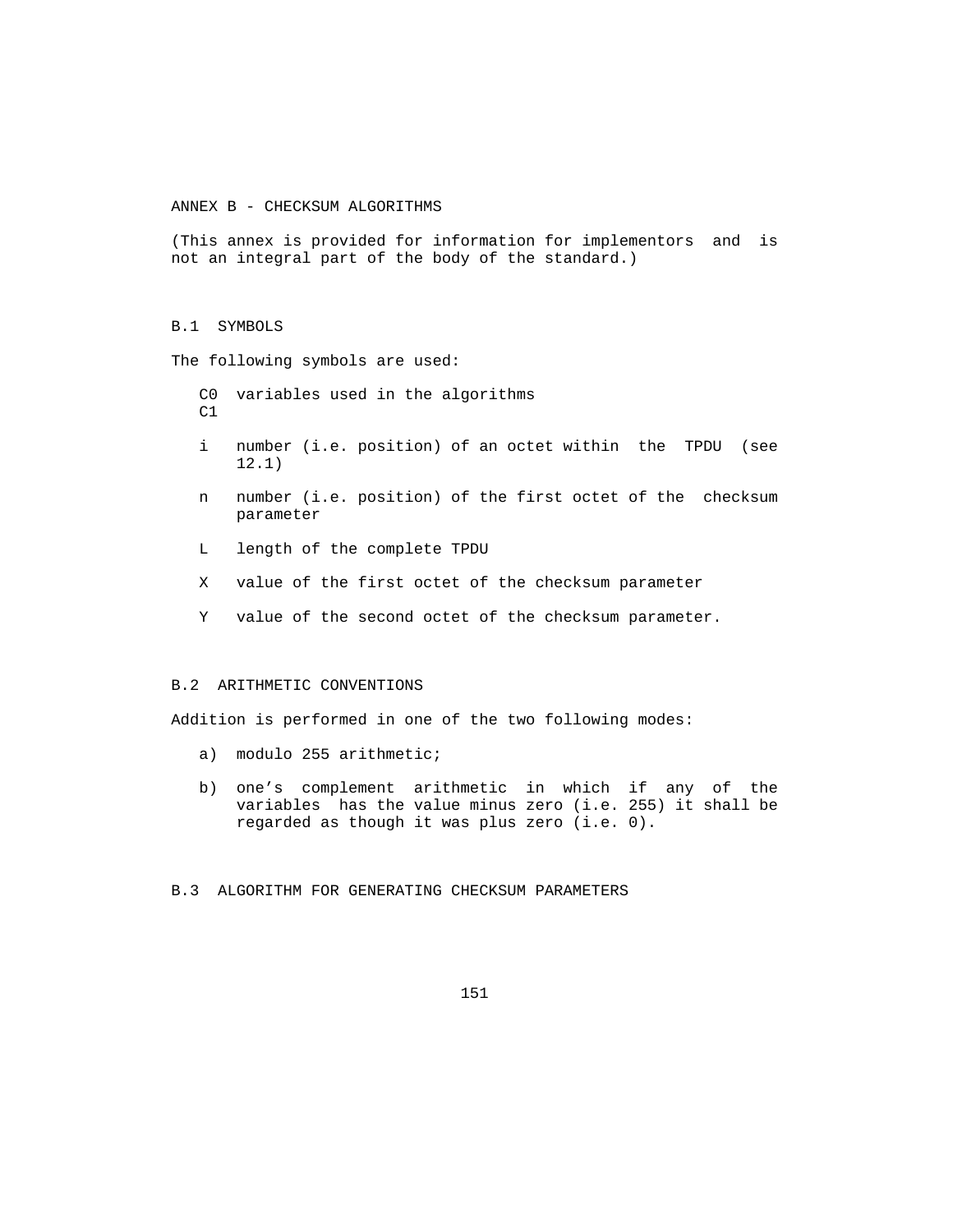ANNEX B - CHECKSUM ALGORITHMS

 (This annex is provided for information for implementors and is not an integral part of the body of the standard.)

#### B.1 SYMBOLS

The following symbols are used:

- C0 variables used in the algorithms  $C1$
- i number (i.e. position) of an octet within the TPDU (see 12.1)
- n number (i.e. position) of the first octet of the checksum parameter
- L length of the complete TPDU
- X value of the first octet of the checksum parameter
- Y value of the second octet of the checksum parameter.

#### B.2 ARITHMETIC CONVENTIONS

Addition is performed in one of the two following modes:

- a) modulo 255 arithmetic;
- b) one's complement arithmetic in which if any of the variables has the value minus zero (i.e. 255) it shall be regarded as though it was plus zero (i.e. 0).

#### B.3 ALGORITHM FOR GENERATING CHECKSUM PARAMETERS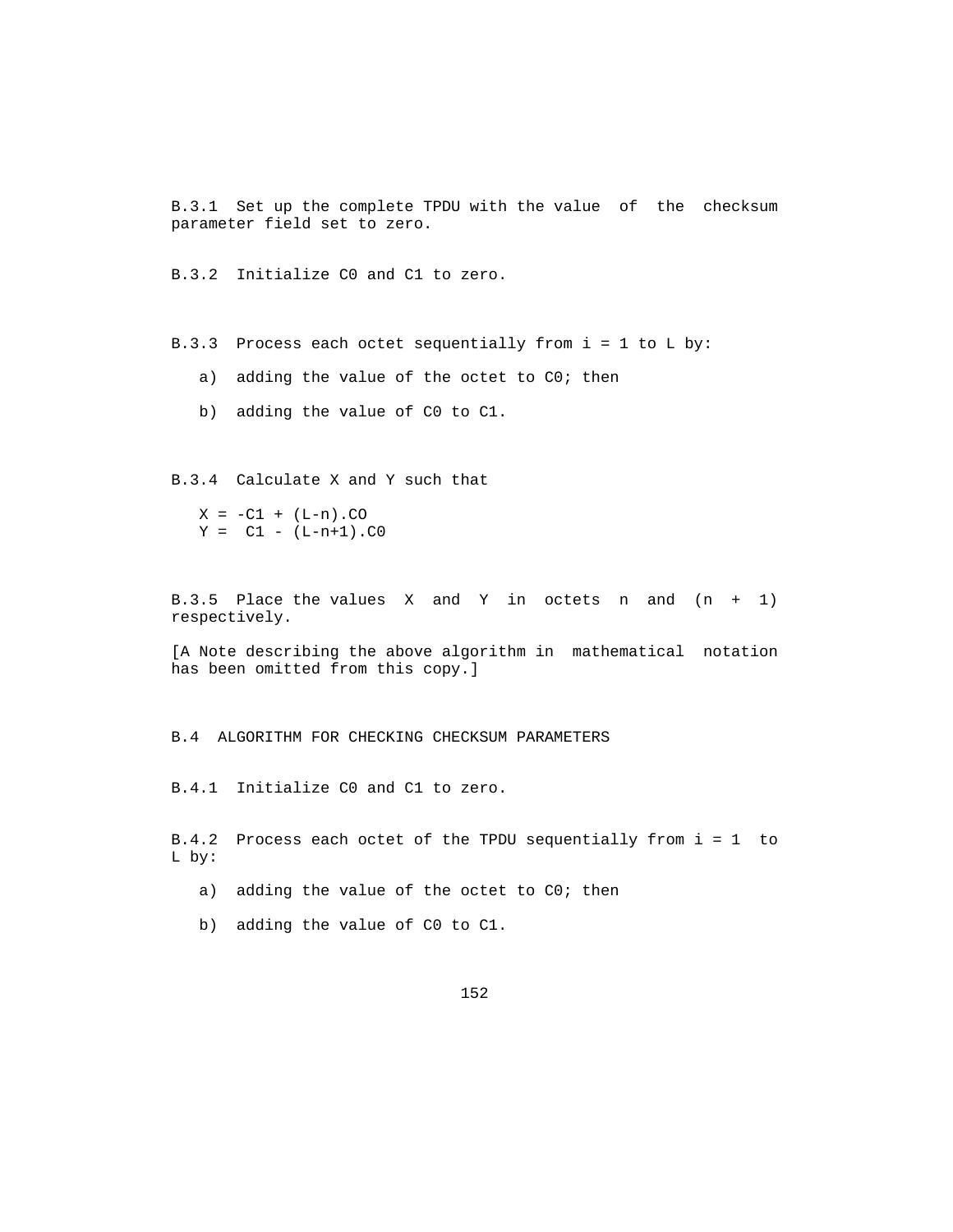B.3.1 Set up the complete TPDU with the value of the checksum parameter field set to zero.

B.3.2 Initialize C0 and C1 to zero.

B.3.3 Process each octet sequentially from i = 1 to L by:

- a) adding the value of the octet to C0; then
- b) adding the value of C0 to C1.

B.3.4 Calculate X and Y such that

 $X = -C1 + (L-n) .CO$  $Y = C1 - (L-n+1) .C0$ 

 B.3.5 Place the values X and Y in octets n and (n + 1) respectively.

 [A Note describing the above algorithm in mathematical notation has been omitted from this copy.]

B.4 ALGORITHM FOR CHECKING CHECKSUM PARAMETERS

B.4.1 Initialize C0 and C1 to zero.

 B.4.2 Process each octet of the TPDU sequentially from i = 1 to L by:

a) adding the value of the octet to C0; then

b) adding the value of C0 to C1.

152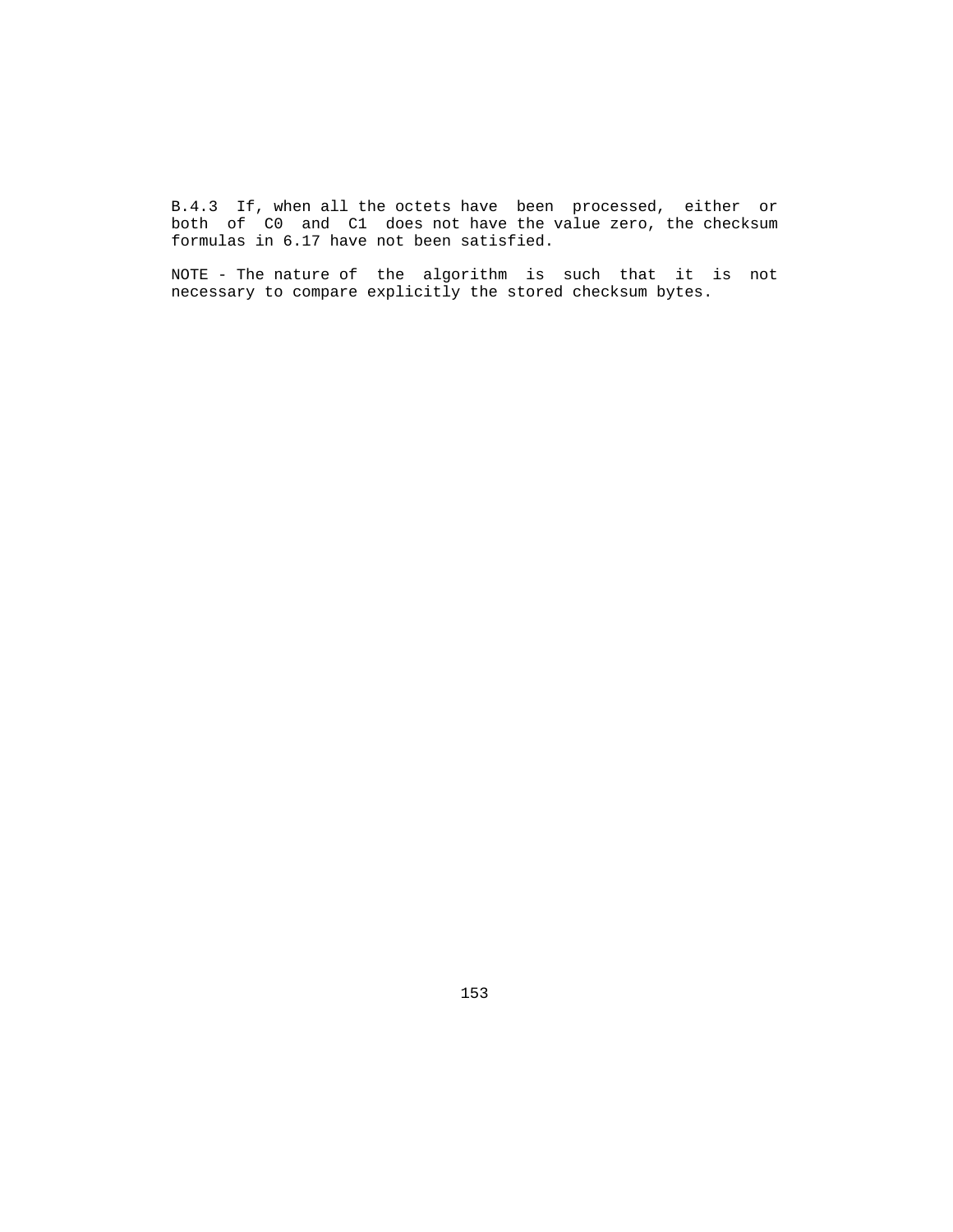B.4.3 If, when all the octets have been processed, either or both of C0 and C1 does not have the value zero, the checksum formulas in 6.17 have not been satisfied.

 NOTE - The nature of the algorithm is such that it is not necessary to compare explicitly the stored checksum bytes.